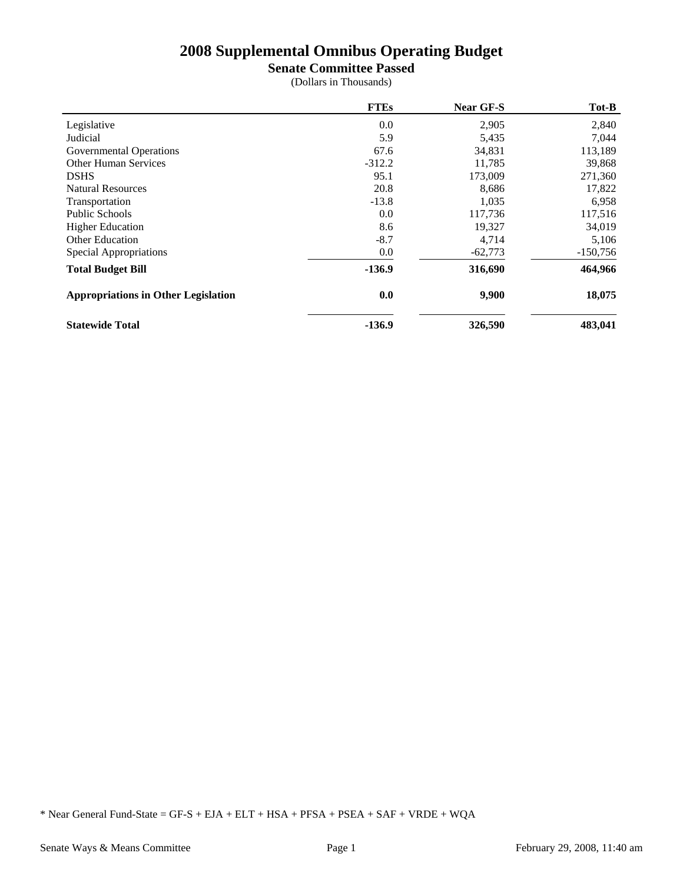## **Senate Committee Passed**

(Dollars in Thousands)

|                                            | <b>FTEs</b> | <b>Near GF-S</b> | Tot-B      |
|--------------------------------------------|-------------|------------------|------------|
| Legislative                                | 0.0         | 2,905            | 2,840      |
| Judicial                                   | 5.9         | 5,435            | 7,044      |
| Governmental Operations                    | 67.6        | 34,831           | 113,189    |
| <b>Other Human Services</b>                | $-312.2$    | 11,785           | 39,868     |
| <b>DSHS</b>                                | 95.1        | 173,009          | 271,360    |
| <b>Natural Resources</b>                   | 20.8        | 8,686            | 17,822     |
| Transportation                             | $-13.8$     | 1,035            | 6,958      |
| <b>Public Schools</b>                      | 0.0         | 117,736          | 117,516    |
| <b>Higher Education</b>                    | 8.6         | 19,327           | 34,019     |
| <b>Other Education</b>                     | $-8.7$      | 4,714            | 5,106      |
| Special Appropriations                     | 0.0         | $-62,773$        | $-150,756$ |
| <b>Total Budget Bill</b>                   | $-136.9$    | 316,690          | 464,966    |
| <b>Appropriations in Other Legislation</b> | 0.0         | 9,900            | 18,075     |
| <b>Statewide Total</b>                     | $-136.9$    | 326,590          | 483,041    |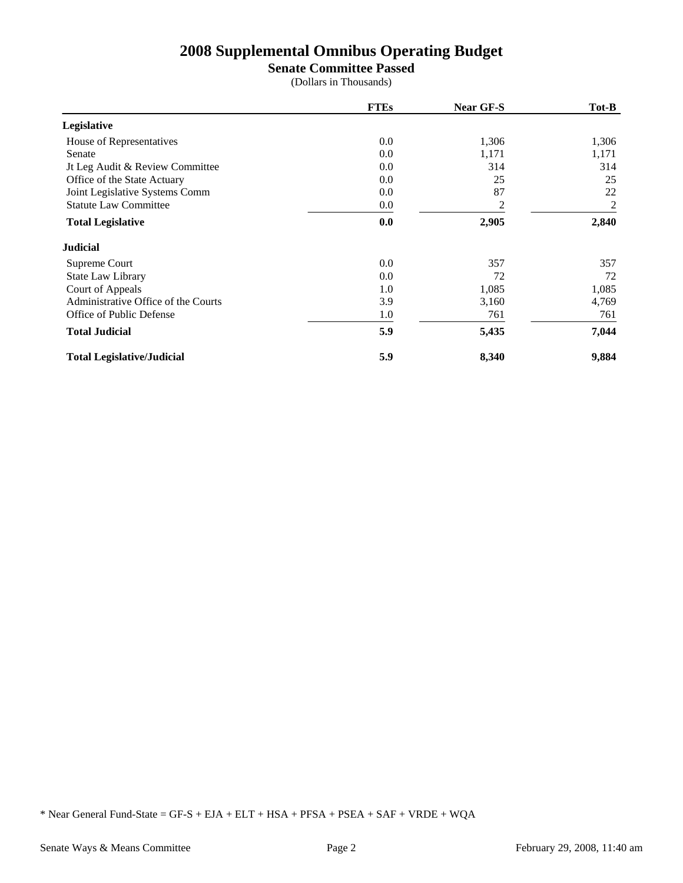**Senate Committee Passed**

(Dollars in Thousands)

|                                     | <b>FTEs</b> | <b>Near GF-S</b> | Tot-B |
|-------------------------------------|-------------|------------------|-------|
| Legislative                         |             |                  |       |
| House of Representatives            | $0.0\,$     | 1,306            | 1,306 |
| Senate                              | 0.0         | 1,171            | 1,171 |
| It Leg Audit & Review Committee     | 0.0         | 314              | 314   |
| Office of the State Actuary         | 0.0         | 25               | 25    |
| Joint Legislative Systems Comm      | 0.0         | 87               | 22    |
| <b>Statute Law Committee</b>        | 0.0         | 2                | 2     |
| <b>Total Legislative</b>            | 0.0         | 2,905            | 2,840 |
| <b>Judicial</b>                     |             |                  |       |
| Supreme Court                       | 0.0         | 357              | 357   |
| State Law Library                   | 0.0         | 72               | 72    |
| Court of Appeals                    | 1.0         | 1,085            | 1,085 |
| Administrative Office of the Courts | 3.9         | 3,160            | 4,769 |
| Office of Public Defense            | 1.0         | 761              | 761   |
| <b>Total Judicial</b>               | 5.9         | 5,435            | 7,044 |
| <b>Total Legislative/Judicial</b>   | 5.9         | 8,340            | 9,884 |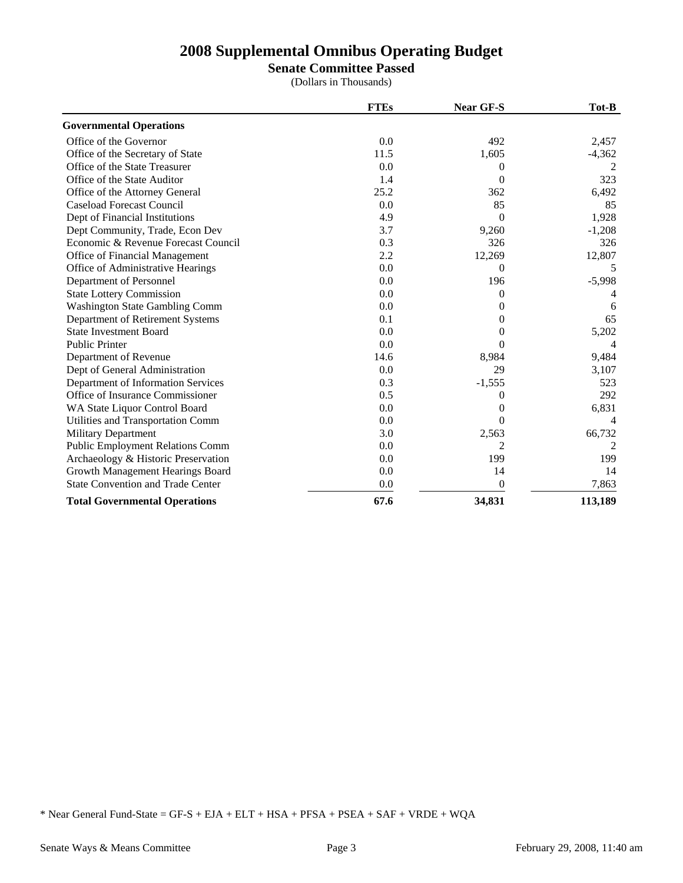**Senate Committee Passed**

(Dollars in Thousands)

|                                          | <b>FTEs</b> | Near GF-S | Tot-B          |
|------------------------------------------|-------------|-----------|----------------|
| <b>Governmental Operations</b>           |             |           |                |
| Office of the Governor                   | 0.0         | 492       | 2,457          |
| Office of the Secretary of State         | 11.5        | 1,605     | $-4,362$       |
| Office of the State Treasurer            | 0.0         | $^{(1)}$  | 2              |
| Office of the State Auditor              | 1.4         | 0         | 323            |
| Office of the Attorney General           | 25.2        | 362       | 6,492          |
| <b>Caseload Forecast Council</b>         | 0.0         | 85        | 85             |
| Dept of Financial Institutions           | 4.9         | $\Omega$  | 1,928          |
| Dept Community, Trade, Econ Dev          | 3.7         | 9,260     | $-1,208$       |
| Economic & Revenue Forecast Council      | 0.3         | 326       | 326            |
| Office of Financial Management           | 2.2         | 12,269    | 12,807         |
| Office of Administrative Hearings        | 0.0         | $\Omega$  | 5              |
| Department of Personnel                  | 0.0         | 196       | $-5,998$       |
| <b>State Lottery Commission</b>          | 0.0         | 0         |                |
| <b>Washington State Gambling Comm</b>    | 0.0         | $^{(1)}$  | 6              |
| Department of Retirement Systems         | 0.1         | $^{(1)}$  | 65             |
| <b>State Investment Board</b>            | 0.0         | 0         | 5,202          |
| <b>Public Printer</b>                    | 0.0         | 0         | $\overline{4}$ |
| Department of Revenue                    | 14.6        | 8,984     | 9,484          |
| Dept of General Administration           | 0.0         | 29        | 3,107          |
| Department of Information Services       | 0.3         | $-1,555$  | 523            |
| Office of Insurance Commissioner         | 0.5         | $^{(1)}$  | 292            |
| WA State Liquor Control Board            | 0.0         | $^{(1)}$  | 6,831          |
| Utilities and Transportation Comm        | 0.0         | 0         | Δ              |
| Military Department                      | 3.0         | 2,563     | 66,732         |
| <b>Public Employment Relations Comm</b>  | 0.0         | 2         | 2              |
| Archaeology & Historic Preservation      | 0.0         | 199       | 199            |
| Growth Management Hearings Board         | 0.0         | 14        | 14             |
| <b>State Convention and Trade Center</b> | 0.0         | $\theta$  | 7,863          |
| <b>Total Governmental Operations</b>     | 67.6        | 34,831    | 113,189        |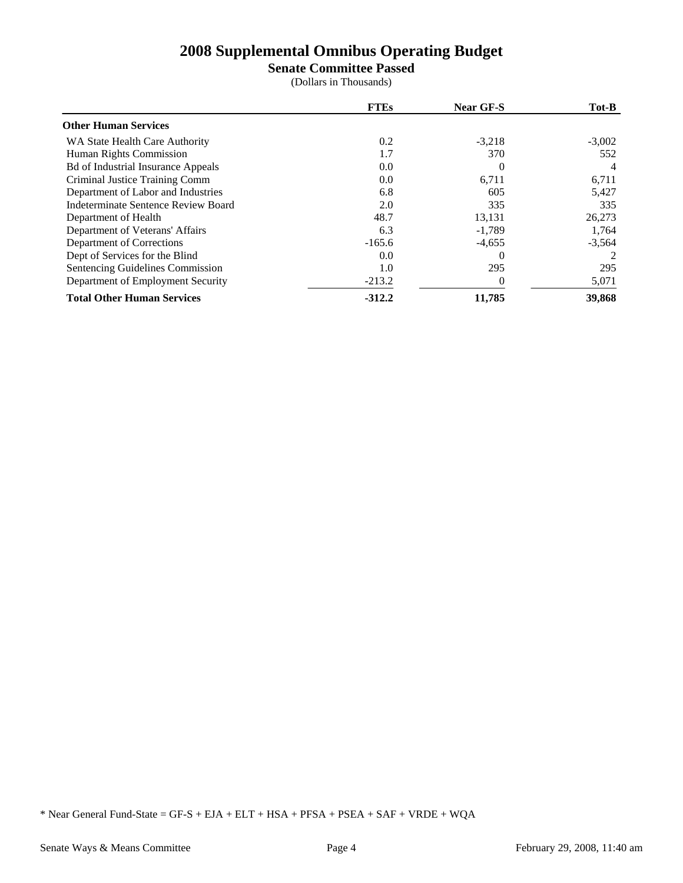## **Senate Committee Passed**

(Dollars in Thousands)

|                                           | <b>FTEs</b> | <b>Near GF-S</b> | Tot-B    |
|-------------------------------------------|-------------|------------------|----------|
| <b>Other Human Services</b>               |             |                  |          |
| WA State Health Care Authority            | 0.2         | $-3,218$         | $-3,002$ |
| Human Rights Commission                   | 1.7         | 370              | 552      |
| <b>Bd of Industrial Insurance Appeals</b> | 0.0         | $\Omega$         |          |
| Criminal Justice Training Comm            | 0.0         | 6,711            | 6,711    |
| Department of Labor and Industries        | 6.8         | 605              | 5,427    |
| Indeterminate Sentence Review Board       | 2.0         | 335              | 335      |
| Department of Health                      | 48.7        | 13,131           | 26,273   |
| Department of Veterans' Affairs           | 6.3         | $-1,789$         | 1,764    |
| Department of Corrections                 | $-165.6$    | $-4,655$         | $-3,564$ |
| Dept of Services for the Blind            | 0.0         | $\Omega$         |          |
| Sentencing Guidelines Commission          | 1.0         | 295              | 295      |
| Department of Employment Security         | $-213.2$    | $\left($         | 5,071    |
| <b>Total Other Human Services</b>         | $-312.2$    | 11,785           | 39,868   |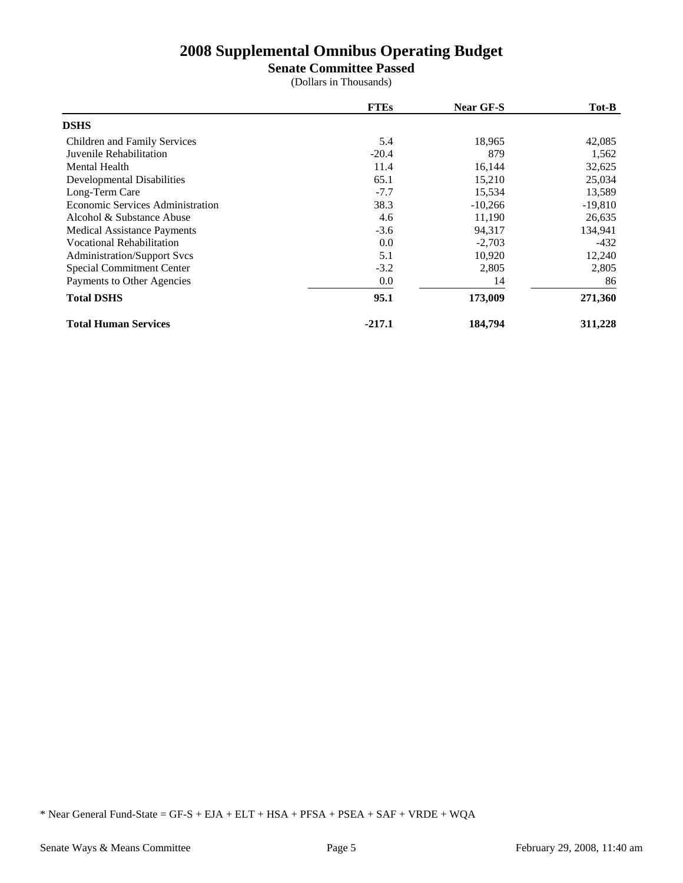**Senate Committee Passed**

(Dollars in Thousands)

|                                         | <b>FTEs</b> | <b>Near GF-S</b> | Tot-B     |
|-----------------------------------------|-------------|------------------|-----------|
| <b>DSHS</b>                             |             |                  |           |
| Children and Family Services            | 5.4         | 18,965           | 42,085    |
| Juvenile Rehabilitation                 | $-20.4$     | 879              | 1,562     |
| Mental Health                           | 11.4        | 16,144           | 32,625    |
| <b>Developmental Disabilities</b>       | 65.1        | 15,210           | 25,034    |
| Long-Term Care                          | $-7.7$      | 15,534           | 13,589    |
| <b>Economic Services Administration</b> | 38.3        | $-10,266$        | $-19,810$ |
| Alcohol & Substance Abuse               | 4.6         | 11,190           | 26,635    |
| <b>Medical Assistance Payments</b>      | $-3.6$      | 94,317           | 134,941   |
| <b>Vocational Rehabilitation</b>        | 0.0         | $-2,703$         | $-432$    |
| <b>Administration/Support Svcs</b>      | 5.1         | 10,920           | 12,240    |
| Special Commitment Center               | $-3.2$      | 2,805            | 2,805     |
| Payments to Other Agencies              | 0.0         | 14               | 86        |
| <b>Total DSHS</b>                       | 95.1        | 173,009          | 271,360   |
| <b>Total Human Services</b>             | $-217.1$    | 184,794          | 311,228   |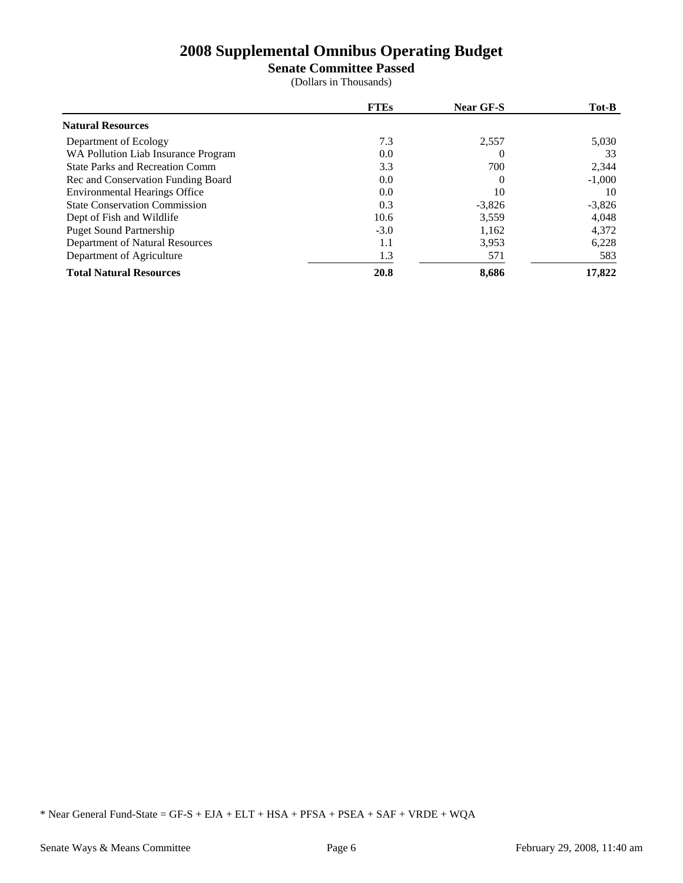**Senate Committee Passed**

(Dollars in Thousands)

|                                        | <b>FTEs</b> | <b>Near GF-S</b> | Tot-B    |
|----------------------------------------|-------------|------------------|----------|
| <b>Natural Resources</b>               |             |                  |          |
| Department of Ecology                  | 7.3         | 2,557            | 5,030    |
| WA Pollution Liab Insurance Program    | 0.0         |                  | 33       |
| <b>State Parks and Recreation Comm</b> | 3.3         | 700              | 2,344    |
| Rec and Conservation Funding Board     | 0.0         |                  | $-1,000$ |
| <b>Environmental Hearings Office</b>   | 0.0         | 10               | 10       |
| <b>State Conservation Commission</b>   | 0.3         | $-3,826$         | $-3,826$ |
| Dept of Fish and Wildlife              | 10.6        | 3.559            | 4.048    |
| <b>Puget Sound Partnership</b>         | $-3.0$      | 1,162            | 4,372    |
| Department of Natural Resources        | 1.1         | 3,953            | 6,228    |
| Department of Agriculture              | 1.3         | 571              | 583      |
| <b>Total Natural Resources</b>         | 20.8        | 8,686            | 17,822   |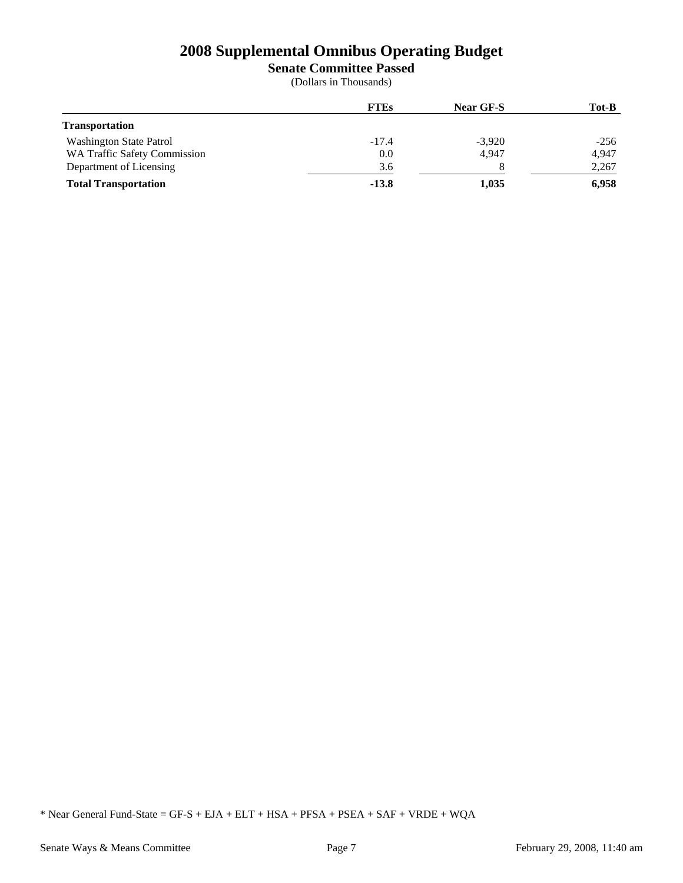**Senate Committee Passed**

(Dollars in Thousands)

|                                     | <b>FTEs</b> | <b>Near GF-S</b> | Tot-B  |
|-------------------------------------|-------------|------------------|--------|
| <b>Transportation</b>               |             |                  |        |
| <b>Washington State Patrol</b>      | $-17.4$     | $-3,920$         | $-256$ |
| <b>WA Traffic Safety Commission</b> | 0.0         | 4.947            | 4,947  |
| Department of Licensing             | 3.6         |                  | 2,267  |
| <b>Total Transportation</b>         | $-13.8$     | 1,035            | 6,958  |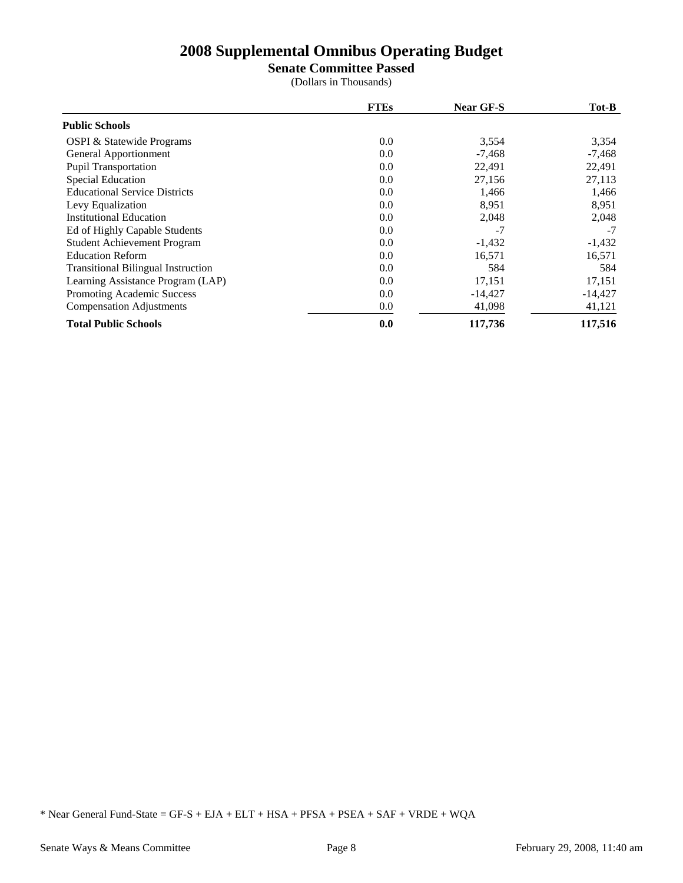**Senate Committee Passed**

(Dollars in Thousands)

|                                           | <b>FTEs</b> | <b>Near GF-S</b> | Tot-B     |
|-------------------------------------------|-------------|------------------|-----------|
| <b>Public Schools</b>                     |             |                  |           |
| <b>OSPI &amp; Statewide Programs</b>      | 0.0         | 3,554            | 3,354     |
| General Apportionment                     | 0.0         | $-7,468$         | $-7,468$  |
| <b>Pupil Transportation</b>               | 0.0         | 22,491           | 22,491    |
| <b>Special Education</b>                  | 0.0         | 27,156           | 27,113    |
| <b>Educational Service Districts</b>      | 0.0         | 1,466            | 1,466     |
| Levy Equalization                         | 0.0         | 8,951            | 8,951     |
| <b>Institutional Education</b>            | 0.0         | 2,048            | 2,048     |
| Ed of Highly Capable Students             | 0.0         | $-7$             | $-7$      |
| <b>Student Achievement Program</b>        | 0.0         | $-1,432$         | $-1,432$  |
| <b>Education Reform</b>                   | 0.0         | 16,571           | 16,571    |
| <b>Transitional Bilingual Instruction</b> | 0.0         | 584              | 584       |
| Learning Assistance Program (LAP)         | 0.0         | 17,151           | 17,151    |
| Promoting Academic Success                | 0.0         | $-14,427$        | $-14,427$ |
| <b>Compensation Adjustments</b>           | 0.0         | 41,098           | 41,121    |
| <b>Total Public Schools</b>               | 0.0         | 117,736          | 117,516   |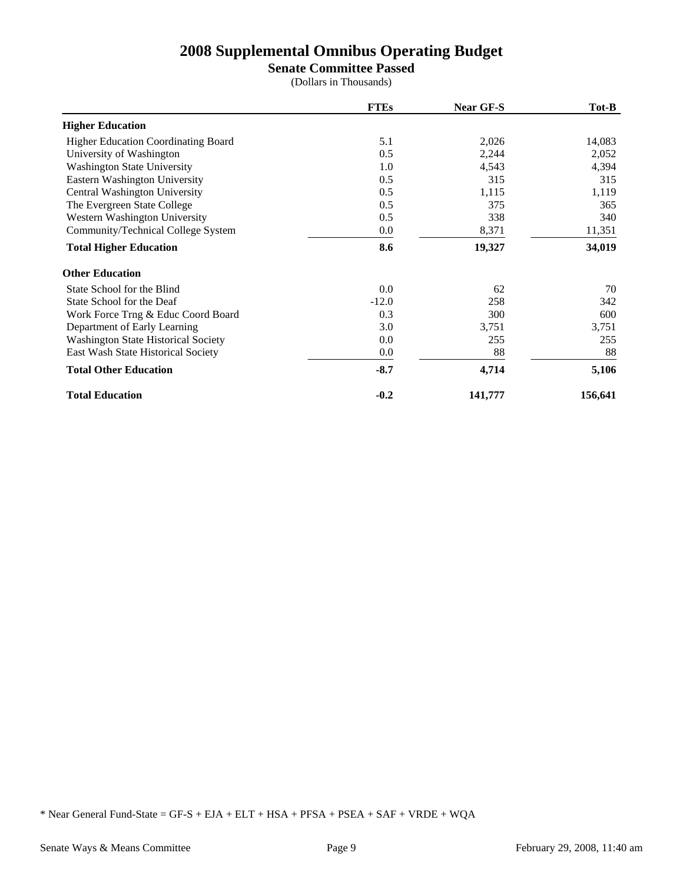**Senate Committee Passed**

(Dollars in Thousands)

|                                            | <b>FTEs</b> | <b>Near GF-S</b> | Tot-B   |
|--------------------------------------------|-------------|------------------|---------|
| <b>Higher Education</b>                    |             |                  |         |
| <b>Higher Education Coordinating Board</b> | 5.1         | 2,026            | 14,083  |
| University of Washington                   | 0.5         | 2,244            | 2,052   |
| <b>Washington State University</b>         | 1.0         | 4,543            | 4,394   |
| Eastern Washington University              | 0.5         | 315              | 315     |
| Central Washington University              | 0.5         | 1,115            | 1,119   |
| The Evergreen State College                | 0.5         | 375              | 365     |
| Western Washington University              | 0.5         | 338              | 340     |
| Community/Technical College System         | 0.0         | 8,371            | 11,351  |
| <b>Total Higher Education</b>              | 8.6         | 19,327           | 34,019  |
| <b>Other Education</b>                     |             |                  |         |
| State School for the Blind                 | 0.0         | 62               | 70      |
| State School for the Deaf                  | $-12.0$     | 258              | 342     |
| Work Force Trng & Educ Coord Board         | 0.3         | 300              | 600     |
| Department of Early Learning               | 3.0         | 3,751            | 3,751   |
| <b>Washington State Historical Society</b> | 0.0         | 255              | 255     |
| East Wash State Historical Society         | 0.0         | 88               | 88      |
| <b>Total Other Education</b>               | $-8.7$      | 4,714            | 5,106   |
| <b>Total Education</b>                     | $-0.2$      | 141,777          | 156,641 |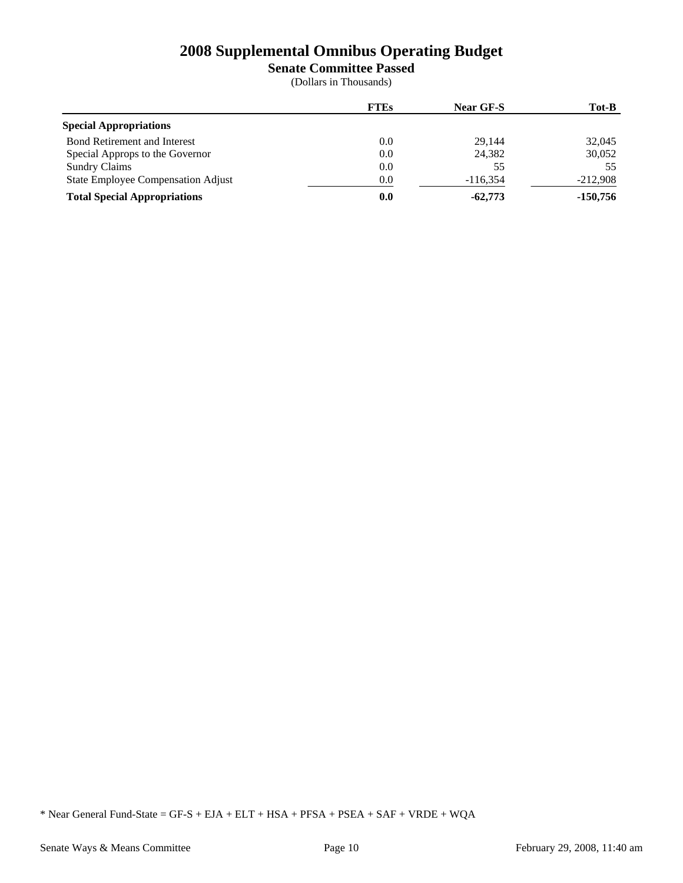**Senate Committee Passed**

(Dollars in Thousands)

|                                     | <b>FTEs</b> | <b>Near GF-S</b> | Tot-B      |
|-------------------------------------|-------------|------------------|------------|
| <b>Special Appropriations</b>       |             |                  |            |
| <b>Bond Retirement and Interest</b> | $0.0\,$     | 29.144           | 32,045     |
| Special Approps to the Governor     | 0.0         | 24,382           | 30,052     |
| <b>Sundry Claims</b>                | 0.0         | 55               | 55         |
| State Employee Compensation Adjust  | 0.0         | $-116.354$       | $-212,908$ |
| <b>Total Special Appropriations</b> | 0.0         | $-62,773$        | $-150,756$ |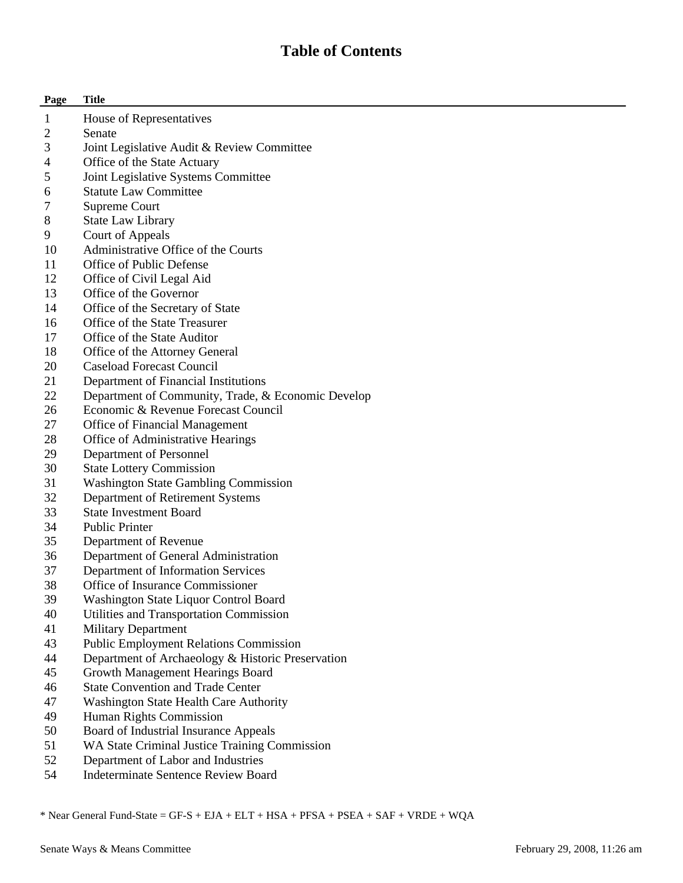## **Table of Contents**

| Page                     | <b>Title</b>                                                                                       |
|--------------------------|----------------------------------------------------------------------------------------------------|
| 1                        | House of Representatives                                                                           |
| 2                        | Senate                                                                                             |
| 3                        | Joint Legislative Audit & Review Committee                                                         |
| $\overline{\mathcal{L}}$ | Office of the State Actuary                                                                        |
| 5                        | Joint Legislative Systems Committee                                                                |
| 6                        | <b>Statute Law Committee</b>                                                                       |
| 7                        | Supreme Court                                                                                      |
| 8                        | <b>State Law Library</b>                                                                           |
| 9                        | Court of Appeals                                                                                   |
| 10                       | Administrative Office of the Courts                                                                |
| 11                       | Office of Public Defense                                                                           |
| 12                       | Office of Civil Legal Aid                                                                          |
| 13                       | Office of the Governor                                                                             |
| 14                       | Office of the Secretary of State                                                                   |
| 16                       | Office of the State Treasurer                                                                      |
| 17                       | Office of the State Auditor                                                                        |
| 18                       | Office of the Attorney General                                                                     |
| 20                       | <b>Caseload Forecast Council</b>                                                                   |
| 21                       | Department of Financial Institutions                                                               |
| 22                       | Department of Community, Trade, & Economic Develop                                                 |
| 26                       | Economic & Revenue Forecast Council                                                                |
| 27                       | <b>Office of Financial Management</b>                                                              |
| 28                       | Office of Administrative Hearings                                                                  |
| 29                       | Department of Personnel                                                                            |
| 30                       | <b>State Lottery Commission</b>                                                                    |
| 31                       | <b>Washington State Gambling Commission</b>                                                        |
| 32                       | Department of Retirement Systems                                                                   |
| 33                       | <b>State Investment Board</b>                                                                      |
| 34                       | <b>Public Printer</b>                                                                              |
| 35                       | Department of Revenue                                                                              |
| 36                       | Department of General Administration                                                               |
| 37                       | Department of Information Services                                                                 |
| 38                       | Office of Insurance Commissioner                                                                   |
| 39                       | Washington State Liquor Control Board                                                              |
| 40<br>41                 | Utilities and Transportation Commission                                                            |
| 43                       | <b>Military Department</b>                                                                         |
| 44                       | <b>Public Employment Relations Commission</b><br>Department of Archaeology & Historic Preservation |
| 45                       | Growth Management Hearings Board                                                                   |
| 46                       | <b>State Convention and Trade Center</b>                                                           |
| 47                       |                                                                                                    |
| 49                       | Washington State Health Care Authority<br>Human Rights Commission                                  |
| 50                       | Board of Industrial Insurance Appeals                                                              |
| 51                       | WA State Criminal Justice Training Commission                                                      |
| 52                       | Department of Labor and Industries                                                                 |
|                          |                                                                                                    |

54 Indeterminate Sentence Review Board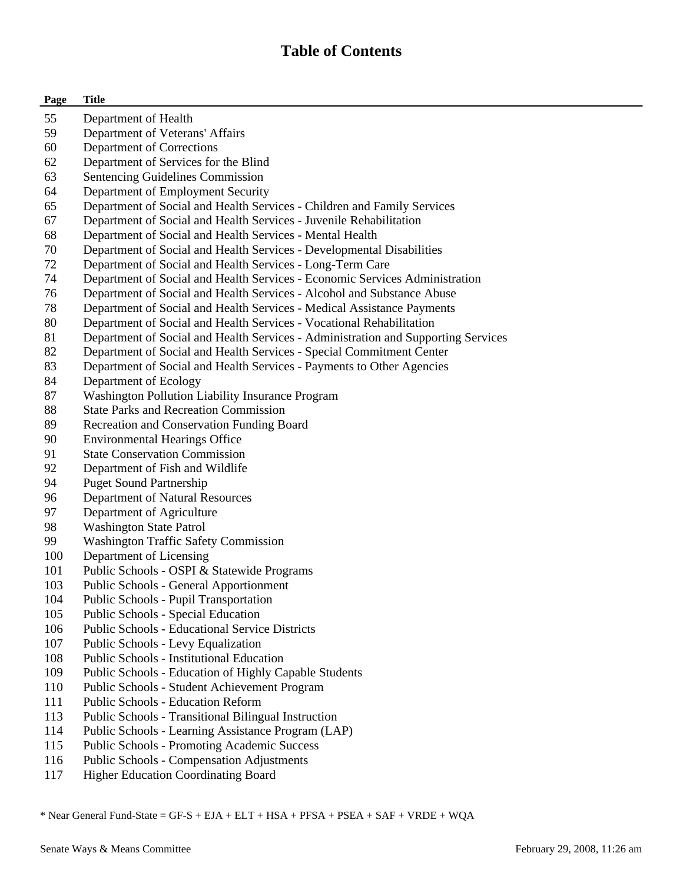## **Table of Contents**

| Page | <b>Title</b>                                                                      |
|------|-----------------------------------------------------------------------------------|
| 55   | Department of Health                                                              |
| 59   | Department of Veterans' Affairs                                                   |
| 60   | Department of Corrections                                                         |
| 62   | Department of Services for the Blind                                              |
| 63   | Sentencing Guidelines Commission                                                  |
| 64   | Department of Employment Security                                                 |
| 65   | Department of Social and Health Services - Children and Family Services           |
| 67   | Department of Social and Health Services - Juvenile Rehabilitation                |
| 68   | Department of Social and Health Services - Mental Health                          |
| 70   | Department of Social and Health Services - Developmental Disabilities             |
| 72   | Department of Social and Health Services - Long-Term Care                         |
| 74   | Department of Social and Health Services - Economic Services Administration       |
| 76   | Department of Social and Health Services - Alcohol and Substance Abuse            |
| 78   | Department of Social and Health Services - Medical Assistance Payments            |
| 80   | Department of Social and Health Services - Vocational Rehabilitation              |
| 81   | Department of Social and Health Services - Administration and Supporting Services |
| 82   | Department of Social and Health Services - Special Commitment Center              |
| 83   | Department of Social and Health Services - Payments to Other Agencies             |
| 84   | Department of Ecology                                                             |
| 87   | Washington Pollution Liability Insurance Program                                  |
| 88   | <b>State Parks and Recreation Commission</b>                                      |
| 89   | Recreation and Conservation Funding Board                                         |
| 90   | <b>Environmental Hearings Office</b>                                              |
| 91   | <b>State Conservation Commission</b>                                              |
| 92   | Department of Fish and Wildlife                                                   |
| 94   | <b>Puget Sound Partnership</b>                                                    |
| 96   | Department of Natural Resources                                                   |
| 97   | Department of Agriculture                                                         |
| 98   | <b>Washington State Patrol</b>                                                    |
| 99   | <b>Washington Traffic Safety Commission</b>                                       |
| 100  | Department of Licensing                                                           |
| 101  | Public Schools - OSPI & Statewide Programs                                        |
| 103  | <b>Public Schools - General Apportionment</b>                                     |
| 104  | <b>Public Schools - Pupil Transportation</b>                                      |
| 105  | Public Schools - Special Education                                                |
| 106  | <b>Public Schools - Educational Service Districts</b>                             |
| 107  | Public Schools - Levy Equalization                                                |
| 108  | <b>Public Schools - Institutional Education</b>                                   |
| 109  | Public Schools - Education of Highly Capable Students                             |
| 110  | Public Schools - Student Achievement Program                                      |
| 111  | <b>Public Schools - Education Reform</b>                                          |
| 113  | Public Schools - Transitional Bilingual Instruction                               |
| 114  | Public Schools - Learning Assistance Program (LAP)                                |
| 115  | <b>Public Schools - Promoting Academic Success</b>                                |
| 116  | <b>Public Schools - Compensation Adjustments</b>                                  |

117 Higher Education Coordinating Board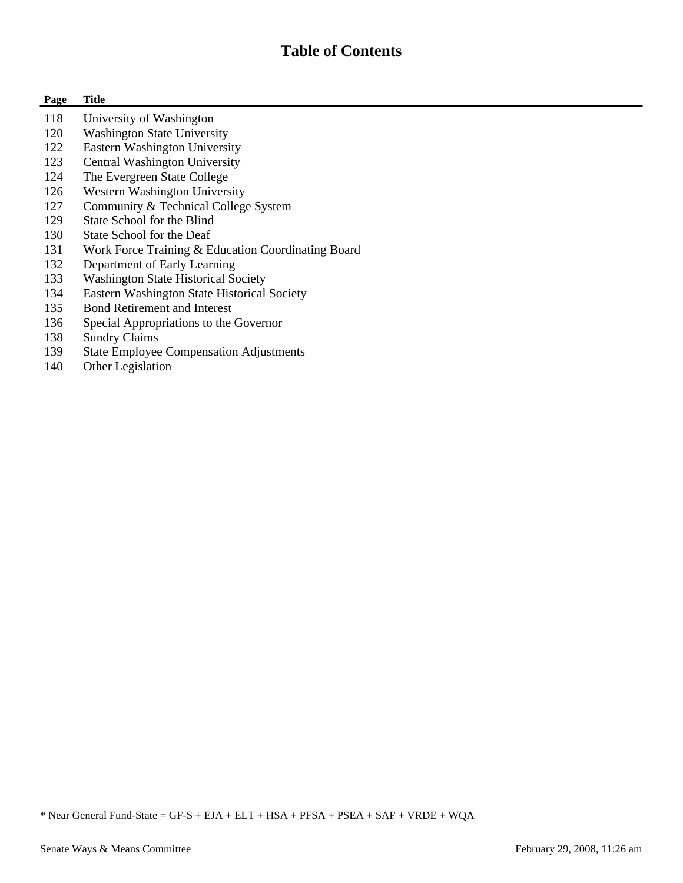## **Table of Contents**

#### **Page Title**

- 118 University of Washington
- 120 Washington State University
- 122 Eastern Washington University
- 123 Central Washington University
- 124 The Evergreen State College
- 126 Western Washington University
- 127 Community & Technical College System
- 129 State School for the Blind
- 130 State School for the Deaf
- 131 Work Force Training & Education Coordinating Board
- 132 Department of Early Learning
- 133 Washington State Historical Society
- 134 Eastern Washington State Historical Society
- 135 Bond Retirement and Interest
- 136 Special Appropriations to the Governor
- 138 Sundry Claims
- 139 State Employee Compensation Adjustments
- 140 Other Legislation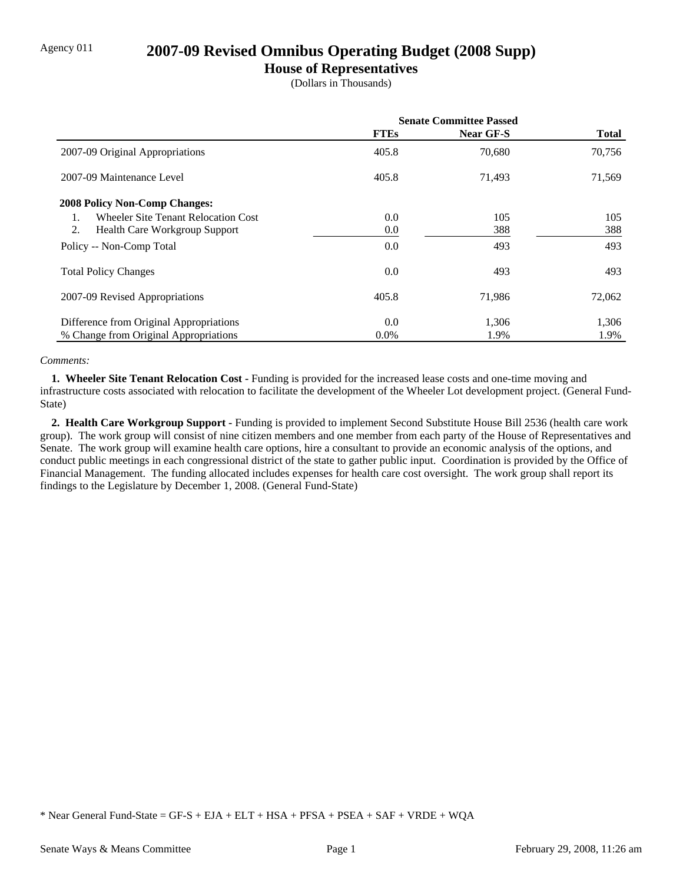## Agency 011 **2007-09 Revised Omnibus Operating Budget (2008 Supp)**

### **House of Representatives**

(Dollars in Thousands)

|                                            | <b>Senate Committee Passed</b> |           |              |
|--------------------------------------------|--------------------------------|-----------|--------------|
|                                            | <b>FTEs</b>                    | Near GF-S | <b>Total</b> |
| 2007-09 Original Appropriations            | 405.8                          | 70,680    | 70,756       |
| 2007-09 Maintenance Level                  | 405.8                          | 71,493    | 71,569       |
| <b>2008 Policy Non-Comp Changes:</b>       |                                |           |              |
| <b>Wheeler Site Tenant Relocation Cost</b> | 0.0                            | 105       | 105          |
| 2.<br><b>Health Care Workgroup Support</b> | 0.0                            | 388       | 388          |
| Policy -- Non-Comp Total                   | 0.0                            | 493       | 493          |
| <b>Total Policy Changes</b>                | 0.0                            | 493       | 493          |
| 2007-09 Revised Appropriations             | 405.8                          | 71,986    | 72,062       |
| Difference from Original Appropriations    | 0.0                            | 1,306     | 1,306        |
| % Change from Original Appropriations      | $0.0\%$                        | 1.9%      | 1.9%         |

#### *Comments:*

**1. Wheeler Site Tenant Relocation Cost - Funding is provided for the increased lease costs and one-time moving and** infrastructure costs associated with relocation to facilitate the development of the Wheeler Lot development project. (General Fund-State)

 **2. Health Care Workgroup Support -** Funding is provided to implement Second Substitute House Bill 2536 (health care work group). The work group will consist of nine citizen members and one member from each party of the House of Representatives and Senate. The work group will examine health care options, hire a consultant to provide an economic analysis of the options, and conduct public meetings in each congressional district of the state to gather public input. Coordination is provided by the Office of Financial Management. The funding allocated includes expenses for health care cost oversight. The work group shall report its findings to the Legislature by December 1, 2008. (General Fund-State)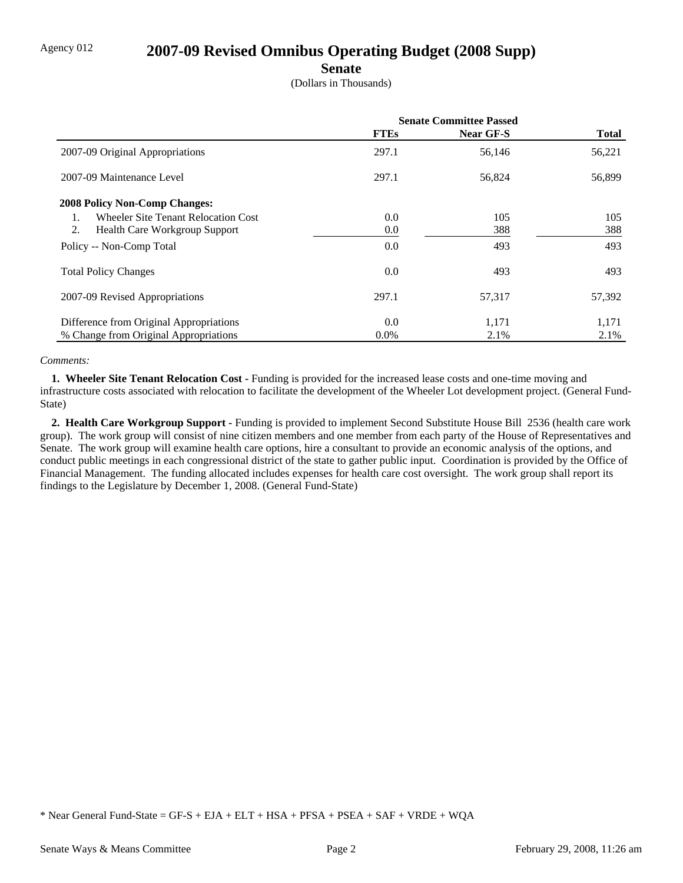## Agency 012 **2007-09 Revised Omnibus Operating Budget (2008 Supp)**

#### **Senate**

(Dollars in Thousands)

|                                            | <b>Senate Committee Passed</b> |           |              |
|--------------------------------------------|--------------------------------|-----------|--------------|
|                                            | <b>FTEs</b>                    | Near GF-S | <b>Total</b> |
| 2007-09 Original Appropriations            | 297.1                          | 56,146    | 56,221       |
| 2007-09 Maintenance Level                  | 297.1                          | 56,824    | 56,899       |
| <b>2008 Policy Non-Comp Changes:</b>       |                                |           |              |
| <b>Wheeler Site Tenant Relocation Cost</b> | 0.0                            | 105       | 105          |
| 2.<br><b>Health Care Workgroup Support</b> | 0.0                            | 388       | 388          |
| Policy -- Non-Comp Total                   | 0.0                            | 493       | 493          |
| <b>Total Policy Changes</b>                | 0.0                            | 493       | 493          |
| 2007-09 Revised Appropriations             | 297.1                          | 57,317    | 57,392       |
| Difference from Original Appropriations    | 0.0                            | 1,171     | 1,171        |
| % Change from Original Appropriations      | $0.0\%$                        | 2.1%      | 2.1%         |

#### *Comments:*

**1. Wheeler Site Tenant Relocation Cost - Funding is provided for the increased lease costs and one-time moving and** infrastructure costs associated with relocation to facilitate the development of the Wheeler Lot development project. (General Fund-State)

 **2. Health Care Workgroup Support -** Funding is provided to implement Second Substitute House Bill 2536 (health care work group). The work group will consist of nine citizen members and one member from each party of the House of Representatives and Senate. The work group will examine health care options, hire a consultant to provide an economic analysis of the options, and conduct public meetings in each congressional district of the state to gather public input. Coordination is provided by the Office of Financial Management. The funding allocated includes expenses for health care cost oversight. The work group shall report its findings to the Legislature by December 1, 2008. (General Fund-State)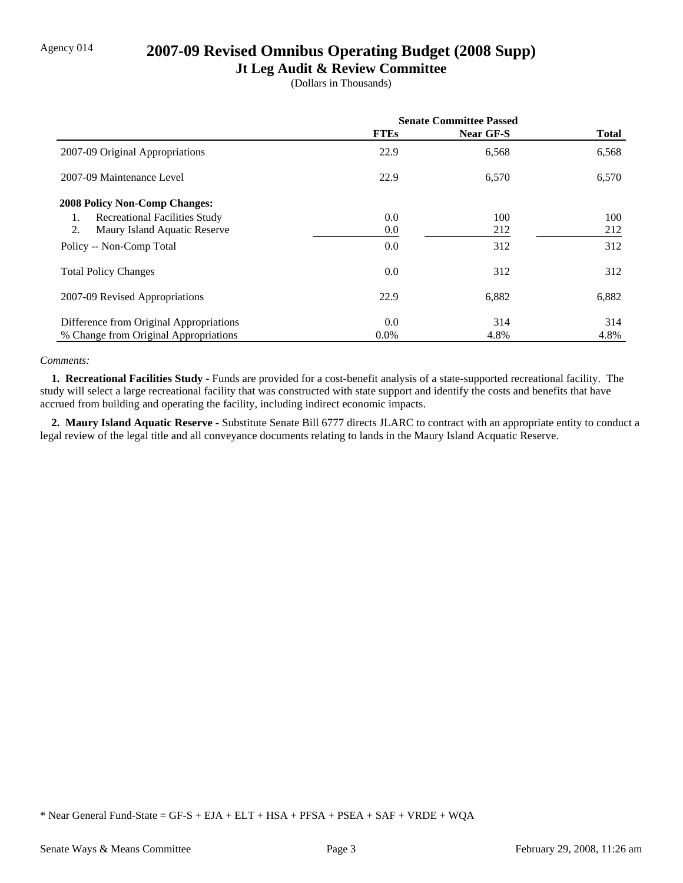## Agency 014 **2007-09 Revised Omnibus Operating Budget (2008 Supp)**

### **Jt Leg Audit & Review Committee**

(Dollars in Thousands)

|                                            | <b>Senate Committee Passed</b> |           |              |
|--------------------------------------------|--------------------------------|-----------|--------------|
|                                            | <b>FTEs</b>                    | Near GF-S | <b>Total</b> |
| 2007-09 Original Appropriations            | 22.9                           | 6,568     | 6,568        |
| 2007-09 Maintenance Level                  | 22.9                           | 6,570     | 6,570        |
| <b>2008 Policy Non-Comp Changes:</b>       |                                |           |              |
| <b>Recreational Facilities Study</b><br>1. | $0.0\,$                        | 100       | 100          |
| 2.<br>Maury Island Aquatic Reserve         | $0.0\,$                        | 212       | 212          |
| Policy -- Non-Comp Total                   | 0.0                            | 312       | 312          |
| <b>Total Policy Changes</b>                | $0.0\,$                        | 312       | 312          |
| 2007-09 Revised Appropriations             | 22.9                           | 6,882     | 6,882        |
| Difference from Original Appropriations    | 0.0                            | 314       | 314          |
| % Change from Original Appropriations      | $0.0\%$                        | 4.8%      | 4.8%         |

#### *Comments:*

**1. Recreational Facilities Study - Funds** are provided for a cost-benefit analysis of a state-supported recreational facility. The study will select a large recreational facility that was constructed with state support and identify the costs and benefits that have accrued from building and operating the facility, including indirect economic impacts.

 **2. Maury Island Aquatic Reserve -** Substitute Senate Bill 6777 directs JLARC to contract with an appropriate entity to conduct a legal review of the legal title and all conveyance documents relating to lands in the Maury Island Acquatic Reserve.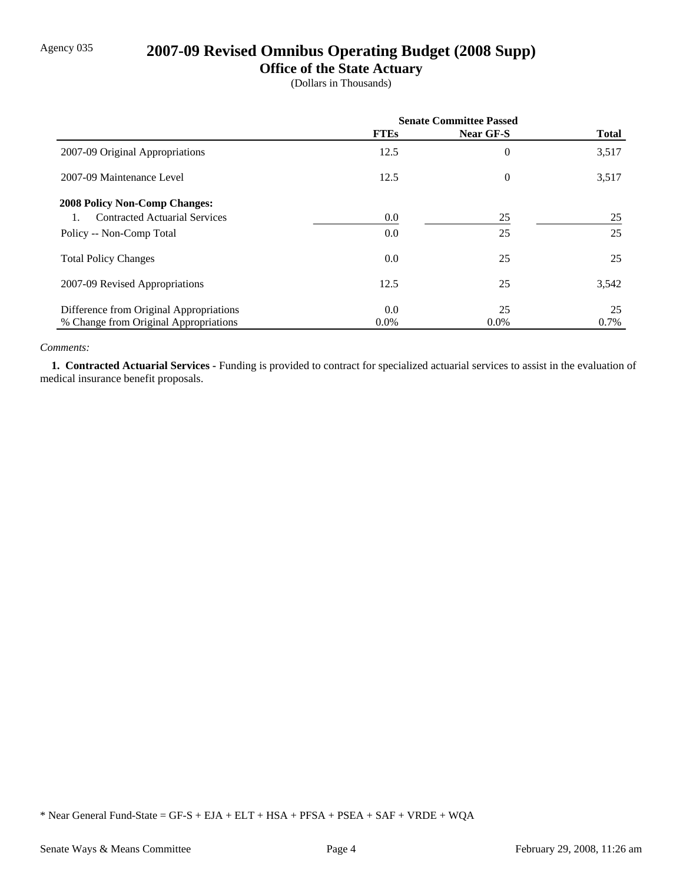## Agency 035 **2007-09 Revised Omnibus Operating Budget (2008 Supp)**

## **Office of the State Actuary**

(Dollars in Thousands)

|                                         | <b>Senate Committee Passed</b> |           |              |
|-----------------------------------------|--------------------------------|-----------|--------------|
|                                         | <b>FTEs</b>                    | Near GF-S | <b>Total</b> |
| 2007-09 Original Appropriations         | 12.5                           | 0         | 3,517        |
| 2007-09 Maintenance Level               | 12.5                           | 0         | 3,517        |
| <b>2008 Policy Non-Comp Changes:</b>    |                                |           |              |
| <b>Contracted Actuarial Services</b>    | $0.0\,$                        | 25        | 25           |
| Policy -- Non-Comp Total                | 0.0                            | 25        | 25           |
| <b>Total Policy Changes</b>             | $0.0\,$                        | 25        | 25           |
| 2007-09 Revised Appropriations          | 12.5                           | 25        | 3,542        |
| Difference from Original Appropriations | $0.0\,$                        | 25        | 25           |
| % Change from Original Appropriations   | $0.0\%$                        | $0.0\%$   | 0.7%         |

#### *Comments:*

 **1. Contracted Actuarial Services -** Funding is provided to contract for specialized actuarial services to assist in the evaluation of medical insurance benefit proposals.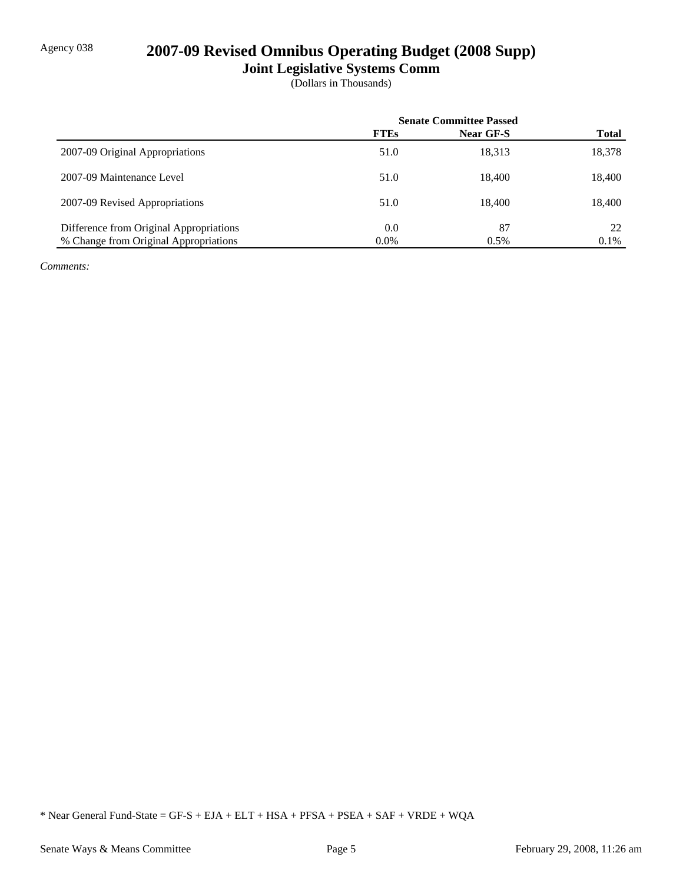## Agency 038 **2007-09 Revised Omnibus Operating Budget (2008 Supp)**

**Joint Legislative Systems Comm**

(Dollars in Thousands)

|                                         | <b>Senate Committee Passed</b> |           |              |
|-----------------------------------------|--------------------------------|-----------|--------------|
|                                         | <b>FTEs</b>                    | Near GF-S | <b>Total</b> |
| 2007-09 Original Appropriations         | 51.0                           | 18,313    | 18,378       |
| 2007-09 Maintenance Level               | 51.0                           | 18.400    | 18,400       |
| 2007-09 Revised Appropriations          | 51.0                           | 18.400    | 18,400       |
| Difference from Original Appropriations | 0.0                            | 87        | 22           |
| % Change from Original Appropriations   | $0.0\%$                        | 0.5%      | 0.1%         |

*Comments:*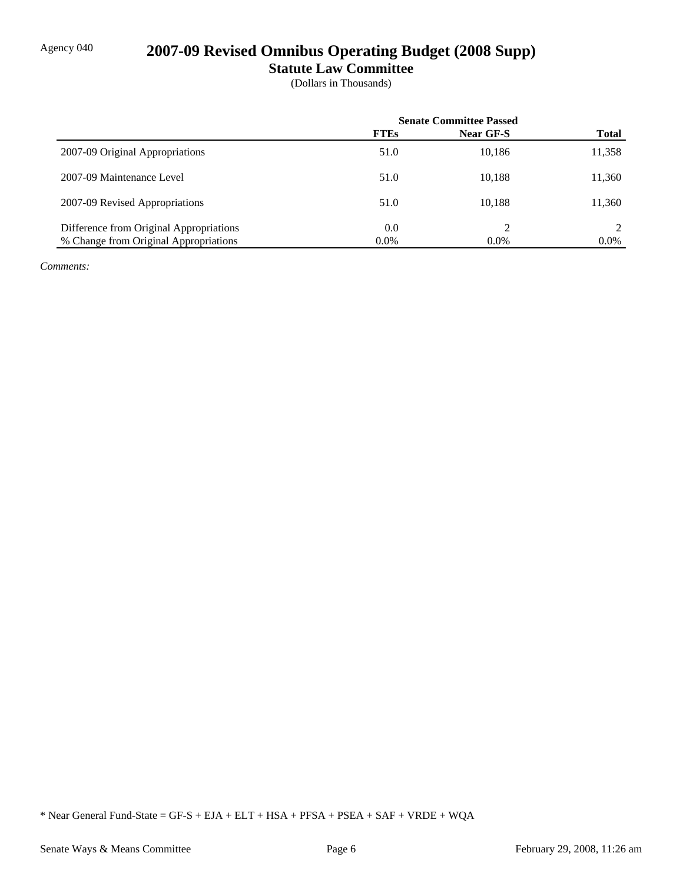# Agency 040 **2007-09 Revised Omnibus Operating Budget (2008 Supp)**

**Statute Law Committee**

(Dollars in Thousands)

|                                         | <b>Senate Committee Passed</b> |           |              |
|-----------------------------------------|--------------------------------|-----------|--------------|
|                                         | <b>FTEs</b>                    | Near GF-S | <b>Total</b> |
| 2007-09 Original Appropriations         | 51.0                           | 10,186    | 11,358       |
| 2007-09 Maintenance Level               | 51.0                           | 10.188    | 11,360       |
| 2007-09 Revised Appropriations          | 51.0                           | 10.188    | 11,360       |
| Difference from Original Appropriations | 0.0                            |           |              |
| % Change from Original Appropriations   | $0.0\%$                        | $0.0\%$   | $0.0\%$      |

*Comments:*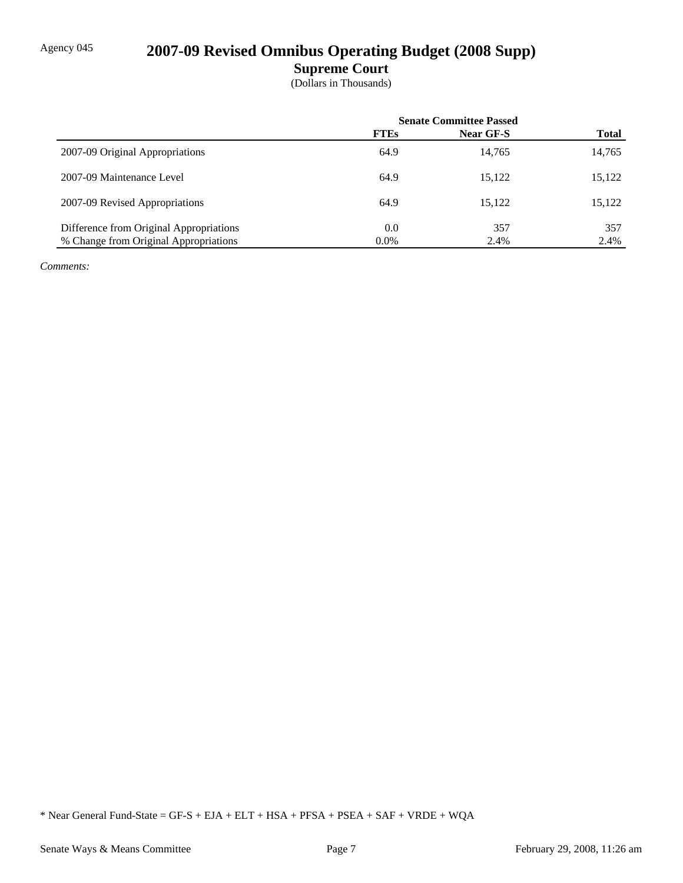## Agency 045 **2007-09 Revised Omnibus Operating Budget (2008 Supp)**

**Supreme Court**

(Dollars in Thousands)

|                                         | <b>Senate Committee Passed</b> |           |              |
|-----------------------------------------|--------------------------------|-----------|--------------|
|                                         | <b>FTEs</b>                    | Near GF-S | <b>Total</b> |
| 2007-09 Original Appropriations         | 64.9                           | 14,765    | 14,765       |
| 2007-09 Maintenance Level               | 64.9                           | 15,122    | 15,122       |
| 2007-09 Revised Appropriations          | 64.9                           | 15,122    | 15,122       |
| Difference from Original Appropriations | 0.0                            | 357       | 357          |
| % Change from Original Appropriations   | $0.0\%$                        | 2.4%      | 2.4%         |

*Comments:*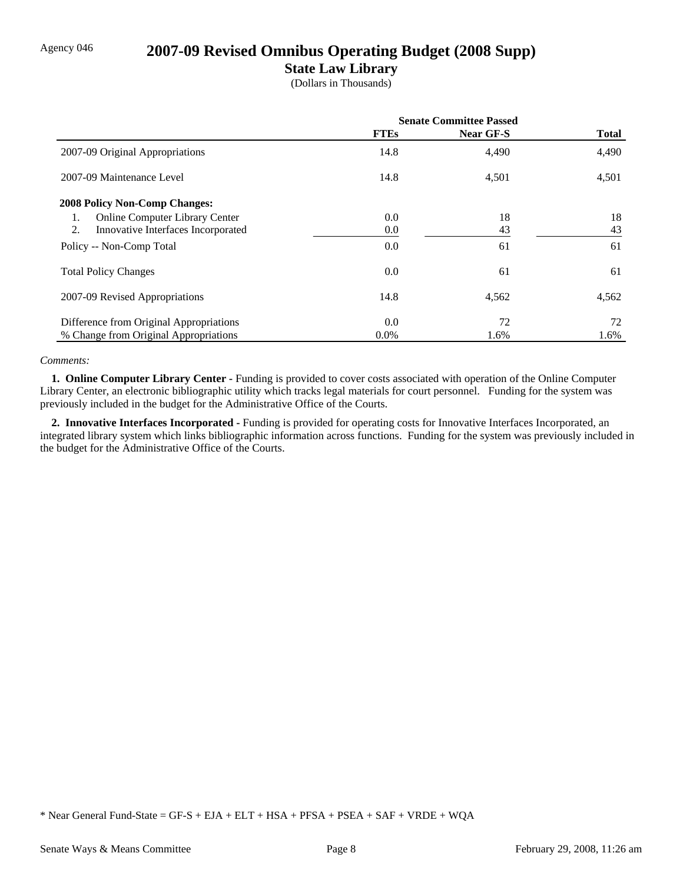## Agency 046 **2007-09 Revised Omnibus Operating Budget (2008 Supp)**

### **State Law Library**

(Dollars in Thousands)

|                                             | <b>Senate Committee Passed</b> |           |              |
|---------------------------------------------|--------------------------------|-----------|--------------|
|                                             | <b>FTEs</b>                    | Near GF-S | <b>Total</b> |
| 2007-09 Original Appropriations             | 14.8                           | 4,490     | 4,490        |
| 2007-09 Maintenance Level                   | 14.8                           | 4,501     | 4,501        |
| <b>2008 Policy Non-Comp Changes:</b>        |                                |           |              |
| <b>Online Computer Library Center</b><br>1. | $0.0\,$                        | 18        | 18           |
| Innovative Interfaces Incorporated<br>2.    | $0.0\,$                        | 43        | 43           |
| Policy -- Non-Comp Total                    | $0.0\,$                        | 61        | 61           |
| <b>Total Policy Changes</b>                 | 0.0                            | 61        | 61           |
| 2007-09 Revised Appropriations              | 14.8                           | 4,562     | 4,562        |
| Difference from Original Appropriations     | 0.0                            | 72        | 72           |
| % Change from Original Appropriations       | $0.0\%$                        | 1.6%      | 1.6%         |

#### *Comments:*

 **1. Online Computer Library Center -** Funding is provided to cover costs associated with operation of the Online Computer Library Center, an electronic bibliographic utility which tracks legal materials for court personnel. Funding for the system was previously included in the budget for the Administrative Office of the Courts.

 **2. Innovative Interfaces Incorporated -** Funding is provided for operating costs for Innovative Interfaces Incorporated, an integrated library system which links bibliographic information across functions. Funding for the system was previously included in the budget for the Administrative Office of the Courts.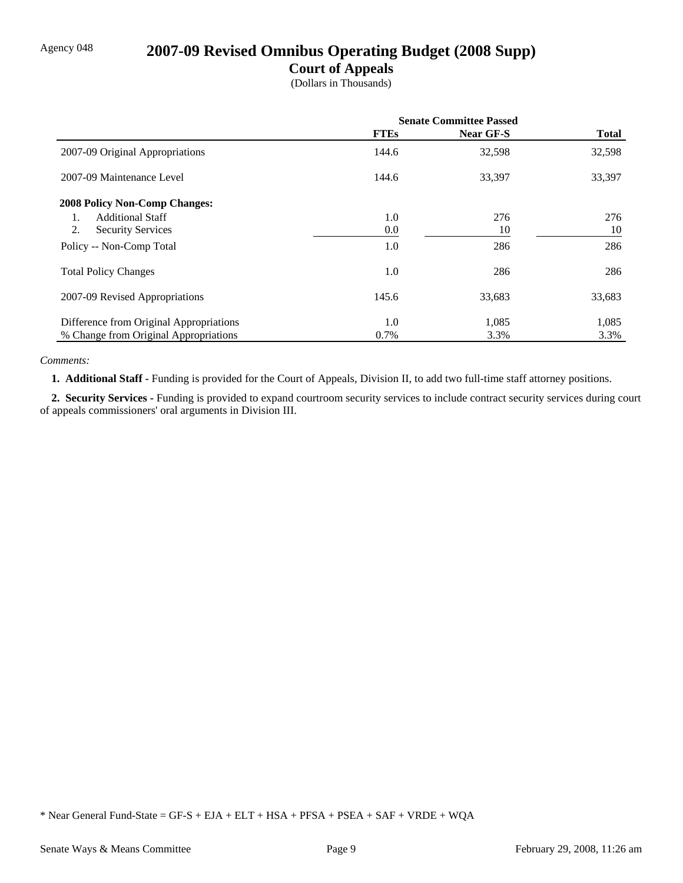## Agency 048 **2007-09 Revised Omnibus Operating Budget (2008 Supp)**

### **Court of Appeals**

(Dollars in Thousands)

|                                           | <b>Senate Committee Passed</b> |           |              |
|-------------------------------------------|--------------------------------|-----------|--------------|
|                                           | <b>FTEs</b>                    | Near GF-S | <b>Total</b> |
| 2007-09 Original Appropriations           | 144.6                          | 32,598    | 32,598       |
| 2007-09 Maintenance Level                 | 144.6                          | 33,397    | 33,397       |
| <b>2008 Policy Non-Comp Changes:</b>      |                                |           |              |
| <b>Additional Staff</b><br>$\mathbf{1}$ . | 1.0                            | 276       | 276          |
| 2.<br><b>Security Services</b>            | 0.0                            | 10        | 10           |
| Policy -- Non-Comp Total                  | 1.0                            | 286       | 286          |
| <b>Total Policy Changes</b>               | 1.0                            | 286       | 286          |
| 2007-09 Revised Appropriations            | 145.6                          | 33,683    | 33,683       |
| Difference from Original Appropriations   | 1.0                            | 1,085     | 1,085        |
| % Change from Original Appropriations     | 0.7%                           | 3.3%      | 3.3%         |

#### *Comments:*

 **1. Additional Staff -** Funding is provided for the Court of Appeals, Division II, to add two full-time staff attorney positions.

 **2. Security Services -** Funding is provided to expand courtroom security services to include contract security services during court of appeals commissioners' oral arguments in Division III.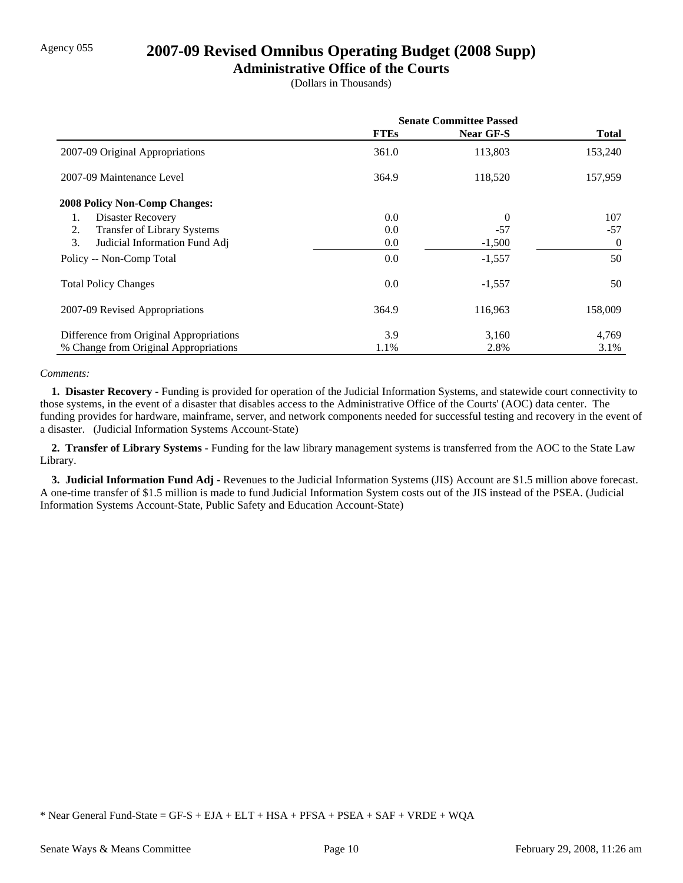## Agency 055 **2007-09 Revised Omnibus Operating Budget (2008 Supp)**

### **Administrative Office of the Courts**

(Dollars in Thousands)

|                                         | <b>Senate Committee Passed</b> |           |                |
|-----------------------------------------|--------------------------------|-----------|----------------|
|                                         | <b>FTEs</b>                    | Near GF-S | <b>Total</b>   |
| 2007-09 Original Appropriations         | 361.0                          | 113,803   | 153,240        |
| 2007-09 Maintenance Level               | 364.9                          | 118,520   | 157,959        |
| <b>2008 Policy Non-Comp Changes:</b>    |                                |           |                |
| Disaster Recovery<br>1.                 | 0.0                            | $\theta$  | 107            |
| Transfer of Library Systems<br>2.       | 0.0                            | $-57$     | $-57$          |
| 3.<br>Judicial Information Fund Adj     | 0.0                            | $-1,500$  | $\overline{0}$ |
| Policy -- Non-Comp Total                | 0.0                            | $-1,557$  | 50             |
| <b>Total Policy Changes</b>             | 0.0                            | $-1,557$  | 50             |
| 2007-09 Revised Appropriations          | 364.9                          | 116,963   | 158,009        |
| Difference from Original Appropriations | 3.9                            | 3,160     | 4,769          |
| % Change from Original Appropriations   | 1.1%                           | 2.8%      | 3.1%           |

#### *Comments:*

 **1. Disaster Recovery -** Funding is provided for operation of the Judicial Information Systems, and statewide court connectivity to those systems, in the event of a disaster that disables access to the Administrative Office of the Courts' (AOC) data center. The funding provides for hardware, mainframe, server, and network components needed for successful testing and recovery in the event of a disaster. (Judicial Information Systems Account-State)

 **2. Transfer of Library Systems -** Funding for the law library management systems is transferred from the AOC to the State Law Library.

 **3. Judicial Information Fund Adj -** Revenues to the Judicial Information Systems (JIS) Account are \$1.5 million above forecast. A one-time transfer of \$1.5 million is made to fund Judicial Information System costs out of the JIS instead of the PSEA. (Judicial Information Systems Account-State, Public Safety and Education Account-State)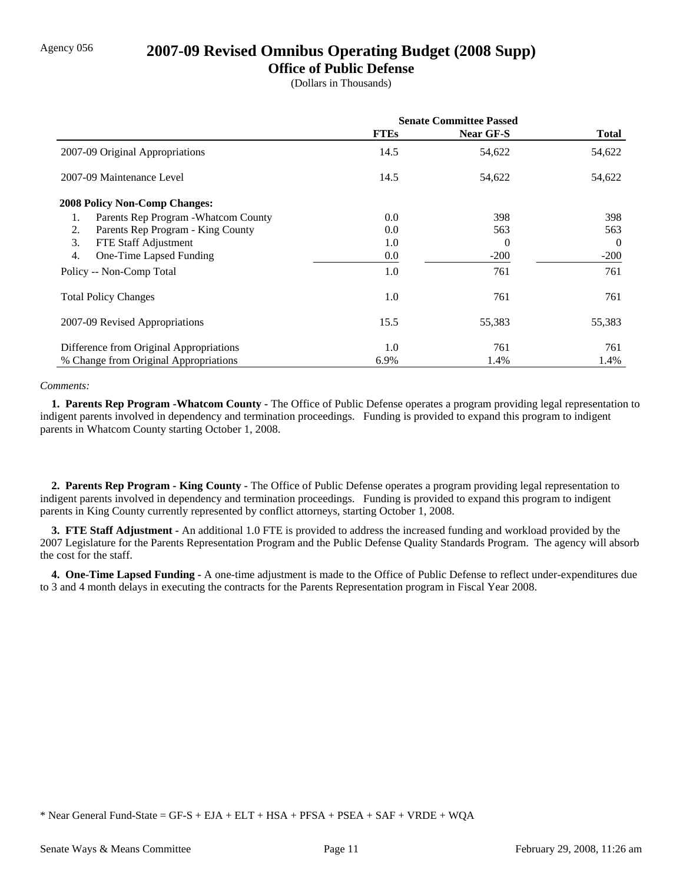### Agency 056 **2007-09 Revised Omnibus Operating Budget (2008 Supp)**

### **Office of Public Defense**

(Dollars in Thousands)

|                                            | <b>Senate Committee Passed</b> |           |              |
|--------------------------------------------|--------------------------------|-----------|--------------|
|                                            | <b>FTEs</b>                    | Near GF-S | <b>Total</b> |
| 2007-09 Original Appropriations            | 14.5                           | 54,622    | 54,622       |
| 2007-09 Maintenance Level                  | 14.5                           | 54,622    | 54,622       |
| <b>2008 Policy Non-Comp Changes:</b>       |                                |           |              |
| Parents Rep Program - Whatcom County<br>1. | 0.0                            | 398       | 398          |
| Parents Rep Program - King County<br>2.    | 0.0                            | 563       | 563          |
| 3.<br>FTE Staff Adjustment                 | 1.0                            | 0         | $\theta$     |
| 4.<br>One-Time Lapsed Funding              | 0.0                            | $-200$    | $-200$       |
| Policy -- Non-Comp Total                   | 1.0                            | 761       | 761          |
| <b>Total Policy Changes</b>                | 1.0                            | 761       | 761          |
| 2007-09 Revised Appropriations             | 15.5                           | 55,383    | 55,383       |
| Difference from Original Appropriations    | 1.0                            | 761       | 761          |
| % Change from Original Appropriations      | 6.9%                           | 1.4%      | 1.4%         |

#### *Comments:*

 **1. Parents Rep Program -Whatcom County -** The Office of Public Defense operates a program providing legal representation to indigent parents involved in dependency and termination proceedings. Funding is provided to expand this program to indigent parents in Whatcom County starting October 1, 2008.

 **2. Parents Rep Program - King County -** The Office of Public Defense operates a program providing legal representation to indigent parents involved in dependency and termination proceedings. Funding is provided to expand this program to indigent parents in King County currently represented by conflict attorneys, starting October 1, 2008.

 **3. FTE Staff Adjustment -** An additional 1.0 FTE is provided to address the increased funding and workload provided by the 2007 Legislature for the Parents Representation Program and the Public Defense Quality Standards Program. The agency will absorb the cost for the staff.

 **4. One-Time Lapsed Funding -** A one-time adjustment is made to the Office of Public Defense to reflect under-expenditures due to 3 and 4 month delays in executing the contracts for the Parents Representation program in Fiscal Year 2008.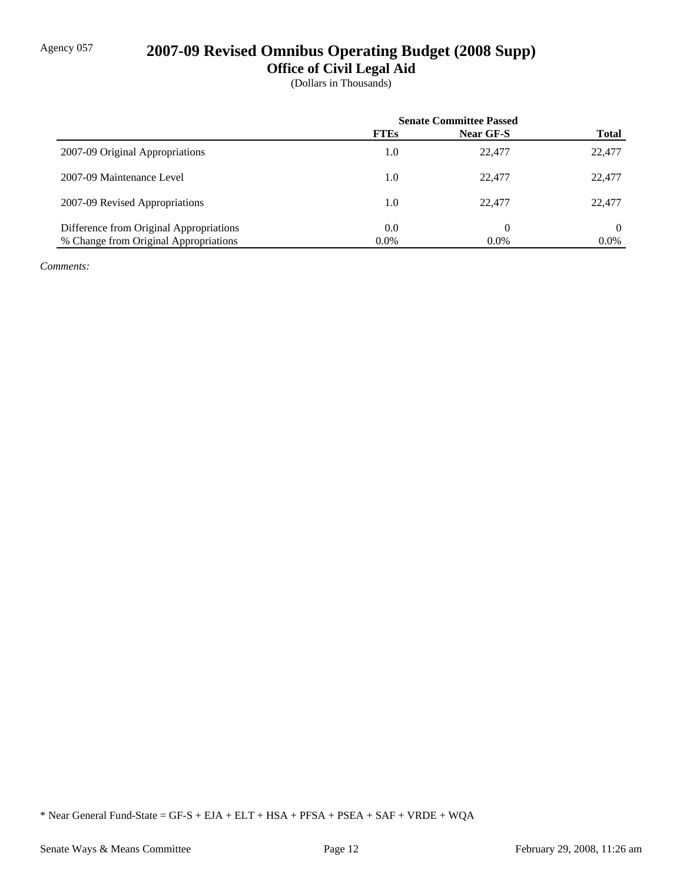## Agency 057 **2007-09 Revised Omnibus Operating Budget (2008 Supp)**

**Office of Civil Legal Aid**

(Dollars in Thousands)

|                                         | <b>Senate Committee Passed</b> |           |              |
|-----------------------------------------|--------------------------------|-----------|--------------|
|                                         | <b>FTEs</b>                    | Near GF-S | <b>Total</b> |
| 2007-09 Original Appropriations         | 1.0                            | 22,477    | 22,477       |
| 2007-09 Maintenance Level               | 1.0                            | 22,477    | 22,477       |
| 2007-09 Revised Appropriations          | 1.0                            | 22.477    | 22,477       |
| Difference from Original Appropriations | 0.0                            | 0         | 0            |
| % Change from Original Appropriations   | $0.0\%$                        | $0.0\%$   | $0.0\%$      |

*Comments:*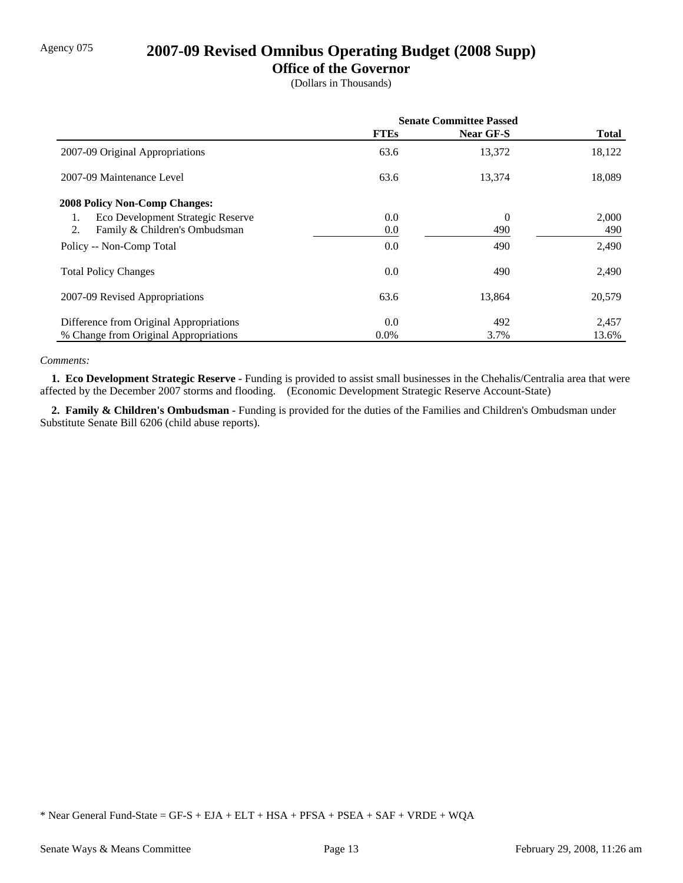# Agency 075 **2007-09 Revised Omnibus Operating Budget (2008 Supp)**

### **Office of the Governor**

(Dollars in Thousands)

|                                         | <b>Senate Committee Passed</b> |                |              |
|-----------------------------------------|--------------------------------|----------------|--------------|
|                                         | <b>FTEs</b>                    | Near GF-S      | <b>Total</b> |
| 2007-09 Original Appropriations         | 63.6                           | 13,372         | 18,122       |
| 2007-09 Maintenance Level               | 63.6                           | 13,374         | 18,089       |
| <b>2008 Policy Non-Comp Changes:</b>    |                                |                |              |
| Eco Development Strategic Reserve<br>1. | 0.0                            | $\overline{0}$ | 2,000        |
| 2.<br>Family & Children's Ombudsman     | 0.0                            | 490            | 490          |
| Policy -- Non-Comp Total                | 0.0                            | 490            | 2,490        |
| <b>Total Policy Changes</b>             | 0.0                            | 490            | 2,490        |
| 2007-09 Revised Appropriations          | 63.6                           | 13,864         | 20,579       |
| Difference from Original Appropriations | 0.0                            | 492            | 2,457        |
| % Change from Original Appropriations   | $0.0\%$                        | 3.7%           | 13.6%        |

#### *Comments:*

 **1. Eco Development Strategic Reserve -** Funding is provided to assist small businesses in the Chehalis/Centralia area that were affected by the December 2007 storms and flooding. (Economic Development Strategic Reserve Account-State)

 **2. Family & Children's Ombudsman -** Funding is provided for the duties of the Families and Children's Ombudsman under Substitute Senate Bill 6206 (child abuse reports).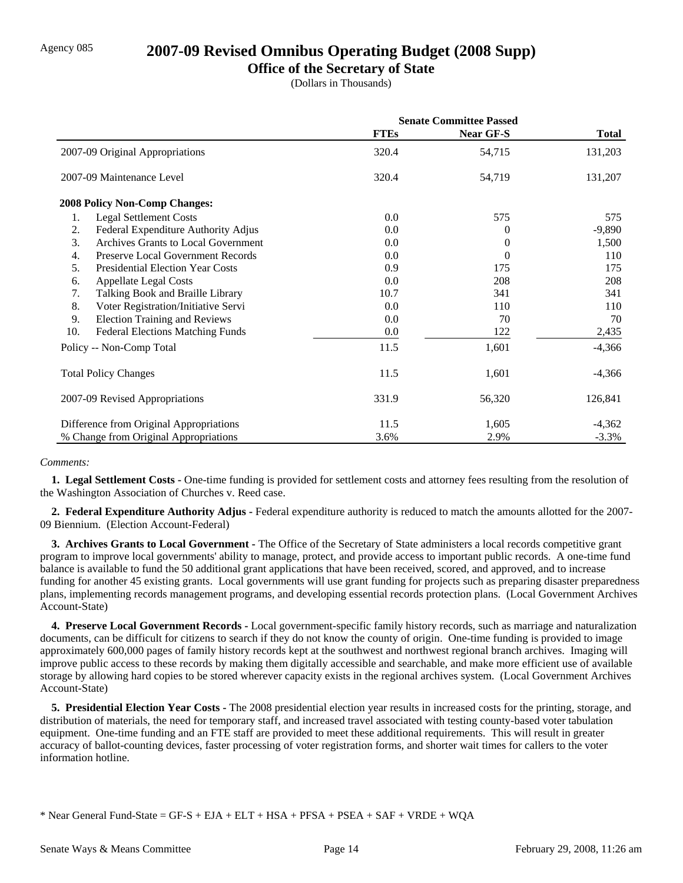## Agency 085 **2007-09 Revised Omnibus Operating Budget (2008 Supp)**

### **Office of the Secretary of State**

(Dollars in Thousands)

|                                                | <b>Senate Committee Passed</b> |                  |              |
|------------------------------------------------|--------------------------------|------------------|--------------|
|                                                | <b>FTEs</b>                    | <b>Near GF-S</b> | <b>Total</b> |
| 2007-09 Original Appropriations                | 320.4                          | 54,715           | 131,203      |
| 2007-09 Maintenance Level                      | 320.4                          | 54,719           | 131,207      |
| <b>2008 Policy Non-Comp Changes:</b>           |                                |                  |              |
| <b>Legal Settlement Costs</b><br>1.            | 0.0                            | 575              | 575          |
| Federal Expenditure Authority Adjus<br>2.      | 0.0                            | 0                | $-9,890$     |
| 3.<br>Archives Grants to Local Government      | 0.0                            | 0                | 1,500        |
| Preserve Local Government Records<br>4.        | 0.0                            | 0                | 110          |
| 5.<br><b>Presidential Election Year Costs</b>  | 0.9                            | 175              | 175          |
| <b>Appellate Legal Costs</b><br>6.             | 0.0                            | 208              | 208          |
| Talking Book and Braille Library<br>7.         | 10.7                           | 341              | 341          |
| 8.<br>Voter Registration/Initiative Servi      | 0.0                            | 110              | 110          |
| 9.<br><b>Election Training and Reviews</b>     | 0.0                            | 70               | 70           |
| 10.<br><b>Federal Elections Matching Funds</b> | 0.0                            | 122              | 2,435        |
| Policy -- Non-Comp Total                       | 11.5                           | 1,601            | $-4,366$     |
| <b>Total Policy Changes</b>                    | 11.5                           | 1,601            | $-4,366$     |
| 2007-09 Revised Appropriations                 | 331.9                          | 56,320           | 126,841      |
| Difference from Original Appropriations        | 11.5                           | 1,605            | $-4,362$     |
| % Change from Original Appropriations          | 3.6%                           | 2.9%             | $-3.3%$      |

#### *Comments:*

 **1. Legal Settlement Costs -** One-time funding is provided for settlement costs and attorney fees resulting from the resolution of the Washington Association of Churches v. Reed case.

 **2. Federal Expenditure Authority Adjus -** Federal expenditure authority is reduced to match the amounts allotted for the 2007- 09 Biennium. (Election Account-Federal)

 **3. Archives Grants to Local Government -** The Office of the Secretary of State administers a local records competitive grant program to improve local governments' ability to manage, protect, and provide access to important public records. A one-time fund balance is available to fund the 50 additional grant applications that have been received, scored, and approved, and to increase funding for another 45 existing grants. Local governments will use grant funding for projects such as preparing disaster preparedness plans, implementing records management programs, and developing essential records protection plans. (Local Government Archives Account-State)

 **4. Preserve Local Government Records -** Local government-specific family history records, such as marriage and naturalization documents, can be difficult for citizens to search if they do not know the county of origin. One-time funding is provided to image approximately 600,000 pages of family history records kept at the southwest and northwest regional branch archives. Imaging will improve public access to these records by making them digitally accessible and searchable, and make more efficient use of available storage by allowing hard copies to be stored wherever capacity exists in the regional archives system. (Local Government Archives Account-State)

**5. Presidential Election Year Costs -** The 2008 presidential election year results in increased costs for the printing, storage, and distribution of materials, the need for temporary staff, and increased travel associated with testing county-based voter tabulation equipment. One-time funding and an FTE staff are provided to meet these additional requirements. This will result in greater accuracy of ballot-counting devices, faster processing of voter registration forms, and shorter wait times for callers to the voter information hotline.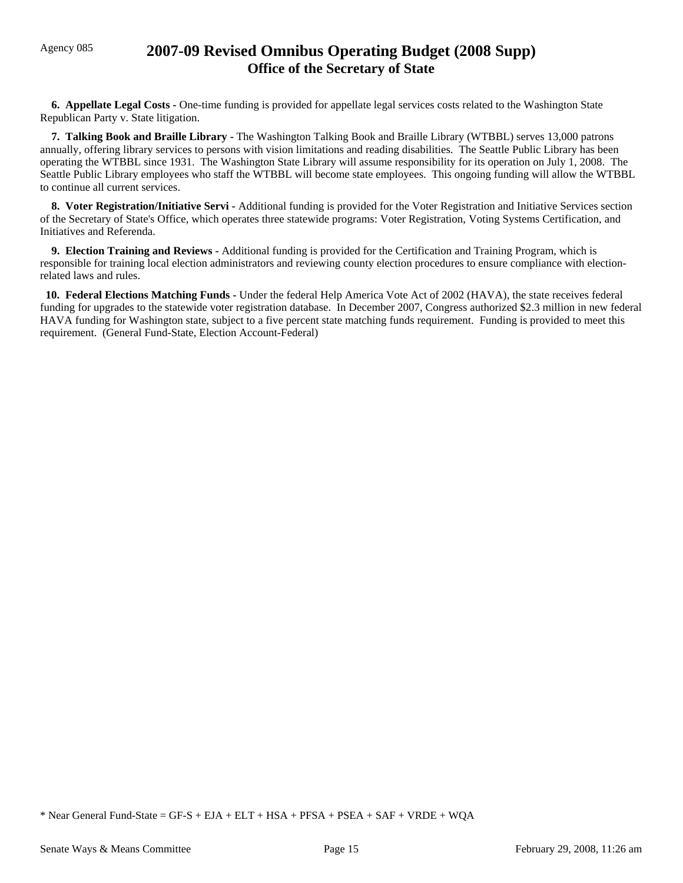## Agency 085 **2007-09 Revised Omnibus Operating Budget (2008 Supp) Office of the Secretary of State**

**6. Appellate Legal Costs -** One-time funding is provided for appellate legal services costs related to the Washington State Republican Party v. State litigation.

 **7. Talking Book and Braille Library -** The Washington Talking Book and Braille Library (WTBBL) serves 13,000 patrons annually, offering library services to persons with vision limitations and reading disabilities. The Seattle Public Library has been operating the WTBBL since 1931. The Washington State Library will assume responsibility for its operation on July 1, 2008. The Seattle Public Library employees who staff the WTBBL will become state employees. This ongoing funding will allow the WTBBL to continue all current services.

 **8. Voter Registration/Initiative Servi -** Additional funding is provided for the Voter Registration and Initiative Services section of the Secretary of State's Office, which operates three statewide programs: Voter Registration, Voting Systems Certification, and Initiatives and Referenda.

 **9. Election Training and Reviews -** Additional funding is provided for the Certification and Training Program, which is responsible for training local election administrators and reviewing county election procedures to ensure compliance with electionrelated laws and rules.

 **10. Federal Elections Matching Funds -** Under the federal Help America Vote Act of 2002 (HAVA), the state receives federal funding for upgrades to the statewide voter registration database. In December 2007, Congress authorized \$2.3 million in new federal HAVA funding for Washington state, subject to a five percent state matching funds requirement. Funding is provided to meet this requirement. (General Fund-State, Election Account-Federal)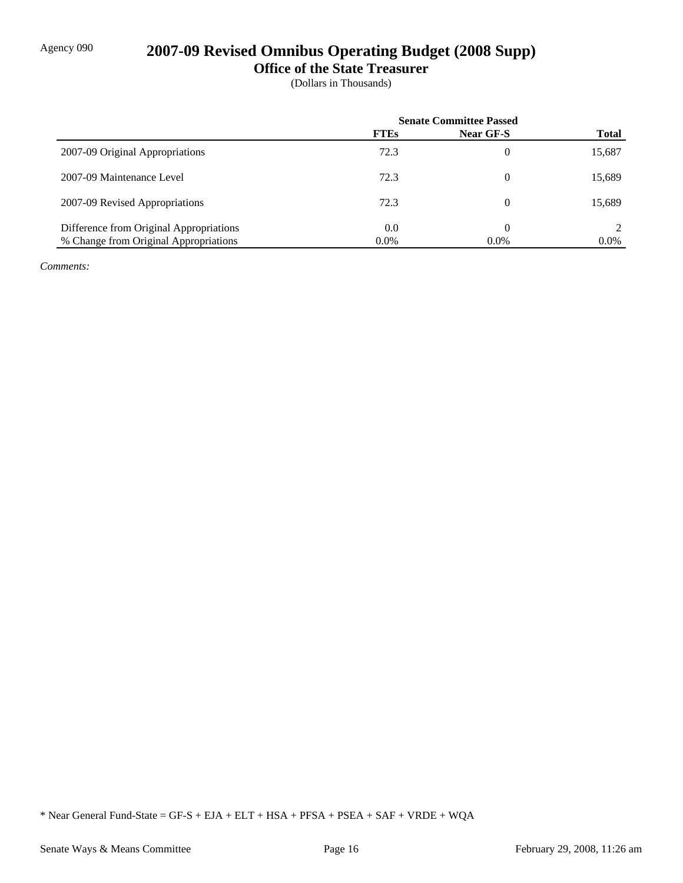# Agency 090 **2007-09 Revised Omnibus Operating Budget (2008 Supp)**

**Office of the State Treasurer**

(Dollars in Thousands)

|                                         | <b>Senate Committee Passed</b> |                  |              |
|-----------------------------------------|--------------------------------|------------------|--------------|
|                                         | <b>FTEs</b>                    | <b>Near GF-S</b> | <b>Total</b> |
| 2007-09 Original Appropriations         | 72.3                           | 0                | 15,687       |
| 2007-09 Maintenance Level               | 72.3                           | 0                | 15,689       |
| 2007-09 Revised Appropriations          | 72.3                           | 0                | 15,689       |
| Difference from Original Appropriations | 0.0                            | 0                |              |
| % Change from Original Appropriations   | 0.0%                           | $0.0\%$          | $0.0\%$      |

*Comments:*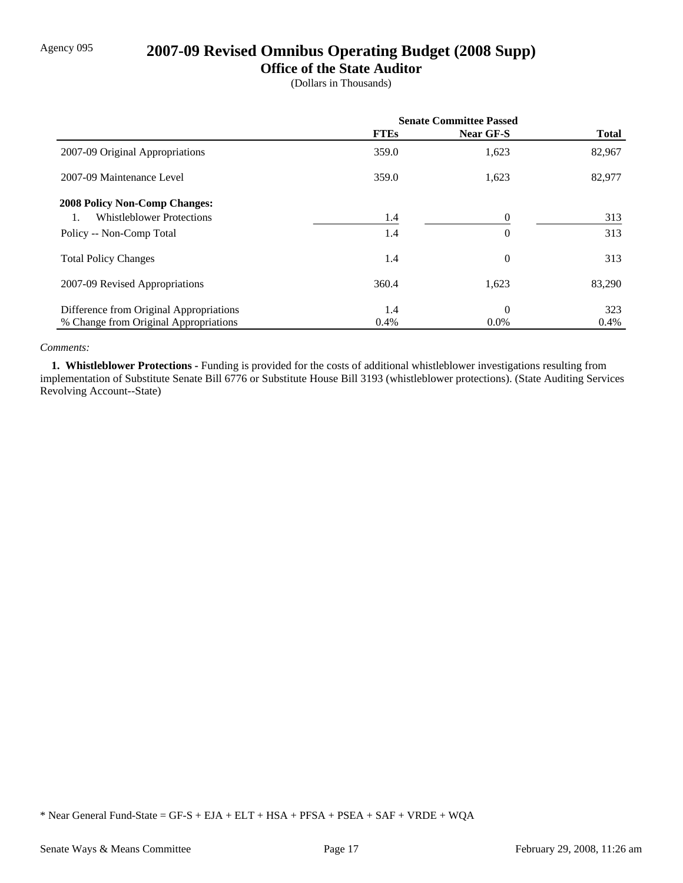## Agency 095 **2007-09 Revised Omnibus Operating Budget (2008 Supp)**

### **Office of the State Auditor**

(Dollars in Thousands)

|                                         | <b>Senate Committee Passed</b> |                  |              |
|-----------------------------------------|--------------------------------|------------------|--------------|
|                                         | <b>FTEs</b>                    | <b>Near GF-S</b> | <b>Total</b> |
| 2007-09 Original Appropriations         | 359.0                          | 1,623            | 82,967       |
| 2007-09 Maintenance Level               | 359.0                          | 1,623            | 82,977       |
| <b>2008 Policy Non-Comp Changes:</b>    |                                |                  |              |
| <b>Whistleblower Protections</b>        | 1.4                            |                  | 313          |
| Policy -- Non-Comp Total                | 1.4                            | $\theta$         | 313          |
| <b>Total Policy Changes</b>             | 1.4                            | $\overline{0}$   | 313          |
| 2007-09 Revised Appropriations          | 360.4                          | 1,623            | 83,290       |
| Difference from Original Appropriations | 1.4                            | $\overline{0}$   | 323          |
| % Change from Original Appropriations   | 0.4%                           | $0.0\%$          | 0.4%         |

#### *Comments:*

 **1. Whistleblower Protections -** Funding is provided for the costs of additional whistleblower investigations resulting from implementation of Substitute Senate Bill 6776 or Substitute House Bill 3193 (whistleblower protections). (State Auditing Services Revolving Account--State)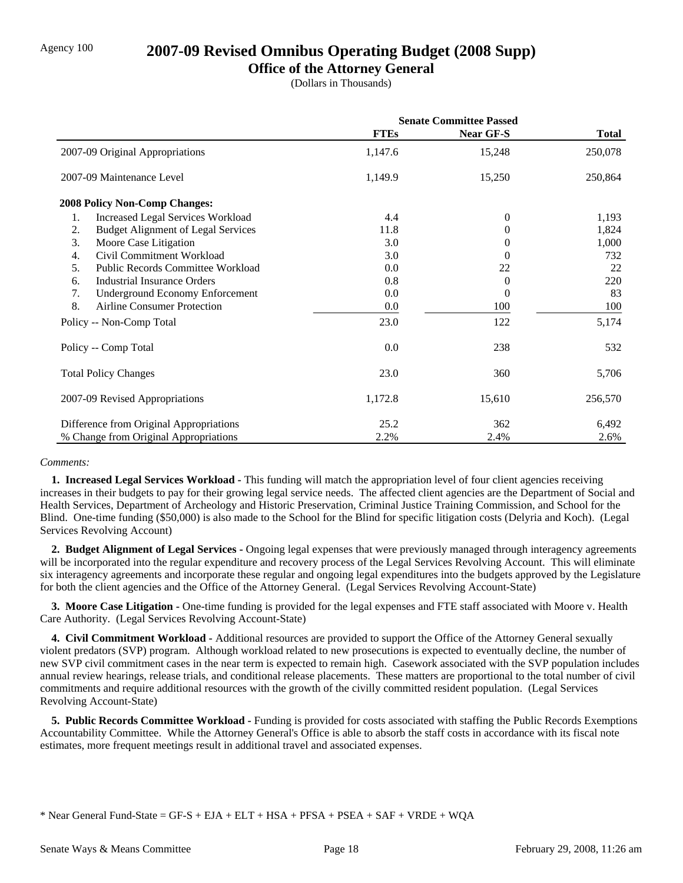## Agency 100 **2007-09 Revised Omnibus Operating Budget (2008 Supp)**

### **Office of the Attorney General**

(Dollars in Thousands)

|                                                 | <b>Senate Committee Passed</b> |                  |              |
|-------------------------------------------------|--------------------------------|------------------|--------------|
|                                                 | <b>FTEs</b>                    | <b>Near GF-S</b> | <b>Total</b> |
| 2007-09 Original Appropriations                 | 1,147.6                        | 15,248           | 250,078      |
| 2007-09 Maintenance Level                       | 1,149.9                        | 15,250           | 250,864      |
| <b>2008 Policy Non-Comp Changes:</b>            |                                |                  |              |
| 1.<br><b>Increased Legal Services Workload</b>  | 4.4                            | $\theta$         | 1,193        |
| 2.<br><b>Budget Alignment of Legal Services</b> | 11.8                           | 0                | 1,824        |
| 3.<br>Moore Case Litigation                     | 3.0                            | 0                | 1,000        |
| Civil Commitment Workload<br>4.                 | 3.0                            | 0                | 732          |
| Public Records Committee Workload<br>5.         | 0.0                            | 22               | 22           |
| <b>Industrial Insurance Orders</b><br>6.        | 0.8                            | 0                | 220          |
| 7.<br><b>Underground Economy Enforcement</b>    | 0.0                            | 0                | 83           |
| 8.<br><b>Airline Consumer Protection</b>        | 0.0                            | 100              | 100          |
| Policy -- Non-Comp Total                        | 23.0                           | 122              | 5,174        |
| Policy -- Comp Total                            | 0.0                            | 238              | 532          |
| <b>Total Policy Changes</b>                     | 23.0                           | 360              | 5,706        |
| 2007-09 Revised Appropriations                  | 1,172.8                        | 15,610           | 256,570      |
| Difference from Original Appropriations         | 25.2                           | 362              | 6,492        |
| % Change from Original Appropriations           | 2.2%                           | 2.4%             | 2.6%         |

#### *Comments:*

 **1. Increased Legal Services Workload -** This funding will match the appropriation level of four client agencies receiving increases in their budgets to pay for their growing legal service needs. The affected client agencies are the Department of Social and Health Services, Department of Archeology and Historic Preservation, Criminal Justice Training Commission, and School for the Blind. One-time funding (\$50,000) is also made to the School for the Blind for specific litigation costs (Delyria and Koch). (Legal Services Revolving Account)

 **2. Budget Alignment of Legal Services -** Ongoing legal expenses that were previously managed through interagency agreements will be incorporated into the regular expenditure and recovery process of the Legal Services Revolving Account. This will eliminate six interagency agreements and incorporate these regular and ongoing legal expenditures into the budgets approved by the Legislature for both the client agencies and the Office of the Attorney General. (Legal Services Revolving Account-State)

**3. Moore Case Litigation -** One-time funding is provided for the legal expenses and FTE staff associated with Moore v. Health Care Authority. (Legal Services Revolving Account-State)

 **4. Civil Commitment Workload -** Additional resources are provided to support the Office of the Attorney General sexually violent predators (SVP) program. Although workload related to new prosecutions is expected to eventually decline, the number of new SVP civil commitment cases in the near term is expected to remain high. Casework associated with the SVP population includes annual review hearings, release trials, and conditional release placements. These matters are proportional to the total number of civil commitments and require additional resources with the growth of the civilly committed resident population. (Legal Services Revolving Account-State)

 **5. Public Records Committee Workload -** Funding is provided for costs associated with staffing the Public Records Exemptions Accountability Committee. While the Attorney General's Office is able to absorb the staff costs in accordance with its fiscal note estimates, more frequent meetings result in additional travel and associated expenses.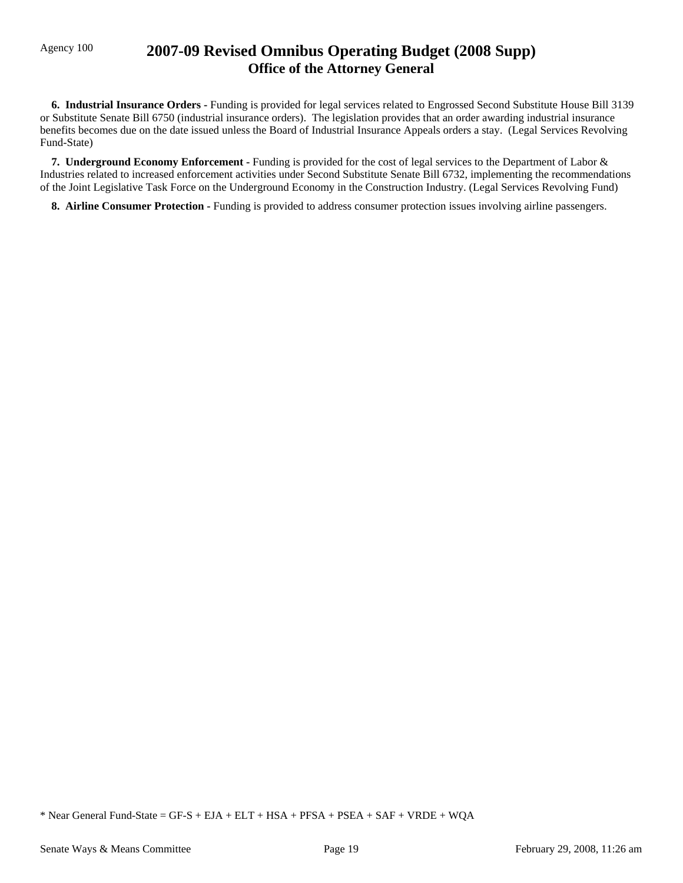## Agency 100 **2007-09 Revised Omnibus Operating Budget (2008 Supp) Office of the Attorney General**

 **6. Industrial Insurance Orders -** Funding is provided for legal services related to Engrossed Second Substitute House Bill 3139 or Substitute Senate Bill 6750 (industrial insurance orders). The legislation provides that an order awarding industrial insurance benefits becomes due on the date issued unless the Board of Industrial Insurance Appeals orders a stay. (Legal Services Revolving Fund-State)

 **7. Underground Economy Enforcement -** Funding is provided for the cost of legal services to the Department of Labor & Industries related to increased enforcement activities under Second Substitute Senate Bill 6732, implementing the recommendations of the Joint Legislative Task Force on the Underground Economy in the Construction Industry. (Legal Services Revolving Fund)

**8. Airline Consumer Protection - Funding is provided to address consumer protection issues involving airline passengers.**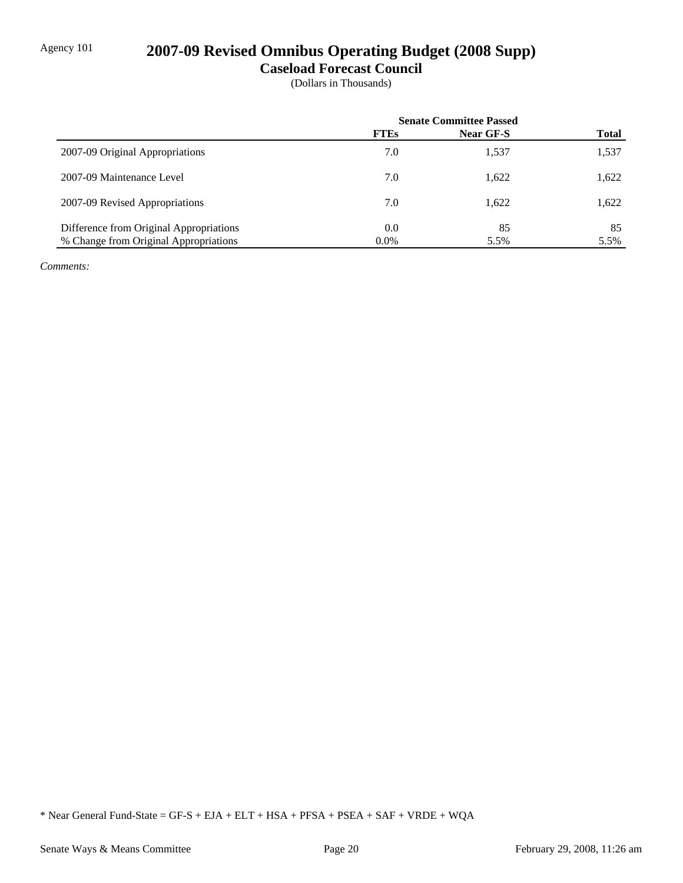## Agency 101 **2007-09 Revised Omnibus Operating Budget (2008 Supp)**

**Caseload Forecast Council**

(Dollars in Thousands)

|                                         | <b>Senate Committee Passed</b> |           |              |
|-----------------------------------------|--------------------------------|-----------|--------------|
|                                         | <b>FTEs</b>                    | Near GF-S | <b>Total</b> |
| 2007-09 Original Appropriations         | 7.0                            | 1,537     | 1,537        |
| 2007-09 Maintenance Level               | 7.0                            | 1,622     | 1,622        |
| 2007-09 Revised Appropriations          | 7.0                            | 1,622     | 1,622        |
| Difference from Original Appropriations | 0.0                            | 85        | 85           |
| % Change from Original Appropriations   | $0.0\%$                        | 5.5%      | 5.5%         |

*Comments:*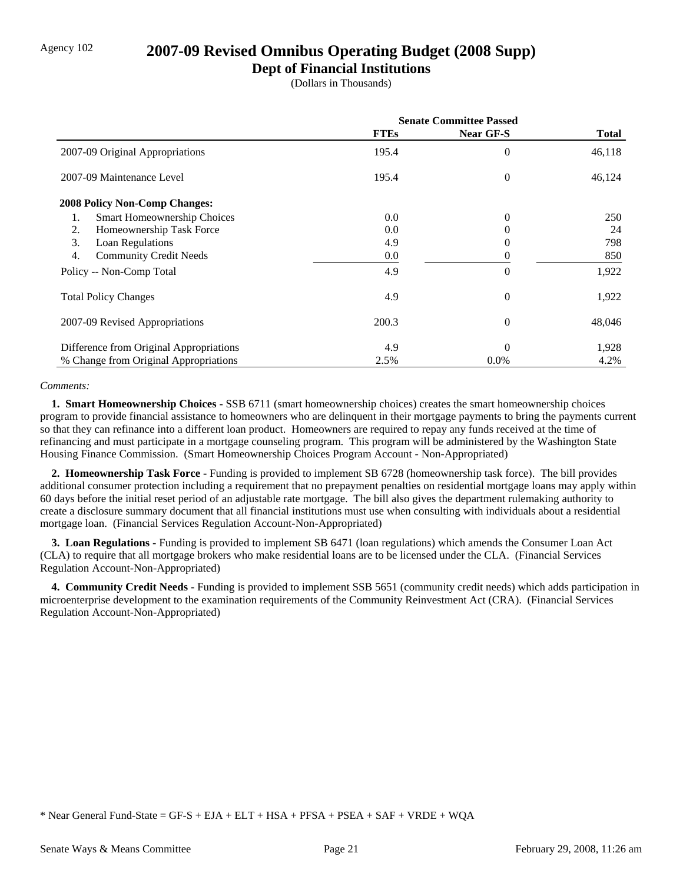## Agency 102 **2007-09 Revised Omnibus Operating Budget (2008 Supp)**

### **Dept of Financial Institutions**

(Dollars in Thousands)

|                                         | <b>Senate Committee Passed</b> |                  |        |
|-----------------------------------------|--------------------------------|------------------|--------|
|                                         | <b>FTEs</b>                    | <b>Near GF-S</b> | Total  |
| 2007-09 Original Appropriations         | 195.4                          | $\theta$         | 46,118 |
| 2007-09 Maintenance Level               | 195.4                          | $\Omega$         | 46,124 |
| 2008 Policy Non-Comp Changes:           |                                |                  |        |
| Smart Homeownership Choices<br>1.       | 0.0                            | $\theta$         | 250    |
| Homeownership Task Force<br>2.          | 0.0                            | 0                | 24     |
| 3.<br>Loan Regulations                  | 4.9                            | 0                | 798    |
| <b>Community Credit Needs</b><br>4.     | 0.0                            |                  | 850    |
| Policy -- Non-Comp Total                | 4.9                            | $\Omega$         | 1,922  |
| <b>Total Policy Changes</b>             | 4.9                            | $\theta$         | 1,922  |
| 2007-09 Revised Appropriations          | 200.3                          | $\theta$         | 48,046 |
| Difference from Original Appropriations | 4.9                            | $\Omega$         | 1,928  |
| % Change from Original Appropriations   | 2.5%                           | $0.0\%$          | 4.2%   |

#### *Comments:*

 **1. Smart Homeownership Choices -** SSB 6711 (smart homeownership choices) creates the smart homeownership choices program to provide financial assistance to homeowners who are delinquent in their mortgage payments to bring the payments current so that they can refinance into a different loan product. Homeowners are required to repay any funds received at the time of refinancing and must participate in a mortgage counseling program. This program will be administered by the Washington State Housing Finance Commission. (Smart Homeownership Choices Program Account - Non-Appropriated)

 **2. Homeownership Task Force -** Funding is provided to implement SB 6728 (homeownership task force). The bill provides additional consumer protection including a requirement that no prepayment penalties on residential mortgage loans may apply within 60 days before the initial reset period of an adjustable rate mortgage. The bill also gives the department rulemaking authority to create a disclosure summary document that all financial institutions must use when consulting with individuals about a residential mortgage loan. (Financial Services Regulation Account-Non-Appropriated)

 **3. Loan Regulations -** Funding is provided to implement SB 6471 (loan regulations) which amends the Consumer Loan Act (CLA) to require that all mortgage brokers who make residential loans are to be licensed under the CLA. (Financial Services Regulation Account-Non-Appropriated)

 **4. Community Credit Needs -** Funding is provided to implement SSB 5651 (community credit needs) which adds participation in microenterprise development to the examination requirements of the Community Reinvestment Act (CRA). (Financial Services Regulation Account-Non-Appropriated)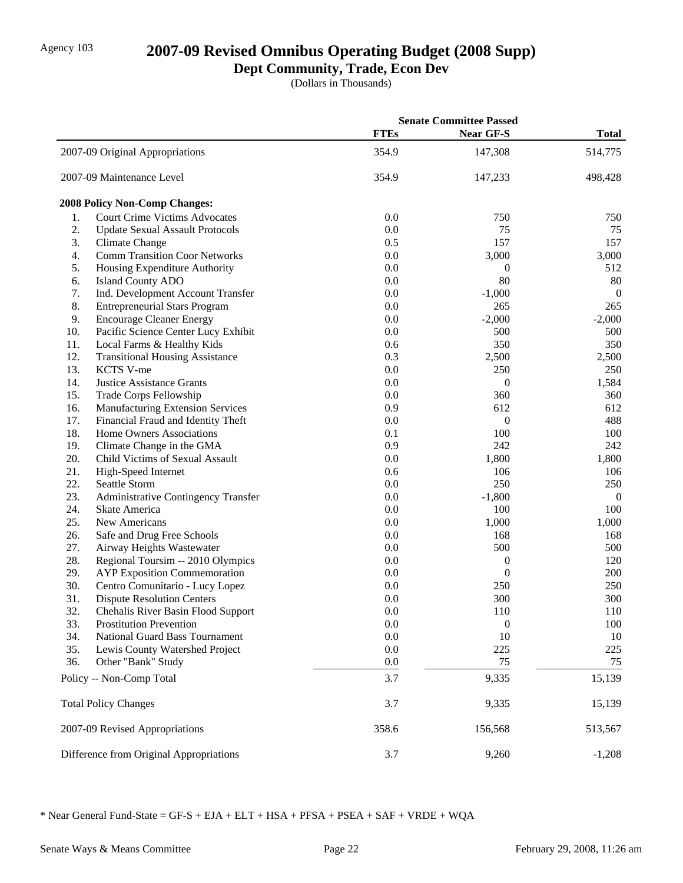## Agency 103 **2007-09 Revised Omnibus Operating Budget (2008 Supp)**

## **Dept Community, Trade, Econ Dev**

(Dollars in Thousands)

|     |                                         | <b>Senate Committee Passed</b> |                  |                |
|-----|-----------------------------------------|--------------------------------|------------------|----------------|
|     |                                         | <b>FTEs</b>                    | <b>Near GF-S</b> | <b>Total</b>   |
|     | 2007-09 Original Appropriations         | 354.9                          | 147,308          | 514,775        |
|     | 2007-09 Maintenance Level               | 354.9                          | 147,233          | 498,428        |
|     | <b>2008 Policy Non-Comp Changes:</b>    |                                |                  |                |
| 1.  | <b>Court Crime Victims Advocates</b>    | 0.0                            | 750              | 750            |
| 2.  | <b>Update Sexual Assault Protocols</b>  | 0.0                            | 75               | 75             |
| 3.  | Climate Change                          | 0.5                            | 157              | 157            |
| 4.  | <b>Comm Transition Coor Networks</b>    | 0.0                            | 3,000            | 3,000          |
| 5.  | Housing Expenditure Authority           | 0.0                            | 0                | 512            |
| 6.  | <b>Island County ADO</b>                | 0.0                            | 80               | $80\,$         |
| 7.  | Ind. Development Account Transfer       | 0.0                            | $-1,000$         | $\overline{0}$ |
| 8.  | <b>Entrepreneurial Stars Program</b>    | 0.0                            | 265              | 265            |
| 9.  | <b>Encourage Cleaner Energy</b>         | 0.0                            | $-2,000$         | $-2,000$       |
| 10. | Pacific Science Center Lucy Exhibit     | 0.0                            | 500              | 500            |
| 11. | Local Farms & Healthy Kids              | 0.6                            | 350              | 350            |
| 12. | <b>Transitional Housing Assistance</b>  | 0.3                            | 2,500            | 2,500          |
| 13. | KCTS V-me                               | 0.0                            | 250              | 250            |
| 14. | <b>Justice Assistance Grants</b>        | 0.0                            | $\boldsymbol{0}$ | 1,584          |
| 15. | Trade Corps Fellowship                  | 0.0                            | 360              | 360            |
| 16. | <b>Manufacturing Extension Services</b> | 0.9                            | 612              | 612            |
| 17. | Financial Fraud and Identity Theft      | 0.0                            | 0                | 488            |
| 18. | Home Owners Associations                | 0.1                            | 100              | 100            |
| 19. | Climate Change in the GMA               | 0.9                            | 242              | 242            |
| 20. | Child Victims of Sexual Assault         | 0.0                            | 1,800            | 1,800          |
| 21. | High-Speed Internet                     | 0.6                            | 106              | 106            |
| 22. | Seattle Storm                           | 0.0                            | 250              | 250            |
| 23. | Administrative Contingency Transfer     | 0.0                            | $-1,800$         | $\overline{0}$ |
| 24. | Skate America                           | 0.0                            | 100              | 100            |
| 25. | New Americans                           | 0.0                            | 1,000            | 1,000          |
| 26. | Safe and Drug Free Schools              | 0.0                            | 168              | 168            |
| 27. | Airway Heights Wastewater               | 0.0                            | 500              | 500            |
| 28. | Regional Toursim -- 2010 Olympics       | 0.0                            | $\boldsymbol{0}$ | 120            |
| 29. | <b>AYP</b> Exposition Commemoration     | 0.0                            | $\boldsymbol{0}$ | 200            |
| 30. | Centro Comunitario - Lucy Lopez         | 0.0                            | 250              | 250            |
| 31. | <b>Dispute Resolution Centers</b>       | 0.0                            | 300              | 300            |
| 32. | Chehalis River Basin Flood Support      | 0.0                            | 110              | 110            |
| 33. | <b>Prostitution Prevention</b>          | 0.0                            | $\boldsymbol{0}$ | 100            |
| 34. | <b>National Guard Bass Tournament</b>   | 0.0                            | 10               | 10             |
| 35. | Lewis County Watershed Project          | 0.0                            | 225              | 225            |
| 36. | Other "Bank" Study                      | 0.0                            | 75               | 75             |
|     | Policy -- Non-Comp Total                | 3.7                            | 9,335            | 15,139         |
|     | <b>Total Policy Changes</b>             | 3.7                            | 9,335            | 15,139         |
|     | 2007-09 Revised Appropriations          | 358.6                          | 156,568          | 513,567        |
|     | Difference from Original Appropriations | 3.7                            | 9,260            | $-1,208$       |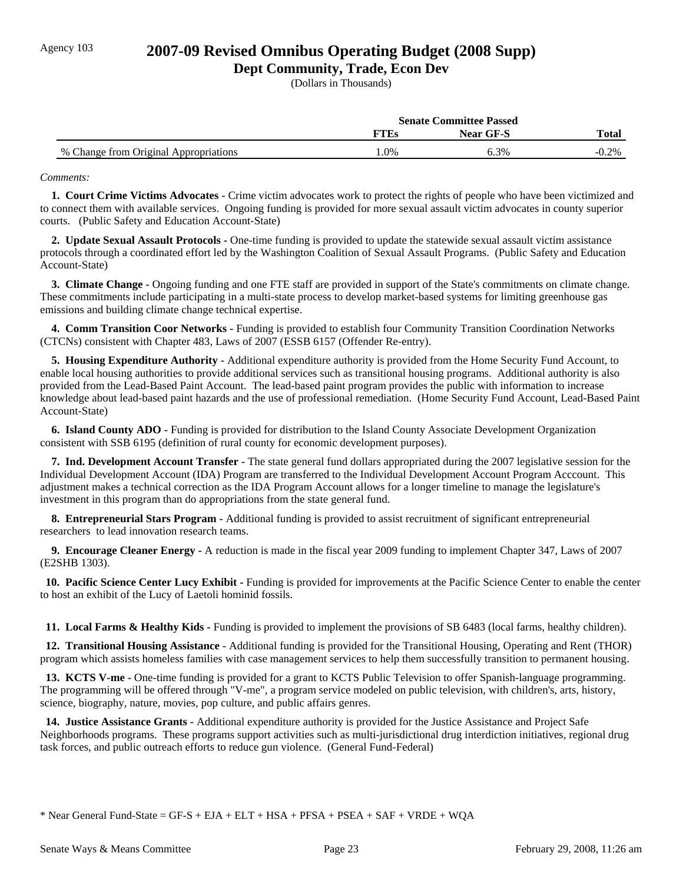## Agency 103 **2007-09 Revised Omnibus Operating Budget (2008 Supp)**

### **Dept Community, Trade, Econ Dev**

(Dollars in Thousands)

|                                       | <b>Senate Committee Passed</b> |                  |              |
|---------------------------------------|--------------------------------|------------------|--------------|
|                                       | TTEs                           | <b>Near GF-S</b> | <b>Total</b> |
| % Change from Original Appropriations | .0%                            | 6.3%             | $-0.2\%$     |

#### *Comments:*

 **1. Court Crime Victims Advocates -** Crime victim advocates work to protect the rights of people who have been victimized and to connect them with available services. Ongoing funding is provided for more sexual assault victim advocates in county superior courts. (Public Safety and Education Account-State)

 **2. Update Sexual Assault Protocols -** One-time funding is provided to update the statewide sexual assault victim assistance protocols through a coordinated effort led by the Washington Coalition of Sexual Assault Programs. (Public Safety and Education Account-State)

 **3. Climate Change -** Ongoing funding and one FTE staff are provided in support of the State's commitments on climate change. These commitments include participating in a multi-state process to develop market-based systems for limiting greenhouse gas emissions and building climate change technical expertise.

 **4. Comm Transition Coor Networks -** Funding is provided to establish four Community Transition Coordination Networks (CTCNs) consistent with Chapter 483, Laws of 2007 (ESSB 6157 (Offender Re-entry).

 **5. Housing Expenditure Authority -** Additional expenditure authority is provided from the Home Security Fund Account, to enable local housing authorities to provide additional services such as transitional housing programs. Additional authority is also provided from the Lead-Based Paint Account. The lead-based paint program provides the public with information to increase knowledge about lead-based paint hazards and the use of professional remediation. (Home Security Fund Account, Lead-Based Paint Account-State)

 **6. Island County ADO -** Funding is provided for distribution to the Island County Associate Development Organization consistent with SSB 6195 (definition of rural county for economic development purposes).

 **7. Ind. Development Account Transfer -** The state general fund dollars appropriated during the 2007 legislative session for the Individual Development Account (IDA) Program are transferred to the Individual Development Account Program Acccount. This adjustment makes a technical correction as the IDA Program Account allows for a longer timeline to manage the legislature's investment in this program than do appropriations from the state general fund.

 **8. Entrepreneurial Stars Program -** Additional funding is provided to assist recruitment of significant entrepreneurial researchers to lead innovation research teams.

 **9. Encourage Cleaner Energy -** A reduction is made in the fiscal year 2009 funding to implement Chapter 347, Laws of 2007 (E2SHB 1303).

 **10. Pacific Science Center Lucy Exhibit - Funding is provided for improvements at the Pacific Science Center to enable the center** to host an exhibit of the Lucy of Laetoli hominid fossils.

 **11. Local Farms & Healthy Kids -** Funding is provided to implement the provisions of SB 6483 (local farms, healthy children).

 **12. Transitional Housing Assistance -** Additional funding is provided for the Transitional Housing, Operating and Rent (THOR) program which assists homeless families with case management services to help them successfully transition to permanent housing.

 **13. KCTS V-me -** One-time funding is provided for a grant to KCTS Public Television to offer Spanish-language programming. The programming will be offered through "V-me", a program service modeled on public television, with children's, arts, history, science, biography, nature, movies, pop culture, and public affairs genres.

 **14. Justice Assistance Grants -** Additional expenditure authority is provided for the Justice Assistance and Project Safe Neighborhoods programs. These programs support activities such as multi-jurisdictional drug interdiction initiatives, regional drug task forces, and public outreach efforts to reduce gun violence. (General Fund-Federal)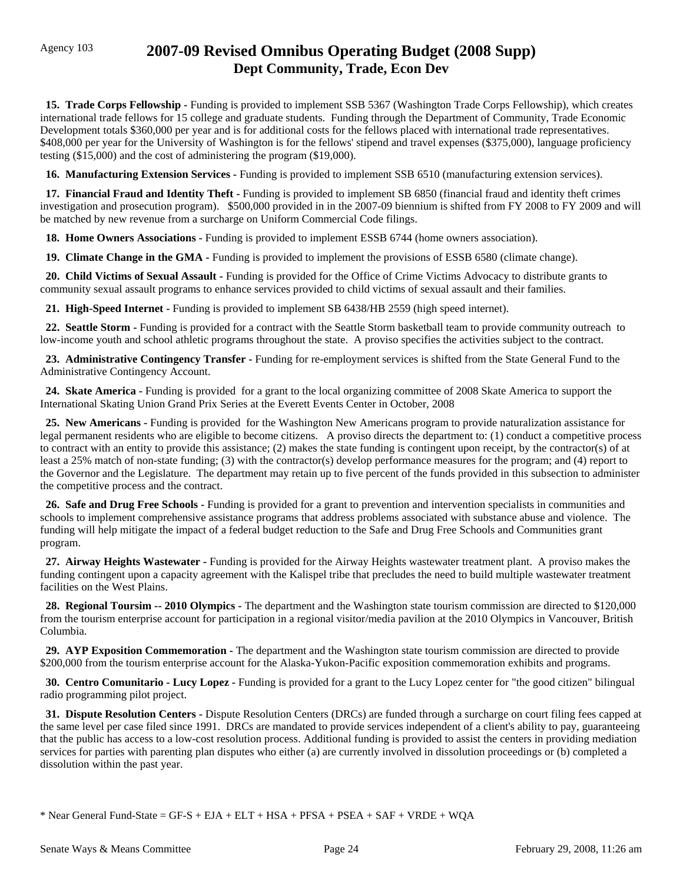# Agency 103 **2007-09 Revised Omnibus Operating Budget (2008 Supp) Dept Community, Trade, Econ Dev**

 **15. Trade Corps Fellowship -** Funding is provided to implement SSB 5367 (Washington Trade Corps Fellowship), which creates international trade fellows for 15 college and graduate students. Funding through the Department of Community, Trade Economic Development totals \$360,000 per year and is for additional costs for the fellows placed with international trade representatives. \$408,000 per year for the University of Washington is for the fellows' stipend and travel expenses (\$375,000), language proficiency testing (\$15,000) and the cost of administering the program (\$19,000).

 **16. Manufacturing Extension Services -** Funding is provided to implement SSB 6510 (manufacturing extension services).

 **17. Financial Fraud and Identity Theft -** Funding is provided to implement SB 6850 (financial fraud and identity theft crimes investigation and prosecution program). \$500,000 provided in in the 2007-09 biennium is shifted from FY 2008 to FY 2009 and will be matched by new revenue from a surcharge on Uniform Commercial Code filings.

 **18. Home Owners Associations -** Funding is provided to implement ESSB 6744 (home owners association).

 **19. Climate Change in the GMA -** Funding is provided to implement the provisions of ESSB 6580 (climate change).

 **20. Child Victims of Sexual Assault -** Funding is provided for the Office of Crime Victims Advocacy to distribute grants to community sexual assault programs to enhance services provided to child victims of sexual assault and their families.

 **21. High-Speed Internet -** Funding is provided to implement SB 6438/HB 2559 (high speed internet).

 **22. Seattle Storm -** Funding is provided for a contract with the Seattle Storm basketball team to provide community outreach to low-income youth and school athletic programs throughout the state. A proviso specifies the activities subject to the contract.

**23. Administrative Contingency Transfer** - Funding for re-employment services is shifted from the State General Fund to the Administrative Contingency Account.

 **24. Skate America -** Funding is provided for a grant to the local organizing committee of 2008 Skate America to support the International Skating Union Grand Prix Series at the Everett Events Center in October, 2008

 **25. New Americans -** Funding is provided for the Washington New Americans program to provide naturalization assistance for legal permanent residents who are eligible to become citizens. A proviso directs the department to: (1) conduct a competitive process to contract with an entity to provide this assistance; (2) makes the state funding is contingent upon receipt, by the contractor(s) of at least a 25% match of non-state funding; (3) with the contractor(s) develop performance measures for the program; and (4) report to the Governor and the Legislature. The department may retain up to five percent of the funds provided in this subsection to administer the competitive process and the contract.

 **26. Safe and Drug Free Schools -** Funding is provided for a grant to prevention and intervention specialists in communities and schools to implement comprehensive assistance programs that address problems associated with substance abuse and violence. The funding will help mitigate the impact of a federal budget reduction to the Safe and Drug Free Schools and Communities grant program.

 **27. Airway Heights Wastewater -** Funding is provided for the Airway Heights wastewater treatment plant. A proviso makes the funding contingent upon a capacity agreement with the Kalispel tribe that precludes the need to build multiple wastewater treatment facilities on the West Plains.

**28. Regional Toursim -- 2010 Olympics -** The department and the Washington state tourism commission are directed to \$120,000 from the tourism enterprise account for participation in a regional visitor/media pavilion at the 2010 Olympics in Vancouver, British Columbia.

 **29. AYP Exposition Commemoration -** The department and the Washington state tourism commission are directed to provide \$200,000 from the tourism enterprise account for the Alaska-Yukon-Pacific exposition commemoration exhibits and programs.

 **30. Centro Comunitario - Lucy Lopez -** Funding is provided for a grant to the Lucy Lopez center for "the good citizen" bilingual radio programming pilot project.

 **31. Dispute Resolution Centers -** Dispute Resolution Centers (DRCs) are funded through a surcharge on court filing fees capped at the same level per case filed since 1991. DRCs are mandated to provide services independent of a client's ability to pay, guaranteeing that the public has access to a low-cost resolution process. Additional funding is provided to assist the centers in providing mediation services for parties with parenting plan disputes who either (a) are currently involved in dissolution proceedings or (b) completed a dissolution within the past year.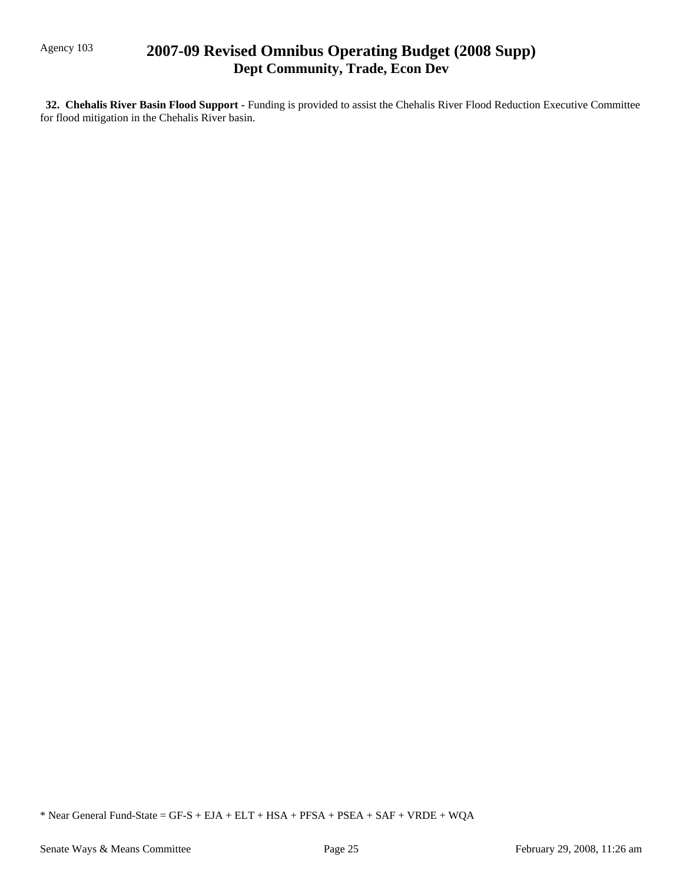# Agency 103 **2007-09 Revised Omnibus Operating Budget (2008 Supp) Dept Community, Trade, Econ Dev**

 **32. Chehalis River Basin Flood Support -** Funding is provided to assist the Chehalis River Flood Reduction Executive Committee for flood mitigation in the Chehalis River basin.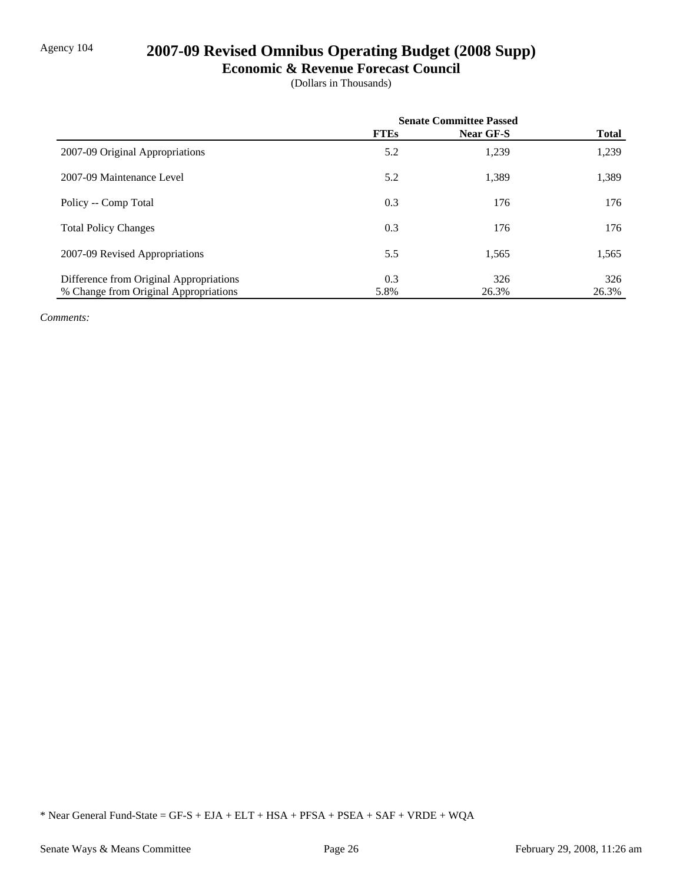# Agency 104 **2007-09 Revised Omnibus Operating Budget (2008 Supp)**

### **Economic & Revenue Forecast Council**

(Dollars in Thousands)

|                                         | <b>Senate Committee Passed</b> |                  |              |
|-----------------------------------------|--------------------------------|------------------|--------------|
|                                         | <b>FTEs</b>                    | <b>Near GF-S</b> | <b>Total</b> |
| 2007-09 Original Appropriations         | 5.2                            | 1,239            | 1,239        |
| 2007-09 Maintenance Level               | 5.2                            | 1,389            | 1,389        |
| Policy -- Comp Total                    | 0.3                            | 176              | 176          |
| <b>Total Policy Changes</b>             | 0.3                            | 176              | 176          |
| 2007-09 Revised Appropriations          | 5.5                            | 1,565            | 1,565        |
| Difference from Original Appropriations | 0.3                            | 326              | 326          |
| % Change from Original Appropriations   | 5.8%                           | 26.3%            | 26.3%        |

*Comments:*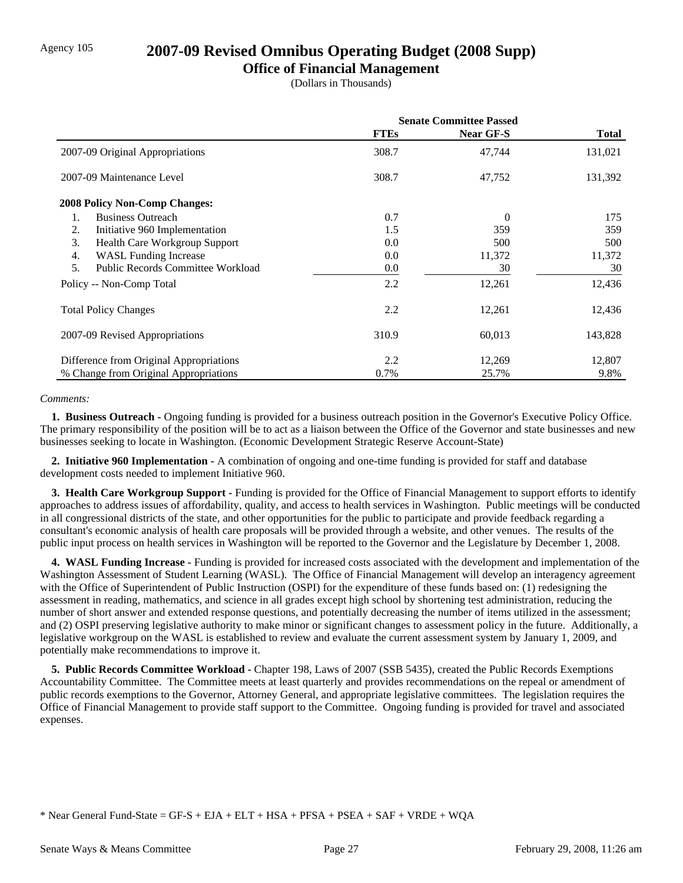## Agency 105 **2007-09 Revised Omnibus Operating Budget (2008 Supp)**

## **Office of Financial Management**

(Dollars in Thousands)

|                                                | <b>Senate Committee Passed</b> |                  |         |
|------------------------------------------------|--------------------------------|------------------|---------|
|                                                | <b>FTEs</b>                    | <b>Near GF-S</b> | Total   |
| 2007-09 Original Appropriations                | 308.7                          | 47,744           | 131,021 |
| 2007-09 Maintenance Level                      | 308.7                          | 47,752           | 131,392 |
| <b>2008 Policy Non-Comp Changes:</b>           |                                |                  |         |
| <b>Business Outreach</b><br>1.                 | 0.7                            | $\Omega$         | 175     |
| 2.<br>Initiative 960 Implementation            | 1.5                            | 359              | 359     |
| 3.<br>Health Care Workgroup Support            | 0.0                            | 500              | 500     |
| <b>WASL Funding Increase</b><br>4.             | 0.0                            | 11,372           | 11,372  |
| 5.<br><b>Public Records Committee Workload</b> | 0.0                            | 30               | 30      |
| Policy -- Non-Comp Total                       | 2.2                            | 12,261           | 12,436  |
| <b>Total Policy Changes</b>                    | 2.2                            | 12,261           | 12,436  |
| 2007-09 Revised Appropriations                 | 310.9                          | 60,013           | 143,828 |
| Difference from Original Appropriations        | 2.2                            | 12,269           | 12,807  |
| % Change from Original Appropriations          | 0.7%                           | 25.7%            | 9.8%    |

### *Comments:*

 **1. Business Outreach -** Ongoing funding is provided for a business outreach position in the Governor's Executive Policy Office. The primary responsibility of the position will be to act as a liaison between the Office of the Governor and state businesses and new businesses seeking to locate in Washington. (Economic Development Strategic Reserve Account-State)

 **2. Initiative 960 Implementation -** A combination of ongoing and one-time funding is provided for staff and database development costs needed to implement Initiative 960.

 **3. Health Care Workgroup Support -** Funding is provided for the Office of Financial Management to support efforts to identify approaches to address issues of affordability, quality, and access to health services in Washington. Public meetings will be conducted in all congressional districts of the state, and other opportunities for the public to participate and provide feedback regarding a consultant's economic analysis of health care proposals will be provided through a website, and other venues. The results of the public input process on health services in Washington will be reported to the Governor and the Legislature by December 1, 2008.

 **4. WASL Funding Increase -** Funding is provided for increased costs associated with the development and implementation of the Washington Assessment of Student Learning (WASL). The Office of Financial Management will develop an interagency agreement with the Office of Superintendent of Public Instruction (OSPI) for the expenditure of these funds based on: (1) redesigning the assessment in reading, mathematics, and science in all grades except high school by shortening test administration, reducing the number of short answer and extended response questions, and potentially decreasing the number of items utilized in the assessment; and (2) OSPI preserving legislative authority to make minor or significant changes to assessment policy in the future. Additionally, a legislative workgroup on the WASL is established to review and evaluate the current assessment system by January 1, 2009, and potentially make recommendations to improve it.

 **5. Public Records Committee Workload -** Chapter 198, Laws of 2007 (SSB 5435), created the Public Records Exemptions Accountability Committee. The Committee meets at least quarterly and provides recommendations on the repeal or amendment of public records exemptions to the Governor, Attorney General, and appropriate legislative committees. The legislation requires the Office of Financial Management to provide staff support to the Committee. Ongoing funding is provided for travel and associated expenses.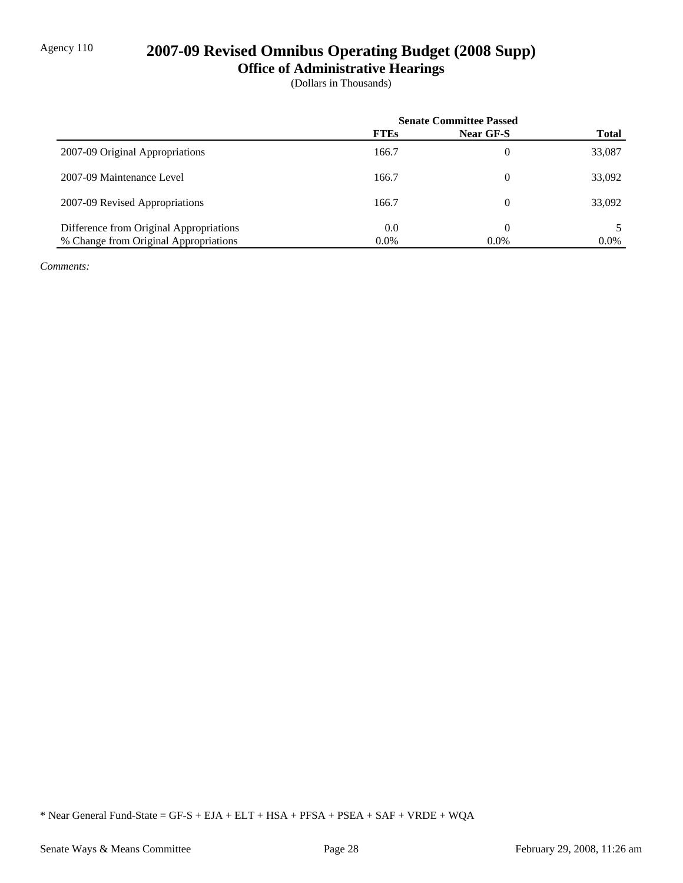# Agency 110 **2007-09 Revised Omnibus Operating Budget (2008 Supp)**

**Office of Administrative Hearings**

(Dollars in Thousands)

|                                         | <b>Senate Committee Passed</b> |                  |              |
|-----------------------------------------|--------------------------------|------------------|--------------|
|                                         | <b>FTEs</b>                    | <b>Near GF-S</b> | <b>Total</b> |
| 2007-09 Original Appropriations         | 166.7                          | 0                | 33,087       |
| 2007-09 Maintenance Level               | 166.7                          | 0                | 33,092       |
| 2007-09 Revised Appropriations          | 166.7                          | 0                | 33,092       |
| Difference from Original Appropriations | 0.0                            |                  |              |
| % Change from Original Appropriations   | $0.0\%$                        | $0.0\%$          | $0.0\%$      |

*Comments:*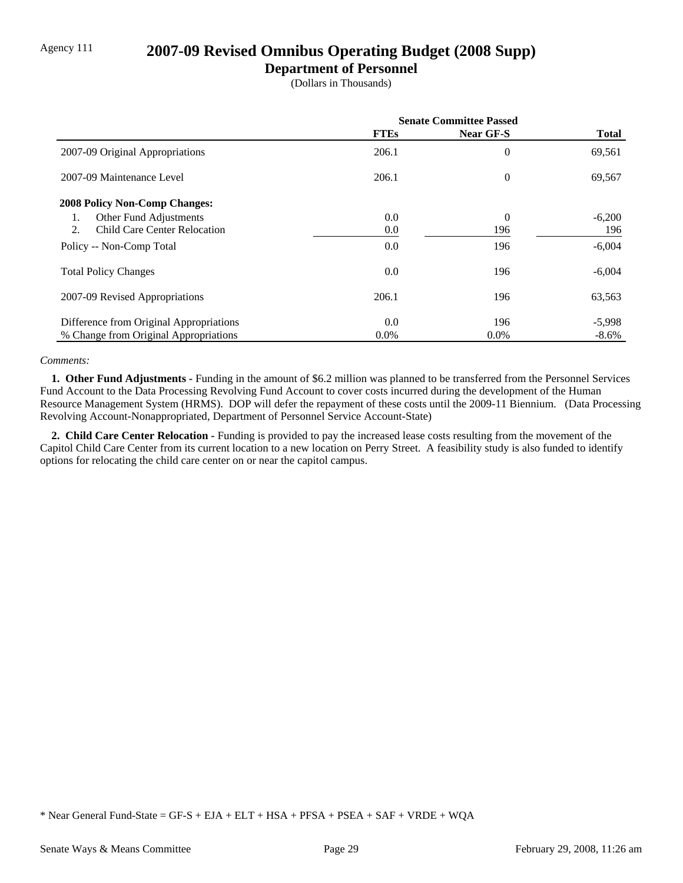# Agency 111 **2007-09 Revised Omnibus Operating Budget (2008 Supp)**

### **Department of Personnel**

(Dollars in Thousands)

|                                         | <b>Senate Committee Passed</b> |                |              |
|-----------------------------------------|--------------------------------|----------------|--------------|
|                                         | <b>FTEs</b>                    | Near GF-S      | <b>Total</b> |
| 2007-09 Original Appropriations         | 206.1                          | 0              | 69,561       |
| 2007-09 Maintenance Level               | 206.1                          | $\overline{0}$ | 69,567       |
| <b>2008 Policy Non-Comp Changes:</b>    |                                |                |              |
| Other Fund Adjustments<br>1.            | 0.0                            | $\overline{0}$ | $-6,200$     |
| Child Care Center Relocation<br>2.      | 0.0                            | 196            | 196          |
| Policy -- Non-Comp Total                | 0.0                            | 196            | $-6,004$     |
| <b>Total Policy Changes</b>             | 0.0                            | 196            | $-6,004$     |
| 2007-09 Revised Appropriations          | 206.1                          | 196            | 63,563       |
| Difference from Original Appropriations | 0.0                            | 196            | $-5,998$     |
| % Change from Original Appropriations   | $0.0\%$                        | $0.0\%$        | $-8.6\%$     |

### *Comments:*

 **1. Other Fund Adjustments -** Funding in the amount of \$6.2 million was planned to be transferred from the Personnel Services Fund Account to the Data Processing Revolving Fund Account to cover costs incurred during the development of the Human Resource Management System (HRMS). DOP will defer the repayment of these costs until the 2009-11 Biennium. (Data Processing Revolving Account-Nonappropriated, Department of Personnel Service Account-State)

 **2. Child Care Center Relocation -** Funding is provided to pay the increased lease costs resulting from the movement of the Capitol Child Care Center from its current location to a new location on Perry Street. A feasibility study is also funded to identify options for relocating the child care center on or near the capitol campus.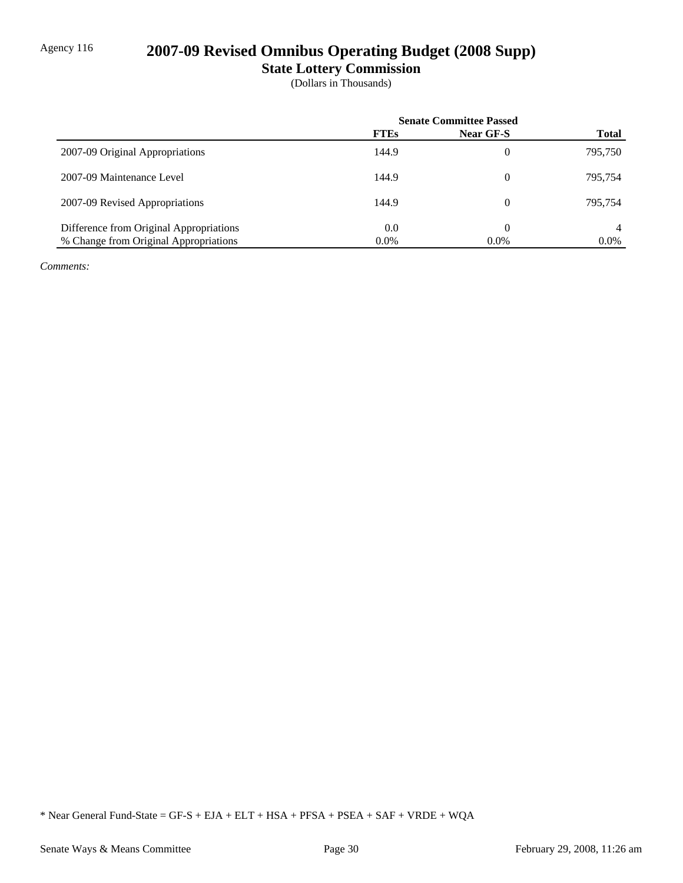# Agency 116 **2007-09 Revised Omnibus Operating Budget (2008 Supp)**

**State Lottery Commission**

(Dollars in Thousands)

|                                         | <b>Senate Committee Passed</b> |           |              |
|-----------------------------------------|--------------------------------|-----------|--------------|
|                                         | <b>FTEs</b>                    | Near GF-S | <b>Total</b> |
| 2007-09 Original Appropriations         | 144.9                          | 0         | 795,750      |
| 2007-09 Maintenance Level               | 144.9                          | 0         | 795.754      |
| 2007-09 Revised Appropriations          | 144.9                          | 0         | 795.754      |
| Difference from Original Appropriations | 0.0                            | 0         |              |
| % Change from Original Appropriations   | $0.0\%$                        | $0.0\%$   | $0.0\%$      |

*Comments:*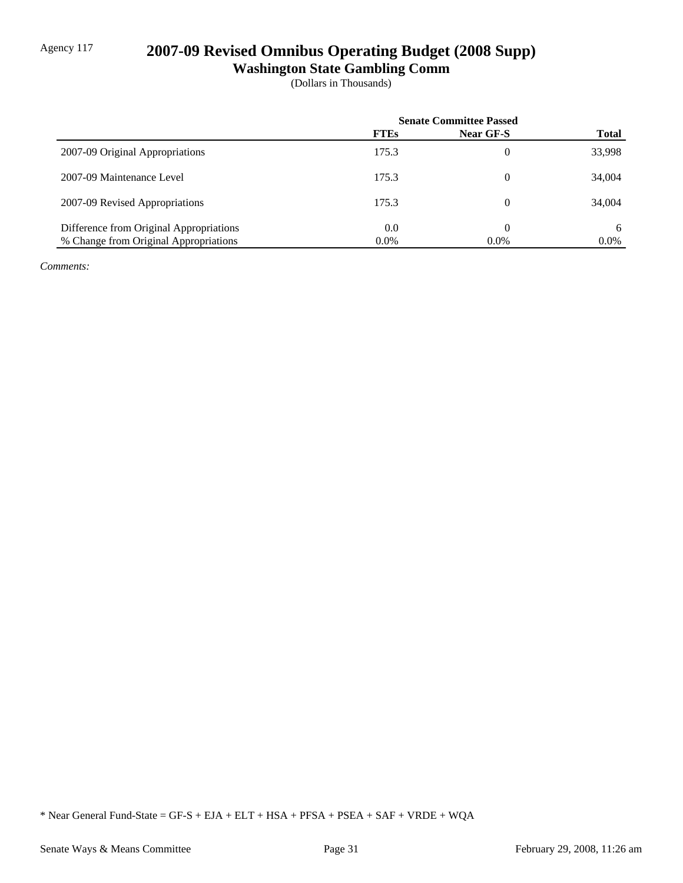# Agency 117 **2007-09 Revised Omnibus Operating Budget (2008 Supp)**

**Washington State Gambling Comm**

(Dollars in Thousands)

|                                         | <b>Senate Committee Passed</b> |                |              |
|-----------------------------------------|--------------------------------|----------------|--------------|
|                                         | <b>FTEs</b>                    | Near GF-S      | <b>Total</b> |
| 2007-09 Original Appropriations         | 175.3                          | $\overline{0}$ | 33,998       |
| 2007-09 Maintenance Level               | 175.3                          | 0              | 34,004       |
| 2007-09 Revised Appropriations          | 175.3                          | 0              | 34,004       |
| Difference from Original Appropriations | 0.0                            | 0              | 6            |
| % Change from Original Appropriations   | $0.0\%$                        | $0.0\%$        | $0.0\%$      |

*Comments:*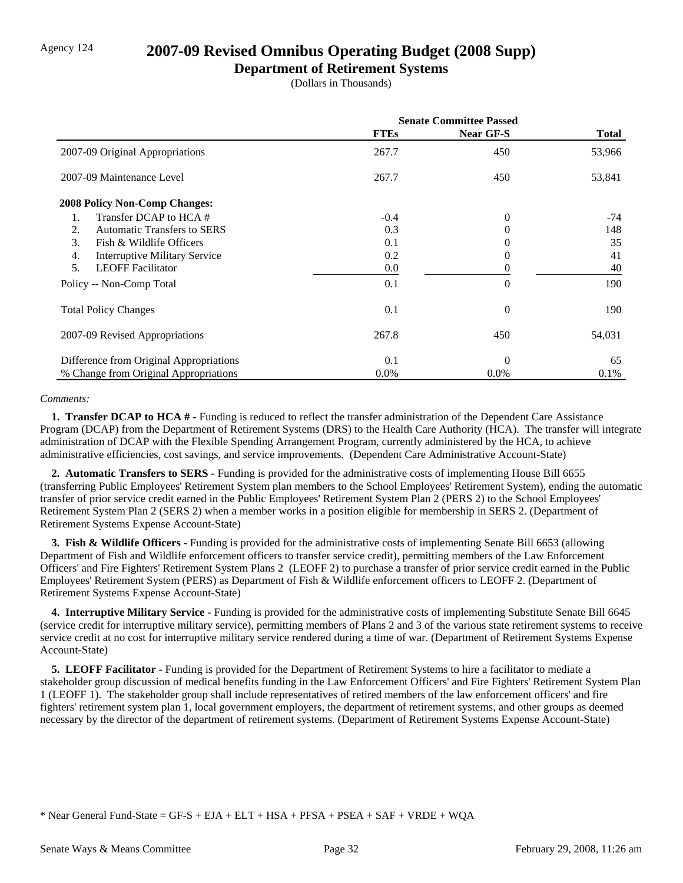## Agency 124 **2007-09 Revised Omnibus Operating Budget (2008 Supp)**

### **Department of Retirement Systems**

(Dollars in Thousands)

|                                            | <b>Senate Committee Passed</b> |                  |         |
|--------------------------------------------|--------------------------------|------------------|---------|
|                                            | <b>FTEs</b>                    | <b>Near GF-S</b> | Total   |
| 2007-09 Original Appropriations            | 267.7                          | 450              | 53,966  |
| 2007-09 Maintenance Level                  | 267.7                          | 450              | 53,841  |
| <b>2008 Policy Non-Comp Changes:</b>       |                                |                  |         |
| Transfer DCAP to HCA #<br>1.               | $-0.4$                         | $\Omega$         | $-74$   |
| <b>Automatic Transfers to SERS</b><br>2.   | 0.3                            | 0                | 148     |
| 3.<br>Fish & Wildlife Officers             | 0.1                            | $\Omega$         | 35      |
| 4.<br><b>Interruptive Military Service</b> | 0.2                            | $\Omega$         | 41      |
| <b>LEOFF</b> Facilitator<br>5.             | 0.0                            | 0                | 40      |
| Policy -- Non-Comp Total                   | 0.1                            | $\theta$         | 190     |
| <b>Total Policy Changes</b>                | 0.1                            | $\Omega$         | 190     |
| 2007-09 Revised Appropriations             | 267.8                          | 450              | 54,031  |
| Difference from Original Appropriations    | 0.1                            | $\Omega$         | 65      |
| % Change from Original Appropriations      | $0.0\%$                        | $0.0\%$          | $0.1\%$ |

### *Comments:*

 **1. Transfer DCAP to HCA # -** Funding is reduced to reflect the transfer administration of the Dependent Care Assistance Program (DCAP) from the Department of Retirement Systems (DRS) to the Health Care Authority (HCA). The transfer will integrate administration of DCAP with the Flexible Spending Arrangement Program, currently administered by the HCA, to achieve administrative efficiencies, cost savings, and service improvements. (Dependent Care Administrative Account-State)

 **2. Automatic Transfers to SERS -** Funding is provided for the administrative costs of implementing House Bill 6655 (transferring Public Employees' Retirement System plan members to the School Employees' Retirement System), ending the automatic transfer of prior service credit earned in the Public Employees' Retirement System Plan 2 (PERS 2) to the School Employees' Retirement System Plan 2 (SERS 2) when a member works in a position eligible for membership in SERS 2. (Department of Retirement Systems Expense Account-State)

**3. Fish & Wildlife Officers -** Funding is provided for the administrative costs of implementing Senate Bill 6653 (allowing Department of Fish and Wildlife enforcement officers to transfer service credit), permitting members of the Law Enforcement Officers' and Fire Fighters' Retirement System Plans 2 (LEOFF 2) to purchase a transfer of prior service credit earned in the Public Employees' Retirement System (PERS) as Department of Fish & Wildlife enforcement officers to LEOFF 2. (Department of Retirement Systems Expense Account-State)

 **4. Interruptive Military Service -** Funding is provided for the administrative costs of implementing Substitute Senate Bill 6645 (service credit for interruptive military service), permitting members of Plans 2 and 3 of the various state retirement systems to receive service credit at no cost for interruptive military service rendered during a time of war. (Department of Retirement Systems Expense Account-State)

 **5. LEOFF Facilitator -** Funding is provided for the Department of Retirement Systems to hire a facilitator to mediate a stakeholder group discussion of medical benefits funding in the Law Enforcement Officers' and Fire Fighters' Retirement System Plan 1 (LEOFF 1). The stakeholder group shall include representatives of retired members of the law enforcement officers' and fire fighters' retirement system plan 1, local government employers, the department of retirement systems, and other groups as deemed necessary by the director of the department of retirement systems. (Department of Retirement Systems Expense Account-State)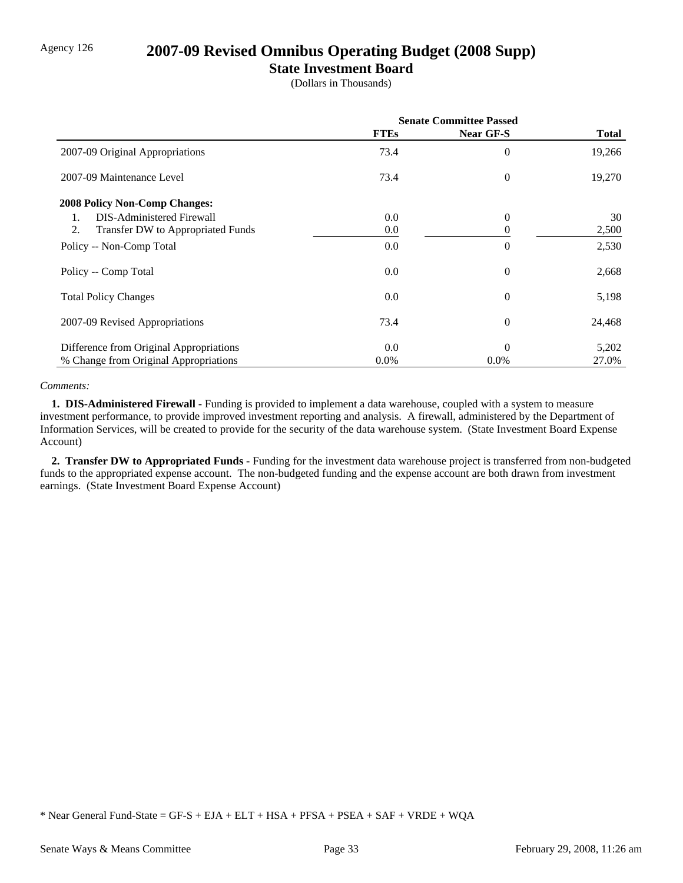# Agency 126 **2007-09 Revised Omnibus Operating Budget (2008 Supp)**

## **State Investment Board**

(Dollars in Thousands)

|                                         | <b>Senate Committee Passed</b> |                  |        |
|-----------------------------------------|--------------------------------|------------------|--------|
|                                         | <b>FTEs</b>                    | <b>Near GF-S</b> | Total  |
| 2007-09 Original Appropriations         | 73.4                           | $\overline{0}$   | 19,266 |
| 2007-09 Maintenance Level               | 73.4                           | $\theta$         | 19,270 |
| <b>2008 Policy Non-Comp Changes:</b>    |                                |                  |        |
| <b>DIS-Administered Firewall</b><br>1.  | 0.0                            | $\overline{0}$   | 30     |
| 2.<br>Transfer DW to Appropriated Funds | 0.0                            | $\Omega$         | 2,500  |
| Policy -- Non-Comp Total                | 0.0                            | $\overline{0}$   | 2,530  |
| Policy -- Comp Total                    | 0.0                            | $\boldsymbol{0}$ | 2,668  |
| <b>Total Policy Changes</b>             | 0.0                            | $\overline{0}$   | 5,198  |
| 2007-09 Revised Appropriations          | 73.4                           | $\overline{0}$   | 24,468 |
| Difference from Original Appropriations | 0.0                            | $\theta$         | 5,202  |
| % Change from Original Appropriations   | $0.0\%$                        | $0.0\%$          | 27.0%  |

### *Comments:*

 **1. DIS-Administered Firewall -** Funding is provided to implement a data warehouse, coupled with a system to measure investment performance, to provide improved investment reporting and analysis. A firewall, administered by the Department of Information Services, will be created to provide for the security of the data warehouse system. (State Investment Board Expense Account)

 **2. Transfer DW to Appropriated Funds -** Funding for the investment data warehouse project is transferred from non-budgeted funds to the appropriated expense account. The non-budgeted funding and the expense account are both drawn from investment earnings. (State Investment Board Expense Account)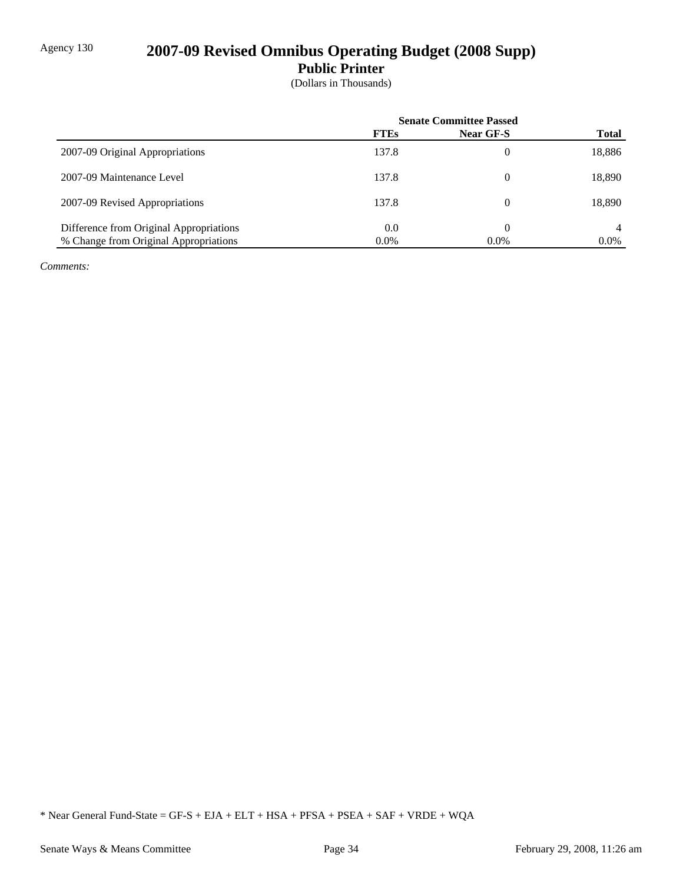# Agency 130 **2007-09 Revised Omnibus Operating Budget (2008 Supp)**

**Public Printer**

(Dollars in Thousands)

|                                         | <b>Senate Committee Passed</b> |           |              |
|-----------------------------------------|--------------------------------|-----------|--------------|
|                                         | <b>FTEs</b>                    | Near GF-S | <b>Total</b> |
| 2007-09 Original Appropriations         | 137.8                          |           | 18,886       |
| 2007-09 Maintenance Level               | 137.8                          |           | 18,890       |
| 2007-09 Revised Appropriations          | 137.8                          |           | 18,890       |
| Difference from Original Appropriations | 0.0                            |           | 4            |
| % Change from Original Appropriations   | $0.0\%$                        | $0.0\%$   | $0.0\%$      |

*Comments:*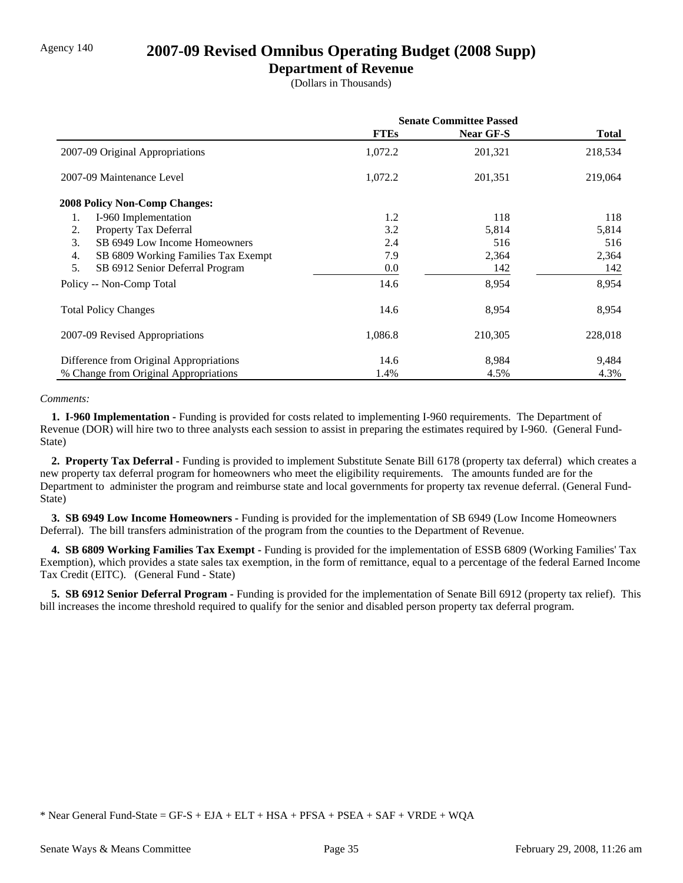## Agency 140 **2007-09 Revised Omnibus Operating Budget (2008 Supp)**

### **Department of Revenue**

(Dollars in Thousands)

|                                           | <b>Senate Committee Passed</b> |                  |              |
|-------------------------------------------|--------------------------------|------------------|--------------|
|                                           | <b>FTEs</b>                    | <b>Near GF-S</b> | <b>Total</b> |
| 2007-09 Original Appropriations           | 1,072.2                        | 201,321          | 218,534      |
| 2007-09 Maintenance Level                 | 1,072.2                        | 201,351          | 219,064      |
| <b>2008 Policy Non-Comp Changes:</b>      |                                |                  |              |
| I-960 Implementation<br>1.                | 1.2                            | 118              | 118          |
| Property Tax Deferral<br>2.               | 3.2                            | 5,814            | 5,814        |
| SB 6949 Low Income Homeowners<br>3.       | 2.4                            | 516              | 516          |
| 4.<br>SB 6809 Working Families Tax Exempt | 7.9                            | 2,364            | 2,364        |
| 5.<br>SB 6912 Senior Deferral Program     | 0.0                            | 142              | 142          |
| Policy -- Non-Comp Total                  | 14.6                           | 8,954            | 8,954        |
| <b>Total Policy Changes</b>               | 14.6                           | 8,954            | 8,954        |
| 2007-09 Revised Appropriations            | 1,086.8                        | 210,305          | 228,018      |
| Difference from Original Appropriations   | 14.6                           | 8,984            | 9,484        |
| % Change from Original Appropriations     | 1.4%                           | 4.5%             | 4.3%         |

#### *Comments:*

 **1. I-960 Implementation -** Funding is provided for costs related to implementing I-960 requirements. The Department of Revenue (DOR) will hire two to three analysts each session to assist in preparing the estimates required by I-960. (General Fund-State)

 **2. Property Tax Deferral -** Funding is provided to implement Substitute Senate Bill 6178 (property tax deferral) which creates a new property tax deferral program for homeowners who meet the eligibility requirements. The amounts funded are for the Department to administer the program and reimburse state and local governments for property tax revenue deferral. (General Fund-State)

 **3. SB 6949 Low Income Homeowners -** Funding is provided for the implementation of SB 6949 (Low Income Homeowners Deferral). The bill transfers administration of the program from the counties to the Department of Revenue.

 **4. SB 6809 Working Families Tax Exempt -** Funding is provided for the implementation of ESSB 6809 (Working Families' Tax Exemption), which provides a state sales tax exemption, in the form of remittance, equal to a percentage of the federal Earned Income Tax Credit (EITC). (General Fund - State)

 **5. SB 6912 Senior Deferral Program -** Funding is provided for the implementation of Senate Bill 6912 (property tax relief). This bill increases the income threshold required to qualify for the senior and disabled person property tax deferral program.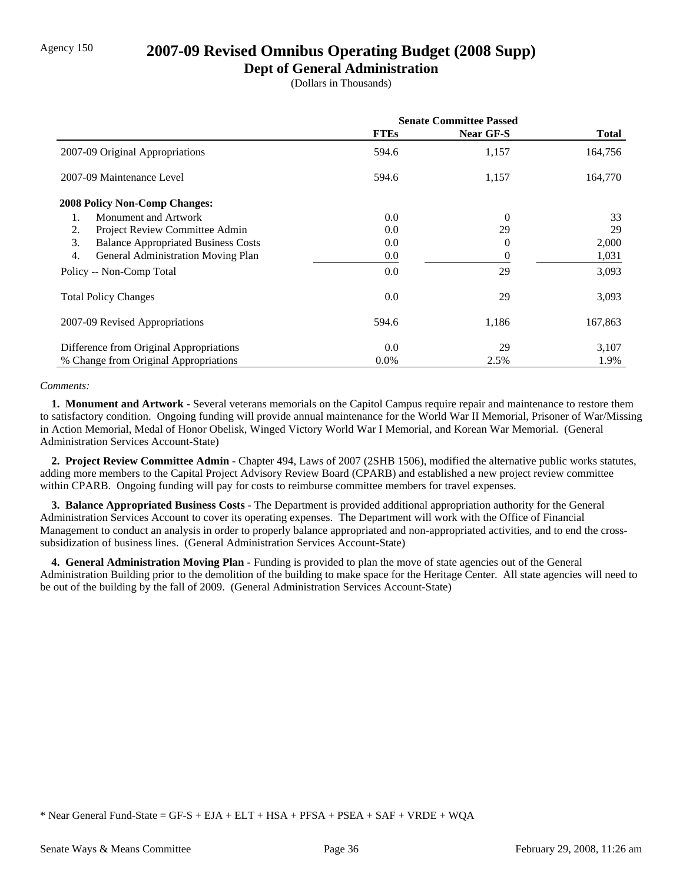## Agency 150 **2007-09 Revised Omnibus Operating Budget (2008 Supp)**

## **Dept of General Administration**

(Dollars in Thousands)

|                                                  | <b>Senate Committee Passed</b> |                |         |
|--------------------------------------------------|--------------------------------|----------------|---------|
|                                                  | <b>FTEs</b>                    | Near GF-S      | Total   |
| 2007-09 Original Appropriations                  | 594.6                          | 1,157          | 164,756 |
| 2007-09 Maintenance Level                        | 594.6                          | 1,157          | 164,770 |
| <b>2008 Policy Non-Comp Changes:</b>             |                                |                |         |
| Monument and Artwork<br>1.                       | 0.0                            | $\overline{0}$ | 33      |
| 2.<br>Project Review Committee Admin             | 0.0                            | 29             | 29      |
| 3.<br><b>Balance Appropriated Business Costs</b> | 0.0                            | 0              | 2,000   |
| 4.<br>General Administration Moving Plan         | 0.0                            | 0              | 1,031   |
| Policy -- Non-Comp Total                         | 0.0                            | 29             | 3,093   |
| <b>Total Policy Changes</b>                      | 0.0                            | 29             | 3,093   |
| 2007-09 Revised Appropriations                   | 594.6                          | 1,186          | 167,863 |
| Difference from Original Appropriations          | 0.0                            | 29             | 3,107   |
| % Change from Original Appropriations            | $0.0\%$                        | 2.5%           | 1.9%    |

### *Comments:*

 **1. Monument and Artwork -** Several veterans memorials on the Capitol Campus require repair and maintenance to restore them to satisfactory condition. Ongoing funding will provide annual maintenance for the World War II Memorial, Prisoner of War/Missing in Action Memorial, Medal of Honor Obelisk, Winged Victory World War I Memorial, and Korean War Memorial. (General Administration Services Account-State)

 **2. Project Review Committee Admin -** Chapter 494, Laws of 2007 (2SHB 1506), modified the alternative public works statutes, adding more members to the Capital Project Advisory Review Board (CPARB) and established a new project review committee within CPARB. Ongoing funding will pay for costs to reimburse committee members for travel expenses.

 **3. Balance Appropriated Business Costs -** The Department is provided additional appropriation authority for the General Administration Services Account to cover its operating expenses. The Department will work with the Office of Financial Management to conduct an analysis in order to properly balance appropriated and non-appropriated activities, and to end the crosssubsidization of business lines. (General Administration Services Account-State)

 **4. General Administration Moving Plan -** Funding is provided to plan the move of state agencies out of the General Administration Building prior to the demolition of the building to make space for the Heritage Center. All state agencies will need to be out of the building by the fall of 2009. (General Administration Services Account-State)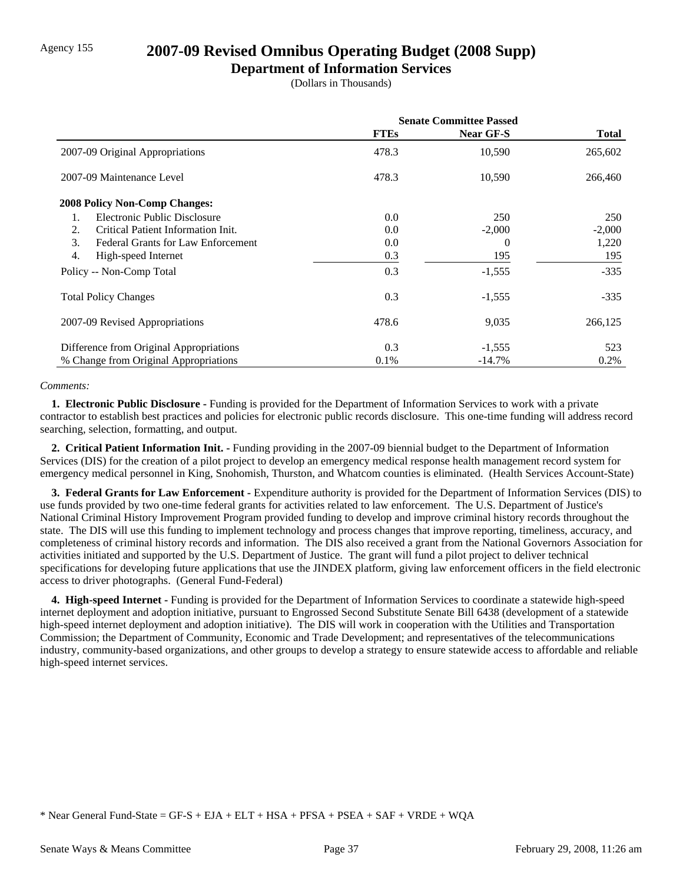# Agency 155 **2007-09 Revised Omnibus Operating Budget (2008 Supp)**

## **Department of Information Services**

(Dollars in Thousands)

|                                                 | <b>Senate Committee Passed</b> |                  |              |
|-------------------------------------------------|--------------------------------|------------------|--------------|
|                                                 | <b>FTEs</b>                    | <b>Near GF-S</b> | <b>Total</b> |
| 2007-09 Original Appropriations                 | 478.3                          | 10,590           | 265,602      |
| 2007-09 Maintenance Level                       | 478.3                          | 10,590           | 266,460      |
| <b>2008 Policy Non-Comp Changes:</b>            |                                |                  |              |
| Electronic Public Disclosure<br>1.              | 0.0                            | 250              | 250          |
| Critical Patient Information Init.<br>2.        | 0.0                            | $-2,000$         | $-2,000$     |
| 3.<br><b>Federal Grants for Law Enforcement</b> | 0.0                            | 0                | 1,220        |
| 4.<br>High-speed Internet                       | 0.3                            | 195              | 195          |
| Policy -- Non-Comp Total                        | 0.3                            | $-1,555$         | $-335$       |
| <b>Total Policy Changes</b>                     | 0.3                            | $-1,555$         | $-335$       |
| 2007-09 Revised Appropriations                  | 478.6                          | 9,035            | 266,125      |
| Difference from Original Appropriations         | 0.3                            | $-1,555$         | 523          |
| % Change from Original Appropriations           | 0.1%                           | $-14.7\%$        | 0.2%         |

### *Comments:*

 **1. Electronic Public Disclosure -** Funding is provided for the Department of Information Services to work with a private contractor to establish best practices and policies for electronic public records disclosure. This one-time funding will address record searching, selection, formatting, and output.

 **2. Critical Patient Information Init. -** Funding providing in the 2007-09 biennial budget to the Department of Information Services (DIS) for the creation of a pilot project to develop an emergency medical response health management record system for emergency medical personnel in King, Snohomish, Thurston, and Whatcom counties is eliminated. (Health Services Account-State)

 **3. Federal Grants for Law Enforcement -** Expenditure authority is provided for the Department of Information Services (DIS) to use funds provided by two one-time federal grants for activities related to law enforcement. The U.S. Department of Justice's National Criminal History Improvement Program provided funding to develop and improve criminal history records throughout the state. The DIS will use this funding to implement technology and process changes that improve reporting, timeliness, accuracy, and completeness of criminal history records and information. The DIS also received a grant from the National Governors Association for activities initiated and supported by the U.S. Department of Justice. The grant will fund a pilot project to deliver technical specifications for developing future applications that use the JINDEX platform, giving law enforcement officers in the field electronic access to driver photographs. (General Fund-Federal)

 **4. High-speed Internet -** Funding is provided for the Department of Information Services to coordinate a statewide high-speed internet deployment and adoption initiative, pursuant to Engrossed Second Substitute Senate Bill 6438 (development of a statewide high-speed internet deployment and adoption initiative). The DIS will work in cooperation with the Utilities and Transportation Commission; the Department of Community, Economic and Trade Development; and representatives of the telecommunications industry, community-based organizations, and other groups to develop a strategy to ensure statewide access to affordable and reliable high-speed internet services.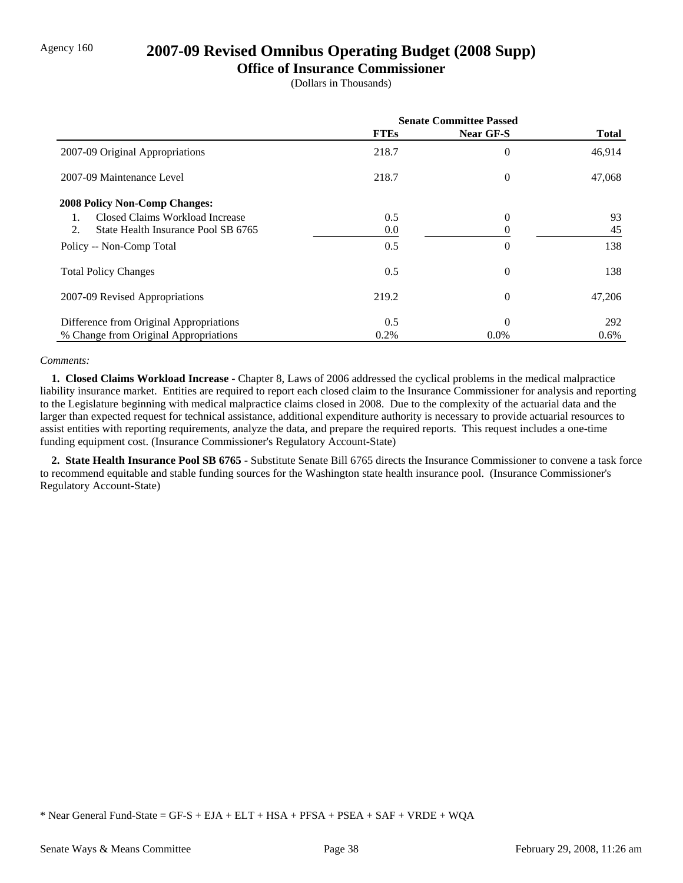## Agency 160 **2007-09 Revised Omnibus Operating Budget (2008 Supp)**

### **Office of Insurance Commissioner**

(Dollars in Thousands)

|                                           | <b>Senate Committee Passed</b> |                |              |
|-------------------------------------------|--------------------------------|----------------|--------------|
|                                           | <b>FTEs</b>                    | Near GF-S      | <b>Total</b> |
| 2007-09 Original Appropriations           | 218.7                          | 0              | 46,914       |
| 2007-09 Maintenance Level                 | 218.7                          | $\overline{0}$ | 47,068       |
| <b>2008 Policy Non-Comp Changes:</b>      |                                |                |              |
| Closed Claims Workload Increase           | 0.5                            | $\overline{0}$ | 93           |
| 2.<br>State Health Insurance Pool SB 6765 | 0.0                            | 0              | 45           |
| Policy -- Non-Comp Total                  | 0.5                            | 0              | 138          |
| <b>Total Policy Changes</b>               | 0.5                            | $\overline{0}$ | 138          |
| 2007-09 Revised Appropriations            | 219.2                          | $\overline{0}$ | 47,206       |
| Difference from Original Appropriations   | 0.5                            | $\theta$       | 292          |
| % Change from Original Appropriations     | 0.2%                           | $0.0\%$        | $0.6\%$      |

### *Comments:*

 **1. Closed Claims Workload Increase -** Chapter 8, Laws of 2006 addressed the cyclical problems in the medical malpractice liability insurance market. Entities are required to report each closed claim to the Insurance Commissioner for analysis and reporting to the Legislature beginning with medical malpractice claims closed in 2008. Due to the complexity of the actuarial data and the larger than expected request for technical assistance, additional expenditure authority is necessary to provide actuarial resources to assist entities with reporting requirements, analyze the data, and prepare the required reports. This request includes a one-time funding equipment cost. (Insurance Commissioner's Regulatory Account-State)

 **2. State Health Insurance Pool SB 6765 -** Substitute Senate Bill 6765 directs the Insurance Commissioner to convene a task force to recommend equitable and stable funding sources for the Washington state health insurance pool. (Insurance Commissioner's Regulatory Account-State)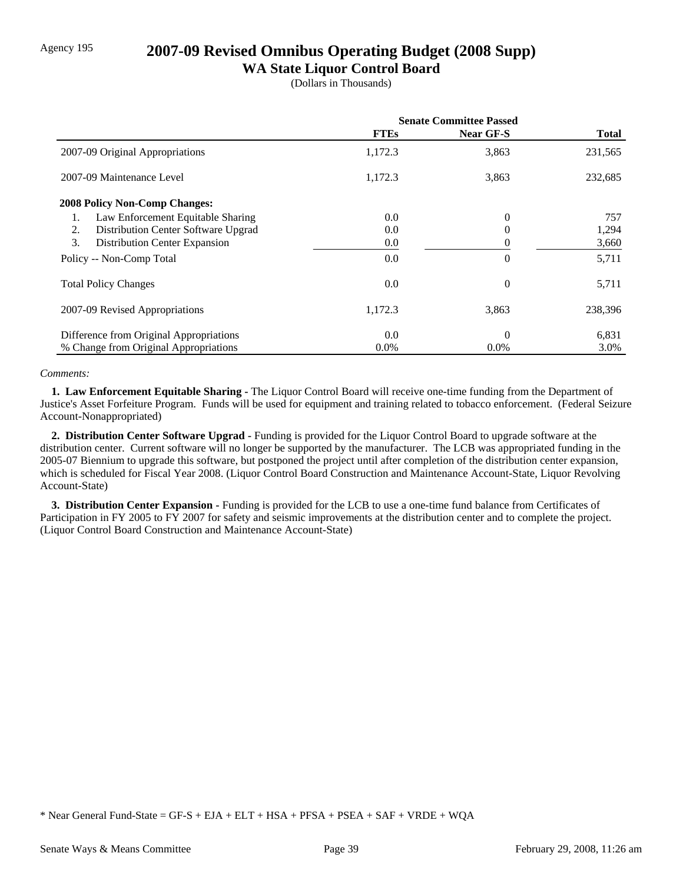# Agency 195 **2007-09 Revised Omnibus Operating Budget (2008 Supp)**

## **WA State Liquor Control Board**

(Dollars in Thousands)

|                                           | <b>Senate Committee Passed</b> |                  |              |
|-------------------------------------------|--------------------------------|------------------|--------------|
|                                           | <b>FTEs</b>                    | <b>Near GF-S</b> | <b>Total</b> |
| 2007-09 Original Appropriations           | 1,172.3                        | 3,863            | 231,565      |
| 2007-09 Maintenance Level                 | 1,172.3                        | 3,863            | 232,685      |
| <b>2008 Policy Non-Comp Changes:</b>      |                                |                  |              |
| Law Enforcement Equitable Sharing<br>1.   | 0.0                            | 0                | 757          |
| Distribution Center Software Upgrad<br>2. | 0.0                            | 0                | 1,294        |
| 3.<br>Distribution Center Expansion       | 0.0                            | 0                | 3,660        |
| Policy -- Non-Comp Total                  | 0.0                            | 0                | 5,711        |
| <b>Total Policy Changes</b>               | 0.0                            | $\overline{0}$   | 5,711        |
| 2007-09 Revised Appropriations            | 1,172.3                        | 3,863            | 238,396      |
| Difference from Original Appropriations   | 0.0                            | 0                | 6,831        |
| % Change from Original Appropriations     | $0.0\%$                        | $0.0\%$          | 3.0%         |

### *Comments:*

 **1. Law Enforcement Equitable Sharing -** The Liquor Control Board will receive one-time funding from the Department of Justice's Asset Forfeiture Program. Funds will be used for equipment and training related to tobacco enforcement. (Federal Seizure Account-Nonappropriated)

 **2. Distribution Center Software Upgrad -** Funding is provided for the Liquor Control Board to upgrade software at the distribution center. Current software will no longer be supported by the manufacturer. The LCB was appropriated funding in the 2005-07 Biennium to upgrade this software, but postponed the project until after completion of the distribution center expansion, which is scheduled for Fiscal Year 2008. (Liquor Control Board Construction and Maintenance Account-State, Liquor Revolving Account-State)

 **3. Distribution Center Expansion -** Funding is provided for the LCB to use a one-time fund balance from Certificates of Participation in FY 2005 to FY 2007 for safety and seismic improvements at the distribution center and to complete the project. (Liquor Control Board Construction and Maintenance Account-State)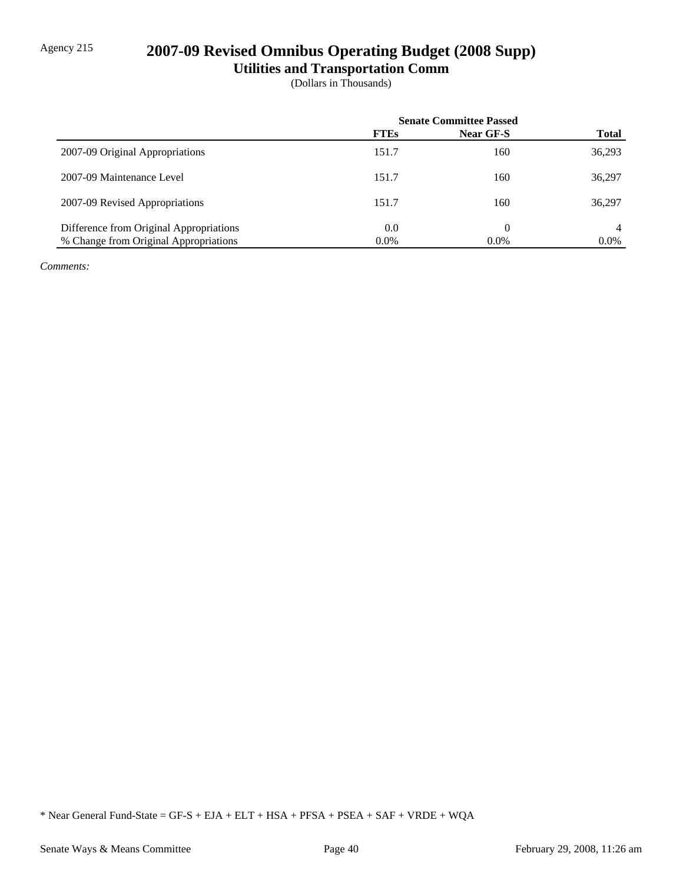# Agency 215 **2007-09 Revised Omnibus Operating Budget (2008 Supp)**

# **Utilities and Transportation Comm**

(Dollars in Thousands)

|                                         | <b>Senate Committee Passed</b> |                  |              |
|-----------------------------------------|--------------------------------|------------------|--------------|
|                                         | <b>FTEs</b>                    | <b>Near GF-S</b> | <b>Total</b> |
| 2007-09 Original Appropriations         | 151.7                          | 160              | 36,293       |
| 2007-09 Maintenance Level               | 151.7                          | 160              | 36,297       |
| 2007-09 Revised Appropriations          | 151.7                          | 160              | 36,297       |
| Difference from Original Appropriations | 0.0                            | 0                | 4            |
| % Change from Original Appropriations   | $0.0\%$                        | $0.0\%$          | $0.0\%$      |

*Comments:*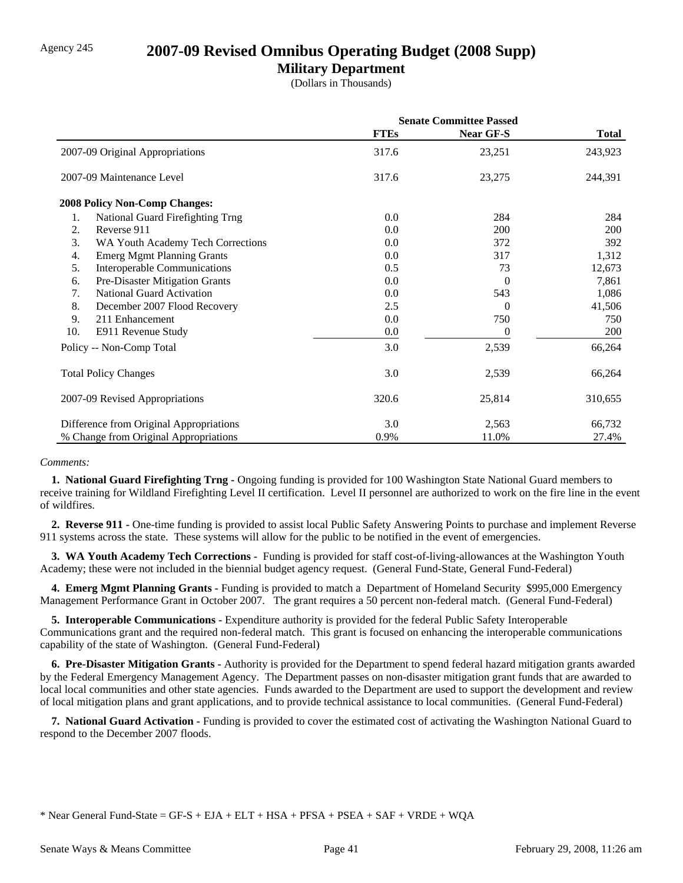## Agency 245 **2007-09 Revised Omnibus Operating Budget (2008 Supp)**

## **Military Department**

(Dollars in Thousands)

|                                           | <b>Senate Committee Passed</b> |                |              |
|-------------------------------------------|--------------------------------|----------------|--------------|
|                                           | <b>FTEs</b>                    | Near GF-S      | <b>Total</b> |
| 2007-09 Original Appropriations           | 317.6                          | 23,251         | 243,923      |
| 2007-09 Maintenance Level                 | 317.6                          | 23,275         | 244,391      |
| 2008 Policy Non-Comp Changes:             |                                |                |              |
| 1.<br>National Guard Firefighting Trng    | 0.0                            | 284            | 284          |
| Reverse 911<br>2.                         | 0.0                            | 200            | 200          |
| 3.<br>WA Youth Academy Tech Corrections   | 0.0                            | 372            | 392          |
| <b>Emerg Mgmt Planning Grants</b><br>4.   | 0.0                            | 317            | 1,312        |
| 5.<br><b>Interoperable Communications</b> | 0.5                            | 73             | 12,673       |
| Pre-Disaster Mitigation Grants<br>6.      | 0.0                            | 0              | 7,861        |
| <b>National Guard Activation</b><br>7.    | 0.0                            | 543            | 1,086        |
| 8.<br>December 2007 Flood Recovery        | 2.5                            | $\Omega$       | 41,506       |
| 9.<br>211 Enhancement                     | 0.0                            | 750            | 750          |
| 10.<br>E911 Revenue Study                 | 0.0                            | $\overline{0}$ | 200          |
| Policy -- Non-Comp Total                  | 3.0                            | 2,539          | 66,264       |
| <b>Total Policy Changes</b>               | 3.0                            | 2,539          | 66,264       |
| 2007-09 Revised Appropriations            | 320.6                          | 25,814         | 310,655      |
| Difference from Original Appropriations   | 3.0                            | 2,563          | 66,732       |
| % Change from Original Appropriations     | 0.9%                           | 11.0%          | 27.4%        |

#### *Comments:*

 **1. National Guard Firefighting Trng -** Ongoing funding is provided for 100 Washington State National Guard members to receive training for Wildland Firefighting Level II certification. Level II personnel are authorized to work on the fire line in the event of wildfires.

 **2. Reverse 911 -** One-time funding is provided to assist local Public Safety Answering Points to purchase and implement Reverse 911 systems across the state. These systems will allow for the public to be notified in the event of emergencies.

 **3. WA Youth Academy Tech Corrections -** Funding is provided for staff cost-of-living-allowances at the Washington Youth Academy; these were not included in the biennial budget agency request. (General Fund-State, General Fund-Federal)

 **4. Emerg Mgmt Planning Grants -** Funding is provided to match a Department of Homeland Security \$995,000 Emergency Management Performance Grant in October 2007. The grant requires a 50 percent non-federal match. (General Fund-Federal)

 **5. Interoperable Communications -** Expenditure authority is provided for the federal Public Safety Interoperable Communications grant and the required non-federal match. This grant is focused on enhancing the interoperable communications capability of the state of Washington. (General Fund-Federal)

 **6. Pre-Disaster Mitigation Grants -** Authority is provided for the Department to spend federal hazard mitigation grants awarded by the Federal Emergency Management Agency. The Department passes on non-disaster mitigation grant funds that are awarded to local local communities and other state agencies. Funds awarded to the Department are used to support the development and review of local mitigation plans and grant applications, and to provide technical assistance to local communities. (General Fund-Federal)

 **7. National Guard Activation -** Funding is provided to cover the estimated cost of activating the Washington National Guard to respond to the December 2007 floods.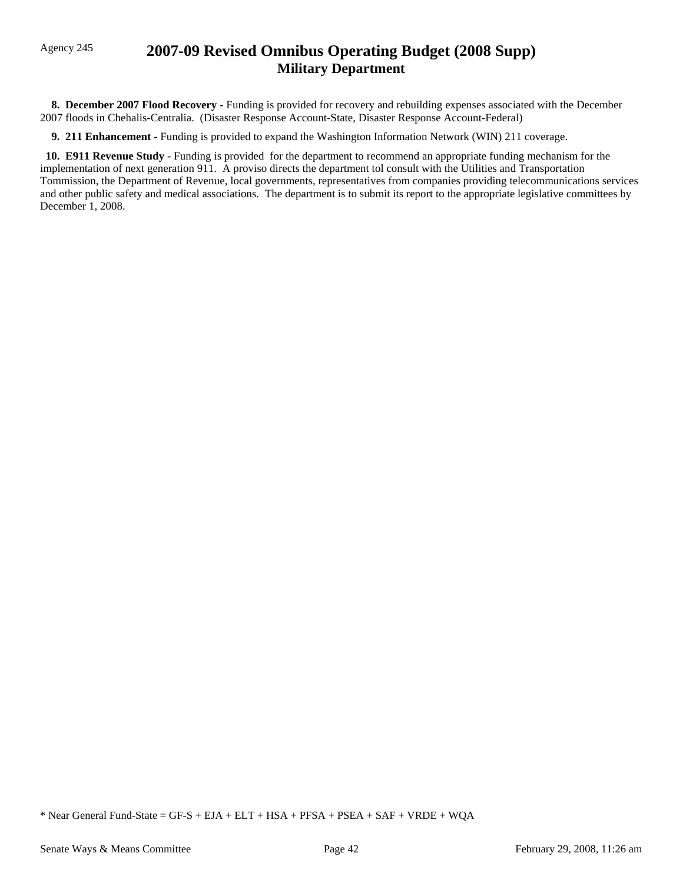# Agency 245 **2007-09 Revised Omnibus Operating Budget (2008 Supp) Military Department**

 **8. December 2007 Flood Recovery -** Funding is provided for recovery and rebuilding expenses associated with the December 2007 floods in Chehalis-Centralia. (Disaster Response Account-State, Disaster Response Account-Federal)

 **9. 211 Enhancement -** Funding is provided to expand the Washington Information Network (WIN) 211 coverage.

 **10. E911 Revenue Study -** Funding is provided for the department to recommend an appropriate funding mechanism for the implementation of next generation 911. A proviso directs the department tol consult with the Utilities and Transportation Tommission, the Department of Revenue, local governments, representatives from companies providing telecommunications services and other public safety and medical associations. The department is to submit its report to the appropriate legislative committees by December 1, 2008.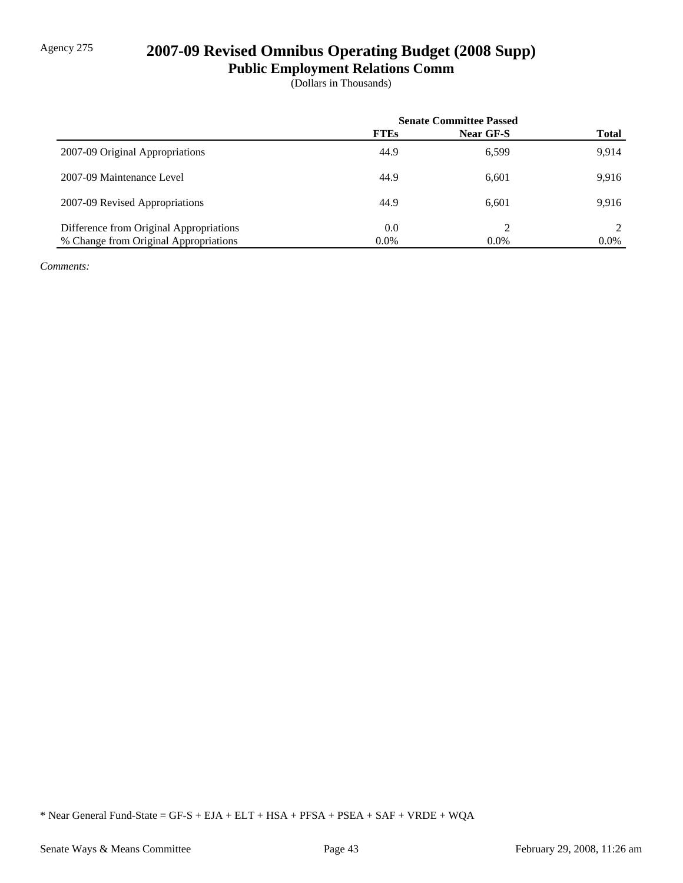# Agency 275 **2007-09 Revised Omnibus Operating Budget (2008 Supp)**

**Public Employment Relations Comm**

(Dollars in Thousands)

|                                         | <b>Senate Committee Passed</b> |                  |              |
|-----------------------------------------|--------------------------------|------------------|--------------|
|                                         | <b>FTEs</b>                    | <b>Near GF-S</b> | <b>Total</b> |
| 2007-09 Original Appropriations         | 44.9                           | 6,599            | 9.914        |
| 2007-09 Maintenance Level               | 44.9                           | 6,601            | 9.916        |
| 2007-09 Revised Appropriations          | 44.9                           | 6.601            | 9.916        |
| Difference from Original Appropriations | 0.0                            | ↑                |              |
| % Change from Original Appropriations   | $0.0\%$                        | $0.0\%$          | $0.0\%$      |

*Comments:*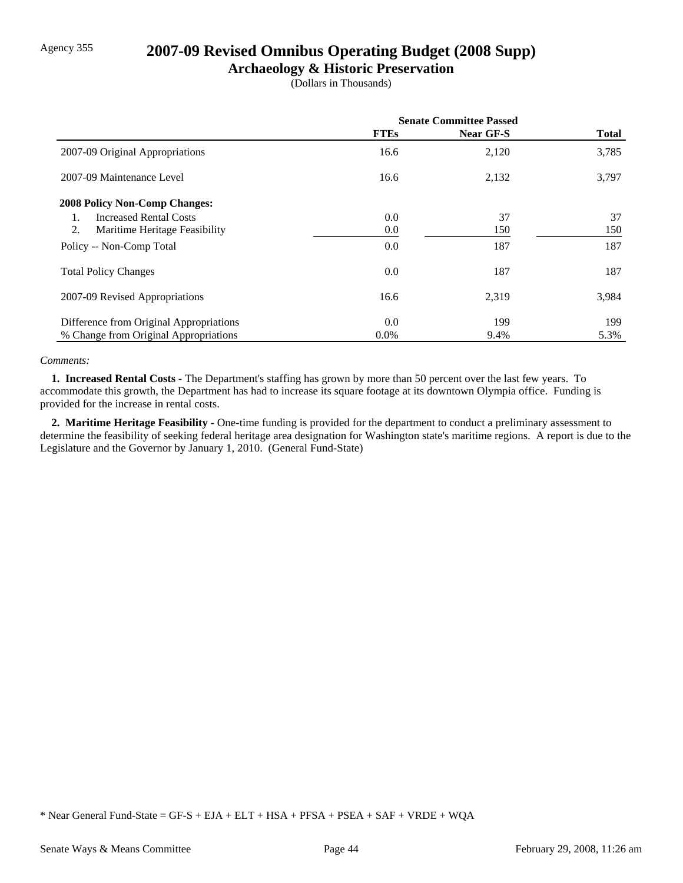## Agency 355 **2007-09 Revised Omnibus Operating Budget (2008 Supp)**

## **Archaeology & Historic Preservation**

(Dollars in Thousands)

|                                         | <b>Senate Committee Passed</b> |           |              |
|-----------------------------------------|--------------------------------|-----------|--------------|
|                                         | <b>FTEs</b>                    | Near GF-S | <b>Total</b> |
| 2007-09 Original Appropriations         | 16.6                           | 2,120     | 3,785        |
| 2007-09 Maintenance Level               | 16.6                           | 2,132     | 3,797        |
| <b>2008 Policy Non-Comp Changes:</b>    |                                |           |              |
| <b>Increased Rental Costs</b>           | $0.0\,$                        | 37        | 37           |
| 2.<br>Maritime Heritage Feasibility     | $0.0\,$                        | 150       | 150          |
| Policy -- Non-Comp Total                | $0.0\,$                        | 187       | 187          |
| <b>Total Policy Changes</b>             | $0.0\,$                        | 187       | 187          |
| 2007-09 Revised Appropriations          | 16.6                           | 2,319     | 3,984        |
| Difference from Original Appropriations | 0.0                            | 199       | 199          |
| % Change from Original Appropriations   | $0.0\%$                        | 9.4%      | 5.3%         |

#### *Comments:*

 **1. Increased Rental Costs -** The Department's staffing has grown by more than 50 percent over the last few years. To accommodate this growth, the Department has had to increase its square footage at its downtown Olympia office. Funding is provided for the increase in rental costs.

 **2. Maritime Heritage Feasibility -** One-time funding is provided for the department to conduct a preliminary assessment to determine the feasibility of seeking federal heritage area designation for Washington state's maritime regions. A report is due to the Legislature and the Governor by January 1, 2010. (General Fund-State)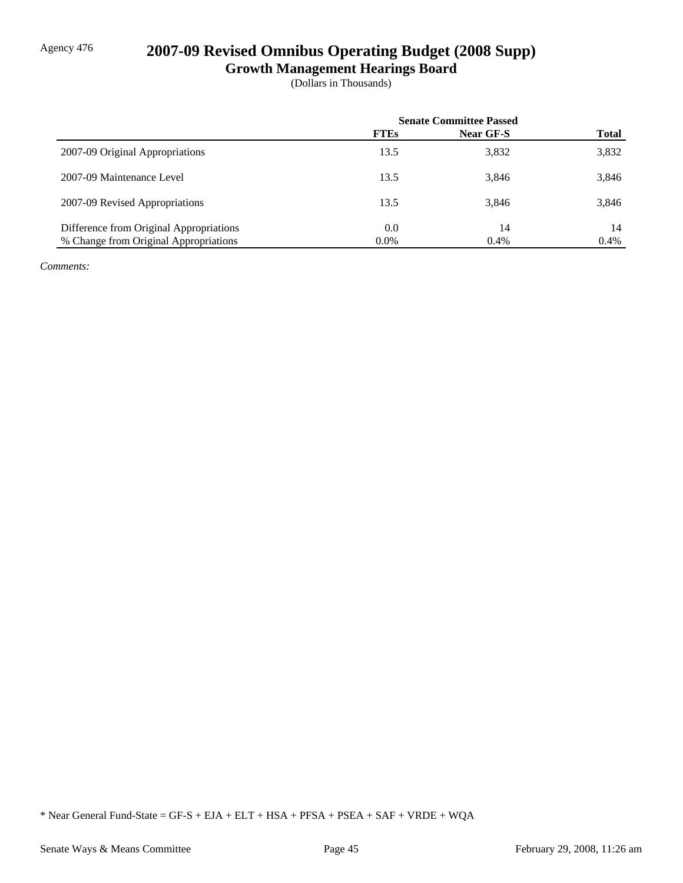# Agency 476 **2007-09 Revised Omnibus Operating Budget (2008 Supp)**

**Growth Management Hearings Board**

(Dollars in Thousands)

|                                         | <b>Senate Committee Passed</b> |           |              |
|-----------------------------------------|--------------------------------|-----------|--------------|
|                                         | <b>FTEs</b>                    | Near GF-S | <b>Total</b> |
| 2007-09 Original Appropriations         | 13.5                           | 3,832     | 3,832        |
| 2007-09 Maintenance Level               | 13.5                           | 3,846     | 3,846        |
| 2007-09 Revised Appropriations          | 13.5                           | 3,846     | 3,846        |
| Difference from Original Appropriations | 0.0                            | 14        | 14           |
| % Change from Original Appropriations   | $0.0\%$                        | 0.4%      | 0.4%         |

*Comments:*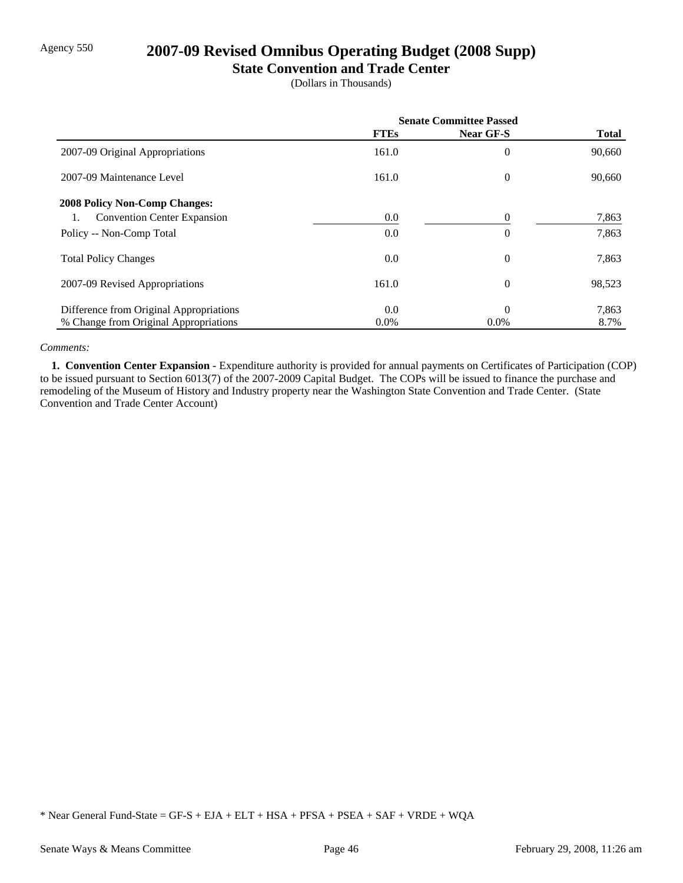# Agency 550 **2007-09 Revised Omnibus Operating Budget (2008 Supp)**

### **State Convention and Trade Center**

(Dollars in Thousands)

|                                          | <b>Senate Committee Passed</b> |                  |              |
|------------------------------------------|--------------------------------|------------------|--------------|
|                                          | <b>FTEs</b>                    | Near GF-S        | <b>Total</b> |
| 2007-09 Original Appropriations          | 161.0                          | $\boldsymbol{0}$ | 90,660       |
| 2007-09 Maintenance Level                | 161.0                          | $\overline{0}$   | 90,660       |
| <b>2008 Policy Non-Comp Changes:</b>     |                                |                  |              |
| <b>Convention Center Expansion</b><br>1. | 0.0                            | 0                | 7,863        |
| Policy -- Non-Comp Total                 | 0.0                            | $\overline{0}$   | 7,863        |
| <b>Total Policy Changes</b>              | 0.0                            | $\overline{0}$   | 7,863        |
| 2007-09 Revised Appropriations           | 161.0                          | $\overline{0}$   | 98,523       |
| Difference from Original Appropriations  | 0.0                            | $\theta$         | 7,863        |
| % Change from Original Appropriations    | $0.0\%$                        | $0.0\%$          | 8.7%         |

### *Comments:*

 **1. Convention Center Expansion -** Expenditure authority is provided for annual payments on Certificates of Participation (COP) to be issued pursuant to Section 6013(7) of the 2007-2009 Capital Budget. The COPs will be issued to finance the purchase and remodeling of the Museum of History and Industry property near the Washington State Convention and Trade Center. (State Convention and Trade Center Account)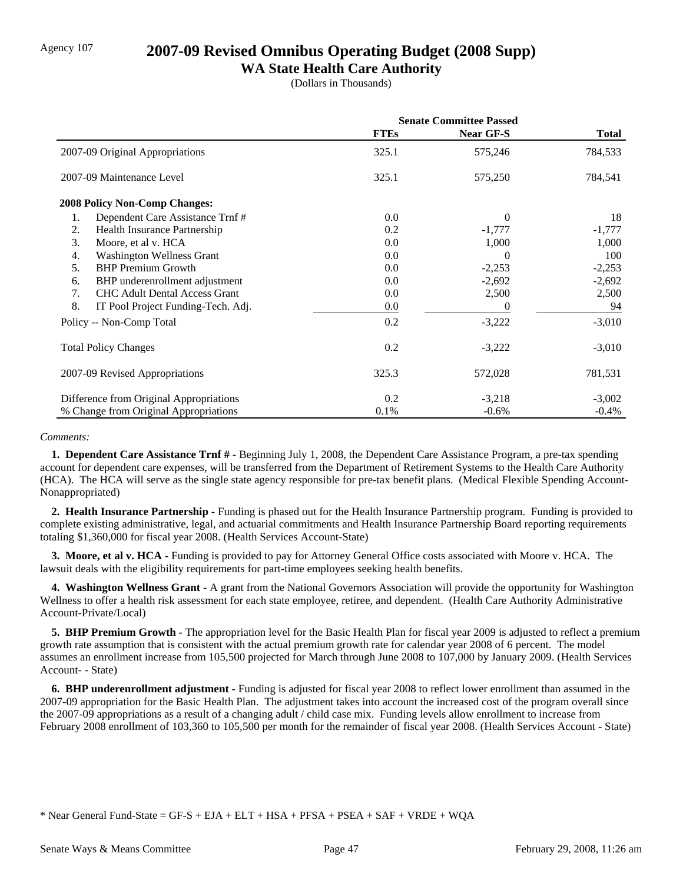## Agency 107 **2007-09 Revised Omnibus Operating Budget (2008 Supp)**

## **WA State Health Care Authority**

(Dollars in Thousands)

|                                            | <b>Senate Committee Passed</b> |                  |              |
|--------------------------------------------|--------------------------------|------------------|--------------|
|                                            | <b>FTEs</b>                    | <b>Near GF-S</b> | <b>Total</b> |
| 2007-09 Original Appropriations            | 325.1                          | 575,246          | 784,533      |
| 2007-09 Maintenance Level                  | 325.1                          | 575,250          | 784,541      |
| <b>2008 Policy Non-Comp Changes:</b>       |                                |                  |              |
| Dependent Care Assistance Trnf#<br>1.      | 0.0                            | $\Omega$         | 18           |
| 2.<br>Health Insurance Partnership         | 0.2                            | $-1,777$         | $-1,777$     |
| 3.<br>Moore, et al v. HCA                  | 0.0                            | 1,000            | 1,000        |
| Washington Wellness Grant<br>4.            | 0.0                            | 0                | 100          |
| 5.<br><b>BHP</b> Premium Growth            | 0.0                            | $-2,253$         | $-2,253$     |
| BHP underenrollment adjustment<br>6.       | 0.0                            | $-2,692$         | $-2,692$     |
| <b>CHC Adult Dental Access Grant</b><br>7. | 0.0                            | 2,500            | 2,500        |
| 8.<br>IT Pool Project Funding-Tech. Adj.   | 0.0                            | 0                | 94           |
| Policy -- Non-Comp Total                   | 0.2                            | $-3,222$         | $-3,010$     |
| <b>Total Policy Changes</b>                | 0.2                            | $-3,222$         | $-3,010$     |
| 2007-09 Revised Appropriations             | 325.3                          | 572,028          | 781,531      |
| Difference from Original Appropriations    | 0.2                            | $-3,218$         | $-3,002$     |
| % Change from Original Appropriations      | 0.1%                           | $-0.6%$          | $-0.4%$      |

### *Comments:*

 **1. Dependent Care Assistance Trnf # -** Beginning July 1, 2008, the Dependent Care Assistance Program, a pre-tax spending account for dependent care expenses, will be transferred from the Department of Retirement Systems to the Health Care Authority (HCA). The HCA will serve as the single state agency responsible for pre-tax benefit plans. (Medical Flexible Spending Account-Nonappropriated)

 **2. Health Insurance Partnership -** Funding is phased out for the Health Insurance Partnership program. Funding is provided to complete existing administrative, legal, and actuarial commitments and Health Insurance Partnership Board reporting requirements totaling \$1,360,000 for fiscal year 2008. (Health Services Account-State)

 **3. Moore, et al v. HCA -** Funding is provided to pay for Attorney General Office costs associated with Moore v. HCA. The lawsuit deals with the eligibility requirements for part-time employees seeking health benefits.

 **4. Washington Wellness Grant -** A grant from the National Governors Association will provide the opportunity for Washington Wellness to offer a health risk assessment for each state employee, retiree, and dependent. (Health Care Authority Administrative Account-Private/Local)

**5. BHP Premium Growth -** The appropriation level for the Basic Health Plan for fiscal year 2009 is adjusted to reflect a premium growth rate assumption that is consistent with the actual premium growth rate for calendar year 2008 of 6 percent. The model assumes an enrollment increase from 105,500 projected for March through June 2008 to 107,000 by January 2009. (Health Services Account- - State)

 **6. BHP underenrollment adjustment -** Funding is adjusted for fiscal year 2008 to reflect lower enrollment than assumed in the 2007-09 appropriation for the Basic Health Plan. The adjustment takes into account the increased cost of the program overall since the 2007-09 appropriations as a result of a changing adult / child case mix. Funding levels allow enrollment to increase from February 2008 enrollment of 103,360 to 105,500 per month for the remainder of fiscal year 2008. (Health Services Account - State)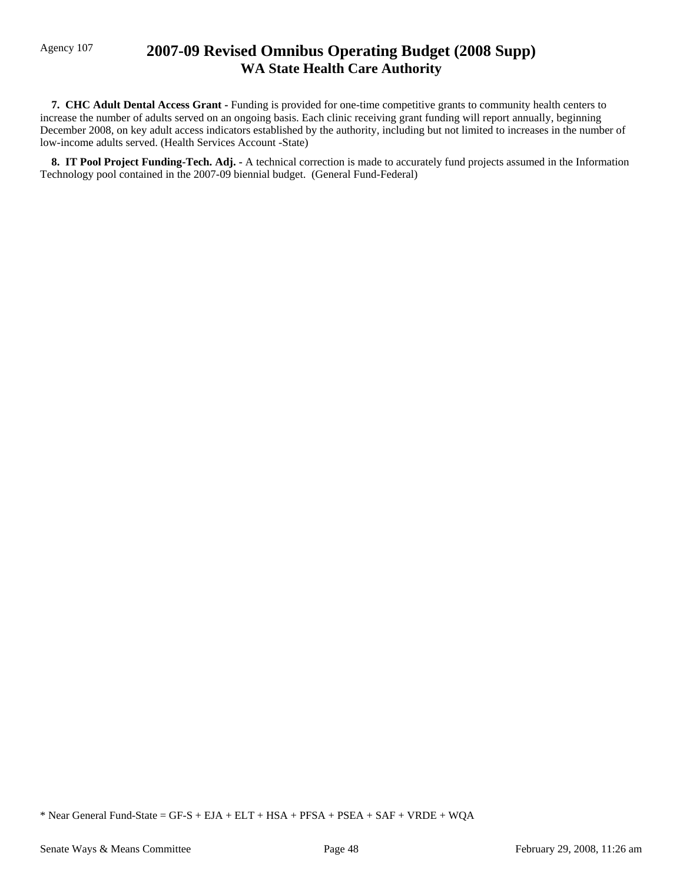# Agency 107 **2007-09 Revised Omnibus Operating Budget (2008 Supp) WA State Health Care Authority**

 **7. CHC Adult Dental Access Grant -** Funding is provided for one-time competitive grants to community health centers to increase the number of adults served on an ongoing basis. Each clinic receiving grant funding will report annually, beginning December 2008, on key adult access indicators established by the authority, including but not limited to increases in the number of low-income adults served. (Health Services Account -State)

 **8. IT Pool Project Funding-Tech. Adj. -** A technical correction is made to accurately fund projects assumed in the Information Technology pool contained in the 2007-09 biennial budget. (General Fund-Federal)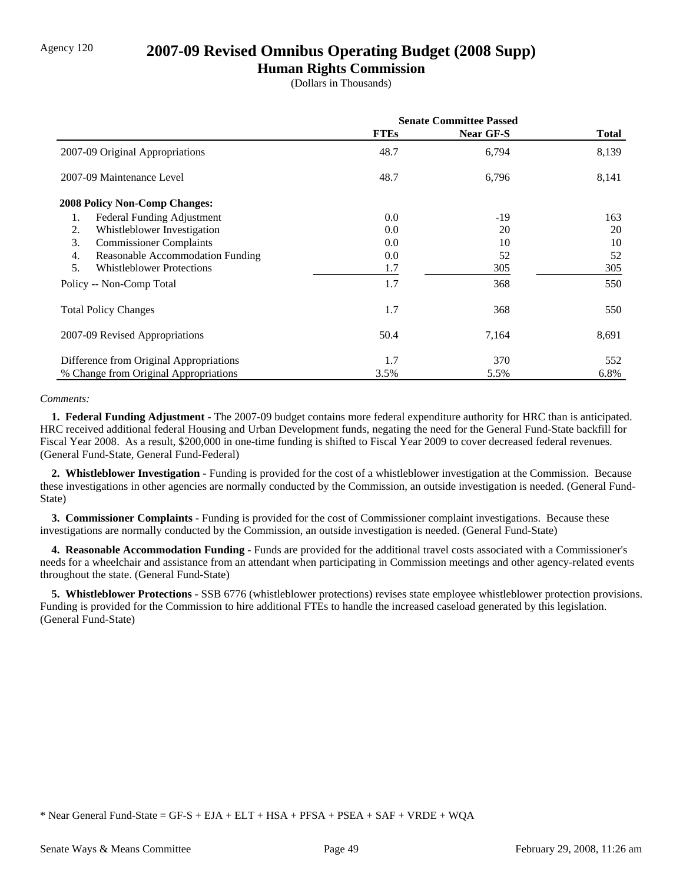## Agency 120 **2007-09 Revised Omnibus Operating Budget (2008 Supp)**

## **Human Rights Commission**

(Dollars in Thousands)

|                                         | <b>Senate Committee Passed</b> |                  |              |
|-----------------------------------------|--------------------------------|------------------|--------------|
|                                         | <b>FTEs</b>                    | <b>Near GF-S</b> | <b>Total</b> |
| 2007-09 Original Appropriations         | 48.7                           | 6,794            | 8,139        |
| 2007-09 Maintenance Level               | 48.7                           | 6,796            | 8,141        |
| <b>2008 Policy Non-Comp Changes:</b>    |                                |                  |              |
| 1.<br>Federal Funding Adjustment        | 0.0                            | -19              | 163          |
| Whistleblower Investigation<br>2.       | 0.0                            | 20               | 20           |
| 3.<br><b>Commissioner Complaints</b>    | 0.0                            | 10               | 10           |
| Reasonable Accommodation Funding<br>4.  | 0.0                            | 52               | 52           |
| 5.<br><b>Whistleblower Protections</b>  | 1.7                            | 305              | 305          |
| Policy -- Non-Comp Total                | 1.7                            | 368              | 550          |
| <b>Total Policy Changes</b>             | 1.7                            | 368              | 550          |
| 2007-09 Revised Appropriations          | 50.4                           | 7,164            | 8,691        |
| Difference from Original Appropriations | 1.7                            | 370              | 552          |
| % Change from Original Appropriations   | 3.5%                           | 5.5%             | 6.8%         |

### *Comments:*

 **1. Federal Funding Adjustment -** The 2007-09 budget contains more federal expenditure authority for HRC than is anticipated. HRC received additional federal Housing and Urban Development funds, negating the need for the General Fund-State backfill for Fiscal Year 2008. As a result, \$200,000 in one-time funding is shifted to Fiscal Year 2009 to cover decreased federal revenues. (General Fund-State, General Fund-Federal)

 **2. Whistleblower Investigation -** Funding is provided for the cost of a whistleblower investigation at the Commission. Because these investigations in other agencies are normally conducted by the Commission, an outside investigation is needed. (General Fund-State)

 **3. Commissioner Complaints -** Funding is provided for the cost of Commissioner complaint investigations. Because these investigations are normally conducted by the Commission, an outside investigation is needed. (General Fund-State)

 **4. Reasonable Accommodation Funding -** Funds are provided for the additional travel costs associated with a Commissioner's needs for a wheelchair and assistance from an attendant when participating in Commission meetings and other agency-related events throughout the state. (General Fund-State)

 **5. Whistleblower Protections -** SSB 6776 (whistleblower protections) revises state employee whistleblower protection provisions. Funding is provided for the Commission to hire additional FTEs to handle the increased caseload generated by this legislation. (General Fund-State)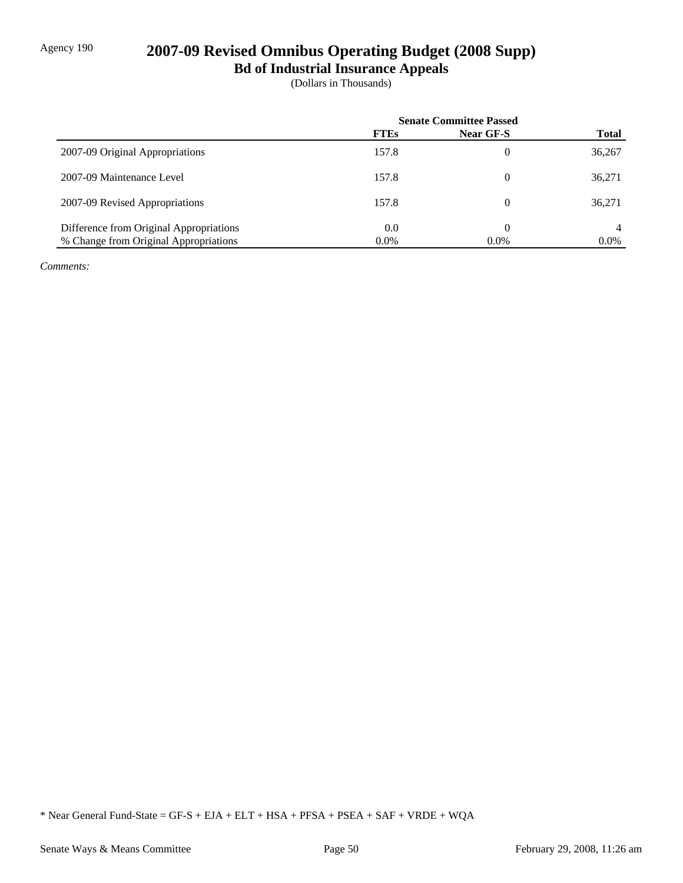# Agency 190 **2007-09 Revised Omnibus Operating Budget (2008 Supp)**

**Bd of Industrial Insurance Appeals**

(Dollars in Thousands)

|                                         | <b>Senate Committee Passed</b> |           |              |
|-----------------------------------------|--------------------------------|-----------|--------------|
|                                         | <b>FTEs</b>                    | Near GF-S | <b>Total</b> |
| 2007-09 Original Appropriations         | 157.8                          | 0         | 36,267       |
| 2007-09 Maintenance Level               | 157.8                          | 0         | 36,271       |
| 2007-09 Revised Appropriations          | 157.8                          | 0         | 36,271       |
| Difference from Original Appropriations | 0.0                            | 0         |              |
| % Change from Original Appropriations   | $0.0\%$                        | $0.0\%$   | $0.0\%$      |

*Comments:*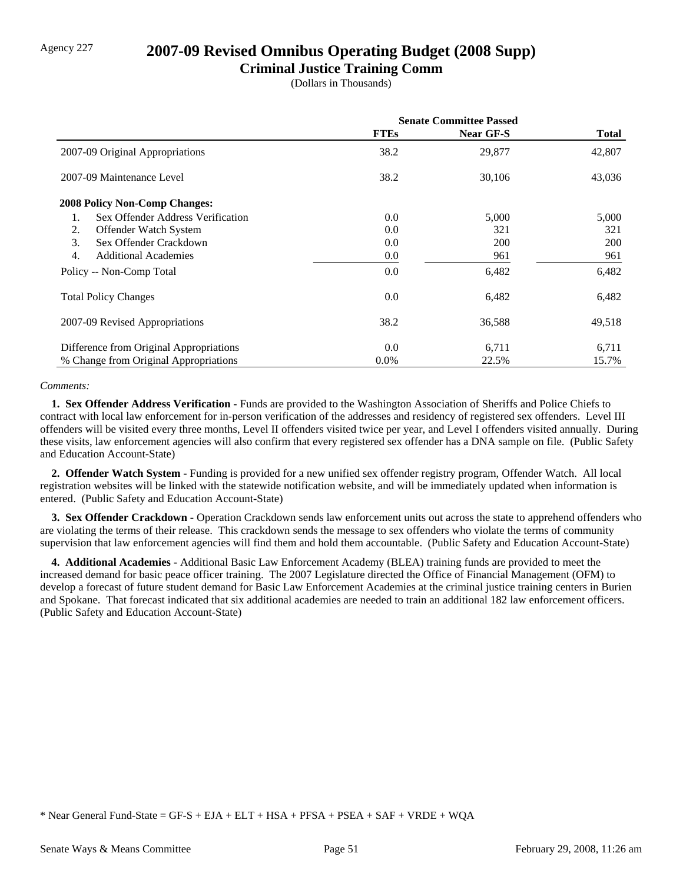## Agency 227 **2007-09 Revised Omnibus Operating Budget (2008 Supp)**

### **Criminal Justice Training Comm**

(Dollars in Thousands)

|                                         | <b>Senate Committee Passed</b> |            |              |
|-----------------------------------------|--------------------------------|------------|--------------|
|                                         | <b>FTEs</b>                    | Near GF-S  | <b>Total</b> |
| 2007-09 Original Appropriations         | 38.2                           | 29,877     | 42,807       |
| 2007-09 Maintenance Level               | 38.2                           | 30,106     | 43,036       |
| <b>2008 Policy Non-Comp Changes:</b>    |                                |            |              |
| Sex Offender Address Verification<br>1. | 0.0                            | 5,000      | 5,000        |
| 2.<br>Offender Watch System             | 0.0                            | 321        | 321          |
| Sex Offender Crackdown<br>3.            | 0.0                            | <b>200</b> | <b>200</b>   |
| 4.<br><b>Additional Academies</b>       | 0.0                            | 961        | 961          |
| Policy -- Non-Comp Total                | 0.0                            | 6,482      | 6,482        |
| <b>Total Policy Changes</b>             | 0.0                            | 6,482      | 6,482        |
| 2007-09 Revised Appropriations          | 38.2                           | 36,588     | 49,518       |
| Difference from Original Appropriations | 0.0                            | 6,711      | 6,711        |
| % Change from Original Appropriations   | $0.0\%$                        | 22.5%      | 15.7%        |

### *Comments:*

 **1. Sex Offender Address Verification -** Funds are provided to the Washington Association of Sheriffs and Police Chiefs to contract with local law enforcement for in-person verification of the addresses and residency of registered sex offenders. Level III offenders will be visited every three months, Level II offenders visited twice per year, and Level I offenders visited annually. During these visits, law enforcement agencies will also confirm that every registered sex offender has a DNA sample on file. (Public Safety and Education Account-State)

 **2. Offender Watch System -** Funding is provided for a new unified sex offender registry program, Offender Watch. All local registration websites will be linked with the statewide notification website, and will be immediately updated when information is entered. (Public Safety and Education Account-State)

**3. Sex Offender Crackdown -** Operation Crackdown sends law enforcement units out across the state to apprehend offenders who are violating the terms of their release. This crackdown sends the message to sex offenders who violate the terms of community supervision that law enforcement agencies will find them and hold them accountable. (Public Safety and Education Account-State)

 **4. Additional Academies -** Additional Basic Law Enforcement Academy (BLEA) training funds are provided to meet the increased demand for basic peace officer training. The 2007 Legislature directed the Office of Financial Management (OFM) to develop a forecast of future student demand for Basic Law Enforcement Academies at the criminal justice training centers in Burien and Spokane. That forecast indicated that six additional academies are needed to train an additional 182 law enforcement officers. (Public Safety and Education Account-State)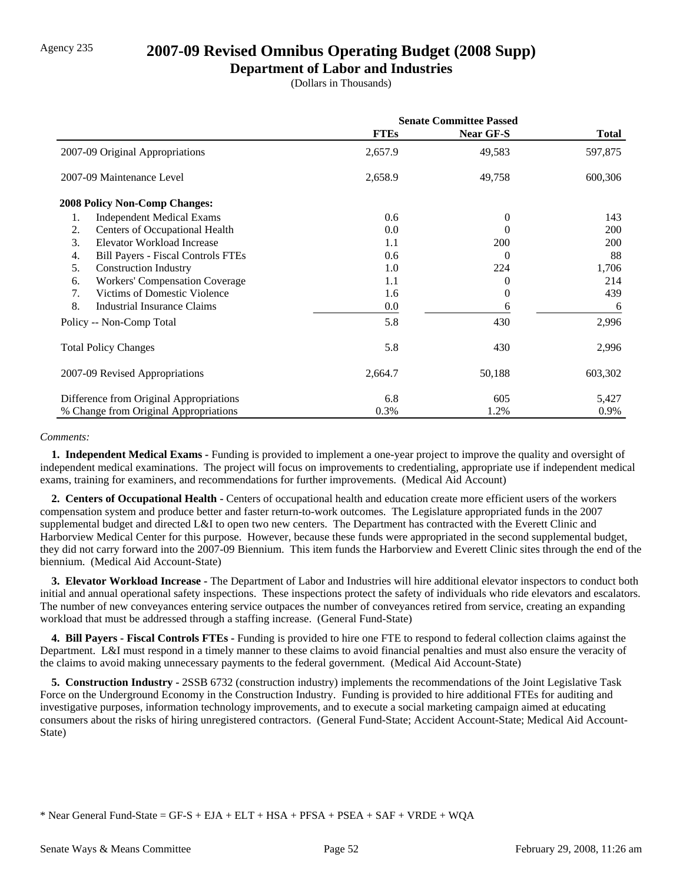## Agency 235 **2007-09 Revised Omnibus Operating Budget (2008 Supp)**

### **Department of Labor and Industries**

(Dollars in Thousands)

|                                                 | <b>Senate Committee Passed</b> |                  |              |  |
|-------------------------------------------------|--------------------------------|------------------|--------------|--|
|                                                 | <b>FTEs</b>                    | <b>Near GF-S</b> | <b>Total</b> |  |
| 2007-09 Original Appropriations                 | 2,657.9                        | 49,583           | 597,875      |  |
| 2007-09 Maintenance Level                       | 2,658.9                        | 49,758           | 600,306      |  |
| <b>2008 Policy Non-Comp Changes:</b>            |                                |                  |              |  |
| <b>Independent Medical Exams</b><br>1.          | 0.6                            | $\theta$         | 143          |  |
| 2.<br>Centers of Occupational Health            | 0.0                            | 0                | 200          |  |
| Elevator Workload Increase<br>3.                | 1.1                            | 200              | 200          |  |
| <b>Bill Payers - Fiscal Controls FTEs</b><br>4. | 0.6                            | $\Omega$         | 88           |  |
| 5.<br><b>Construction Industry</b>              | 1.0                            | 224              | 1,706        |  |
| <b>Workers' Compensation Coverage</b><br>6.     | 1.1                            | 0                | 214          |  |
| Victims of Domestic Violence<br>7.              | 1.6                            | $\Omega$         | 439          |  |
| 8.<br>Industrial Insurance Claims               | 0.0                            | 6                | 6            |  |
| Policy -- Non-Comp Total                        | 5.8                            | 430              | 2,996        |  |
| <b>Total Policy Changes</b>                     | 5.8                            | 430              | 2,996        |  |
| 2007-09 Revised Appropriations                  | 2,664.7                        | 50,188           | 603,302      |  |
| Difference from Original Appropriations         | 6.8                            | 605              | 5,427        |  |
| % Change from Original Appropriations           | 0.3%                           | 1.2%             | 0.9%         |  |

#### *Comments:*

 **1. Independent Medical Exams -** Funding is provided to implement a one-year project to improve the quality and oversight of independent medical examinations. The project will focus on improvements to credentialing, appropriate use if independent medical exams, training for examiners, and recommendations for further improvements. (Medical Aid Account)

 **2. Centers of Occupational Health -** Centers of occupational health and education create more efficient users of the workers compensation system and produce better and faster return-to-work outcomes. The Legislature appropriated funds in the 2007 supplemental budget and directed L&I to open two new centers. The Department has contracted with the Everett Clinic and Harborview Medical Center for this purpose. However, because these funds were appropriated in the second supplemental budget, they did not carry forward into the 2007-09 Biennium. This item funds the Harborview and Everett Clinic sites through the end of the biennium. (Medical Aid Account-State)

 **3. Elevator Workload Increase -** The Department of Labor and Industries will hire additional elevator inspectors to conduct both initial and annual operational safety inspections. These inspections protect the safety of individuals who ride elevators and escalators. The number of new conveyances entering service outpaces the number of conveyances retired from service, creating an expanding workload that must be addressed through a staffing increase. (General Fund-State)

 **4. Bill Payers - Fiscal Controls FTEs -** Funding is provided to hire one FTE to respond to federal collection claims against the Department. L&I must respond in a timely manner to these claims to avoid financial penalties and must also ensure the veracity of the claims to avoid making unnecessary payments to the federal government. (Medical Aid Account-State)

 **5. Construction Industry -** 2SSB 6732 (construction industry) implements the recommendations of the Joint Legislative Task Force on the Underground Economy in the Construction Industry. Funding is provided to hire additional FTEs for auditing and investigative purposes, information technology improvements, and to execute a social marketing campaign aimed at educating consumers about the risks of hiring unregistered contractors. (General Fund-State; Accident Account-State; Medical Aid Account-State)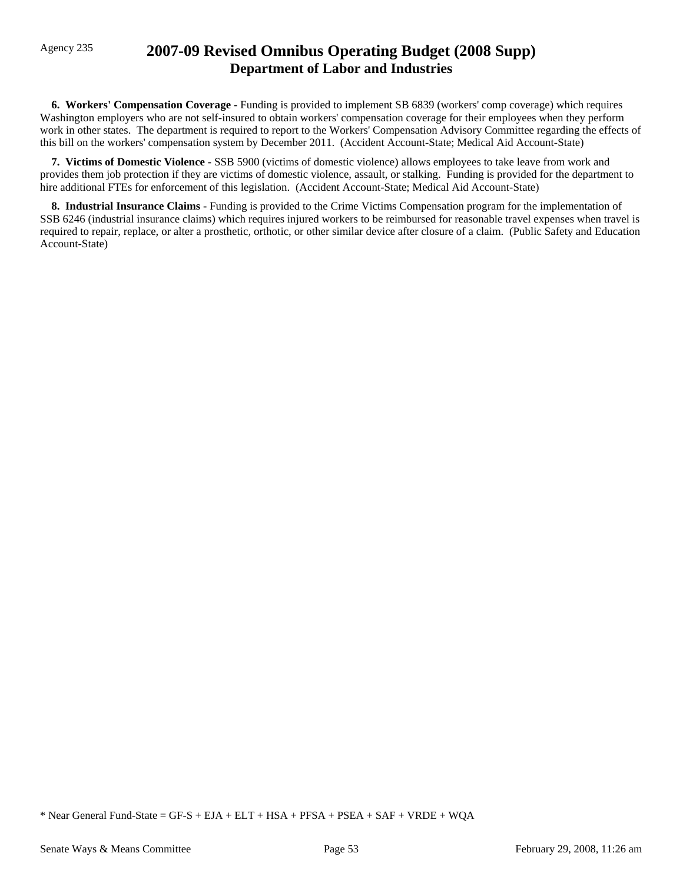## Agency 235 **2007-09 Revised Omnibus Operating Budget (2008 Supp) Department of Labor and Industries**

 **6. Workers' Compensation Coverage -** Funding is provided to implement SB 6839 (workers' comp coverage) which requires Washington employers who are not self-insured to obtain workers' compensation coverage for their employees when they perform work in other states. The department is required to report to the Workers' Compensation Advisory Committee regarding the effects of this bill on the workers' compensation system by December 2011. (Accident Account-State; Medical Aid Account-State)

 **7. Victims of Domestic Violence -** SSB 5900 (victims of domestic violence) allows employees to take leave from work and provides them job protection if they are victims of domestic violence, assault, or stalking. Funding is provided for the department to hire additional FTEs for enforcement of this legislation. (Accident Account-State; Medical Aid Account-State)

 **8. Industrial Insurance Claims -** Funding is provided to the Crime Victims Compensation program for the implementation of SSB 6246 (industrial insurance claims) which requires injured workers to be reimbursed for reasonable travel expenses when travel is required to repair, replace, or alter a prosthetic, orthotic, or other similar device after closure of a claim. (Public Safety and Education Account-State)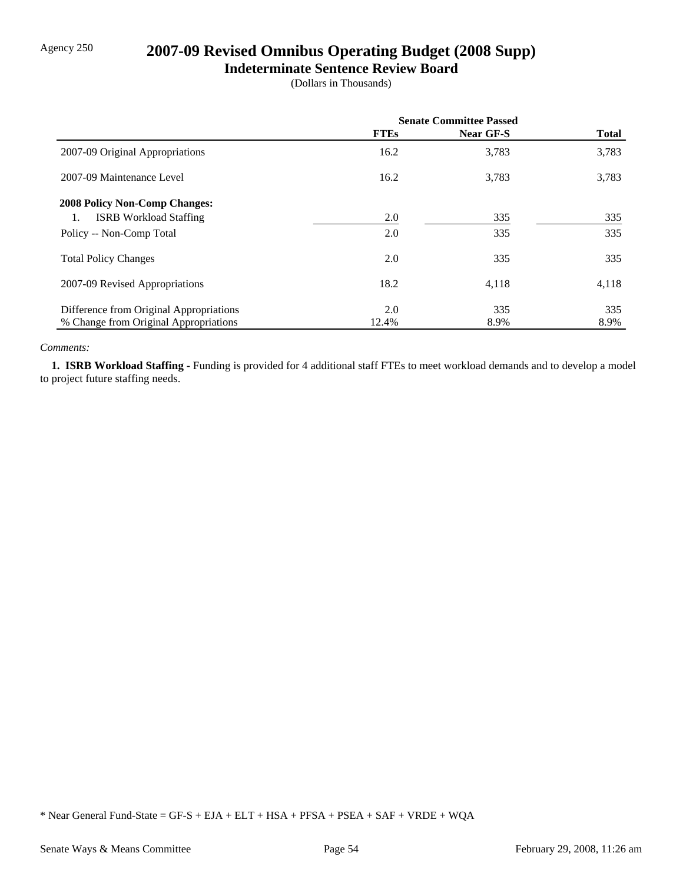# Agency 250 **2007-09 Revised Omnibus Operating Budget (2008 Supp)**

### **Indeterminate Sentence Review Board**

(Dollars in Thousands)

|                                         | <b>Senate Committee Passed</b> |           |              |
|-----------------------------------------|--------------------------------|-----------|--------------|
|                                         | <b>FTEs</b>                    | Near GF-S | <b>Total</b> |
| 2007-09 Original Appropriations         | 16.2                           | 3,783     | 3,783        |
| 2007-09 Maintenance Level               | 16.2                           | 3,783     | 3,783        |
| <b>2008 Policy Non-Comp Changes:</b>    |                                |           |              |
| <b>ISRB</b> Workload Staffing           | 2.0                            | 335       | 335          |
| Policy -- Non-Comp Total                | 2.0                            | 335       | 335          |
| <b>Total Policy Changes</b>             | 2.0                            | 335       | 335          |
| 2007-09 Revised Appropriations          | 18.2                           | 4,118     | 4,118        |
| Difference from Original Appropriations | 2.0                            | 335       | 335          |
| % Change from Original Appropriations   | 12.4%                          | 8.9%      | 8.9%         |

#### *Comments:*

 **1. ISRB Workload Staffing -** Funding is provided for 4 additional staff FTEs to meet workload demands and to develop a model to project future staffing needs.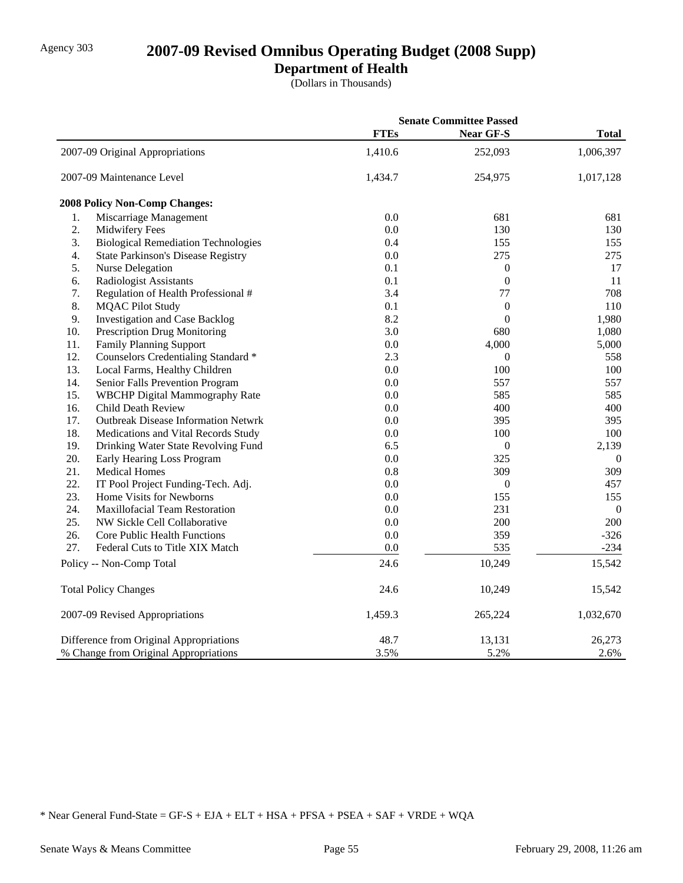# Agency 303 **2007-09 Revised Omnibus Operating Budget (2008 Supp)**

**Department of Health**

(Dollars in Thousands)

|                                       |                                            | <b>Senate Committee Passed</b> |                  |              |
|---------------------------------------|--------------------------------------------|--------------------------------|------------------|--------------|
|                                       |                                            | <b>FTEs</b>                    | <b>Near GF-S</b> | <b>Total</b> |
|                                       | 2007-09 Original Appropriations            | 1,410.6                        | 252,093          | 1,006,397    |
|                                       | 2007-09 Maintenance Level                  | 1,434.7                        | 254,975          | 1,017,128    |
|                                       | 2008 Policy Non-Comp Changes:              |                                |                  |              |
| 1.                                    | Miscarriage Management                     | 0.0                            | 681              | 681          |
| 2.                                    | Midwifery Fees                             | 0.0                            | 130              | 130          |
| 3.                                    | <b>Biological Remediation Technologies</b> | 0.4                            | 155              | 155          |
| 4.                                    | <b>State Parkinson's Disease Registry</b>  | 0.0                            | 275              | 275          |
| 5.                                    | Nurse Delegation                           | 0.1                            | $\boldsymbol{0}$ | 17           |
| 6.                                    | Radiologist Assistants                     | 0.1                            | $\boldsymbol{0}$ | 11           |
| 7.                                    | Regulation of Health Professional #        | 3.4                            | 77               | 708          |
| 8.                                    | <b>MQAC Pilot Study</b>                    | 0.1                            | $\overline{0}$   | 110          |
| 9.                                    | <b>Investigation and Case Backlog</b>      | 8.2                            | $\boldsymbol{0}$ | 1,980        |
| 10.                                   | Prescription Drug Monitoring               | 3.0                            | 680              | 1,080        |
| 11.                                   | <b>Family Planning Support</b>             | 0.0                            | 4,000            | 5,000        |
| 12.                                   | Counselors Credentialing Standard *        | 2.3                            | $\overline{0}$   | 558          |
| 13.                                   | Local Farms, Healthy Children              | 0.0                            | 100              | 100          |
| 14.                                   | Senior Falls Prevention Program            | 0.0                            | 557              | 557          |
| 15.                                   | <b>WBCHP</b> Digital Mammography Rate      | 0.0                            | 585              | 585          |
| 16.                                   | Child Death Review                         | 0.0                            | 400              | 400          |
| 17.                                   | <b>Outbreak Disease Information Netwrk</b> | 0.0                            | 395              | 395          |
| 18.                                   | Medications and Vital Records Study        | 0.0                            | 100              | 100          |
| 19.                                   | Drinking Water State Revolving Fund        | 6.5                            | $\boldsymbol{0}$ | 2,139        |
| 20.                                   | Early Hearing Loss Program                 | 0.0                            | 325              | $\theta$     |
| 21.                                   | <b>Medical Homes</b>                       | 0.8                            | 309              | 309          |
| 22.                                   | IT Pool Project Funding-Tech. Adj.         | 0.0                            | $\boldsymbol{0}$ | 457          |
| 23.                                   | Home Visits for Newborns                   | 0.0                            | 155              | 155          |
| 24.                                   | <b>Maxillofacial Team Restoration</b>      | 0.0                            | 231              | $\mathbf{0}$ |
| 25.                                   | NW Sickle Cell Collaborative               | 0.0                            | 200              | 200          |
| 26.                                   | Core Public Health Functions               | 0.0                            | 359              | $-326$       |
| 27.                                   | Federal Cuts to Title XIX Match            | 0.0                            | 535              | $-234$       |
|                                       | Policy -- Non-Comp Total                   | 24.6                           | 10,249           | 15,542       |
|                                       | <b>Total Policy Changes</b>                | 24.6                           | 10,249           | 15,542       |
|                                       | 2007-09 Revised Appropriations             | 1,459.3                        | 265,224          | 1,032,670    |
|                                       | Difference from Original Appropriations    | 48.7                           | 13,131           | 26,273       |
| % Change from Original Appropriations |                                            | 3.5%                           | 5.2%             | 2.6%         |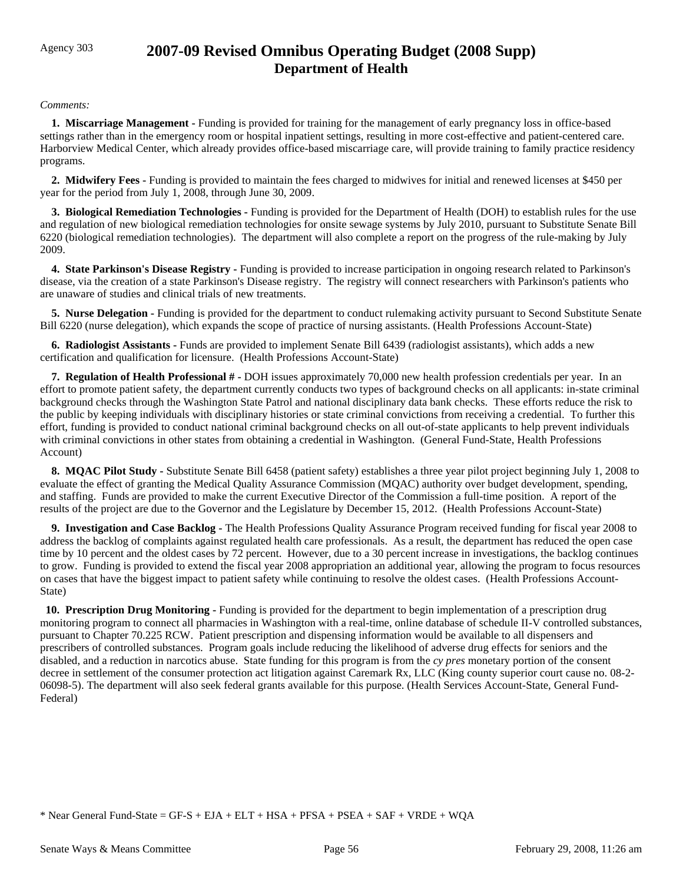# Agency 303 **2007-09 Revised Omnibus Operating Budget (2008 Supp) Department of Health**

### *Comments:*

 **1. Miscarriage Management -** Funding is provided for training for the management of early pregnancy loss in office-based settings rather than in the emergency room or hospital inpatient settings, resulting in more cost-effective and patient-centered care. Harborview Medical Center, which already provides office-based miscarriage care, will provide training to family practice residency programs.

 **2. Midwifery Fees -** Funding is provided to maintain the fees charged to midwives for initial and renewed licenses at \$450 per year for the period from July 1, 2008, through June 30, 2009.

 **3. Biological Remediation Technologies -** Funding is provided for the Department of Health (DOH) to establish rules for the use and regulation of new biological remediation technologies for onsite sewage systems by July 2010, pursuant to Substitute Senate Bill 6220 (biological remediation technologies). The department will also complete a report on the progress of the rule-making by July 2009.

 **4. State Parkinson's Disease Registry -** Funding is provided to increase participation in ongoing research related to Parkinson's disease, via the creation of a state Parkinson's Disease registry. The registry will connect researchers with Parkinson's patients who are unaware of studies and clinical trials of new treatments.

**5. Nurse Delegation - Funding is provided for the department to conduct rulemaking activity pursuant to Second Substitute Senate** Bill 6220 (nurse delegation), which expands the scope of practice of nursing assistants. (Health Professions Account-State)

 **6. Radiologist Assistants -** Funds are provided to implement Senate Bill 6439 (radiologist assistants), which adds a new certification and qualification for licensure. (Health Professions Account-State)

 **7. Regulation of Health Professional # -** DOH issues approximately 70,000 new health profession credentials per year. In an effort to promote patient safety, the department currently conducts two types of background checks on all applicants: in-state criminal background checks through the Washington State Patrol and national disciplinary data bank checks. These efforts reduce the risk to the public by keeping individuals with disciplinary histories or state criminal convictions from receiving a credential. To further this effort, funding is provided to conduct national criminal background checks on all out-of-state applicants to help prevent individuals with criminal convictions in other states from obtaining a credential in Washington. (General Fund-State, Health Professions Account)

 **8. MQAC Pilot Study -** Substitute Senate Bill 6458 (patient safety) establishes a three year pilot project beginning July 1, 2008 to evaluate the effect of granting the Medical Quality Assurance Commission (MQAC) authority over budget development, spending, and staffing. Funds are provided to make the current Executive Director of the Commission a full-time position. A report of the results of the project are due to the Governor and the Legislature by December 15, 2012. (Health Professions Account-State)

 **9. Investigation and Case Backlog -** The Health Professions Quality Assurance Program received funding for fiscal year 2008 to address the backlog of complaints against regulated health care professionals. As a result, the department has reduced the open case time by 10 percent and the oldest cases by 72 percent. However, due to a 30 percent increase in investigations, the backlog continues to grow. Funding is provided to extend the fiscal year 2008 appropriation an additional year, allowing the program to focus resources on cases that have the biggest impact to patient safety while continuing to resolve the oldest cases. (Health Professions Account-State)

**10. Prescription Drug Monitoring -** Funding is provided for the department to begin implementation of a prescription drug monitoring program to connect all pharmacies in Washington with a real-time, online database of schedule II-V controlled substances, pursuant to Chapter 70.225 RCW. Patient prescription and dispensing information would be available to all dispensers and prescribers of controlled substances. Program goals include reducing the likelihood of adverse drug effects for seniors and the disabled, and a reduction in narcotics abuse. State funding for this program is from the *cy pres* monetary portion of the consent decree in settlement of the consumer protection act litigation against Caremark Rx, LLC (King county superior court cause no. 08-2- 06098-5). The department will also seek federal grants available for this purpose. (Health Services Account-State, General Fund-Federal)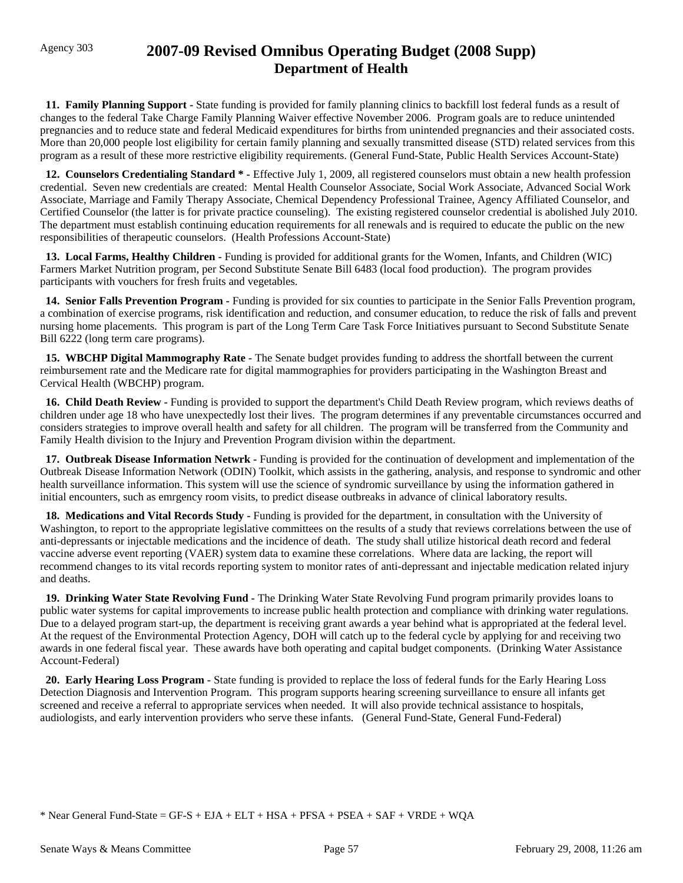# Agency 303 **2007-09 Revised Omnibus Operating Budget (2008 Supp) Department of Health**

 **11. Family Planning Support -** State funding is provided for family planning clinics to backfill lost federal funds as a result of changes to the federal Take Charge Family Planning Waiver effective November 2006. Program goals are to reduce unintended pregnancies and to reduce state and federal Medicaid expenditures for births from unintended pregnancies and their associated costs. More than 20,000 people lost eligibility for certain family planning and sexually transmitted disease (STD) related services from this program as a result of these more restrictive eligibility requirements. (General Fund-State, Public Health Services Account-State)

 **12. Counselors Credentialing Standard \* -** Effective July 1, 2009, all registered counselors must obtain a new health profession credential. Seven new credentials are created: Mental Health Counselor Associate, Social Work Associate, Advanced Social Work Associate, Marriage and Family Therapy Associate, Chemical Dependency Professional Trainee, Agency Affiliated Counselor, and Certified Counselor (the latter is for private practice counseling). The existing registered counselor credential is abolished July 2010. The department must establish continuing education requirements for all renewals and is required to educate the public on the new responsibilities of therapeutic counselors. (Health Professions Account-State)

**13. Local Farms, Healthy Children -** Funding is provided for additional grants for the Women, Infants, and Children (WIC) Farmers Market Nutrition program, per Second Substitute Senate Bill 6483 (local food production). The program provides participants with vouchers for fresh fruits and vegetables.

 **14. Senior Falls Prevention Program -** Funding is provided for six counties to participate in the Senior Falls Prevention program, a combination of exercise programs, risk identification and reduction, and consumer education, to reduce the risk of falls and prevent nursing home placements.This program is part of the Long Term Care Task Force Initiatives pursuant to Second Substitute Senate Bill 6222 (long term care programs).

 **15. WBCHP Digital Mammography Rate -** The Senate budget provides funding to address the shortfall between the current reimbursement rate and the Medicare rate for digital mammographies for providers participating in the Washington Breast and Cervical Health (WBCHP) program.

 **16. Child Death Review -** Funding is provided to support the department's Child Death Review program, which reviews deaths of children under age 18 who have unexpectedly lost their lives. The program determines if any preventable circumstances occurred and considers strategies to improve overall health and safety for all children. The program will be transferred from the Community and Family Health division to the Injury and Prevention Program division within the department.

 **17. Outbreak Disease Information Netwrk -** Funding is provided for the continuation of development and implementation of the Outbreak Disease Information Network (ODIN) Toolkit, which assists in the gathering, analysis, and response to syndromic and other health surveillance information. This system will use the science of syndromic surveillance by using the information gathered in initial encounters, such as emrgency room visits, to predict disease outbreaks in advance of clinical laboratory results.

 **18. Medications and Vital Records Study -** Funding is provided for the department, in consultation with the University of Washington, to report to the appropriate legislative committees on the results of a study that reviews correlations between the use of anti-depressants or injectable medications and the incidence of death. The study shall utilize historical death record and federal vaccine adverse event reporting (VAER) system data to examine these correlations. Where data are lacking, the report will recommend changes to its vital records reporting system to monitor rates of anti-depressant and injectable medication related injury and deaths.

 **19. Drinking Water State Revolving Fund -** The Drinking Water State Revolving Fund program primarily provides loans to public water systems for capital improvements to increase public health protection and compliance with drinking water regulations. Due to a delayed program start-up, the department is receiving grant awards a year behind what is appropriated at the federal level. At the request of the Environmental Protection Agency, DOH will catch up to the federal cycle by applying for and receiving two awards in one federal fiscal year. These awards have both operating and capital budget components. (Drinking Water Assistance Account-Federal)

 **20. Early Hearing Loss Program -** State funding is provided to replace the loss of federal funds for the Early Hearing Loss Detection Diagnosis and Intervention Program. This program supports hearing screening surveillance to ensure all infants get screened and receive a referral to appropriate services when needed. It will also provide technical assistance to hospitals, audiologists, and early intervention providers who serve these infants. (General Fund-State, General Fund-Federal)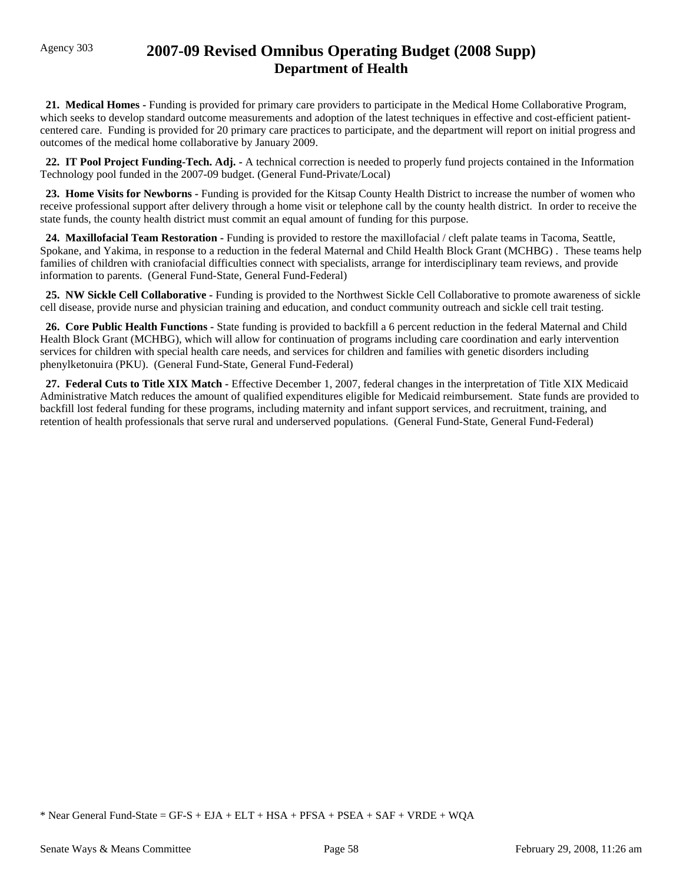# Agency 303 **2007-09 Revised Omnibus Operating Budget (2008 Supp) Department of Health**

 **21. Medical Homes -** Funding is provided for primary care providers to participate in the Medical Home Collaborative Program, which seeks to develop standard outcome measurements and adoption of the latest techniques in effective and cost-efficient patientcentered care. Funding is provided for 20 primary care practices to participate, and the department will report on initial progress and outcomes of the medical home collaborative by January 2009.

**22. IT Pool Project Funding-Tech. Adj.** - A technical correction is needed to properly fund projects contained in the Information Technology pool funded in the 2007-09 budget. (General Fund-Private/Local)

 **23. Home Visits for Newborns -** Funding is provided for the Kitsap County Health District to increase the number of women who receive professional support after delivery through a home visit or telephone call by the county health district. In order to receive the state funds, the county health district must commit an equal amount of funding for this purpose.

 **24. Maxillofacial Team Restoration -** Funding is provided to restore the maxillofacial / cleft palate teams in Tacoma, Seattle, Spokane, and Yakima, in response to a reduction in the federal Maternal and Child Health Block Grant (MCHBG) . These teams help families of children with craniofacial difficulties connect with specialists, arrange for interdisciplinary team reviews, and provide information to parents. (General Fund-State, General Fund-Federal)

 **25. NW Sickle Cell Collaborative -** Funding is provided to the Northwest Sickle Cell Collaborative to promote awareness of sickle cell disease, provide nurse and physician training and education, and conduct community outreach and sickle cell trait testing.

 **26. Core Public Health Functions -** State funding is provided to backfill a 6 percent reduction in the federal Maternal and Child Health Block Grant (MCHBG), which will allow for continuation of programs including care coordination and early intervention services for children with special health care needs, and services for children and families with genetic disorders including phenylketonuira (PKU). (General Fund-State, General Fund-Federal)

27. Federal Cuts to Title XIX Match - Effective December 1, 2007, federal changes in the interpretation of Title XIX Medicaid Administrative Match reduces the amount of qualified expenditures eligible for Medicaid reimbursement. State funds are provided to backfill lost federal funding for these programs, including maternity and infant support services, and recruitment, training, and retention of health professionals that serve rural and underserved populations. (General Fund-State, General Fund-Federal)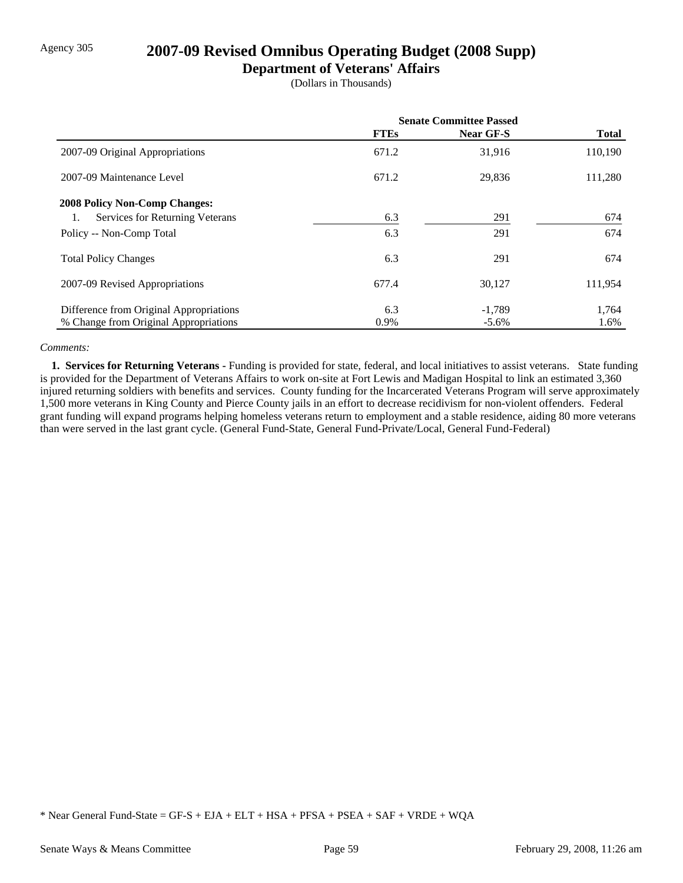# Agency 305 **2007-09 Revised Omnibus Operating Budget (2008 Supp)**

### **Department of Veterans' Affairs**

(Dollars in Thousands)

|                                         | <b>Senate Committee Passed</b> |           |              |
|-----------------------------------------|--------------------------------|-----------|--------------|
|                                         | <b>FTEs</b>                    | Near GF-S | <b>Total</b> |
| 2007-09 Original Appropriations         | 671.2                          | 31,916    | 110,190      |
| 2007-09 Maintenance Level               | 671.2                          | 29,836    | 111,280      |
| <b>2008 Policy Non-Comp Changes:</b>    |                                |           |              |
| Services for Returning Veterans         | 6.3                            | 291       | 674          |
| Policy -- Non-Comp Total                | 6.3                            | 291       | 674          |
| <b>Total Policy Changes</b>             | 6.3                            | 291       | 674          |
| 2007-09 Revised Appropriations          | 677.4                          | 30,127    | 111,954      |
| Difference from Original Appropriations | 6.3                            | $-1,789$  | 1,764        |
| % Change from Original Appropriations   | 0.9%                           | $-5.6\%$  | 1.6%         |

### *Comments:*

 **1. Services for Returning Veterans -** Funding is provided for state, federal, and local initiatives to assist veterans. State funding is provided for the Department of Veterans Affairs to work on-site at Fort Lewis and Madigan Hospital to link an estimated 3,360 injured returning soldiers with benefits and services. County funding for the Incarcerated Veterans Program will serve approximately 1,500 more veterans in King County and Pierce County jails in an effort to decrease recidivism for non-violent offenders. Federal grant funding will expand programs helping homeless veterans return to employment and a stable residence, aiding 80 more veterans than were served in the last grant cycle. (General Fund-State, General Fund-Private/Local, General Fund-Federal)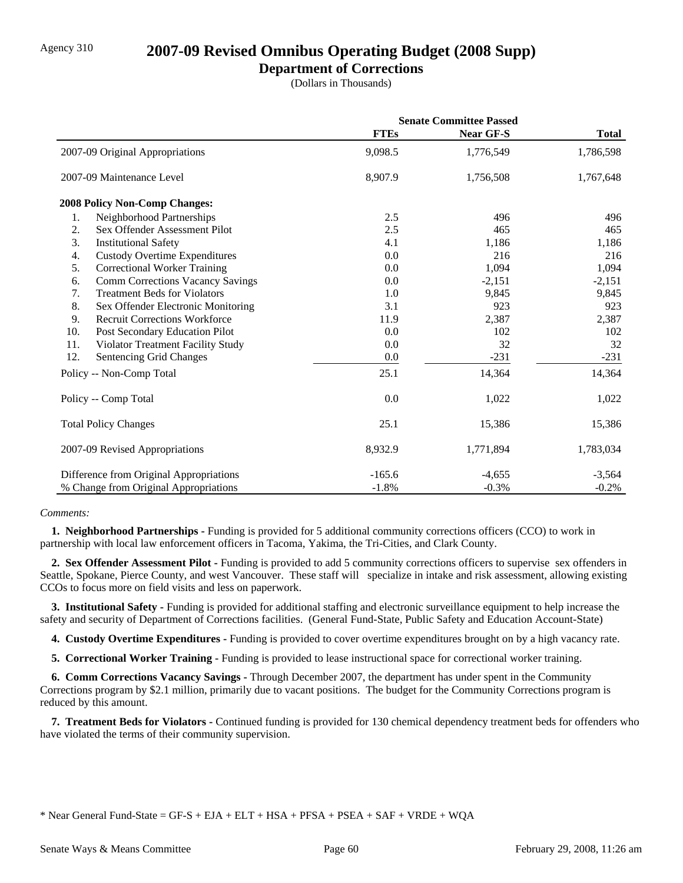### **Department of Corrections**

(Dollars in Thousands)

|     |                                         | <b>Senate Committee Passed</b> |           |              |
|-----|-----------------------------------------|--------------------------------|-----------|--------------|
|     |                                         | <b>FTEs</b>                    | Near GF-S | <b>Total</b> |
|     | 2007-09 Original Appropriations         | 9,098.5                        | 1,776,549 | 1,786,598    |
|     | 2007-09 Maintenance Level               | 8,907.9                        | 1,756,508 | 1,767,648    |
|     | 2008 Policy Non-Comp Changes:           |                                |           |              |
| 1.  | Neighborhood Partnerships               | 2.5                            | 496       | 496          |
| 2.  | Sex Offender Assessment Pilot           | 2.5                            | 465       | 465          |
| 3.  | <b>Institutional Safety</b>             | 4.1                            | 1,186     | 1,186        |
| 4.  | <b>Custody Overtime Expenditures</b>    | 0.0                            | 216       | 216          |
| 5.  | <b>Correctional Worker Training</b>     | 0.0                            | 1,094     | 1,094        |
| 6.  | <b>Comm Corrections Vacancy Savings</b> | 0.0                            | $-2,151$  | $-2,151$     |
| 7.  | <b>Treatment Beds for Violators</b>     | 1.0                            | 9,845     | 9,845        |
| 8.  | Sex Offender Electronic Monitoring      | 3.1                            | 923       | 923          |
| 9.  | <b>Recruit Corrections Workforce</b>    | 11.9                           | 2,387     | 2,387        |
| 10. | Post Secondary Education Pilot          | 0.0                            | 102       | 102          |
| 11. | Violator Treatment Facility Study       | 0.0                            | 32        | 32           |
| 12. | Sentencing Grid Changes                 | 0.0                            | $-231$    | $-231$       |
|     | Policy -- Non-Comp Total                | 25.1                           | 14,364    | 14,364       |
|     | Policy -- Comp Total                    | 0.0                            | 1,022     | 1,022        |
|     | <b>Total Policy Changes</b>             | 25.1                           | 15,386    | 15,386       |
|     | 2007-09 Revised Appropriations          | 8,932.9                        | 1,771,894 | 1,783,034    |
|     | Difference from Original Appropriations | $-165.6$                       | $-4,655$  | $-3,564$     |
|     | % Change from Original Appropriations   | $-1.8%$                        | $-0.3%$   | $-0.2%$      |

### *Comments:*

 **1. Neighborhood Partnerships -** Funding is provided for 5 additional community corrections officers (CCO) to work in partnership with local law enforcement officers in Tacoma, Yakima, the Tri-Cities, and Clark County.

 **2. Sex Offender Assessment Pilot -** Funding is provided to add 5 community corrections officers to supervise sex offenders in Seattle, Spokane, Pierce County, and west Vancouver. These staff will specialize in intake and risk assessment, allowing existing CCOs to focus more on field visits and less on paperwork.

 **3. Institutional Safety -** Funding is provided for additional staffing and electronic surveillance equipment to help increase the safety and security of Department of Corrections facilities. (General Fund-State, Public Safety and Education Account-State)

 **4. Custody Overtime Expenditures -** Funding is provided to cover overtime expenditures brought on by a high vacancy rate.

 **5. Correctional Worker Training -** Funding is provided to lease instructional space for correctional worker training.

 **6. Comm Corrections Vacancy Savings -** Through December 2007, the department has under spent in the Community Corrections program by \$2.1 million, primarily due to vacant positions. The budget for the Community Corrections program is reduced by this amount.

 **7. Treatment Beds for Violators -** Continued funding is provided for 130 chemical dependency treatment beds for offenders who have violated the terms of their community supervision.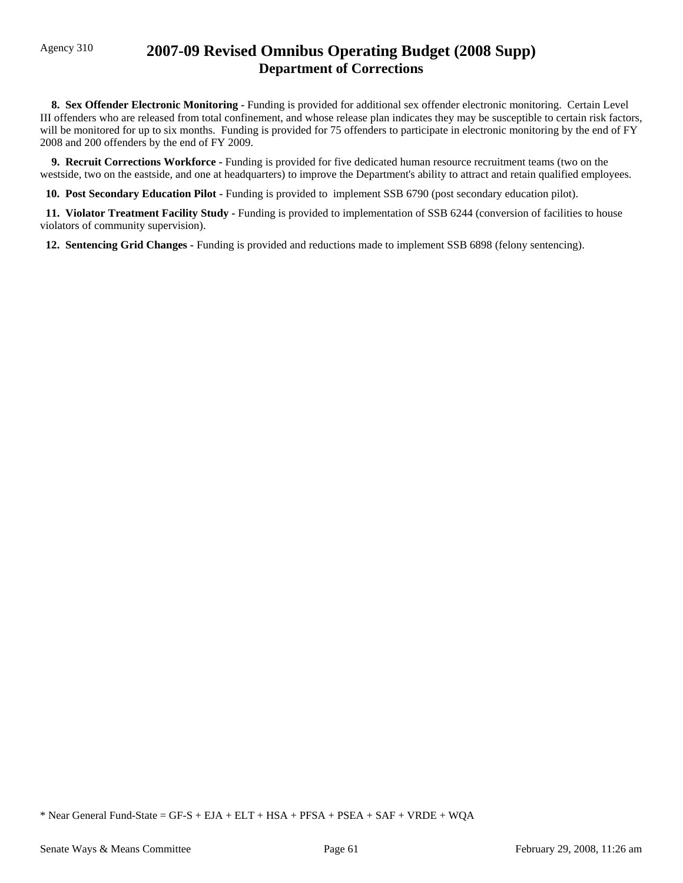## Agency 310 **2007-09 Revised Omnibus Operating Budget (2008 Supp) Department of Corrections**

 **8. Sex Offender Electronic Monitoring -** Funding is provided for additional sex offender electronic monitoring. Certain Level III offenders who are released from total confinement, and whose release plan indicates they may be susceptible to certain risk factors, will be monitored for up to six months. Funding is provided for 75 offenders to participate in electronic monitoring by the end of FY 2008 and 200 offenders by the end of FY 2009.

 **9. Recruit Corrections Workforce -** Funding is provided for five dedicated human resource recruitment teams (two on the westside, two on the eastside, and one at headquarters) to improve the Department's ability to attract and retain qualified employees.

 **10. Post Secondary Education Pilot -** Funding is provided to implement SSB 6790 (post secondary education pilot).

 **11. Violator Treatment Facility Study -** Funding is provided to implementation of SSB 6244 (conversion of facilities to house violators of community supervision).

 **12. Sentencing Grid Changes -** Funding is provided and reductions made to implement SSB 6898 (felony sentencing).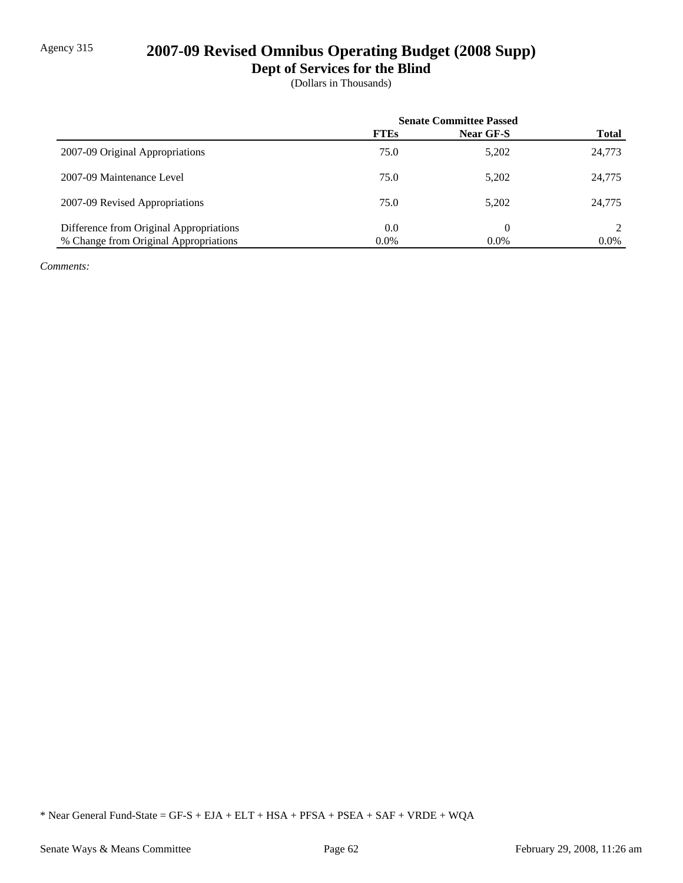## Agency 315 **2007-09 Revised Omnibus Operating Budget (2008 Supp)**

**Dept of Services for the Blind**

(Dollars in Thousands)

|                                         | <b>Senate Committee Passed</b> |           |              |
|-----------------------------------------|--------------------------------|-----------|--------------|
|                                         | <b>FTEs</b>                    | Near GF-S | <b>Total</b> |
| 2007-09 Original Appropriations         | 75.0                           | 5,202     | 24,773       |
| 2007-09 Maintenance Level               | 75.0                           | 5,202     | 24,775       |
| 2007-09 Revised Appropriations          | 75.0                           | 5,202     | 24,775       |
| Difference from Original Appropriations | 0.0                            | $\theta$  |              |
| % Change from Original Appropriations   | 0.0%                           | $0.0\%$   | $0.0\%$      |

*Comments:*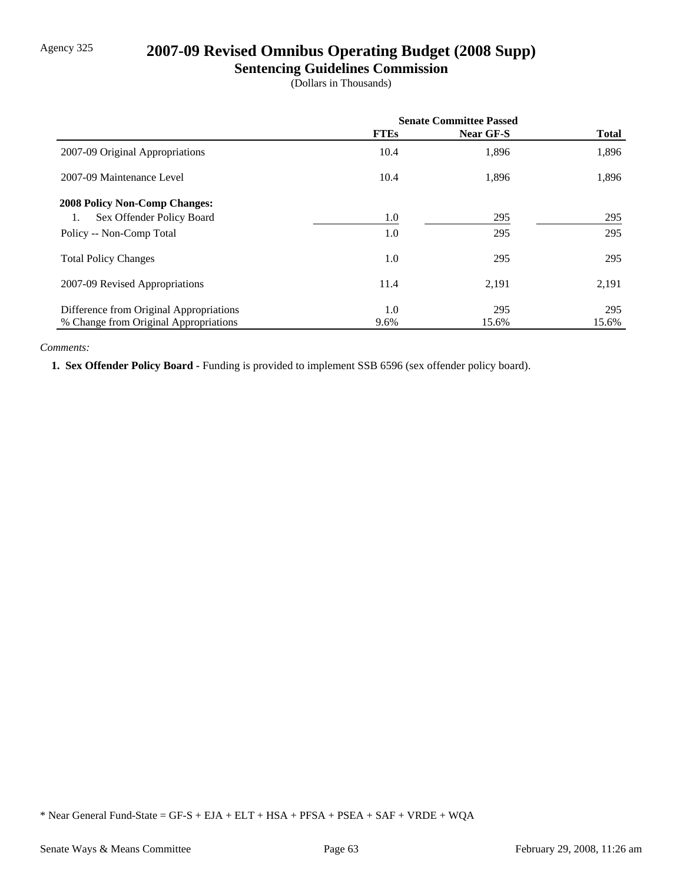## Agency 325 **2007-09 Revised Omnibus Operating Budget (2008 Supp)**

### **Sentencing Guidelines Commission**

(Dollars in Thousands)

|                                         | <b>Senate Committee Passed</b> |           |              |
|-----------------------------------------|--------------------------------|-----------|--------------|
|                                         | <b>FTEs</b>                    | Near GF-S | <b>Total</b> |
| 2007-09 Original Appropriations         | 10.4                           | 1,896     | 1,896        |
| 2007-09 Maintenance Level               | 10.4                           | 1,896     | 1,896        |
| <b>2008 Policy Non-Comp Changes:</b>    |                                |           |              |
| Sex Offender Policy Board<br>1.         | 1.0                            | 295       | 295          |
| Policy -- Non-Comp Total                | 1.0                            | 295       | 295          |
| <b>Total Policy Changes</b>             | 1.0                            | 295       | 295          |
| 2007-09 Revised Appropriations          | 11.4                           | 2,191     | 2,191        |
| Difference from Original Appropriations | 1.0                            | 295       | 295          |
| % Change from Original Appropriations   | 9.6%                           | 15.6%     | 15.6%        |

### *Comments:*

 **1. Sex Offender Policy Board -** Funding is provided to implement SSB 6596 (sex offender policy board).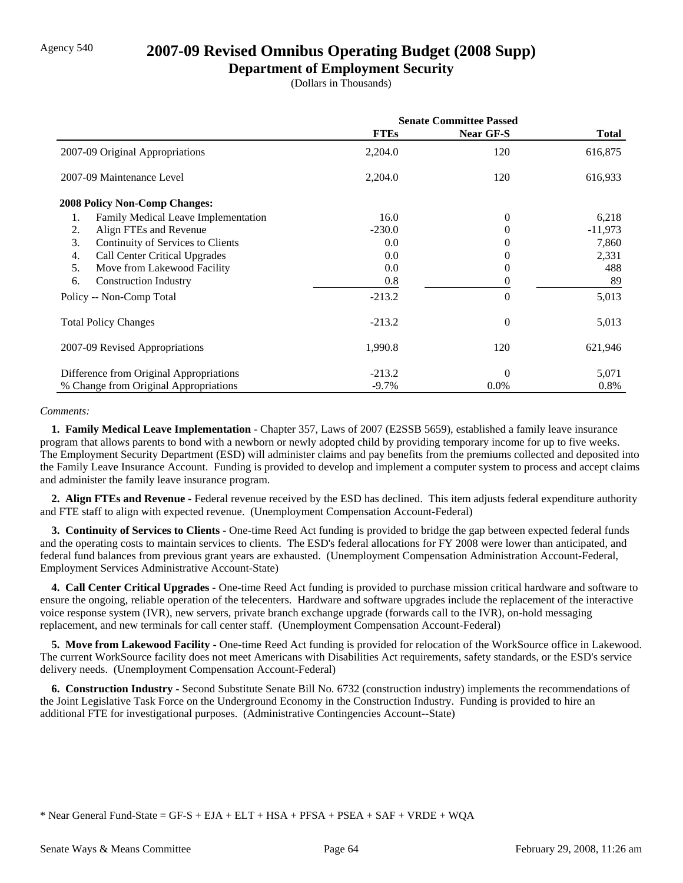## Agency 540 **2007-09 Revised Omnibus Operating Budget (2008 Supp)**

### **Department of Employment Security**

(Dollars in Thousands)

|                                            | <b>Senate Committee Passed</b> |                  |           |
|--------------------------------------------|--------------------------------|------------------|-----------|
|                                            | <b>FTEs</b>                    | <b>Near GF-S</b> | Total     |
| 2007-09 Original Appropriations            | 2,204.0                        | 120              | 616,875   |
| 2007-09 Maintenance Level                  | 2,204.0                        | 120              | 616,933   |
| <b>2008 Policy Non-Comp Changes:</b>       |                                |                  |           |
| Family Medical Leave Implementation<br>1.  | 16.0                           | 0                | 6,218     |
| Align FTEs and Revenue<br>2.               | $-230.0$                       | $_{0}$           | $-11,973$ |
| Continuity of Services to Clients<br>3.    | 0.0                            | $_{0}$           | 7,860     |
| <b>Call Center Critical Upgrades</b><br>4. | 0.0                            | 0                | 2,331     |
| 5.<br>Move from Lakewood Facility          | 0.0                            | $_{0}$           | 488       |
| 6.<br><b>Construction Industry</b>         | 0.8                            | 0                | 89        |
| Policy -- Non-Comp Total                   | $-213.2$                       | $\theta$         | 5,013     |
| <b>Total Policy Changes</b>                | $-213.2$                       | $\overline{0}$   | 5,013     |
| 2007-09 Revised Appropriations             | 1,990.8                        | 120              | 621,946   |
| Difference from Original Appropriations    | $-213.2$                       | $\Omega$         | 5,071     |
| % Change from Original Appropriations      | $-9.7%$                        | $0.0\%$          | 0.8%      |

#### *Comments:*

 **1. Family Medical Leave Implementation -** Chapter 357, Laws of 2007 (E2SSB 5659), established a family leave insurance program that allows parents to bond with a newborn or newly adopted child by providing temporary income for up to five weeks. The Employment Security Department (ESD) will administer claims and pay benefits from the premiums collected and deposited into the Family Leave Insurance Account. Funding is provided to develop and implement a computer system to process and accept claims and administer the family leave insurance program.

 **2. Align FTEs and Revenue -** Federal revenue received by the ESD has declined. This item adjusts federal expenditure authority and FTE staff to align with expected revenue. (Unemployment Compensation Account-Federal)

 **3. Continuity of Services to Clients -** One-time Reed Act funding is provided to bridge the gap between expected federal funds and the operating costs to maintain services to clients. The ESD's federal allocations for FY 2008 were lower than anticipated, and federal fund balances from previous grant years are exhausted. (Unemployment Compensation Administration Account-Federal, Employment Services Administrative Account-State)

 **4. Call Center Critical Upgrades -** One-time Reed Act funding is provided to purchase mission critical hardware and software to ensure the ongoing, reliable operation of the telecenters. Hardware and software upgrades include the replacement of the interactive voice response system (IVR), new servers, private branch exchange upgrade (forwards call to the IVR), on-hold messaging replacement, and new terminals for call center staff. (Unemployment Compensation Account-Federal)

 **5. Move from Lakewood Facility -** One-time Reed Act funding is provided for relocation of the WorkSource office in Lakewood. The current WorkSource facility does not meet Americans with Disabilities Act requirements, safety standards, or the ESD's service delivery needs. (Unemployment Compensation Account-Federal)

 **6. Construction Industry -** Second Substitute Senate Bill No. 6732 (construction industry) implements the recommendations of the Joint Legislative Task Force on the Underground Economy in the Construction Industry. Funding is provided to hire an additional FTE for investigational purposes. (Administrative Contingencies Account--State)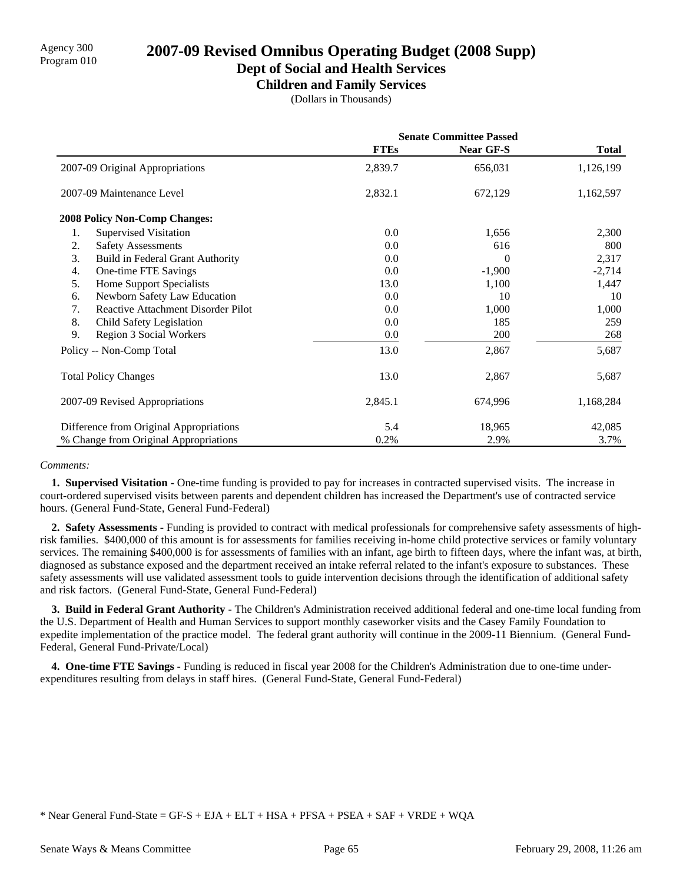### **Dept of Social and Health Services**

**Children and Family Services**

(Dollars in Thousands)

|                                               | <b>Senate Committee Passed</b> |                  |              |
|-----------------------------------------------|--------------------------------|------------------|--------------|
|                                               | <b>FTEs</b>                    | <b>Near GF-S</b> | <b>Total</b> |
| 2007-09 Original Appropriations               | 2,839.7                        | 656,031          | 1,126,199    |
| 2007-09 Maintenance Level                     | 2,832.1                        | 672,129          | 1,162,597    |
| 2008 Policy Non-Comp Changes:                 |                                |                  |              |
| <b>Supervised Visitation</b><br>1.            | 0.0                            | 1,656            | 2,300        |
| 2.<br><b>Safety Assessments</b>               | 0.0                            | 616              | 800          |
| 3.<br><b>Build in Federal Grant Authority</b> | 0.0                            | 0                | 2,317        |
| 4.<br>One-time FTE Savings                    | 0.0                            | $-1,900$         | $-2,714$     |
| <b>Home Support Specialists</b><br>5.         | 13.0                           | 1,100            | 1,447        |
| Newborn Safety Law Education<br>6.            | 0.0                            | 10               | 10           |
| Reactive Attachment Disorder Pilot<br>7.      | 0.0                            | 1,000            | 1,000        |
| 8.<br>Child Safety Legislation                | 0.0                            | 185              | 259          |
| 9.<br>Region 3 Social Workers                 | 0.0                            | 200              | 268          |
| Policy -- Non-Comp Total                      | 13.0                           | 2,867            | 5,687        |
| <b>Total Policy Changes</b>                   | 13.0                           | 2,867            | 5,687        |
| 2007-09 Revised Appropriations                | 2,845.1                        | 674,996          | 1,168,284    |
| Difference from Original Appropriations       | 5.4                            | 18,965           | 42,085       |
| % Change from Original Appropriations         | 0.2%                           | 2.9%             | 3.7%         |

### *Comments:*

 **1. Supervised Visitation -** One-time funding is provided to pay for increases in contracted supervised visits. The increase in court-ordered supervised visits between parents and dependent children has increased the Department's use of contracted service hours. (General Fund-State, General Fund-Federal)

 **2. Safety Assessments -** Funding is provided to contract with medical professionals for comprehensive safety assessments of highrisk families. \$400,000 of this amount is for assessments for families receiving in-home child protective services or family voluntary services. The remaining \$400,000 is for assessments of families with an infant, age birth to fifteen days, where the infant was, at birth, diagnosed as substance exposed and the department received an intake referral related to the infant's exposure to substances. These safety assessments will use validated assessment tools to guide intervention decisions through the identification of additional safety and risk factors. (General Fund-State, General Fund-Federal)

 **3. Build in Federal Grant Authority -** The Children's Administration received additional federal and one-time local funding from the U.S. Department of Health and Human Services to support monthly caseworker visits and the Casey Family Foundation to expedite implementation of the practice model. The federal grant authority will continue in the 2009-11 Biennium. (General Fund-Federal, General Fund-Private/Local)

 **4. One-time FTE Savings -** Funding is reduced in fiscal year 2008 for the Children's Administration due to one-time underexpenditures resulting from delays in staff hires. (General Fund-State, General Fund-Federal)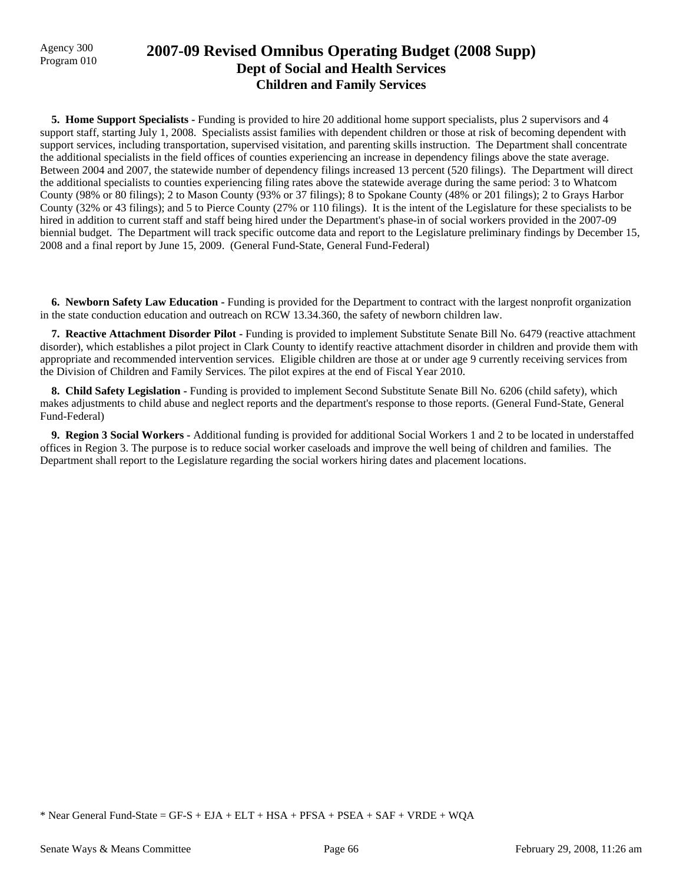## Agency 300 **2007-09 Revised Omnibus Operating Budget (2008 Supp)**<br>Program 010 **Dept of Social and Health Services Children and Family Services**

**5. Home Support Specialists - Funding is provided to hire 20 additional home support specialists, plus 2 supervisors and 4** support staff, starting July 1, 2008. Specialists assist families with dependent children or those at risk of becoming dependent with support services, including transportation, supervised visitation, and parenting skills instruction. The Department shall concentrate the additional specialists in the field offices of counties experiencing an increase in dependency filings above the state average. Between 2004 and 2007, the statewide number of dependency filings increased 13 percent (520 filings). The Department will direct the additional specialists to counties experiencing filing rates above the statewide average during the same period: 3 to Whatcom County (98% or 80 filings); 2 to Mason County (93% or 37 filings); 8 to Spokane County (48% or 201 filings); 2 to Grays Harbor County (32% or 43 filings); and 5 to Pierce County (27% or 110 filings). It is the intent of the Legislature for these specialists to be hired in addition to current staff and staff being hired under the Department's phase-in of social workers provided in the 2007-09 biennial budget. The Department will track specific outcome data and report to the Legislature preliminary findings by December 15, 2008 and a final report by June 15, 2009. (General Fund-State, General Fund-Federal)

 **6. Newborn Safety Law Education -** Funding is provided for the Department to contract with the largest nonprofit organization in the state conduction education and outreach on RCW 13.34.360, the safety of newborn children law.

 **7. Reactive Attachment Disorder Pilot -** Funding is provided to implement Substitute Senate Bill No. 6479 (reactive attachment disorder), which establishes a pilot project in Clark County to identify reactive attachment disorder in children and provide them with appropriate and recommended intervention services. Eligible children are those at or under age 9 currently receiving services from the Division of Children and Family Services. The pilot expires at the end of Fiscal Year 2010.

 **8. Child Safety Legislation -** Funding is provided to implement Second Substitute Senate Bill No. 6206 (child safety), which makes adjustments to child abuse and neglect reports and the department's response to those reports. (General Fund-State, General Fund-Federal)

 **9. Region 3 Social Workers -** Additional funding is provided for additional Social Workers 1 and 2 to be located in understaffed offices in Region 3. The purpose is to reduce social worker caseloads and improve the well being of children and families. The Department shall report to the Legislature regarding the social workers hiring dates and placement locations.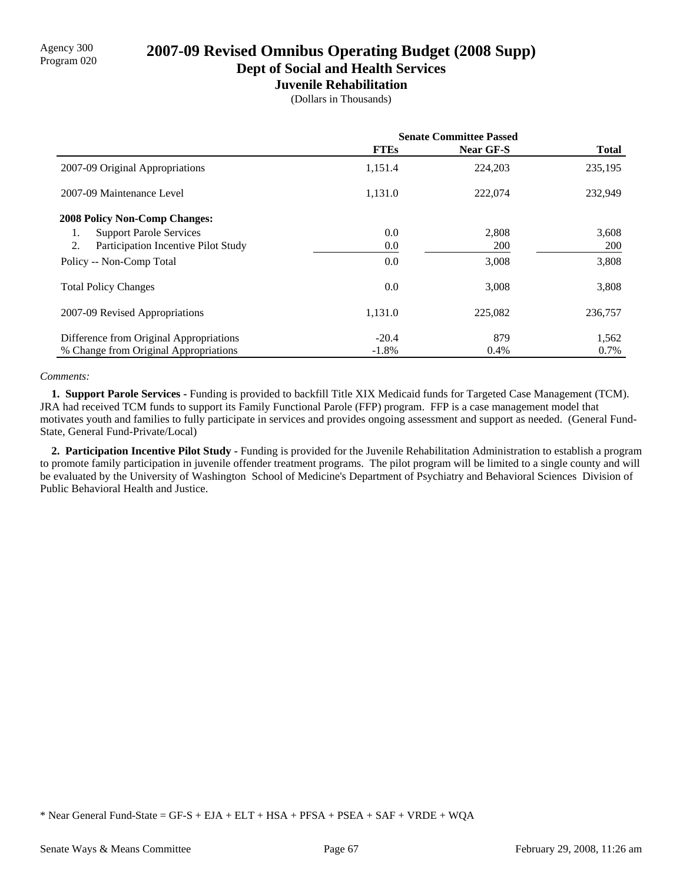**Dept of Social and Health Services**

### **Juvenile Rehabilitation**

(Dollars in Thousands)

|                                           | <b>Senate Committee Passed</b> |           |              |
|-------------------------------------------|--------------------------------|-----------|--------------|
|                                           | <b>FTEs</b>                    | Near GF-S | <b>Total</b> |
| 2007-09 Original Appropriations           | 1,151.4                        | 224,203   | 235,195      |
| 2007-09 Maintenance Level                 | 1,131.0                        | 222,074   | 232,949      |
| <b>2008 Policy Non-Comp Changes:</b>      |                                |           |              |
| <b>Support Parole Services</b><br>1.      | 0.0                            | 2,808     | 3,608        |
| 2.<br>Participation Incentive Pilot Study | 0.0                            | 200       | <b>200</b>   |
| Policy -- Non-Comp Total                  | 0.0                            | 3,008     | 3,808        |
| <b>Total Policy Changes</b>               | 0.0                            | 3,008     | 3,808        |
| 2007-09 Revised Appropriations            | 1,131.0                        | 225,082   | 236,757      |
| Difference from Original Appropriations   | $-20.4$                        | 879       | 1,562        |
| % Change from Original Appropriations     | $-1.8%$                        | 0.4%      | 0.7%         |

### *Comments:*

 **1. Support Parole Services -** Funding is provided to backfill Title XIX Medicaid funds for Targeted Case Management (TCM). JRA had received TCM funds to support its Family Functional Parole (FFP) program. FFP is a case management model that motivates youth and families to fully participate in services and provides ongoing assessment and support as needed. (General Fund-State, General Fund-Private/Local)

 **2. Participation Incentive Pilot Study -** Funding is provided for the Juvenile Rehabilitation Administration to establish a program to promote family participation in juvenile offender treatment programs. The pilot program will be limited to a single county and will be evaluated by the University of Washington School of Medicine's Department of Psychiatry and Behavioral Sciences Division of Public Behavioral Health and Justice.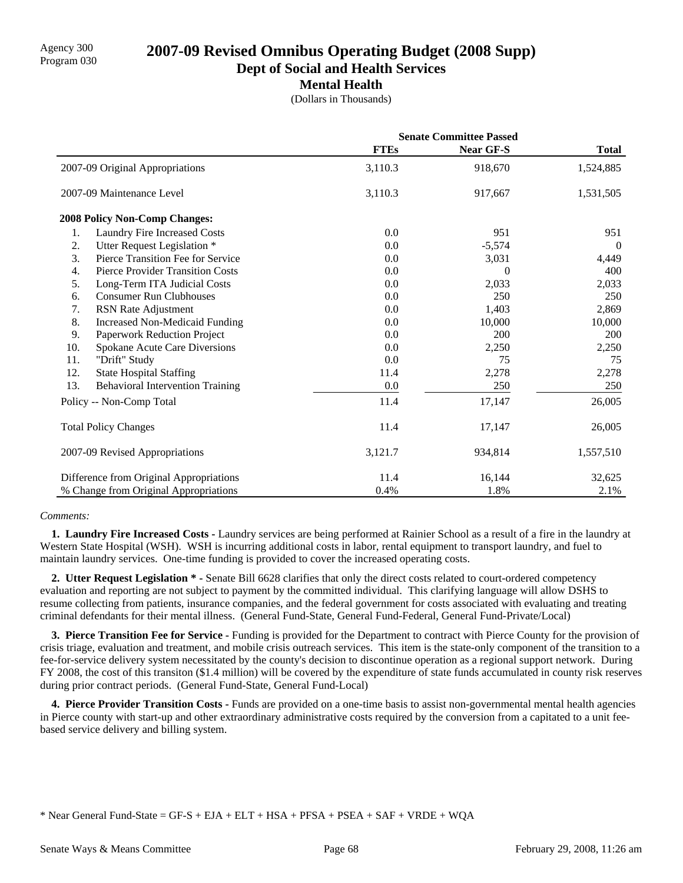**Dept of Social and Health Services**

**Mental Health**

(Dollars in Thousands)

|     |                                         | <b>Senate Committee Passed</b> |                  |              |
|-----|-----------------------------------------|--------------------------------|------------------|--------------|
|     |                                         | <b>FTEs</b>                    | <b>Near GF-S</b> | <b>Total</b> |
|     | 2007-09 Original Appropriations         | 3,110.3                        | 918,670          | 1,524,885    |
|     | 2007-09 Maintenance Level               | 3,110.3                        | 917,667          | 1,531,505    |
|     | <b>2008 Policy Non-Comp Changes:</b>    |                                |                  |              |
| 1.  | Laundry Fire Increased Costs            | 0.0                            | 951              | 951          |
| 2.  | Utter Request Legislation *             | 0.0                            | $-5,574$         | $\theta$     |
| 3.  | Pierce Transition Fee for Service       | 0.0                            | 3,031            | 4,449        |
| 4.  | Pierce Provider Transition Costs        | 0.0                            | 0                | 400          |
| 5.  | Long-Term ITA Judicial Costs            | 0.0                            | 2,033            | 2,033        |
| 6.  | <b>Consumer Run Clubhouses</b>          | 0.0                            | 250              | 250          |
| 7.  | RSN Rate Adjustment                     | 0.0                            | 1,403            | 2,869        |
| 8.  | <b>Increased Non-Medicaid Funding</b>   | 0.0                            | 10.000           | 10,000       |
| 9.  | Paperwork Reduction Project             | 0.0                            | 200              | <b>200</b>   |
| 10. | Spokane Acute Care Diversions           | 0.0                            | 2,250            | 2,250        |
| 11. | "Drift" Study                           | 0.0                            | 75               | 75           |
| 12. | <b>State Hospital Staffing</b>          | 11.4                           | 2,278            | 2,278        |
| 13. | <b>Behavioral Intervention Training</b> | 0.0                            | 250              | 250          |
|     | Policy -- Non-Comp Total                | 11.4                           | 17,147           | 26,005       |
|     | <b>Total Policy Changes</b>             | 11.4                           | 17,147           | 26,005       |
|     | 2007-09 Revised Appropriations          | 3,121.7                        | 934,814          | 1,557,510    |
|     | Difference from Original Appropriations | 11.4                           | 16,144           | 32,625       |
|     | % Change from Original Appropriations   | 0.4%                           | 1.8%             | 2.1%         |

### *Comments:*

 **1. Laundry Fire Increased Costs -** Laundry services are being performed at Rainier School as a result of a fire in the laundry at Western State Hospital (WSH). WSH is incurring additional costs in labor, rental equipment to transport laundry, and fuel to maintain laundry services. One-time funding is provided to cover the increased operating costs.

 **2. Utter Request Legislation \* -** Senate Bill 6628 clarifies that only the direct costs related to court-ordered competency evaluation and reporting are not subject to payment by the committed individual. This clarifying language will allow DSHS to resume collecting from patients, insurance companies, and the federal government for costs associated with evaluating and treating criminal defendants for their mental illness. (General Fund-State, General Fund-Federal, General Fund-Private/Local)

 **3. Pierce Transition Fee for Service -** Funding is provided for the Department to contract with Pierce County for the provision of crisis triage, evaluation and treatment, and mobile crisis outreach services. This item is the state-only component of the transition to a fee-for-service delivery system necessitated by the county's decision to discontinue operation as a regional support network. During FY 2008, the cost of this transiton (\$1.4 million) will be covered by the expenditure of state funds accumulated in county risk reserves during prior contract periods. (General Fund-State, General Fund-Local)

 **4. Pierce Provider Transition Costs -** Funds are provided on a one-time basis to assist non-governmental mental health agencies in Pierce county with start-up and other extraordinary administrative costs required by the conversion from a capitated to a unit feebased service delivery and billing system.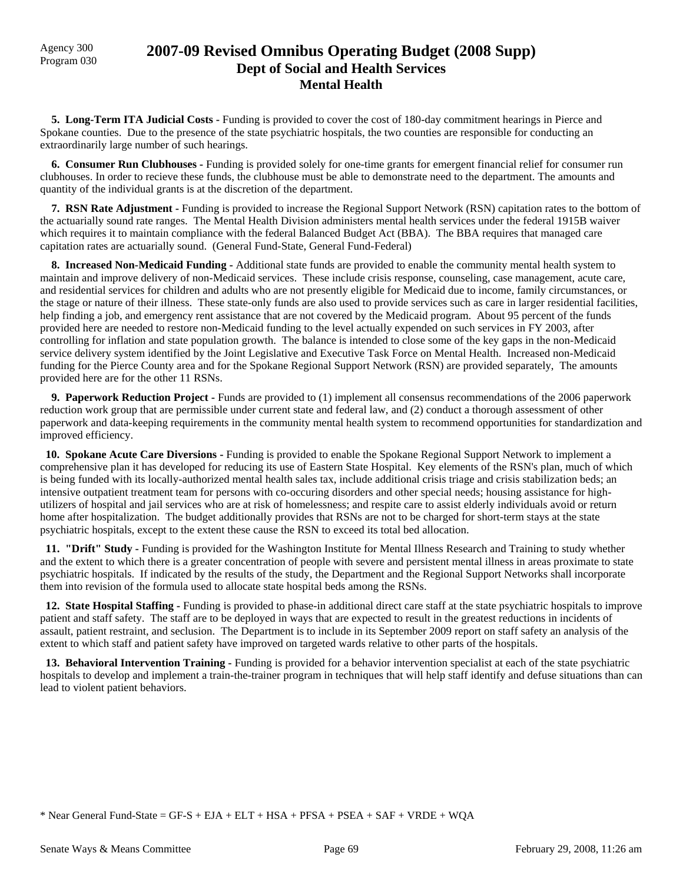## Agency 300 **2007-09 Revised Omnibus Operating Budget (2008 Supp)**<br>Program 030 **Dept of Social and Health Services Mental Health**

 **5. Long-Term ITA Judicial Costs -** Funding is provided to cover the cost of 180-day commitment hearings in Pierce and Spokane counties. Due to the presence of the state psychiatric hospitals, the two counties are responsible for conducting an extraordinarily large number of such hearings.

 **6. Consumer Run Clubhouses -** Funding is provided solely for one-time grants for emergent financial relief for consumer run clubhouses. In order to recieve these funds, the clubhouse must be able to demonstrate need to the department. The amounts and quantity of the individual grants is at the discretion of the department.

 **7. RSN Rate Adjustment -** Funding is provided to increase the Regional Support Network (RSN) capitation rates to the bottom of the actuarially sound rate ranges. The Mental Health Division administers mental health services under the federal 1915B waiver which requires it to maintain compliance with the federal Balanced Budget Act (BBA). The BBA requires that managed care capitation rates are actuarially sound. (General Fund-State, General Fund-Federal)

 **8. Increased Non-Medicaid Funding -** Additional state funds are provided to enable the community mental health system to maintain and improve delivery of non-Medicaid services. These include crisis response, counseling, case management, acute care, and residential services for children and adults who are not presently eligible for Medicaid due to income, family circumstances, or the stage or nature of their illness. These state-only funds are also used to provide services such as care in larger residential facilities, help finding a job, and emergency rent assistance that are not covered by the Medicaid program. About 95 percent of the funds provided here are needed to restore non-Medicaid funding to the level actually expended on such services in FY 2003, after controlling for inflation and state population growth. The balance is intended to close some of the key gaps in the non-Medicaid service delivery system identified by the Joint Legislative and Executive Task Force on Mental Health. Increased non-Medicaid funding for the Pierce County area and for the Spokane Regional Support Network (RSN) are provided separately, The amounts provided here are for the other 11 RSNs.

 **9. Paperwork Reduction Project -** Funds are provided to (1) implement all consensus recommendations of the 2006 paperwork reduction work group that are permissible under current state and federal law, and (2) conduct a thorough assessment of other paperwork and data-keeping requirements in the community mental health system to recommend opportunities for standardization and improved efficiency.

 **10. Spokane Acute Care Diversions -** Funding is provided to enable the Spokane Regional Support Network to implement a comprehensive plan it has developed for reducing its use of Eastern State Hospital. Key elements of the RSN's plan, much of which is being funded with its locally-authorized mental health sales tax, include additional crisis triage and crisis stabilization beds; an intensive outpatient treatment team for persons with co-occuring disorders and other special needs; housing assistance for highutilizers of hospital and jail services who are at risk of homelessness; and respite care to assist elderly individuals avoid or return home after hospitalization. The budget additionally provides that RSNs are not to be charged for short-term stays at the state psychiatric hospitals, except to the extent these cause the RSN to exceed its total bed allocation.

 **11. "Drift" Study -** Funding is provided for the Washington Institute for Mental Illness Research and Training to study whether and the extent to which there is a greater concentration of people with severe and persistent mental illness in areas proximate to state psychiatric hospitals. If indicated by the results of the study, the Department and the Regional Support Networks shall incorporate them into revision of the formula used to allocate state hospital beds among the RSNs.

 **12. State Hospital Staffing -** Funding is provided to phase-in additional direct care staff at the state psychiatric hospitals to improve patient and staff safety. The staff are to be deployed in ways that are expected to result in the greatest reductions in incidents of assault, patient restraint, and seclusion. The Department is to include in its September 2009 report on staff safety an analysis of the extent to which staff and patient safety have improved on targeted wards relative to other parts of the hospitals.

**13. Behavioral Intervention Training -** Funding is provided for a behavior intervention specialist at each of the state psychiatric hospitals to develop and implement a train-the-trainer program in techniques that will help staff identify and defuse situations than can lead to violent patient behaviors.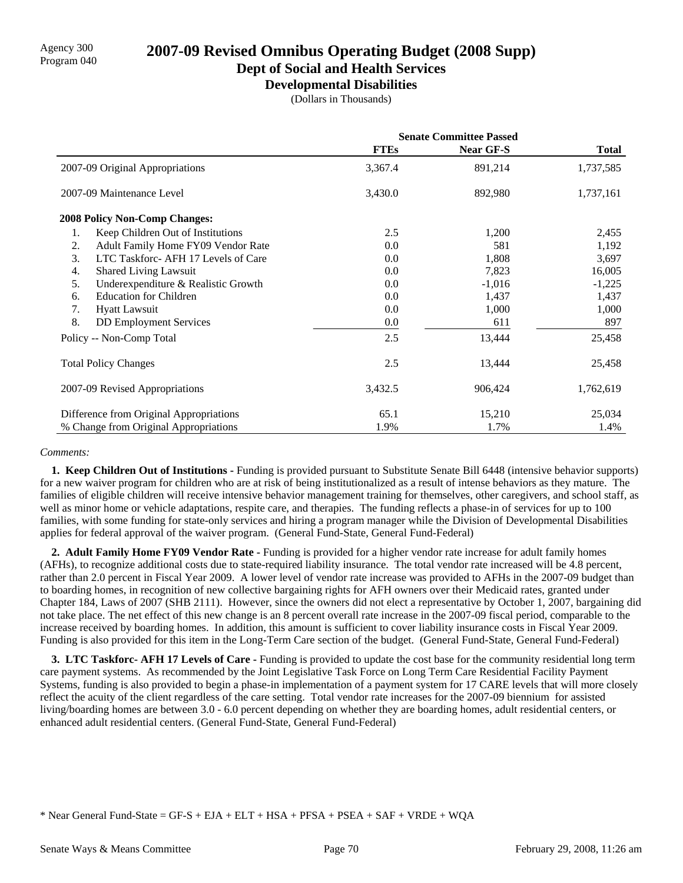## **Dept of Social and Health Services**

**Developmental Disabilities**

(Dollars in Thousands)

|    |                                         | <b>Senate Committee Passed</b> |           |              |
|----|-----------------------------------------|--------------------------------|-----------|--------------|
|    |                                         | <b>FTEs</b>                    | Near GF-S | <b>Total</b> |
|    | 2007-09 Original Appropriations         | 3,367.4                        | 891,214   | 1,737,585    |
|    | 2007-09 Maintenance Level               | 3,430.0                        | 892,980   | 1,737,161    |
|    | <b>2008 Policy Non-Comp Changes:</b>    |                                |           |              |
| 1. | Keep Children Out of Institutions       | 2.5                            | 1,200     | 2,455        |
| 2. | Adult Family Home FY09 Vendor Rate      | 0.0                            | 581       | 1,192        |
| 3. | LTC Taskforc-AFH 17 Levels of Care      | 0.0                            | 1,808     | 3,697        |
| 4. | <b>Shared Living Lawsuit</b>            | 0.0                            | 7,823     | 16,005       |
| 5. | Underexpenditure & Realistic Growth     | 0.0                            | $-1,016$  | $-1,225$     |
| 6. | <b>Education for Children</b>           | 0.0                            | 1,437     | 1,437        |
| 7. | <b>Hyatt Lawsuit</b>                    | 0.0                            | 1,000     | 1,000        |
| 8. | <b>DD</b> Employment Services           | 0.0                            | 611       | 897          |
|    | Policy -- Non-Comp Total                | 2.5                            | 13,444    | 25,458       |
|    | <b>Total Policy Changes</b>             | 2.5                            | 13,444    | 25,458       |
|    | 2007-09 Revised Appropriations          | 3,432.5                        | 906,424   | 1,762,619    |
|    | Difference from Original Appropriations | 65.1                           | 15,210    | 25,034       |
|    | % Change from Original Appropriations   | 1.9%                           | 1.7%      | 1.4%         |

### *Comments:*

 **1. Keep Children Out of Institutions -** Funding is provided pursuant to Substitute Senate Bill 6448 (intensive behavior supports) for a new waiver program for children who are at risk of being institutionalized as a result of intense behaviors as they mature. The families of eligible children will receive intensive behavior management training for themselves, other caregivers, and school staff, as well as minor home or vehicle adaptations, respite care, and therapies. The funding reflects a phase-in of services for up to 100 families, with some funding for state-only services and hiring a program manager while the Division of Developmental Disabilities applies for federal approval of the waiver program. (General Fund-State, General Fund-Federal)

 **2. Adult Family Home FY09 Vendor Rate -** Funding is provided for a higher vendor rate increase for adult family homes (AFHs), to recognize additional costs due to state-required liability insurance. The total vendor rate increased will be 4.8 percent, rather than 2.0 percent in Fiscal Year 2009. A lower level of vendor rate increase was provided to AFHs in the 2007-09 budget than to boarding homes, in recognition of new collective bargaining rights for AFH owners over their Medicaid rates, granted under Chapter 184, Laws of 2007 (SHB 2111). However, since the owners did not elect a representative by October 1, 2007, bargaining did not take place. The net effect of this new change is an 8 percent overall rate increase in the 2007-09 fiscal period, comparable to the increase received by boarding homes. In addition, this amount is sufficient to cover liability insurance costs in Fiscal Year 2009. Funding is also provided for this item in the Long-Term Care section of the budget. (General Fund-State, General Fund-Federal)

**3. LTC Taskforc- AFH 17 Levels of Care - Funding is provided to update the cost base for the community residential long term** care payment systems. As recommended by the Joint Legislative Task Force on Long Term Care Residential Facility Payment Systems, funding is also provided to begin a phase-in implementation of a payment system for 17 CARE levels that will more closely reflect the acuity of the client regardless of the care setting. Total vendor rate increases for the 2007-09 biennium for assisted living/boarding homes are between 3.0 - 6.0 percent depending on whether they are boarding homes, adult residential centers, or enhanced adult residential centers. (General Fund-State, General Fund-Federal)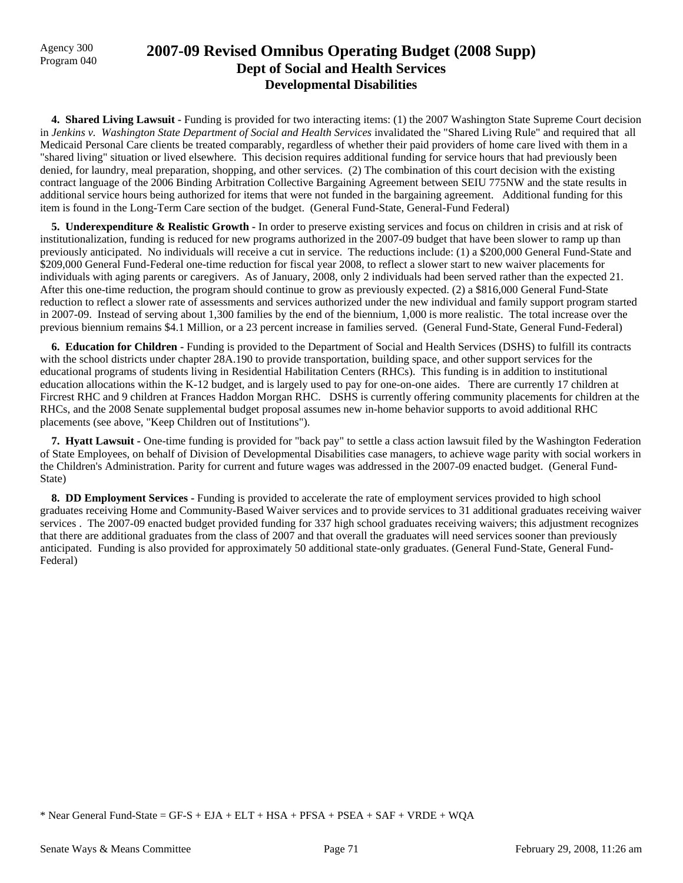## Agency 300 **2007-09 Revised Omnibus Operating Budget (2008 Supp)**<br>Program 040 **Dept of Social and Health Services Developmental Disabilities**

**4. Shared Living Lawsuit - Funding is provided for two interacting items:** (1) the 2007 Washington State Supreme Court decision in *Jenkins v. Washington State Department of Social and Health Services* invalidated the "Shared Living Rule" and required that all Medicaid Personal Care clients be treated comparably, regardless of whether their paid providers of home care lived with them in a "shared living" situation or lived elsewhere. This decision requires additional funding for service hours that had previously been denied, for laundry, meal preparation, shopping, and other services. (2) The combination of this court decision with the existing contract language of the 2006 Binding Arbitration Collective Bargaining Agreement between SEIU 775NW and the state results in additional service hours being authorized for items that were not funded in the bargaining agreement. Additional funding for this item is found in the Long-Term Care section of the budget. (General Fund-State, General-Fund Federal)

 **5. Underexpenditure & Realistic Growth -** In order to preserve existing services and focus on children in crisis and at risk of institutionalization, funding is reduced for new programs authorized in the 2007-09 budget that have been slower to ramp up than previously anticipated. No individuals will receive a cut in service. The reductions include: (1) a \$200,000 General Fund-State and \$209,000 General Fund-Federal one-time reduction for fiscal year 2008, to reflect a slower start to new waiver placements for individuals with aging parents or caregivers. As of January, 2008, only 2 individuals had been served rather than the expected 21. After this one-time reduction, the program should continue to grow as previously expected. (2) a \$816,000 General Fund-State reduction to reflect a slower rate of assessments and services authorized under the new individual and family support program started in 2007-09. Instead of serving about 1,300 families by the end of the biennium, 1,000 is more realistic. The total increase over the previous biennium remains \$4.1 Million, or a 23 percent increase in families served. (General Fund-State, General Fund-Federal)

 **6. Education for Children -** Funding is provided to the Department of Social and Health Services (DSHS) to fulfill its contracts with the school districts under chapter 28A.190 to provide transportation, building space, and other support services for the educational programs of students living in Residential Habilitation Centers (RHCs). This funding is in addition to institutional education allocations within the K-12 budget, and is largely used to pay for one-on-one aides. There are currently 17 children at Fircrest RHC and 9 children at Frances Haddon Morgan RHC. DSHS is currently offering community placements for children at the RHCs, and the 2008 Senate supplemental budget proposal assumes new in-home behavior supports to avoid additional RHC placements (see above, "Keep Children out of Institutions").

 **7. Hyatt Lawsuit -** One-time funding is provided for "back pay" to settle a class action lawsuit filed by the Washington Federation of State Employees, on behalf of Division of Developmental Disabilities case managers, to achieve wage parity with social workers in the Children's Administration. Parity for current and future wages was addressed in the 2007-09 enacted budget. (General Fund-State)

 **8. DD Employment Services -** Funding is provided to accelerate the rate of employment services provided to high school graduates receiving Home and Community-Based Waiver services and to provide services to 31 additional graduates receiving waiver services . The 2007-09 enacted budget provided funding for 337 high school graduates receiving waivers; this adjustment recognizes that there are additional graduates from the class of 2007 and that overall the graduates will need services sooner than previously anticipated. Funding is also provided for approximately 50 additional state-only graduates. (General Fund-State, General Fund-Federal)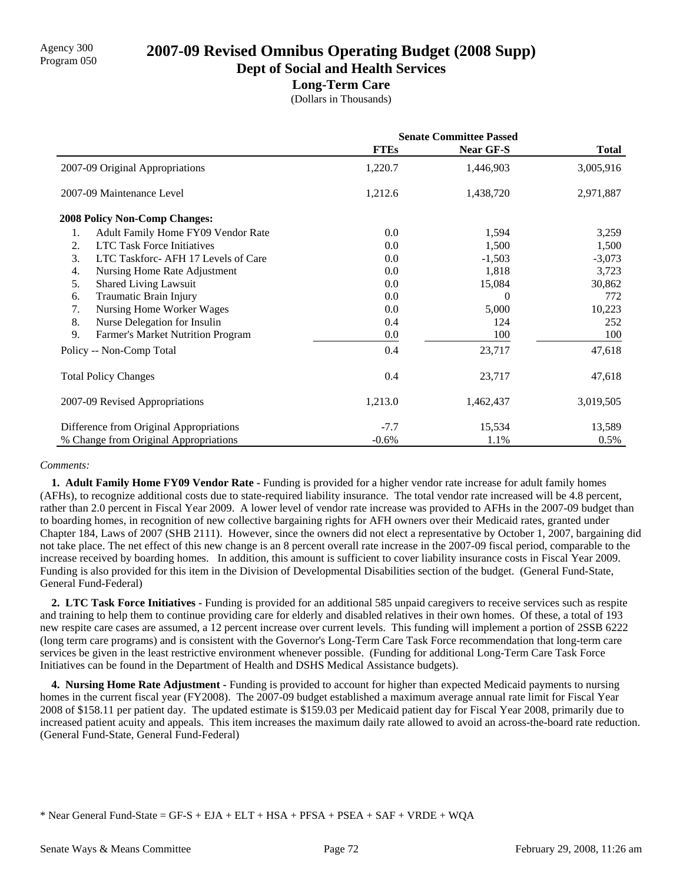**Dept of Social and Health Services**

### **Long-Term Care**

(Dollars in Thousands)

|                                           | <b>Senate Committee Passed</b> |           |              |
|-------------------------------------------|--------------------------------|-----------|--------------|
|                                           | <b>FTEs</b>                    | Near GF-S | <b>Total</b> |
| 2007-09 Original Appropriations           | 1,220.7                        | 1,446,903 | 3,005,916    |
| 2007-09 Maintenance Level                 | 1,212.6                        | 1,438,720 | 2,971,887    |
| <b>2008 Policy Non-Comp Changes:</b>      |                                |           |              |
| Adult Family Home FY09 Vendor Rate<br>1.  | 0.0                            | 1,594     | 3,259        |
| <b>LTC Task Force Initiatives</b><br>2.   | 0.0                            | 1,500     | 1,500        |
| LTC Taskforc- AFH 17 Levels of Care<br>3. | 0.0                            | $-1,503$  | $-3,073$     |
| Nursing Home Rate Adjustment<br>4.        | 0.0                            | 1,818     | 3,723        |
| 5.<br><b>Shared Living Lawsuit</b>        | 0.0                            | 15,084    | 30,862       |
| Traumatic Brain Injury<br>6.              | 0.0                            | $\Omega$  | 772          |
| Nursing Home Worker Wages<br>7.           | 0.0                            | 5,000     | 10,223       |
| 8.<br>Nurse Delegation for Insulin        | 0.4                            | 124       | 252          |
| 9.<br>Farmer's Market Nutrition Program   | 0.0                            | 100       | 100          |
| Policy -- Non-Comp Total                  | 0.4                            | 23,717    | 47,618       |
| <b>Total Policy Changes</b>               | 0.4                            | 23,717    | 47,618       |
| 2007-09 Revised Appropriations            | 1,213.0                        | 1,462,437 | 3,019,505    |
| Difference from Original Appropriations   | $-7.7$                         | 15,534    | 13,589       |
| % Change from Original Appropriations     | $-0.6%$                        | 1.1%      | 0.5%         |

### *Comments:*

**1. Adult Family Home FY09 Vendor Rate -** Funding is provided for a higher vendor rate increase for adult family homes (AFHs), to recognize additional costs due to state-required liability insurance. The total vendor rate increased will be 4.8 percent, rather than 2.0 percent in Fiscal Year 2009. A lower level of vendor rate increase was provided to AFHs in the 2007-09 budget than to boarding homes, in recognition of new collective bargaining rights for AFH owners over their Medicaid rates, granted under Chapter 184, Laws of 2007 (SHB 2111). However, since the owners did not elect a representative by October 1, 2007, bargaining did not take place. The net effect of this new change is an 8 percent overall rate increase in the 2007-09 fiscal period, comparable to the increase received by boarding homes. In addition, this amount is sufficient to cover liability insurance costs in Fiscal Year 2009. Funding is also provided for this item in the Division of Developmental Disabilities section of the budget. (General Fund-State, General Fund-Federal)

 **2. LTC Task Force Initiatives -** Funding is provided for an additional 585 unpaid caregivers to receive services such as respite and training to help them to continue providing care for elderly and disabled relatives in their own homes. Of these, a total of 193 new respite care cases are assumed, a 12 percent increase over current levels. This funding will implement a portion of 2SSB 6222 (long term care programs) and is consistent with the Governor's Long-Term Care Task Force recommendation that long-term care services be given in the least restrictive environment whenever possible. (Funding for additional Long-Term Care Task Force Initiatives can be found in the Department of Health and DSHS Medical Assistance budgets).

 **4. Nursing Home Rate Adjustment -** Funding is provided to account for higher than expected Medicaid payments to nursing homes in the current fiscal year (FY2008). The 2007-09 budget established a maximum average annual rate limit for Fiscal Year 2008 of \$158.11 per patient day. The updated estimate is \$159.03 per Medicaid patient day for Fiscal Year 2008, primarily due to increased patient acuity and appeals. This item increases the maximum daily rate allowed to avoid an across-the-board rate reduction. (General Fund-State, General Fund-Federal)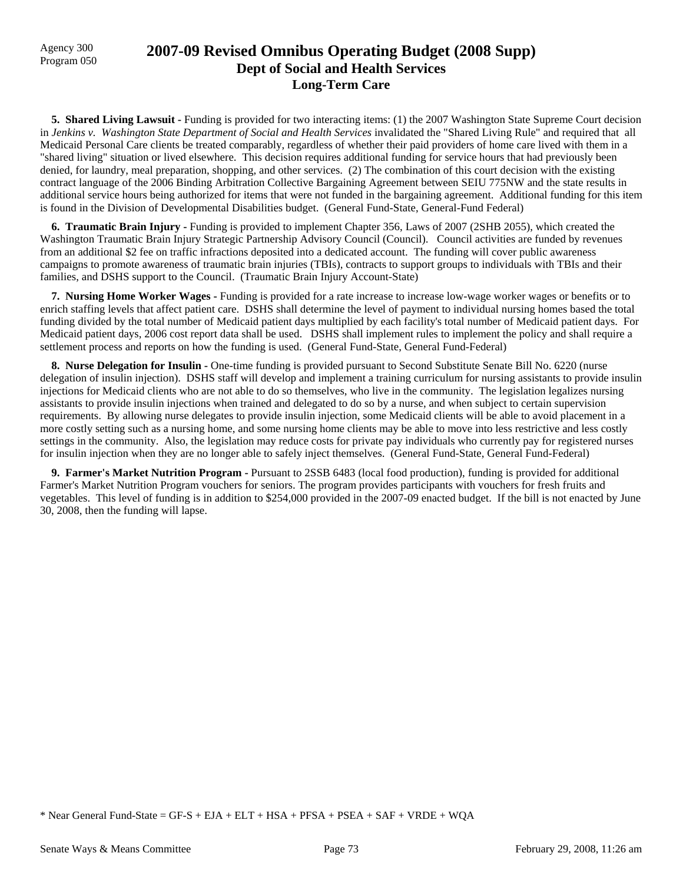## Program 050 **2007-09 Revised Omnibus Operating Budget (2008 Supp) Dept of Social and Health Services Long-Term Care**

**5. Shared Living Lawsuit - Funding is provided for two interacting items:** (1) the 2007 Washington State Supreme Court decision in *Jenkins v. Washington State Department of Social and Health Services* invalidated the "Shared Living Rule" and required that all Medicaid Personal Care clients be treated comparably, regardless of whether their paid providers of home care lived with them in a "shared living" situation or lived elsewhere. This decision requires additional funding for service hours that had previously been denied, for laundry, meal preparation, shopping, and other services. (2) The combination of this court decision with the existing contract language of the 2006 Binding Arbitration Collective Bargaining Agreement between SEIU 775NW and the state results in additional service hours being authorized for items that were not funded in the bargaining agreement. Additional funding for this item is found in the Division of Developmental Disabilities budget. (General Fund-State, General-Fund Federal)

 **6. Traumatic Brain Injury -** Funding is provided to implement Chapter 356, Laws of 2007 (2SHB 2055), which created the Washington Traumatic Brain Injury Strategic Partnership Advisory Council (Council). Council activities are funded by revenues from an additional \$2 fee on traffic infractions deposited into a dedicated account. The funding will cover public awareness campaigns to promote awareness of traumatic brain injuries (TBIs), contracts to support groups to individuals with TBIs and their families, and DSHS support to the Council. (Traumatic Brain Injury Account-State)

 **7. Nursing Home Worker Wages -** Funding is provided for a rate increase to increase low-wage worker wages or benefits or to enrich staffing levels that affect patient care. DSHS shall determine the level of payment to individual nursing homes based the total funding divided by the total number of Medicaid patient days multiplied by each facility's total number of Medicaid patient days. For Medicaid patient days, 2006 cost report data shall be used. DSHS shall implement rules to implement the policy and shall require a settlement process and reports on how the funding is used. (General Fund-State, General Fund-Federal)

 **8. Nurse Delegation for Insulin -** One-time funding is provided pursuant to Second Substitute Senate Bill No. 6220 (nurse delegation of insulin injection). DSHS staff will develop and implement a training curriculum for nursing assistants to provide insulin injections for Medicaid clients who are not able to do so themselves, who live in the community. The legislation legalizes nursing assistants to provide insulin injections when trained and delegated to do so by a nurse, and when subject to certain supervision requirements. By allowing nurse delegates to provide insulin injection, some Medicaid clients will be able to avoid placement in a more costly setting such as a nursing home, and some nursing home clients may be able to move into less restrictive and less costly settings in the community. Also, the legislation may reduce costs for private pay individuals who currently pay for registered nurses for insulin injection when they are no longer able to safely inject themselves. (General Fund-State, General Fund-Federal)

 **9. Farmer's Market Nutrition Program -** Pursuant to 2SSB 6483 (local food production), funding is provided for additional Farmer's Market Nutrition Program vouchers for seniors. The program provides participants with vouchers for fresh fruits and vegetables. This level of funding is in addition to \$254,000 provided in the 2007-09 enacted budget. If the bill is not enacted by June 30, 2008, then the funding will lapse.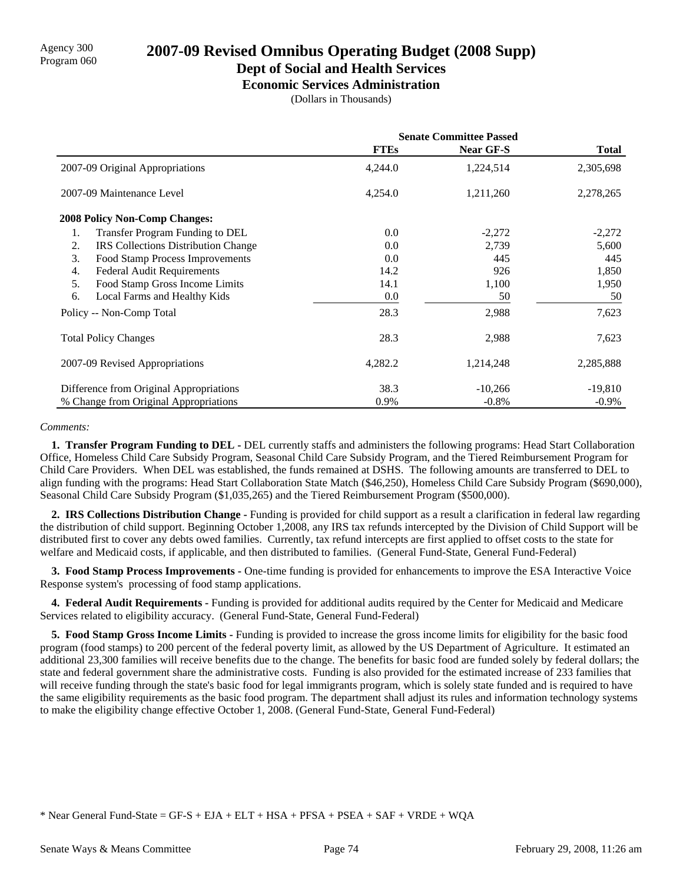### **Dept of Social and Health Services**

**Economic Services Administration**

(Dollars in Thousands)

|                                                  | <b>Senate Committee Passed</b> |                  |              |
|--------------------------------------------------|--------------------------------|------------------|--------------|
|                                                  | <b>FTEs</b>                    | <b>Near GF-S</b> | <b>Total</b> |
| 2007-09 Original Appropriations                  | 4,244.0                        | 1,224,514        | 2,305,698    |
| 2007-09 Maintenance Level                        | 4,254.0                        | 1,211,260        | 2,278,265    |
| <b>2008 Policy Non-Comp Changes:</b>             |                                |                  |              |
| Transfer Program Funding to DEL<br>1.            | 0.0                            | $-2,272$         | $-2,272$     |
| 2.<br><b>IRS</b> Collections Distribution Change | 0.0                            | 2,739            | 5,600        |
| 3.<br>Food Stamp Process Improvements            | 0.0                            | 445              | 445          |
| <b>Federal Audit Requirements</b><br>4.          | 14.2                           | 926              | 1,850        |
| Food Stamp Gross Income Limits<br>5.             | 14.1                           | 1,100            | 1,950        |
| 6.<br>Local Farms and Healthy Kids               | 0.0                            | 50               | 50           |
| Policy -- Non-Comp Total                         | 28.3                           | 2,988            | 7,623        |
| <b>Total Policy Changes</b>                      | 28.3                           | 2,988            | 7,623        |
| 2007-09 Revised Appropriations                   | 4,282.2                        | 1,214,248        | 2,285,888    |
| Difference from Original Appropriations          | 38.3                           | $-10,266$        | $-19,810$    |
| % Change from Original Appropriations            | 0.9%                           | $-0.8\%$         | $-0.9\%$     |

#### *Comments:*

 **1. Transfer Program Funding to DEL -** DEL currently staffs and administers the following programs: Head Start Collaboration Office, Homeless Child Care Subsidy Program, Seasonal Child Care Subsidy Program, and the Tiered Reimbursement Program for Child Care Providers. When DEL was established, the funds remained at DSHS. The following amounts are transferred to DEL to align funding with the programs: Head Start Collaboration State Match (\$46,250), Homeless Child Care Subsidy Program (\$690,000), Seasonal Child Care Subsidy Program (\$1,035,265) and the Tiered Reimbursement Program (\$500,000).

 **2. IRS Collections Distribution Change -** Funding is provided for child support as a result a clarification in federal law regarding the distribution of child support. Beginning October 1,2008, any IRS tax refunds intercepted by the Division of Child Support will be distributed first to cover any debts owed families. Currently, tax refund intercepts are first applied to offset costs to the state for welfare and Medicaid costs, if applicable, and then distributed to families. (General Fund-State, General Fund-Federal)

 **3. Food Stamp Process Improvements -** One-time funding is provided for enhancements to improve the ESA Interactive Voice Response system's processing of food stamp applications.

 **4. Federal Audit Requirements -** Funding is provided for additional audits required by the Center for Medicaid and Medicare Services related to eligibility accuracy. (General Fund-State, General Fund-Federal)

 **5. Food Stamp Gross Income Limits -** Funding is provided to increase the gross income limits for eligibility for the basic food program (food stamps) to 200 percent of the federal poverty limit, as allowed by the US Department of Agriculture. It estimated an additional 23,300 families will receive benefits due to the change. The benefits for basic food are funded solely by federal dollars; the state and federal government share the administrative costs. Funding is also provided for the estimated increase of 233 families that will receive funding through the state's basic food for legal immigrants program, which is solely state funded and is required to have the same eligibility requirements as the basic food program. The department shall adjust its rules and information technology systems to make the eligibility change effective October 1, 2008. (General Fund-State, General Fund-Federal)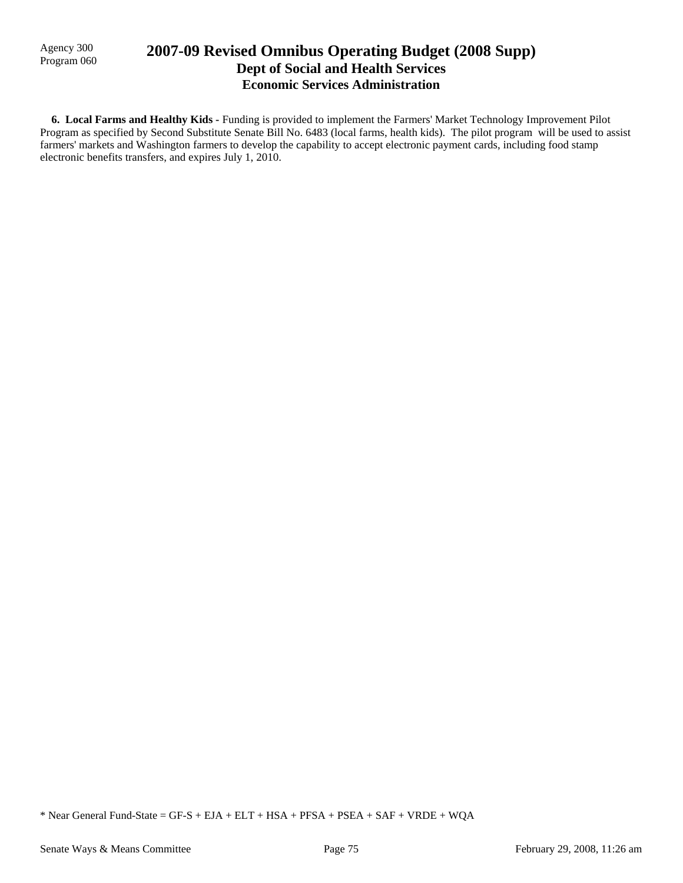Agency 300

## Agency 300 **2007-09 Revised Omnibus Operating Budget (2008 Supp)** Program 060 **Dept of Social and Health Services Economic Services Administration**

 **6. Local Farms and Healthy Kids -** Funding is provided to implement the Farmers' Market Technology Improvement Pilot Program as specified by Second Substitute Senate Bill No. 6483 (local farms, health kids). The pilot program will be used to assist farmers' markets and Washington farmers to develop the capability to accept electronic payment cards, including food stamp electronic benefits transfers, and expires July 1, 2010.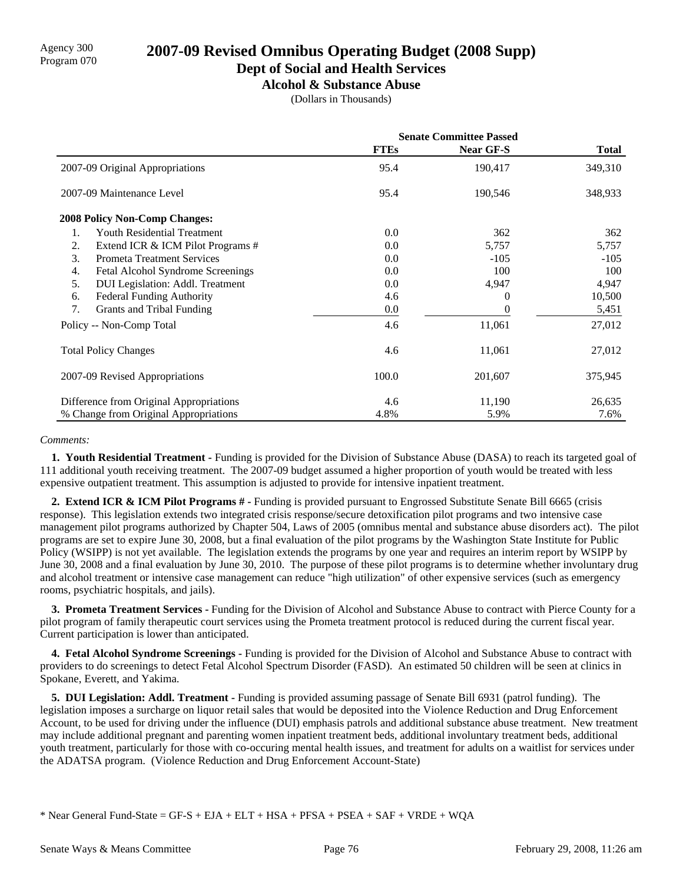### **Dept of Social and Health Services**

**Alcohol & Substance Abuse**

(Dollars in Thousands)

|                                          | <b>Senate Committee Passed</b> |                  |              |
|------------------------------------------|--------------------------------|------------------|--------------|
|                                          | <b>FTEs</b>                    | <b>Near GF-S</b> | <b>Total</b> |
| 2007-09 Original Appropriations          | 95.4                           | 190,417          | 349,310      |
| 2007-09 Maintenance Level                | 95.4                           | 190,546          | 348,933      |
| <b>2008 Policy Non-Comp Changes:</b>     |                                |                  |              |
| <b>Youth Residential Treatment</b><br>1. | 0.0                            | 362              | 362          |
| 2.<br>Extend ICR & ICM Pilot Programs #  | 0.0                            | 5,757            | 5,757        |
| 3.<br><b>Prometa Treatment Services</b>  | 0.0                            | $-105$           | $-105$       |
| 4.<br>Fetal Alcohol Syndrome Screenings  | 0.0                            | 100              | 100          |
| DUI Legislation: Addl. Treatment<br>5.   | 0.0                            | 4,947            | 4,947        |
| 6.<br><b>Federal Funding Authority</b>   | 4.6                            | $_{0}$           | 10,500       |
| 7.<br>Grants and Tribal Funding          | 0.0                            |                  | 5,451        |
| Policy -- Non-Comp Total                 | 4.6                            | 11,061           | 27,012       |
| <b>Total Policy Changes</b>              | 4.6                            | 11,061           | 27,012       |
| 2007-09 Revised Appropriations           | 100.0                          | 201,607          | 375,945      |
| Difference from Original Appropriations  | 4.6                            | 11,190           | 26,635       |
| % Change from Original Appropriations    | 4.8%                           | 5.9%             | 7.6%         |

### *Comments:*

 **1. Youth Residential Treatment -** Funding is provided for the Division of Substance Abuse (DASA) to reach its targeted goal of 111 additional youth receiving treatment. The 2007-09 budget assumed a higher proportion of youth would be treated with less expensive outpatient treatment. This assumption is adjusted to provide for intensive inpatient treatment.

 **2. Extend ICR & ICM Pilot Programs # -** Funding is provided pursuant to Engrossed Substitute Senate Bill 6665 (crisis response). This legislation extends two integrated crisis response/secure detoxification pilot programs and two intensive case management pilot programs authorized by Chapter 504, Laws of 2005 (omnibus mental and substance abuse disorders act). The pilot programs are set to expire June 30, 2008, but a final evaluation of the pilot programs by the Washington State Institute for Public Policy (WSIPP) is not yet available. The legislation extends the programs by one year and requires an interim report by WSIPP by June 30, 2008 and a final evaluation by June 30, 2010. The purpose of these pilot programs is to determine whether involuntary drug and alcohol treatment or intensive case management can reduce "high utilization" of other expensive services (such as emergency rooms, psychiatric hospitals, and jails).

 **3. Prometa Treatment Services -** Funding for the Division of Alcohol and Substance Abuse to contract with Pierce County for a pilot program of family therapeutic court services using the Prometa treatment protocol is reduced during the current fiscal year. Current participation is lower than anticipated.

 **4. Fetal Alcohol Syndrome Screenings -** Funding is provided for the Division of Alcohol and Substance Abuse to contract with providers to do screenings to detect Fetal Alcohol Spectrum Disorder (FASD). An estimated 50 children will be seen at clinics in Spokane, Everett, and Yakima.

 **5. DUI Legislation: Addl. Treatment -** Funding is provided assuming passage of Senate Bill 6931 (patrol funding). The legislation imposes a surcharge on liquor retail sales that would be deposited into the Violence Reduction and Drug Enforcement Account, to be used for driving under the influence (DUI) emphasis patrols and additional substance abuse treatment. New treatment may include additional pregnant and parenting women inpatient treatment beds, additional involuntary treatment beds, additional youth treatment, particularly for those with co-occuring mental health issues, and treatment for adults on a waitlist for services under the ADATSA program. (Violence Reduction and Drug Enforcement Account-State)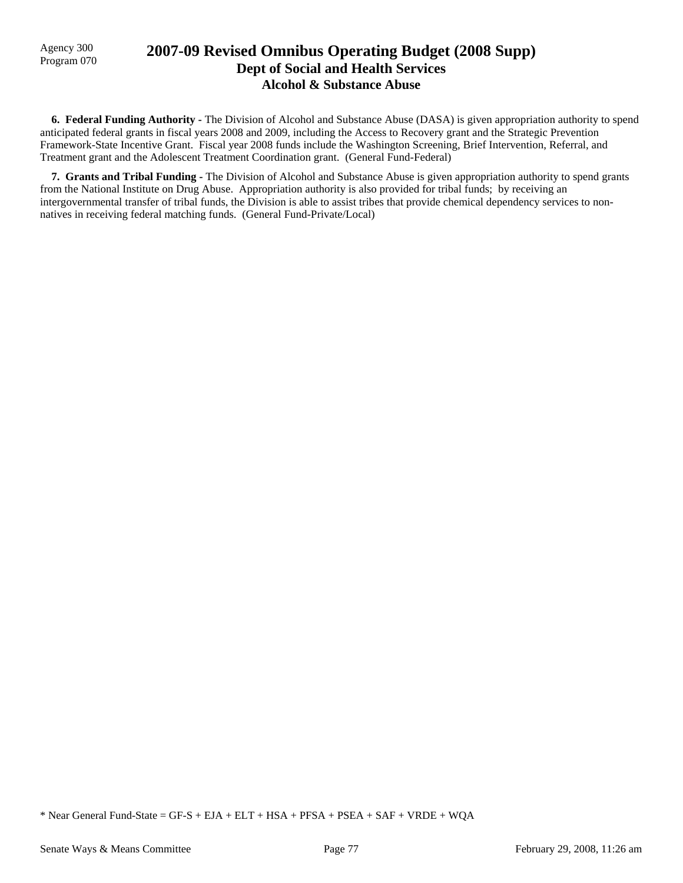## Agency 300 **2007-09 Revised Omnibus Operating Budget (2008 Supp)**<br>Program 070 **Dept of Social and Health Services Alcohol & Substance Abuse**

 **6. Federal Funding Authority -** The Division of Alcohol and Substance Abuse (DASA) is given appropriation authority to spend anticipated federal grants in fiscal years 2008 and 2009, including the Access to Recovery grant and the Strategic Prevention Framework-State Incentive Grant. Fiscal year 2008 funds include the Washington Screening, Brief Intervention, Referral, and Treatment grant and the Adolescent Treatment Coordination grant. (General Fund-Federal)

 **7. Grants and Tribal Funding -** The Division of Alcohol and Substance Abuse is given appropriation authority to spend grants from the National Institute on Drug Abuse. Appropriation authority is also provided for tribal funds; by receiving an intergovernmental transfer of tribal funds, the Division is able to assist tribes that provide chemical dependency services to nonnatives in receiving federal matching funds. (General Fund-Private/Local)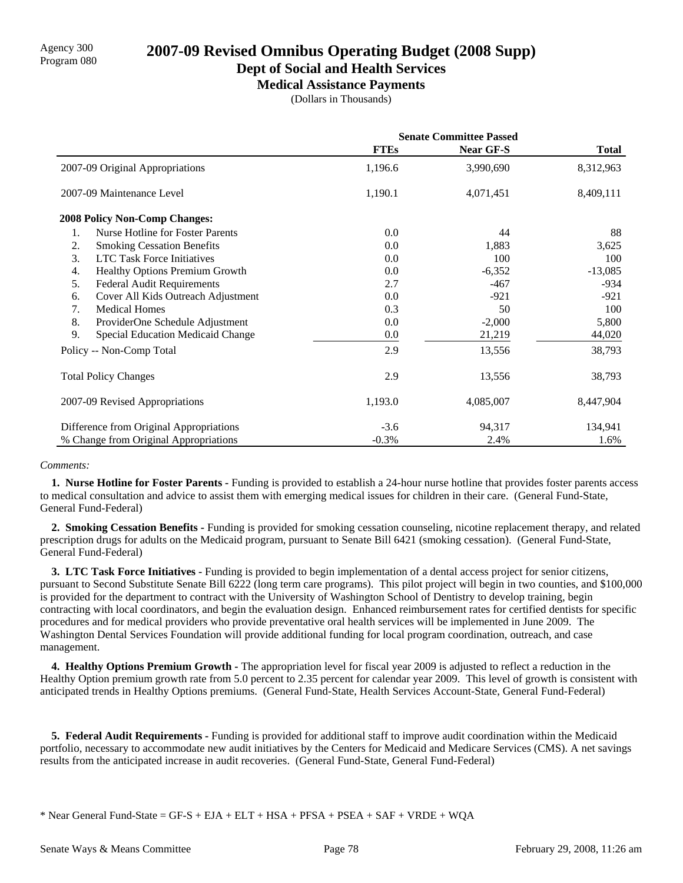### **Dept of Social and Health Services**

**Medical Assistance Payments**

(Dollars in Thousands)

|                                               | <b>Senate Committee Passed</b> |                  |              |
|-----------------------------------------------|--------------------------------|------------------|--------------|
|                                               | <b>FTEs</b>                    | <b>Near GF-S</b> | <b>Total</b> |
| 2007-09 Original Appropriations               | 1,196.6                        | 3,990,690        | 8,312,963    |
| 2007-09 Maintenance Level                     | 1,190.1                        | 4,071,451        | 8,409,111    |
| <b>2008 Policy Non-Comp Changes:</b>          |                                |                  |              |
| <b>Nurse Hotline for Foster Parents</b><br>1. | 0.0                            | 44               | 88           |
| 2.<br><b>Smoking Cessation Benefits</b>       | 0.0                            | 1,883            | 3,625        |
| 3.<br><b>LTC Task Force Initiatives</b>       | 0.0                            | 100              | 100          |
| Healthy Options Premium Growth<br>4.          | 0.0                            | $-6,352$         | $-13,085$    |
| <b>Federal Audit Requirements</b><br>5.       | 2.7                            | $-467$           | $-934$       |
| Cover All Kids Outreach Adjustment<br>6.      | 0.0                            | $-921$           | $-921$       |
| 7.<br><b>Medical Homes</b>                    | 0.3                            | 50               | 100          |
| 8.<br>ProviderOne Schedule Adjustment         | 0.0                            | $-2,000$         | 5,800        |
| 9.<br>Special Education Medicaid Change       | 0.0                            | 21,219           | 44,020       |
| Policy -- Non-Comp Total                      | 2.9                            | 13,556           | 38,793       |
| <b>Total Policy Changes</b>                   | 2.9                            | 13,556           | 38,793       |
| 2007-09 Revised Appropriations                | 1,193.0                        | 4,085,007        | 8,447,904    |
| Difference from Original Appropriations       | $-3.6$                         | 94,317           | 134,941      |
| % Change from Original Appropriations         | $-0.3\%$                       | 2.4%             | 1.6%         |

### *Comments:*

 **1. Nurse Hotline for Foster Parents -** Funding is provided to establish a 24-hour nurse hotline that provides foster parents access to medical consultation and advice to assist them with emerging medical issues for children in their care. (General Fund-State, General Fund-Federal)

 **2. Smoking Cessation Benefits -** Funding is provided for smoking cessation counseling, nicotine replacement therapy, and related prescription drugs for adults on the Medicaid program, pursuant to Senate Bill 6421 (smoking cessation). (General Fund-State, General Fund-Federal)

 **3. LTC Task Force Initiatives -** Funding is provided to begin implementation of a dental access project for senior citizens, pursuant to Second Substitute Senate Bill 6222 (long term care programs). This pilot project will begin in two counties, and \$100,000 is provided for the department to contract with the University of Washington School of Dentistry to develop training, begin contracting with local coordinators, and begin the evaluation design. Enhanced reimbursement rates for certified dentists for specific procedures and for medical providers who provide preventative oral health services will be implemented in June 2009. The Washington Dental Services Foundation will provide additional funding for local program coordination, outreach, and case management.

 **4. Healthy Options Premium Growth -** The appropriation level for fiscal year 2009 is adjusted to reflect a reduction in the Healthy Option premium growth rate from 5.0 percent to 2.35 percent for calendar year 2009. This level of growth is consistent with anticipated trends in Healthy Options premiums. (General Fund-State, Health Services Account-State, General Fund-Federal)

 **5. Federal Audit Requirements -** Funding is provided for additional staff to improve audit coordination within the Medicaid portfolio, necessary to accommodate new audit initiatives by the Centers for Medicaid and Medicare Services (CMS). A net savings results from the anticipated increase in audit recoveries. (General Fund-State, General Fund-Federal)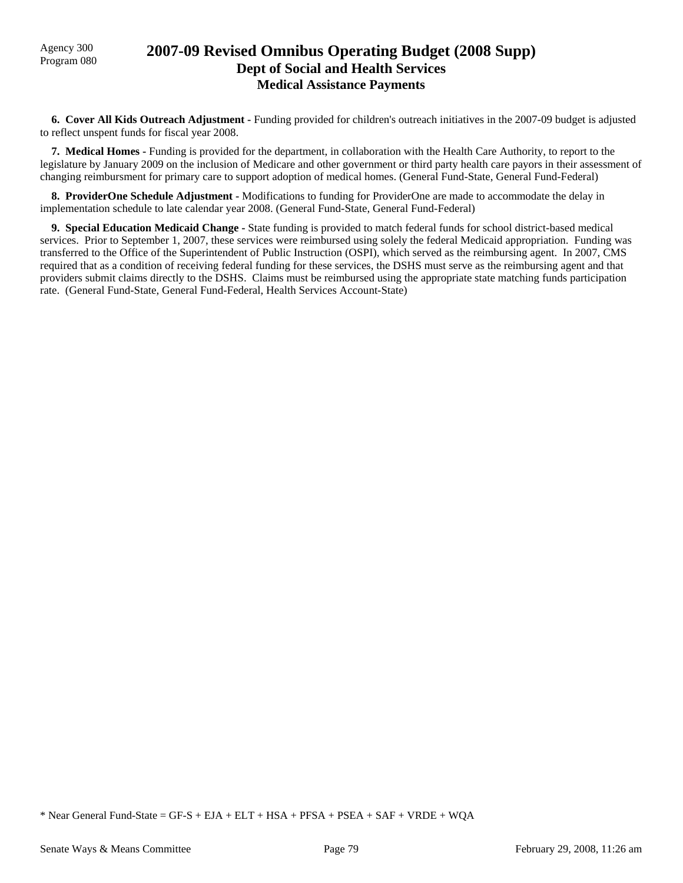## Agency 300 **2007-09 Revised Omnibus Operating Budget (2008 Supp)**<br>Program 080 **Dept of Social and Health Services Medical Assistance Payments**

 **6. Cover All Kids Outreach Adjustment -** Funding provided for children's outreach initiatives in the 2007-09 budget is adjusted to reflect unspent funds for fiscal year 2008.

 **7. Medical Homes -** Funding is provided for the department, in collaboration with the Health Care Authority, to report to the legislature by January 2009 on the inclusion of Medicare and other government or third party health care payors in their assessment of changing reimbursment for primary care to support adoption of medical homes. (General Fund-State, General Fund-Federal)

 **8. ProviderOne Schedule Adjustment -** Modifications to funding for ProviderOne are made to accommodate the delay in implementation schedule to late calendar year 2008. (General Fund-State, General Fund-Federal)

 **9. Special Education Medicaid Change -** State funding is provided to match federal funds for school district-based medical services. Prior to September 1, 2007, these services were reimbursed using solely the federal Medicaid appropriation. Funding was transferred to the Office of the Superintendent of Public Instruction (OSPI), which served as the reimbursing agent. In 2007, CMS required that as a condition of receiving federal funding for these services, the DSHS must serve as the reimbursing agent and that providers submit claims directly to the DSHS. Claims must be reimbursed using the appropriate state matching funds participation rate. (General Fund-State, General Fund-Federal, Health Services Account-State)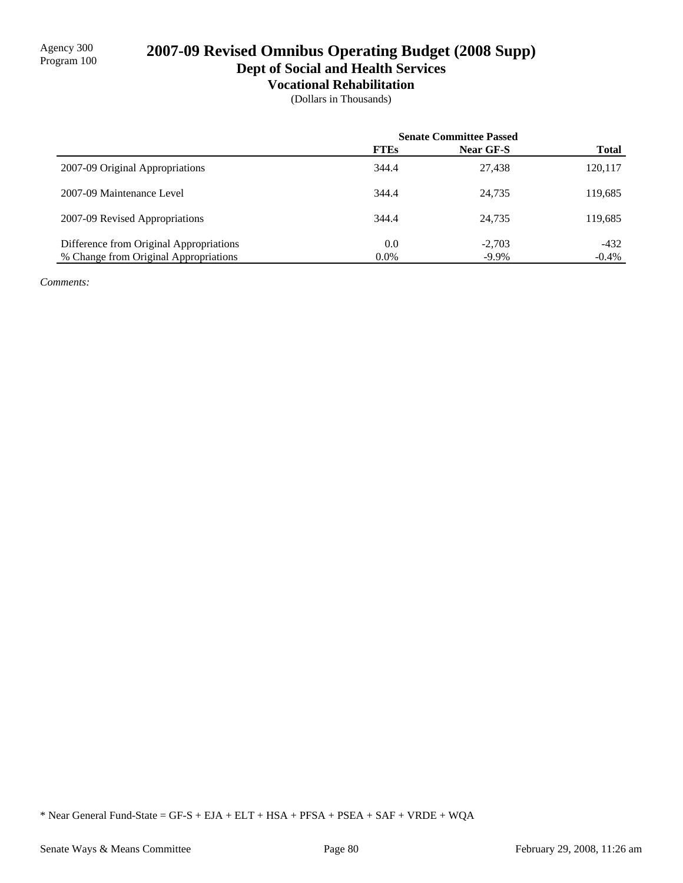## 2007-09 Revised Omnibus Operating Budget (2008 Supp) **Dept of Social and Health Services**

# **Vocational Rehabilitation**

(Dollars in Thousands)

|                                         |             | <b>Senate Committee Passed</b> |              |
|-----------------------------------------|-------------|--------------------------------|--------------|
|                                         | <b>FTEs</b> | Near GF-S                      | <b>Total</b> |
| 2007-09 Original Appropriations         | 344.4       | 27,438                         | 120,117      |
| 2007-09 Maintenance Level               | 344.4       | 24,735                         | 119,685      |
| 2007-09 Revised Appropriations          | 344.4       | 24,735                         | 119,685      |
| Difference from Original Appropriations | 0.0         | $-2,703$                       | $-432$       |
| % Change from Original Appropriations   | 0.0%        | $-9.9\%$                       | $-0.4\%$     |

*Comments:*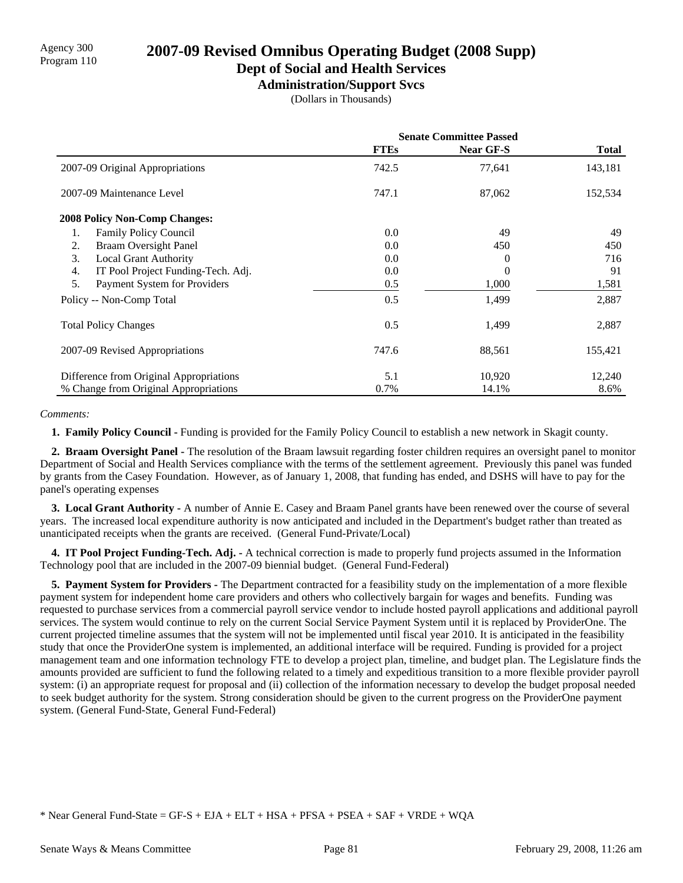## **Dept of Social and Health Services**

**Administration/Support Svcs**

(Dollars in Thousands)

|                                          | <b>Senate Committee Passed</b> |                  |              |
|------------------------------------------|--------------------------------|------------------|--------------|
|                                          | <b>FTEs</b>                    | <b>Near GF-S</b> | <b>Total</b> |
| 2007-09 Original Appropriations          | 742.5                          | 77,641           | 143,181      |
| 2007-09 Maintenance Level                | 747.1                          | 87,062           | 152,534      |
| <b>2008 Policy Non-Comp Changes:</b>     |                                |                  |              |
| <b>Family Policy Council</b><br>1.       | 0.0                            | 49               | 49           |
| <b>Braam Oversight Panel</b><br>2.       | 0.0                            | 450              | 450          |
| 3.<br><b>Local Grant Authority</b>       | 0.0                            | 0                | 716          |
| IT Pool Project Funding-Tech. Adj.<br>4. | 0.0                            | 0                | 91           |
| 5.<br>Payment System for Providers       | 0.5                            | 1,000            | 1,581        |
| Policy -- Non-Comp Total                 | 0.5                            | 1,499            | 2,887        |
| <b>Total Policy Changes</b>              | 0.5                            | 1,499            | 2,887        |
| 2007-09 Revised Appropriations           | 747.6                          | 88,561           | 155,421      |
| Difference from Original Appropriations  | 5.1                            | 10,920           | 12,240       |
| % Change from Original Appropriations    | 0.7%                           | 14.1%            | 8.6%         |

### *Comments:*

 **1. Family Policy Council -** Funding is provided for the Family Policy Council to establish a new network in Skagit county.

 **2. Braam Oversight Panel -** The resolution of the Braam lawsuit regarding foster children requires an oversight panel to monitor Department of Social and Health Services compliance with the terms of the settlement agreement. Previously this panel was funded by grants from the Casey Foundation. However, as of January 1, 2008, that funding has ended, and DSHS will have to pay for the panel's operating expenses

 **3. Local Grant Authority -** A number of Annie E. Casey and Braam Panel grants have been renewed over the course of several years. The increased local expenditure authority is now anticipated and included in the Department's budget rather than treated as unanticipated receipts when the grants are received. (General Fund-Private/Local)

 **4. IT Pool Project Funding-Tech. Adj. -** A technical correction is made to properly fund projects assumed in the Information Technology pool that are included in the 2007-09 biennial budget. (General Fund-Federal)

 **5. Payment System for Providers -** The Department contracted for a feasibility study on the implementation of a more flexible payment system for independent home care providers and others who collectively bargain for wages and benefits. Funding was requested to purchase services from a commercial payroll service vendor to include hosted payroll applications and additional payroll services. The system would continue to rely on the current Social Service Payment System until it is replaced by ProviderOne. The current projected timeline assumes that the system will not be implemented until fiscal year 2010. It is anticipated in the feasibility study that once the ProviderOne system is implemented, an additional interface will be required. Funding is provided for a project management team and one information technology FTE to develop a project plan, timeline, and budget plan. The Legislature finds the amounts provided are sufficient to fund the following related to a timely and expeditious transition to a more flexible provider payroll system: (i) an appropriate request for proposal and (ii) collection of the information necessary to develop the budget proposal needed to seek budget authority for the system. Strong consideration should be given to the current progress on the ProviderOne payment system. (General Fund-State, General Fund-Federal)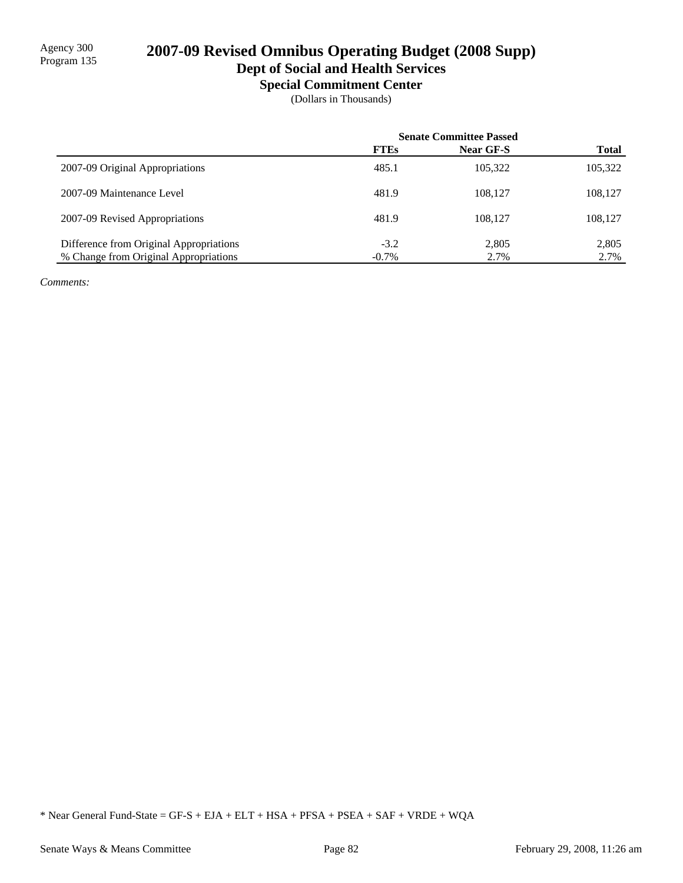# 2007-09 Revised Omnibus Operating Budget (2008 Supp)

## **Dept of Social and Health Services**

**Special Commitment Center**

(Dollars in Thousands)

|                                         | <b>Senate Committee Passed</b> |           |              |
|-----------------------------------------|--------------------------------|-----------|--------------|
|                                         | <b>FTEs</b>                    | Near GF-S | <b>Total</b> |
| 2007-09 Original Appropriations         | 485.1                          | 105.322   | 105,322      |
| 2007-09 Maintenance Level               | 481.9                          | 108.127   | 108,127      |
| 2007-09 Revised Appropriations          | 481.9                          | 108.127   | 108,127      |
| Difference from Original Appropriations | $-3.2$                         | 2,805     | 2,805        |
| % Change from Original Appropriations   | $-0.7\%$                       | 2.7%      | 2.7%         |

*Comments:*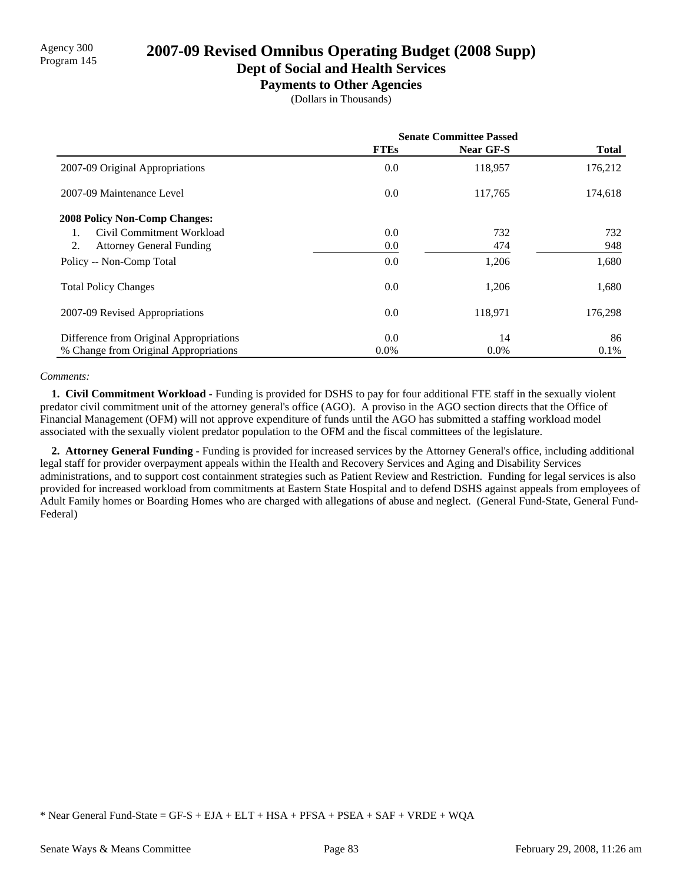# Agency 300<br>Program 145 **2007-09 Revised Omnibus Operating Budget (2008 Supp)**

### **Dept of Social and Health Services**

**Payments to Other Agencies**

(Dollars in Thousands)

|                                         | <b>Senate Committee Passed</b> |                  |              |
|-----------------------------------------|--------------------------------|------------------|--------------|
|                                         | <b>FTEs</b>                    | <b>Near GF-S</b> | <b>Total</b> |
| 2007-09 Original Appropriations         | 0.0                            | 118,957          | 176,212      |
| 2007-09 Maintenance Level               | 0.0                            | 117,765          | 174,618      |
| <b>2008 Policy Non-Comp Changes:</b>    |                                |                  |              |
| Civil Commitment Workload               | 0.0                            | 732              | 732          |
| 2.<br><b>Attorney General Funding</b>   | 0.0                            | 474              | 948          |
| Policy -- Non-Comp Total                | 0.0                            | 1,206            | 1,680        |
| <b>Total Policy Changes</b>             | 0.0                            | 1,206            | 1,680        |
| 2007-09 Revised Appropriations          | 0.0                            | 118,971          | 176,298      |
| Difference from Original Appropriations | 0.0                            | 14               | 86           |
| % Change from Original Appropriations   | $0.0\%$                        | $0.0\%$          | $0.1\%$      |

### *Comments:*

 **1. Civil Commitment Workload -** Funding is provided for DSHS to pay for four additional FTE staff in the sexually violent predator civil commitment unit of the attorney general's office (AGO). A proviso in the AGO section directs that the Office of Financial Management (OFM) will not approve expenditure of funds until the AGO has submitted a staffing workload model associated with the sexually violent predator population to the OFM and the fiscal committees of the legislature.

 **2. Attorney General Funding -** Funding is provided for increased services by the Attorney General's office, including additional legal staff for provider overpayment appeals within the Health and Recovery Services and Aging and Disability Services administrations, and to support cost containment strategies such as Patient Review and Restriction. Funding for legal services is also provided for increased workload from commitments at Eastern State Hospital and to defend DSHS against appeals from employees of Adult Family homes or Boarding Homes who are charged with allegations of abuse and neglect. (General Fund-State, General Fund-Federal)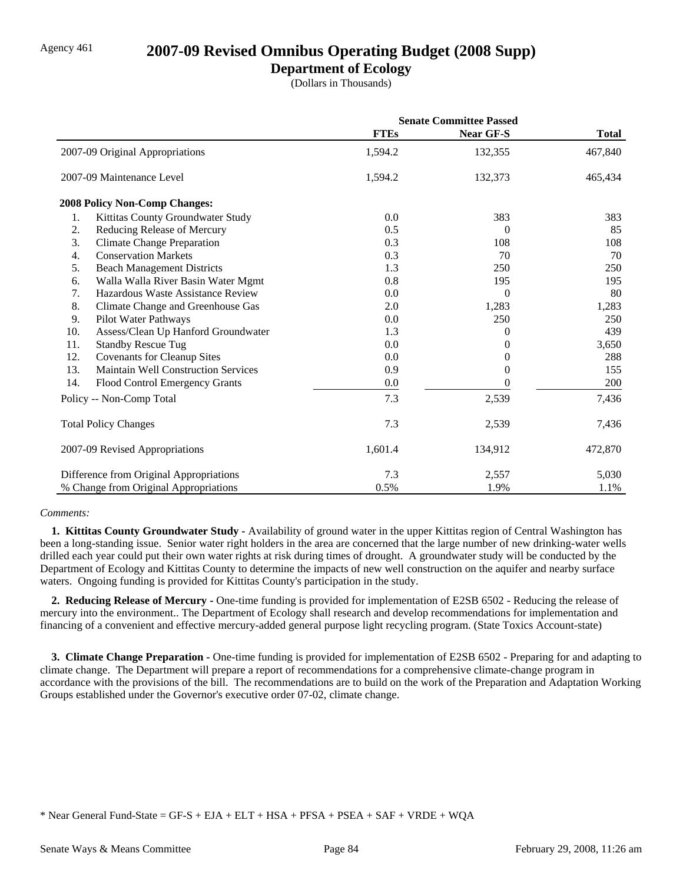### Agency 461 **2007-09 Revised Omnibus Operating Budget (2008 Supp)**

### **Department of Ecology**

(Dollars in Thousands)

|                                                   | <b>Senate Committee Passed</b> |                  |              |
|---------------------------------------------------|--------------------------------|------------------|--------------|
|                                                   | <b>FTEs</b>                    | <b>Near GF-S</b> | <b>Total</b> |
| 2007-09 Original Appropriations                   | 1,594.2                        | 132,355          | 467,840      |
| 2007-09 Maintenance Level                         | 1,594.2                        | 132,373          | 465,434      |
| <b>2008 Policy Non-Comp Changes:</b>              |                                |                  |              |
| Kittitas County Groundwater Study<br>1.           | 0.0                            | 383              | 383          |
| 2.<br>Reducing Release of Mercury                 | 0.5                            | $\overline{0}$   | 85           |
| 3.<br><b>Climate Change Preparation</b>           | 0.3                            | 108              | 108          |
| <b>Conservation Markets</b><br>4.                 | 0.3                            | 70               | 70           |
| 5.<br><b>Beach Management Districts</b>           | 1.3                            | 250              | 250          |
| Walla Walla River Basin Water Mgmt<br>6.          | 0.8                            | 195              | 195          |
| Hazardous Waste Assistance Review<br>7.           | 0.0                            | $\theta$         | 80           |
| 8.<br>Climate Change and Greenhouse Gas           | 2.0                            | 1,283            | 1,283        |
| 9.<br>Pilot Water Pathways                        | 0.0                            | 250              | 250          |
| 10.<br>Assess/Clean Up Hanford Groundwater        | 1.3                            | 0                | 439          |
| 11.<br><b>Standby Rescue Tug</b>                  | 0.0                            | 0                | 3,650        |
| 12.<br><b>Covenants for Cleanup Sites</b>         | 0.0                            | 0                | 288          |
| 13.<br><b>Maintain Well Construction Services</b> | 0.9                            | 0                | 155          |
| 14.<br>Flood Control Emergency Grants             | 0.0                            | 0                | 200          |
| Policy -- Non-Comp Total                          | 7.3                            | 2,539            | 7,436        |
| <b>Total Policy Changes</b>                       | 7.3                            | 2,539            | 7,436        |
| 2007-09 Revised Appropriations                    | 1,601.4                        | 134,912          | 472,870      |
| Difference from Original Appropriations           | 7.3                            | 2,557            | 5,030        |
| % Change from Original Appropriations             | 0.5%                           | 1.9%             | 1.1%         |

### *Comments:*

 **1. Kittitas County Groundwater Study -** Availability of ground water in the upper Kittitas region of Central Washington has been a long-standing issue. Senior water right holders in the area are concerned that the large number of new drinking-water wells drilled each year could put their own water rights at risk during times of drought. A groundwater study will be conducted by the Department of Ecology and Kittitas County to determine the impacts of new well construction on the aquifer and nearby surface waters. Ongoing funding is provided for Kittitas County's participation in the study.

 **2. Reducing Release of Mercury -** One-time funding is provided for implementation of E2SB 6502 - Reducing the release of mercury into the environment.. The Department of Ecology shall research and develop recommendations for implementation and financing of a convenient and effective mercury-added general purpose light recycling program. (State Toxics Account-state)

 **3. Climate Change Preparation -** One-time funding is provided for implementation of E2SB 6502 - Preparing for and adapting to climate change. The Department will prepare a report of recommendations for a comprehensive climate-change program in accordance with the provisions of the bill. The recommendations are to build on the work of the Preparation and Adaptation Working Groups established under the Governor's executive order 07-02, climate change.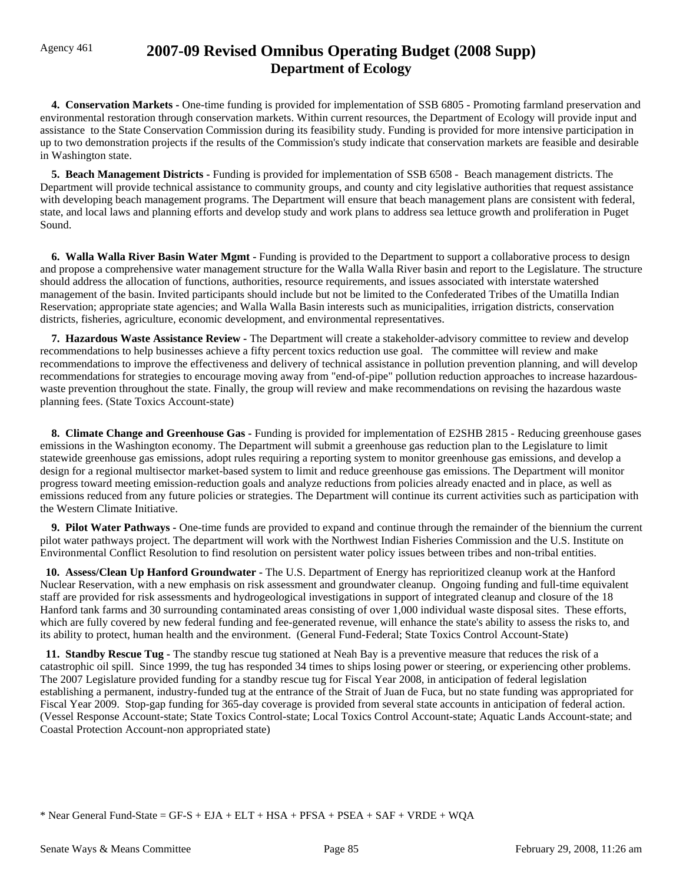## Agency 461 **2007-09 Revised Omnibus Operating Budget (2008 Supp) Department of Ecology**

 **4. Conservation Markets -** One-time funding is provided for implementation of SSB 6805 - Promoting farmland preservation and environmental restoration through conservation markets. Within current resources, the Department of Ecology will provide input and assistance to the State Conservation Commission during its feasibility study. Funding is provided for more intensive participation in up to two demonstration projects if the results of the Commission's study indicate that conservation markets are feasible and desirable in Washington state.

 **5. Beach Management Districts -** Funding is provided for implementation of SSB 6508 - Beach management districts. The Department will provide technical assistance to community groups, and county and city legislative authorities that request assistance with developing beach management programs. The Department will ensure that beach management plans are consistent with federal, state, and local laws and planning efforts and develop study and work plans to address sea lettuce growth and proliferation in Puget Sound.

 **6. Walla Walla River Basin Water Mgmt -** Funding is provided to the Department to support a collaborative process to design and propose a comprehensive water management structure for the Walla Walla River basin and report to the Legislature. The structure should address the allocation of functions, authorities, resource requirements, and issues associated with interstate watershed management of the basin. Invited participants should include but not be limited to the Confederated Tribes of the Umatilla Indian Reservation; appropriate state agencies; and Walla Walla Basin interests such as municipalities, irrigation districts, conservation districts, fisheries, agriculture, economic development, and environmental representatives.

 **7. Hazardous Waste Assistance Review -** The Department will create a stakeholder-advisory committee to review and develop recommendations to help businesses achieve a fifty percent toxics reduction use goal. The committee will review and make recommendations to improve the effectiveness and delivery of technical assistance in pollution prevention planning, and will develop recommendations for strategies to encourage moving away from "end-of-pipe" pollution reduction approaches to increase hazardouswaste prevention throughout the state. Finally, the group will review and make recommendations on revising the hazardous waste planning fees. (State Toxics Account-state)

 **8. Climate Change and Greenhouse Gas -** Funding is provided for implementation of E2SHB 2815 - Reducing greenhouse gases emissions in the Washington economy. The Department will submit a greenhouse gas reduction plan to the Legislature to limit statewide greenhouse gas emissions, adopt rules requiring a reporting system to monitor greenhouse gas emissions, and develop a design for a regional multisector market-based system to limit and reduce greenhouse gas emissions. The Department will monitor progress toward meeting emission-reduction goals and analyze reductions from policies already enacted and in place, as well as emissions reduced from any future policies or strategies. The Department will continue its current activities such as participation with the Western Climate Initiative.

 **9. Pilot Water Pathways -** One-time funds are provided to expand and continue through the remainder of the biennium the current pilot water pathways project. The department will work with the Northwest Indian Fisheries Commission and the U.S. Institute on Environmental Conflict Resolution to find resolution on persistent water policy issues between tribes and non-tribal entities.

 **10. Assess/Clean Up Hanford Groundwater -** The U.S. Department of Energy has reprioritized cleanup work at the Hanford Nuclear Reservation, with a new emphasis on risk assessment and groundwater cleanup. Ongoing funding and full-time equivalent staff are provided for risk assessments and hydrogeological investigations in support of integrated cleanup and closure of the 18 Hanford tank farms and 30 surrounding contaminated areas consisting of over 1,000 individual waste disposal sites. These efforts, which are fully covered by new federal funding and fee-generated revenue, will enhance the state's ability to assess the risks to, and its ability to protect, human health and the environment. (General Fund-Federal; State Toxics Control Account-State)

 **11. Standby Rescue Tug -** The standby rescue tug stationed at Neah Bay is a preventive measure that reduces the risk of a catastrophic oil spill. Since 1999, the tug has responded 34 times to ships losing power or steering, or experiencing other problems. The 2007 Legislature provided funding for a standby rescue tug for Fiscal Year 2008, in anticipation of federal legislation establishing a permanent, industry-funded tug at the entrance of the Strait of Juan de Fuca, but no state funding was appropriated for Fiscal Year 2009. Stop-gap funding for 365-day coverage is provided from several state accounts in anticipation of federal action. (Vessel Response Account-state; State Toxics Control-state; Local Toxics Control Account-state; Aquatic Lands Account-state; and Coastal Protection Account-non appropriated state)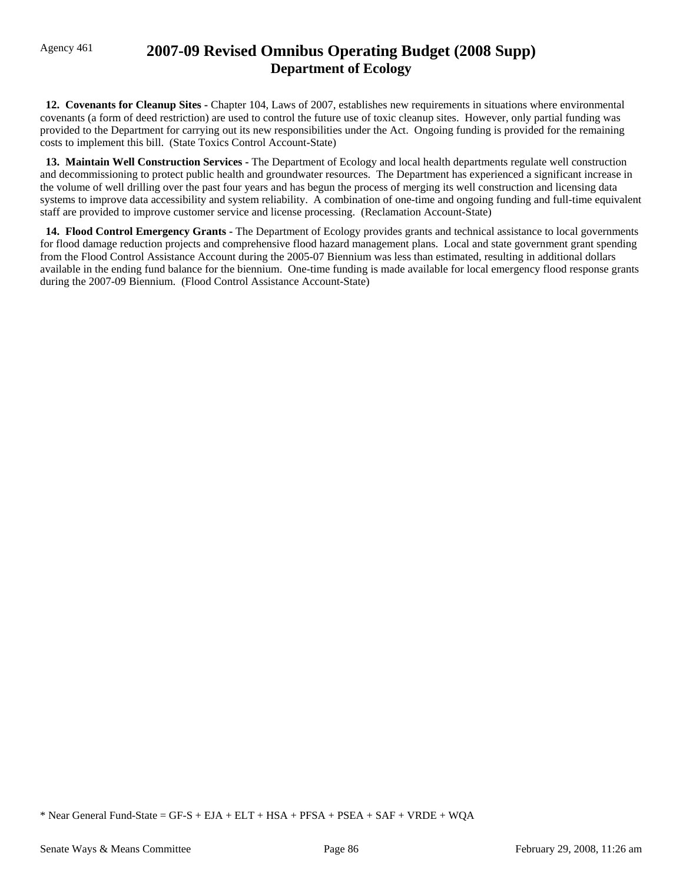## Agency 461 **2007-09 Revised Omnibus Operating Budget (2008 Supp) Department of Ecology**

 **12. Covenants for Cleanup Sites -** Chapter 104, Laws of 2007, establishes new requirements in situations where environmental covenants (a form of deed restriction) are used to control the future use of toxic cleanup sites. However, only partial funding was provided to the Department for carrying out its new responsibilities under the Act. Ongoing funding is provided for the remaining costs to implement this bill. (State Toxics Control Account-State)

 **13. Maintain Well Construction Services -** The Department of Ecology and local health departments regulate well construction and decommissioning to protect public health and groundwater resources. The Department has experienced a significant increase in the volume of well drilling over the past four years and has begun the process of merging its well construction and licensing data systems to improve data accessibility and system reliability. A combination of one-time and ongoing funding and full-time equivalent staff are provided to improve customer service and license processing. (Reclamation Account-State)

 **14. Flood Control Emergency Grants -** The Department of Ecology provides grants and technical assistance to local governments for flood damage reduction projects and comprehensive flood hazard management plans. Local and state government grant spending from the Flood Control Assistance Account during the 2005-07 Biennium was less than estimated, resulting in additional dollars available in the ending fund balance for the biennium. One-time funding is made available for local emergency flood response grants during the 2007-09 Biennium. (Flood Control Assistance Account-State)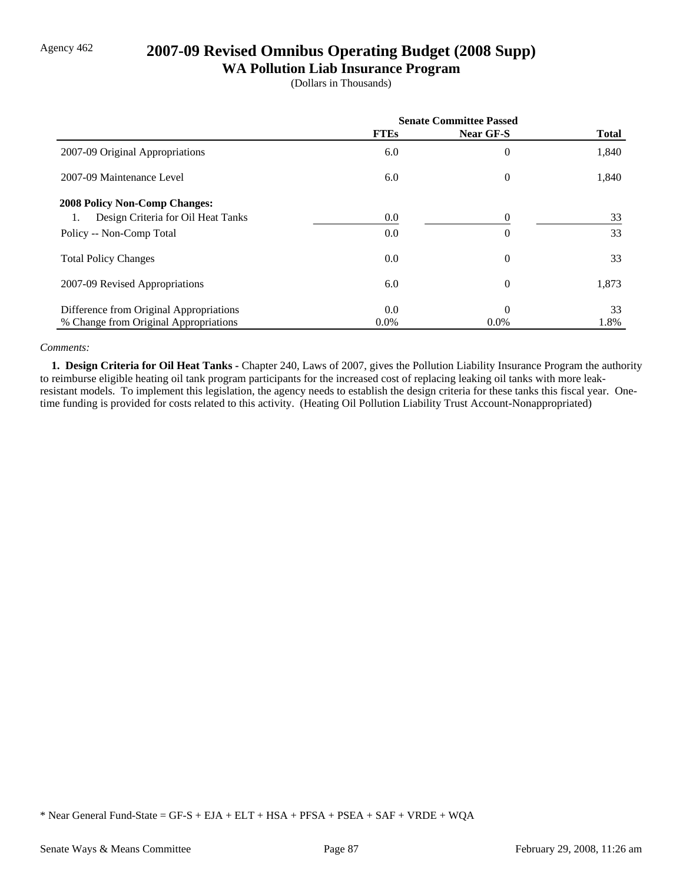## Agency 462 **2007-09 Revised Omnibus Operating Budget (2008 Supp)**

### **WA Pollution Liab Insurance Program**

(Dollars in Thousands)

|                                         | <b>Senate Committee Passed</b> |                |              |
|-----------------------------------------|--------------------------------|----------------|--------------|
|                                         | <b>FTEs</b>                    | Near GF-S      | <b>Total</b> |
| 2007-09 Original Appropriations         | 6.0                            | $\overline{0}$ | 1,840        |
| 2007-09 Maintenance Level               | 6.0                            | $\overline{0}$ | 1,840        |
| <b>2008 Policy Non-Comp Changes:</b>    |                                |                |              |
| Design Criteria for Oil Heat Tanks      | $0.0\,$                        | 0              | 33           |
| Policy -- Non-Comp Total                | 0.0                            | $\overline{0}$ | 33           |
| <b>Total Policy Changes</b>             | $0.0\,$                        | $\overline{0}$ | 33           |
| 2007-09 Revised Appropriations          | 6.0                            | $\overline{0}$ | 1,873        |
| Difference from Original Appropriations | 0.0                            | $\theta$       | 33           |
| % Change from Original Appropriations   | $0.0\%$                        | $0.0\%$        | 1.8%         |

### *Comments:*

 **1. Design Criteria for Oil Heat Tanks -** Chapter 240, Laws of 2007, gives the Pollution Liability Insurance Program the authority to reimburse eligible heating oil tank program participants for the increased cost of replacing leaking oil tanks with more leakresistant models. To implement this legislation, the agency needs to establish the design criteria for these tanks this fiscal year. Onetime funding is provided for costs related to this activity. (Heating Oil Pollution Liability Trust Account-Nonappropriated)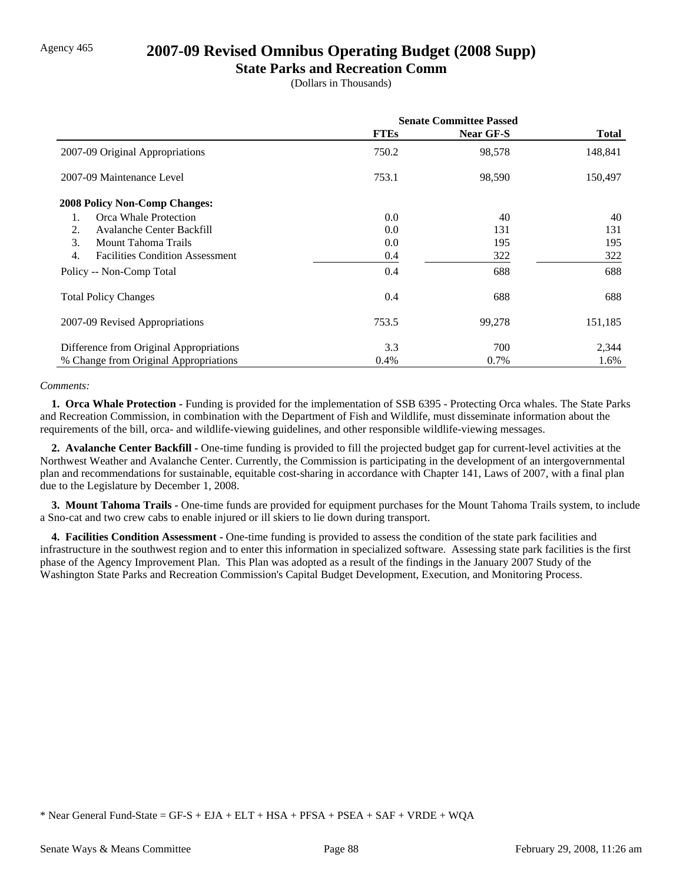### Agency 465 **2007-09 Revised Omnibus Operating Budget (2008 Supp)**

### **State Parks and Recreation Comm**

(Dollars in Thousands)

|                                                    | <b>Senate Committee Passed</b> |                  |              |
|----------------------------------------------------|--------------------------------|------------------|--------------|
|                                                    | <b>FTEs</b>                    | <b>Near GF-S</b> | <b>Total</b> |
| 2007-09 Original Appropriations                    | 750.2                          | 98,578           | 148,841      |
| 2007-09 Maintenance Level                          | 753.1                          | 98,590           | 150,497      |
| <b>2008 Policy Non-Comp Changes:</b>               |                                |                  |              |
| Orca Whale Protection<br>1.                        | 0.0                            | 40               | 40           |
| 2.<br>Avalanche Center Backfill                    | 0.0                            | 131              | 131          |
| $\mathcal{F}_{\mathcal{L}}$<br>Mount Tahoma Trails | 0.0                            | 195              | 195          |
| 4.<br><b>Facilities Condition Assessment</b>       | 0.4                            | 322              | 322          |
| Policy -- Non-Comp Total                           | 0.4                            | 688              | 688          |
| <b>Total Policy Changes</b>                        | 0.4                            | 688              | 688          |
| 2007-09 Revised Appropriations                     | 753.5                          | 99,278           | 151,185      |
| Difference from Original Appropriations            | 3.3                            | 700              | 2,344        |
| % Change from Original Appropriations              | $0.4\%$                        | 0.7%             | 1.6%         |

### *Comments:*

 **1. Orca Whale Protection -** Funding is provided for the implementation of SSB 6395 - Protecting Orca whales. The State Parks and Recreation Commission, in combination with the Department of Fish and Wildlife, must disseminate information about the requirements of the bill, orca- and wildlife-viewing guidelines, and other responsible wildlife-viewing messages.

 **2. Avalanche Center Backfill -** One-time funding is provided to fill the projected budget gap for current-level activities at the Northwest Weather and Avalanche Center. Currently, the Commission is participating in the development of an intergovernmental plan and recommendations for sustainable, equitable cost-sharing in accordance with Chapter 141, Laws of 2007, with a final plan due to the Legislature by December 1, 2008.

**3. Mount Tahoma Trails -** One-time funds are provided for equipment purchases for the Mount Tahoma Trails system, to include a Sno-cat and two crew cabs to enable injured or ill skiers to lie down during transport.

 **4. Facilities Condition Assessment -** One-time funding is provided to assess the condition of the state park facilities and infrastructure in the southwest region and to enter this information in specialized software. Assessing state park facilities is the first phase of the Agency Improvement Plan. This Plan was adopted as a result of the findings in the January 2007 Study of the Washington State Parks and Recreation Commission's Capital Budget Development, Execution, and Monitoring Process.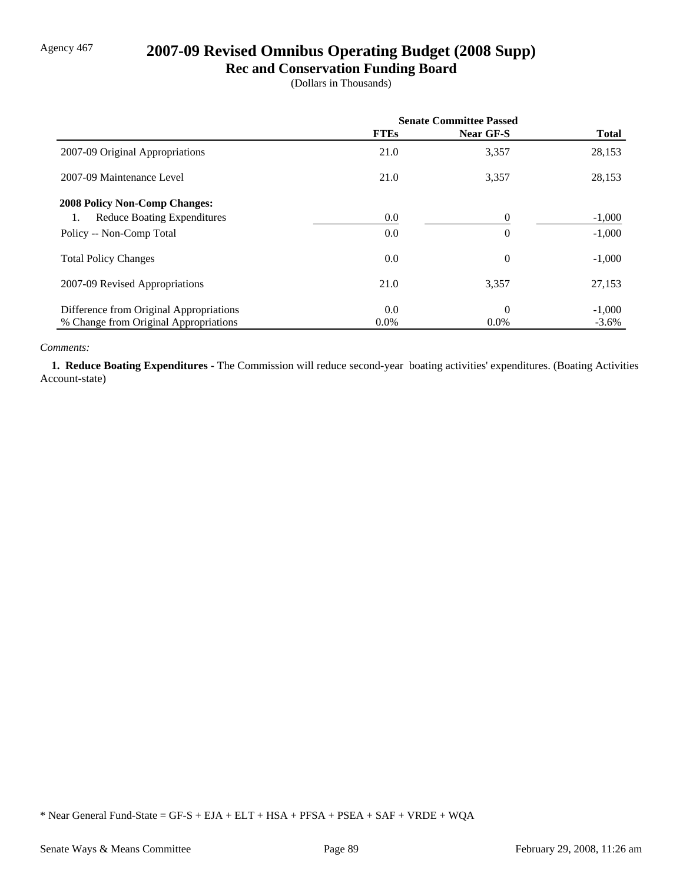## Agency 467 **2007-09 Revised Omnibus Operating Budget (2008 Supp)**

### **Rec and Conservation Funding Board**

(Dollars in Thousands)

|                                         | <b>Senate Committee Passed</b> |                  |              |
|-----------------------------------------|--------------------------------|------------------|--------------|
|                                         | <b>FTEs</b>                    | <b>Near GF-S</b> | <b>Total</b> |
| 2007-09 Original Appropriations         | 21.0                           | 3,357            | 28,153       |
| 2007-09 Maintenance Level               | 21.0                           | 3,357            | 28,153       |
| <b>2008 Policy Non-Comp Changes:</b>    |                                |                  |              |
| <b>Reduce Boating Expenditures</b>      | 0.0                            | $\theta$         | $-1,000$     |
| Policy -- Non-Comp Total                | 0.0                            | $\theta$         | $-1,000$     |
| <b>Total Policy Changes</b>             | 0.0                            | $\overline{0}$   | $-1,000$     |
| 2007-09 Revised Appropriations          | 21.0                           | 3,357            | 27,153       |
| Difference from Original Appropriations | 0.0                            | $\Omega$         | $-1,000$     |
| % Change from Original Appropriations   | $0.0\%$                        | $0.0\%$          | $-3.6\%$     |

### *Comments:*

 **1. Reduce Boating Expenditures -** The Commission will reduce second-year boating activities' expenditures. (Boating Activities Account-state)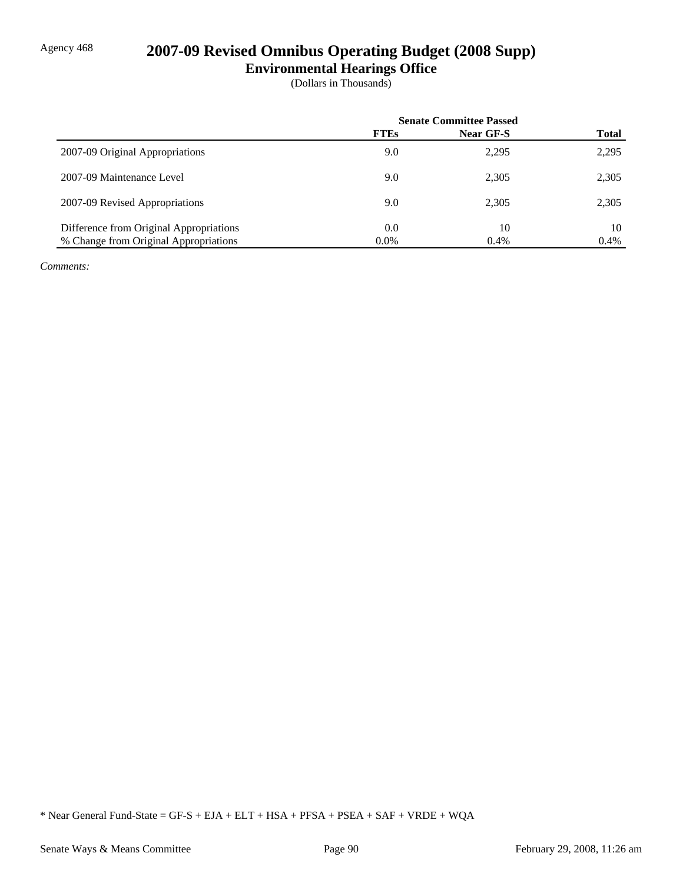## Agency 468 **2007-09 Revised Omnibus Operating Budget (2008 Supp)**

**Environmental Hearings Office**

(Dollars in Thousands)

|                                         | <b>Senate Committee Passed</b> |                  |              |
|-----------------------------------------|--------------------------------|------------------|--------------|
|                                         | <b>FTEs</b>                    | <b>Near GF-S</b> | <b>Total</b> |
| 2007-09 Original Appropriations         | 9.0                            | 2,295            | 2,295        |
| 2007-09 Maintenance Level               | 9.0                            | 2,305            | 2,305        |
| 2007-09 Revised Appropriations          | 9.0                            | 2,305            | 2,305        |
| Difference from Original Appropriations | 0.0                            | 10               | 10           |
| % Change from Original Appropriations   | $0.0\%$                        | 0.4%             | 0.4%         |

*Comments:*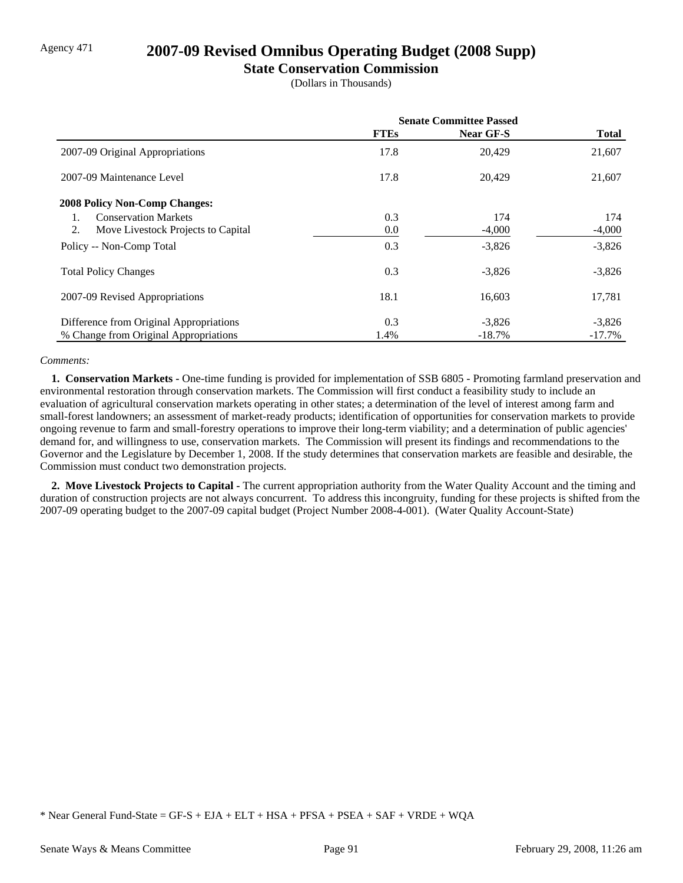## Agency 471 **2007-09 Revised Omnibus Operating Budget (2008 Supp)**

### **State Conservation Commission**

(Dollars in Thousands)

|                                          | <b>Senate Committee Passed</b> |           |              |
|------------------------------------------|--------------------------------|-----------|--------------|
|                                          | <b>FTEs</b>                    | Near GF-S | <b>Total</b> |
| 2007-09 Original Appropriations          | 17.8                           | 20,429    | 21,607       |
| 2007-09 Maintenance Level                | 17.8                           | 20,429    | 21,607       |
| <b>2008 Policy Non-Comp Changes:</b>     |                                |           |              |
| <b>Conservation Markets</b>              | 0.3                            | 174       | 174          |
| 2.<br>Move Livestock Projects to Capital | 0.0                            | $-4,000$  | $-4,000$     |
| Policy -- Non-Comp Total                 | 0.3                            | $-3,826$  | $-3,826$     |
| <b>Total Policy Changes</b>              | 0.3                            | $-3,826$  | $-3,826$     |
| 2007-09 Revised Appropriations           | 18.1                           | 16,603    | 17,781       |
| Difference from Original Appropriations  | 0.3                            | $-3,826$  | $-3,826$     |
| % Change from Original Appropriations    | 1.4%                           | $-18.7\%$ | $-17.7\%$    |

### *Comments:*

 **1. Conservation Markets -** One-time funding is provided for implementation of SSB 6805 - Promoting farmland preservation and environmental restoration through conservation markets. The Commission will first conduct a feasibility study to include an evaluation of agricultural conservation markets operating in other states; a determination of the level of interest among farm and small-forest landowners; an assessment of market-ready products; identification of opportunities for conservation markets to provide ongoing revenue to farm and small-forestry operations to improve their long-term viability; and a determination of public agencies' demand for, and willingness to use, conservation markets. The Commission will present its findings and recommendations to the Governor and the Legislature by December 1, 2008. If the study determines that conservation markets are feasible and desirable, the Commission must conduct two demonstration projects.

 **2. Move Livestock Projects to Capital -** The current appropriation authority from the Water Quality Account and the timing and duration of construction projects are not always concurrent. To address this incongruity, funding for these projects is shifted from the 2007-09 operating budget to the 2007-09 capital budget (Project Number 2008-4-001). (Water Quality Account-State)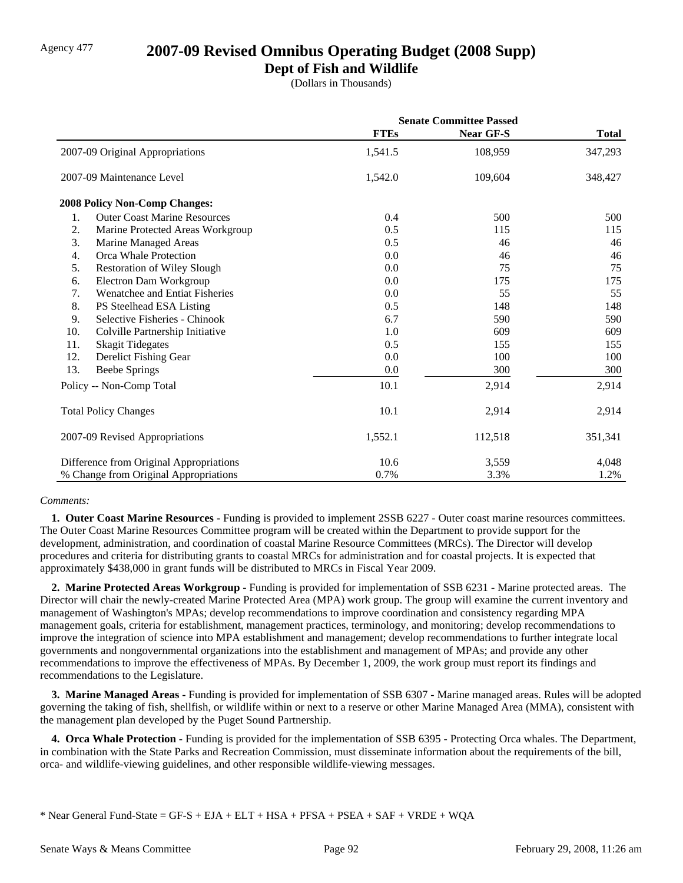## Agency 477 **2007-09 Revised Omnibus Operating Budget (2008 Supp)**

### **Dept of Fish and Wildlife**

(Dollars in Thousands)

|     |                                         | <b>Senate Committee Passed</b> |                  |              |
|-----|-----------------------------------------|--------------------------------|------------------|--------------|
|     |                                         | <b>FTEs</b>                    | <b>Near GF-S</b> | <b>Total</b> |
|     | 2007-09 Original Appropriations         | 1,541.5                        | 108,959          | 347,293      |
|     | 2007-09 Maintenance Level               | 1,542.0                        | 109,604          | 348,427      |
|     | 2008 Policy Non-Comp Changes:           |                                |                  |              |
| 1.  | <b>Outer Coast Marine Resources</b>     | 0.4                            | 500              | 500          |
| 2.  | Marine Protected Areas Workgroup        | 0.5                            | 115              | 115          |
| 3.  | Marine Managed Areas                    | 0.5                            | 46               | 46           |
| 4.  | Orca Whale Protection                   | 0.0                            | 46               | 46           |
| 5.  | <b>Restoration of Wiley Slough</b>      | 0.0                            | 75               | 75           |
| 6.  | Electron Dam Workgroup                  | 0.0                            | 175              | 175          |
| 7.  | Wenatchee and Entiat Fisheries          | 0.0                            | 55               | 55           |
| 8.  | PS Steelhead ESA Listing                | 0.5                            | 148              | 148          |
| 9.  | Selective Fisheries - Chinook           | 6.7                            | 590              | 590          |
| 10. | Colville Partnership Initiative         | 1.0                            | 609              | 609          |
| 11. | <b>Skagit Tidegates</b>                 | 0.5                            | 155              | 155          |
| 12. | Derelict Fishing Gear                   | 0.0                            | 100              | 100          |
| 13. | <b>Beebe Springs</b>                    | 0.0                            | 300              | 300          |
|     | Policy -- Non-Comp Total                | 10.1                           | 2,914            | 2,914        |
|     | <b>Total Policy Changes</b>             | 10.1                           | 2,914            | 2,914        |
|     | 2007-09 Revised Appropriations          | 1,552.1                        | 112,518          | 351,341      |
|     | Difference from Original Appropriations | 10.6                           | 3,559            | 4,048        |
|     | % Change from Original Appropriations   | 0.7%                           | 3.3%             | 1.2%         |

### *Comments:*

 **1. Outer Coast Marine Resources -** Funding is provided to implement 2SSB 6227 - Outer coast marine resources committees. The Outer Coast Marine Resources Committee program will be created within the Department to provide support for the development, administration, and coordination of coastal Marine Resource Committees (MRCs). The Director will develop procedures and criteria for distributing grants to coastal MRCs for administration and for coastal projects. It is expected that approximately \$438,000 in grant funds will be distributed to MRCs in Fiscal Year 2009.

 **2. Marine Protected Areas Workgroup -** Funding is provided for implementation of SSB 6231 - Marine protected areas. The Director will chair the newly-created Marine Protected Area (MPA) work group. The group will examine the current inventory and management of Washington's MPAs; develop recommendations to improve coordination and consistency regarding MPA management goals, criteria for establishment, management practices, terminology, and monitoring; develop recommendations to improve the integration of science into MPA establishment and management; develop recommendations to further integrate local governments and nongovernmental organizations into the establishment and management of MPAs; and provide any other recommendations to improve the effectiveness of MPAs. By December 1, 2009, the work group must report its findings and recommendations to the Legislature.

 **3. Marine Managed Areas -** Funding is provided for implementation of SSB 6307 - Marine managed areas. Rules will be adopted governing the taking of fish, shellfish, or wildlife within or next to a reserve or other Marine Managed Area (MMA), consistent with the management plan developed by the Puget Sound Partnership.

 **4. Orca Whale Protection -** Funding is provided for the implementation of SSB 6395 - Protecting Orca whales. The Department, in combination with the State Parks and Recreation Commission, must disseminate information about the requirements of the bill, orca- and wildlife-viewing guidelines, and other responsible wildlife-viewing messages.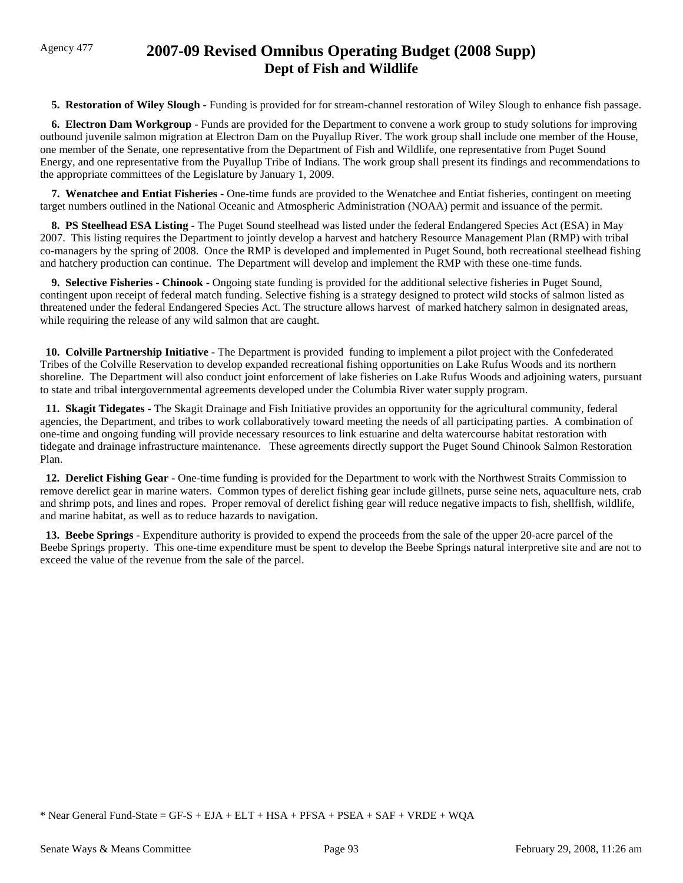## Agency 477 **2007-09 Revised Omnibus Operating Budget (2008 Supp) Dept of Fish and Wildlife**

 **5. Restoration of Wiley Slough -** Funding is provided for for stream-channel restoration of Wiley Slough to enhance fish passage.

**6. Electron Dam Workgroup - Funds are provided for the Department to convene a work group to study solutions for improving** outbound juvenile salmon migration at Electron Dam on the Puyallup River. The work group shall include one member of the House, one member of the Senate, one representative from the Department of Fish and Wildlife, one representative from Puget Sound Energy, and one representative from the Puyallup Tribe of Indians. The work group shall present its findings and recommendations to the appropriate committees of the Legislature by January 1, 2009.

 **7. Wenatchee and Entiat Fisheries -** One-time funds are provided to the Wenatchee and Entiat fisheries, contingent on meeting target numbers outlined in the National Oceanic and Atmospheric Administration (NOAA) permit and issuance of the permit.

 **8. PS Steelhead ESA Listing -** The Puget Sound steelhead was listed under the federal Endangered Species Act (ESA) in May 2007. This listing requires the Department to jointly develop a harvest and hatchery Resource Management Plan (RMP) with tribal co-managers by the spring of 2008. Once the RMP is developed and implemented in Puget Sound, both recreational steelhead fishing and hatchery production can continue. The Department will develop and implement the RMP with these one-time funds.

 **9. Selective Fisheries - Chinook -** Ongoing state funding is provided for the additional selective fisheries in Puget Sound, contingent upon receipt of federal match funding. Selective fishing is a strategy designed to protect wild stocks of salmon listed as threatened under the federal Endangered Species Act. The structure allows harvest of marked hatchery salmon in designated areas, while requiring the release of any wild salmon that are caught.

 **10. Colville Partnership Initiative -** The Department is provided funding to implement a pilot project with the Confederated Tribes of the Colville Reservation to develop expanded recreational fishing opportunities on Lake Rufus Woods and its northern shoreline. The Department will also conduct joint enforcement of lake fisheries on Lake Rufus Woods and adjoining waters, pursuant to state and tribal intergovernmental agreements developed under the Columbia River water supply program.

 **11. Skagit Tidegates -** The Skagit Drainage and Fish Initiative provides an opportunity for the agricultural community, federal agencies, the Department, and tribes to work collaboratively toward meeting the needs of all participating parties. A combination of one-time and ongoing funding will provide necessary resources to link estuarine and delta watercourse habitat restoration with tidegate and drainage infrastructure maintenance. These agreements directly support the Puget Sound Chinook Salmon Restoration Plan.

 **12. Derelict Fishing Gear -** One-time funding is provided for the Department to work with the Northwest Straits Commission to remove derelict gear in marine waters. Common types of derelict fishing gear include gillnets, purse seine nets, aquaculture nets, crab and shrimp pots, and lines and ropes. Proper removal of derelict fishing gear will reduce negative impacts to fish, shellfish, wildlife, and marine habitat, as well as to reduce hazards to navigation.

 **13. Beebe Springs -** Expenditure authority is provided to expend the proceeds from the sale of the upper 20-acre parcel of the Beebe Springs property. This one-time expenditure must be spent to develop the Beebe Springs natural interpretive site and are not to exceed the value of the revenue from the sale of the parcel.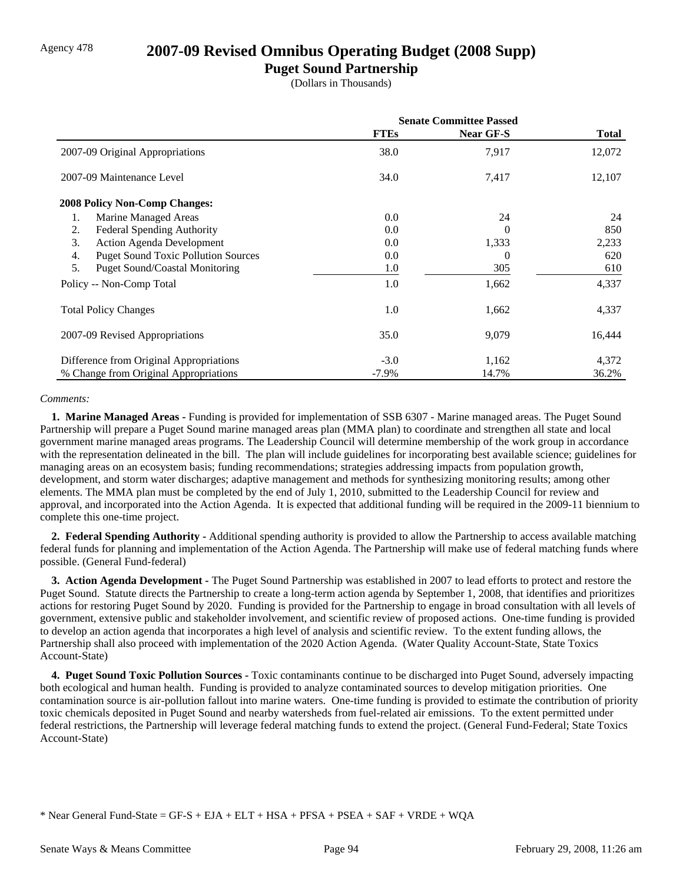### Agency 478 **2007-09 Revised Omnibus Operating Budget (2008 Supp)**

### **Puget Sound Partnership**

(Dollars in Thousands)

|                                                  | <b>Senate Committee Passed</b> |                  |        |
|--------------------------------------------------|--------------------------------|------------------|--------|
|                                                  | <b>FTEs</b>                    | <b>Near GF-S</b> | Total  |
| 2007-09 Original Appropriations                  | 38.0                           | 7,917            | 12,072 |
| 2007-09 Maintenance Level                        | 34.0                           | 7,417            | 12,107 |
| <b>2008 Policy Non-Comp Changes:</b>             |                                |                  |        |
| Marine Managed Areas<br>1.                       | 0.0                            | 24               | 24     |
| <b>Federal Spending Authority</b><br>2.          | 0.0                            | 0                | 850    |
| 3.<br><b>Action Agenda Development</b>           | 0.0                            | 1,333            | 2,233  |
| <b>Puget Sound Toxic Pollution Sources</b><br>4. | 0.0                            | 0                | 620    |
| 5.<br><b>Puget Sound/Coastal Monitoring</b>      | 1.0                            | 305              | 610    |
| Policy -- Non-Comp Total                         | 1.0                            | 1,662            | 4,337  |
| <b>Total Policy Changes</b>                      | 1.0                            | 1,662            | 4,337  |
| 2007-09 Revised Appropriations                   | 35.0                           | 9,079            | 16,444 |
| Difference from Original Appropriations          | $-3.0$                         | 1,162            | 4,372  |
| % Change from Original Appropriations            | $-7.9\%$                       | 14.7%            | 36.2%  |

#### *Comments:*

 **1. Marine Managed Areas -** Funding is provided for implementation of SSB 6307 - Marine managed areas. The Puget Sound Partnership will prepare a Puget Sound marine managed areas plan (MMA plan) to coordinate and strengthen all state and local government marine managed areas programs. The Leadership Council will determine membership of the work group in accordance with the representation delineated in the bill. The plan will include guidelines for incorporating best available science; guidelines for managing areas on an ecosystem basis; funding recommendations; strategies addressing impacts from population growth, development, and storm water discharges; adaptive management and methods for synthesizing monitoring results; among other elements. The MMA plan must be completed by the end of July 1, 2010, submitted to the Leadership Council for review and approval, and incorporated into the Action Agenda. It is expected that additional funding will be required in the 2009-11 biennium to complete this one-time project.

 **2. Federal Spending Authority -** Additional spending authority is provided to allow the Partnership to access available matching federal funds for planning and implementation of the Action Agenda. The Partnership will make use of federal matching funds where possible. (General Fund-federal)

 **3. Action Agenda Development -** The Puget Sound Partnership was established in 2007 to lead efforts to protect and restore the Puget Sound. Statute directs the Partnership to create a long-term action agenda by September 1, 2008, that identifies and prioritizes actions for restoring Puget Sound by 2020. Funding is provided for the Partnership to engage in broad consultation with all levels of government, extensive public and stakeholder involvement, and scientific review of proposed actions. One-time funding is provided to develop an action agenda that incorporates a high level of analysis and scientific review. To the extent funding allows, the Partnership shall also proceed with implementation of the 2020 Action Agenda. (Water Quality Account-State, State Toxics Account-State)

 **4. Puget Sound Toxic Pollution Sources -** Toxic contaminants continue to be discharged into Puget Sound, adversely impacting both ecological and human health. Funding is provided to analyze contaminated sources to develop mitigation priorities. One contamination source is air-pollution fallout into marine waters. One-time funding is provided to estimate the contribution of priority toxic chemicals deposited in Puget Sound and nearby watersheds from fuel-related air emissions. To the extent permitted under federal restrictions, the Partnership will leverage federal matching funds to extend the project. (General Fund-Federal; State Toxics Account-State)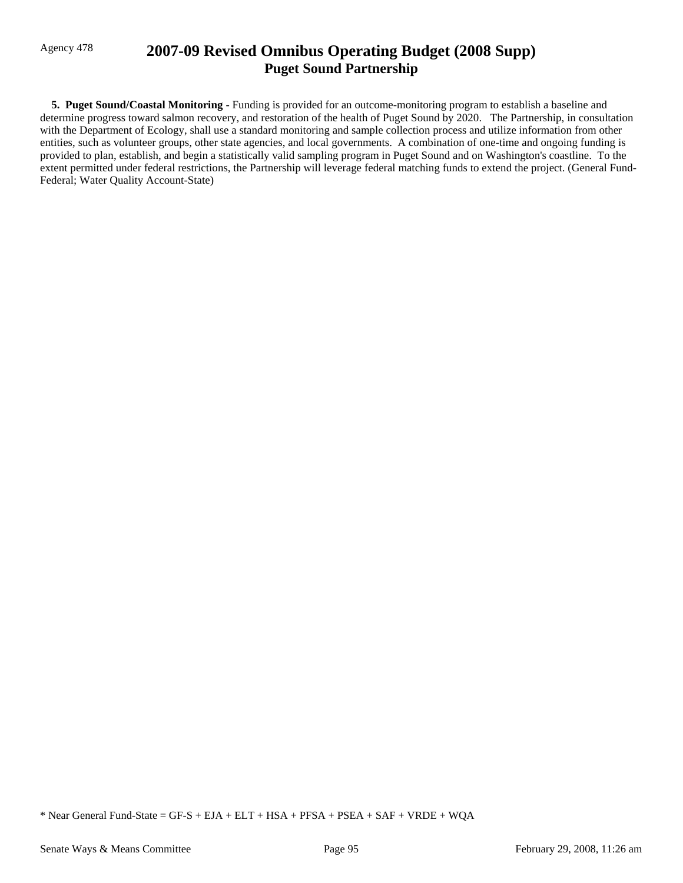## Agency 478 **2007-09 Revised Omnibus Operating Budget (2008 Supp) Puget Sound Partnership**

 **5. Puget Sound/Coastal Monitoring -** Funding is provided for an outcome-monitoring program to establish a baseline and determine progress toward salmon recovery, and restoration of the health of Puget Sound by 2020. The Partnership, in consultation with the Department of Ecology, shall use a standard monitoring and sample collection process and utilize information from other entities, such as volunteer groups, other state agencies, and local governments. A combination of one-time and ongoing funding is provided to plan, establish, and begin a statistically valid sampling program in Puget Sound and on Washington's coastline. To the extent permitted under federal restrictions, the Partnership will leverage federal matching funds to extend the project. (General Fund-Federal; Water Quality Account-State)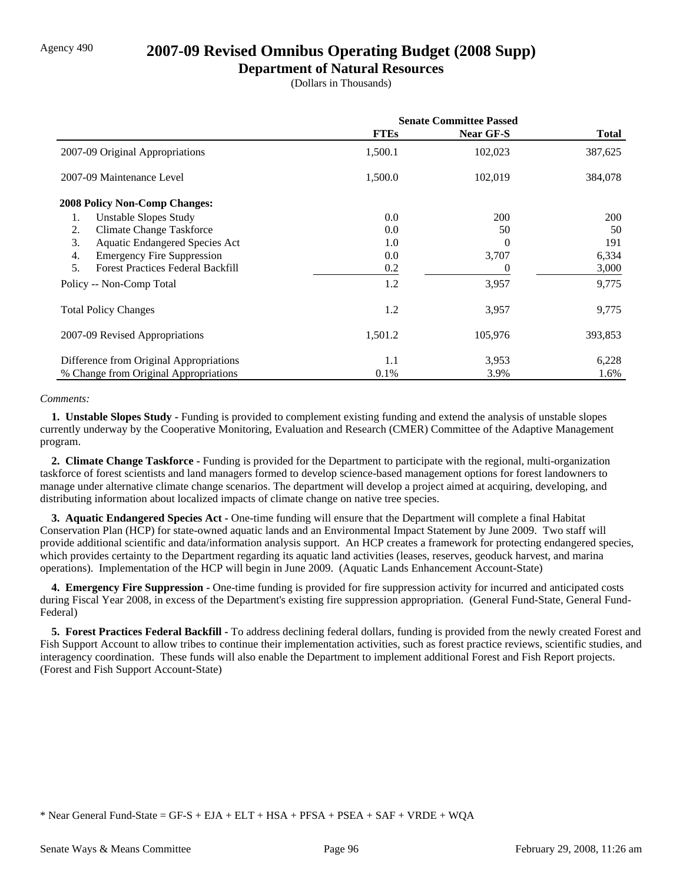# Agency 490 **2007-09 Revised Omnibus Operating Budget (2008 Supp)**

## **Department of Natural Resources**

(Dollars in Thousands)

|                                                | <b>Senate Committee Passed</b> |           |              |
|------------------------------------------------|--------------------------------|-----------|--------------|
|                                                | <b>FTEs</b>                    | Near GF-S | <b>Total</b> |
| 2007-09 Original Appropriations                | 1,500.1                        | 102,023   | 387,625      |
| 2007-09 Maintenance Level                      | 1,500.0                        | 102,019   | 384,078      |
| <b>2008 Policy Non-Comp Changes:</b>           |                                |           |              |
| Unstable Slopes Study<br>1.                    | 0.0                            | 200       | 200          |
| <b>Climate Change Taskforce</b><br>2.          | 0.0                            | 50        | 50           |
| <b>Aquatic Endangered Species Act</b><br>3.    | 1.0                            | 0         | 191          |
| <b>Emergency Fire Suppression</b><br>4.        | 0.0                            | 3,707     | 6,334        |
| 5.<br><b>Forest Practices Federal Backfill</b> | 0.2                            | 0         | 3,000        |
| Policy -- Non-Comp Total                       | 1.2                            | 3,957     | 9,775        |
| <b>Total Policy Changes</b>                    | 1.2                            | 3,957     | 9,775        |
| 2007-09 Revised Appropriations                 | 1,501.2                        | 105,976   | 393,853      |
| Difference from Original Appropriations        | 1.1                            | 3,953     | 6,228        |
| % Change from Original Appropriations          | 0.1%                           | 3.9%      | 1.6%         |

#### *Comments:*

 **1. Unstable Slopes Study -** Funding is provided to complement existing funding and extend the analysis of unstable slopes currently underway by the Cooperative Monitoring, Evaluation and Research (CMER) Committee of the Adaptive Management program.

 **2. Climate Change Taskforce -** Funding is provided for the Department to participate with the regional, multi-organization taskforce of forest scientists and land managers formed to develop science-based management options for forest landowners to manage under alternative climate change scenarios. The department will develop a project aimed at acquiring, developing, and distributing information about localized impacts of climate change on native tree species.

 **3. Aquatic Endangered Species Act -** One-time funding will ensure that the Department will complete a final Habitat Conservation Plan (HCP) for state-owned aquatic lands and an Environmental Impact Statement by June 2009. Two staff will provide additional scientific and data/information analysis support. An HCP creates a framework for protecting endangered species, which provides certainty to the Department regarding its aquatic land activities (leases, reserves, geoduck harvest, and marina operations). Implementation of the HCP will begin in June 2009. (Aquatic Lands Enhancement Account-State)

**4. Emergency Fire Suppression -** One-time funding is provided for fire suppression activity for incurred and anticipated costs during Fiscal Year 2008, in excess of the Department's existing fire suppression appropriation. (General Fund-State, General Fund-Federal)

 **5. Forest Practices Federal Backfill -** To address declining federal dollars, funding is provided from the newly created Forest and Fish Support Account to allow tribes to continue their implementation activities, such as forest practice reviews, scientific studies, and interagency coordination. These funds will also enable the Department to implement additional Forest and Fish Report projects. (Forest and Fish Support Account-State)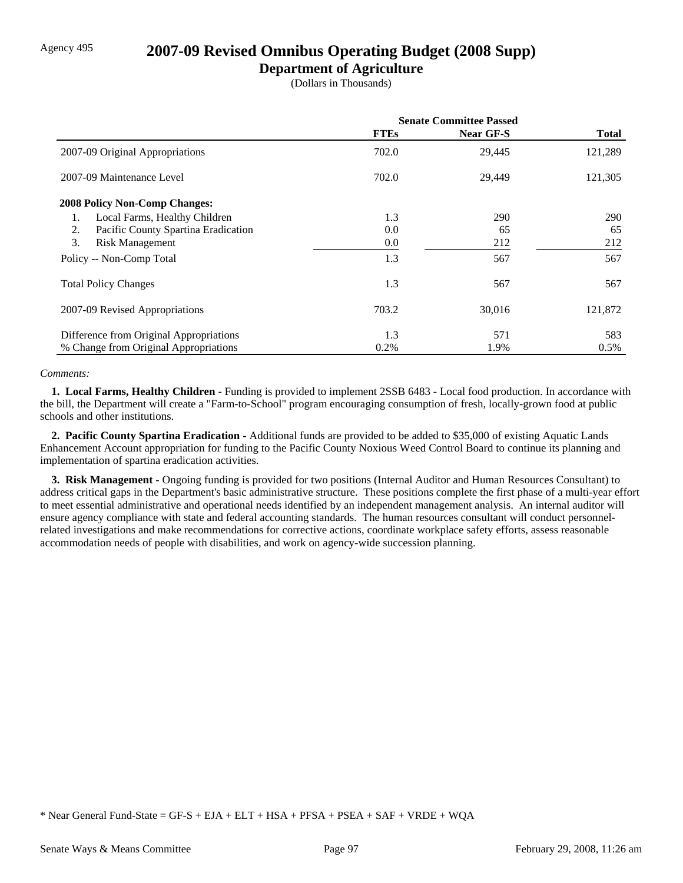# Agency 495 **2007-09 Revised Omnibus Operating Budget (2008 Supp)**

## **Department of Agriculture**

(Dollars in Thousands)

|                                           | <b>Senate Committee Passed</b> |                  |              |
|-------------------------------------------|--------------------------------|------------------|--------------|
|                                           | <b>FTEs</b>                    | <b>Near GF-S</b> | <b>Total</b> |
| 2007-09 Original Appropriations           | 702.0                          | 29,445           | 121,289      |
| 2007-09 Maintenance Level                 | 702.0                          | 29,449           | 121,305      |
| <b>2008 Policy Non-Comp Changes:</b>      |                                |                  |              |
| Local Farms, Healthy Children             | 1.3                            | 290              | 290          |
| Pacific County Spartina Eradication<br>2. | 0.0                            | 65               | 65           |
| 3.<br><b>Risk Management</b>              | 0.0                            | 212              | 212          |
| Policy -- Non-Comp Total                  | 1.3                            | 567              | 567          |
| <b>Total Policy Changes</b>               | 1.3                            | 567              | 567          |
| 2007-09 Revised Appropriations            | 703.2                          | 30,016           | 121,872      |
| Difference from Original Appropriations   | 1.3                            | 571              | 583          |
| % Change from Original Appropriations     | 0.2%                           | 1.9%             | $0.5\%$      |

#### *Comments:*

 **1. Local Farms, Healthy Children -** Funding is provided to implement 2SSB 6483 - Local food production. In accordance with the bill, the Department will create a "Farm-to-School" program encouraging consumption of fresh, locally-grown food at public schools and other institutions.

 **2. Pacific County Spartina Eradication -** Additional funds are provided to be added to \$35,000 of existing Aquatic Lands Enhancement Account appropriation for funding to the Pacific County Noxious Weed Control Board to continue its planning and implementation of spartina eradication activities.

 **3. Risk Management -** Ongoing funding is provided for two positions (Internal Auditor and Human Resources Consultant) to address critical gaps in the Department's basic administrative structure. These positions complete the first phase of a multi-year effort to meet essential administrative and operational needs identified by an independent management analysis. An internal auditor will ensure agency compliance with state and federal accounting standards. The human resources consultant will conduct personnelrelated investigations and make recommendations for corrective actions, coordinate workplace safety efforts, assess reasonable accommodation needs of people with disabilities, and work on agency-wide succession planning.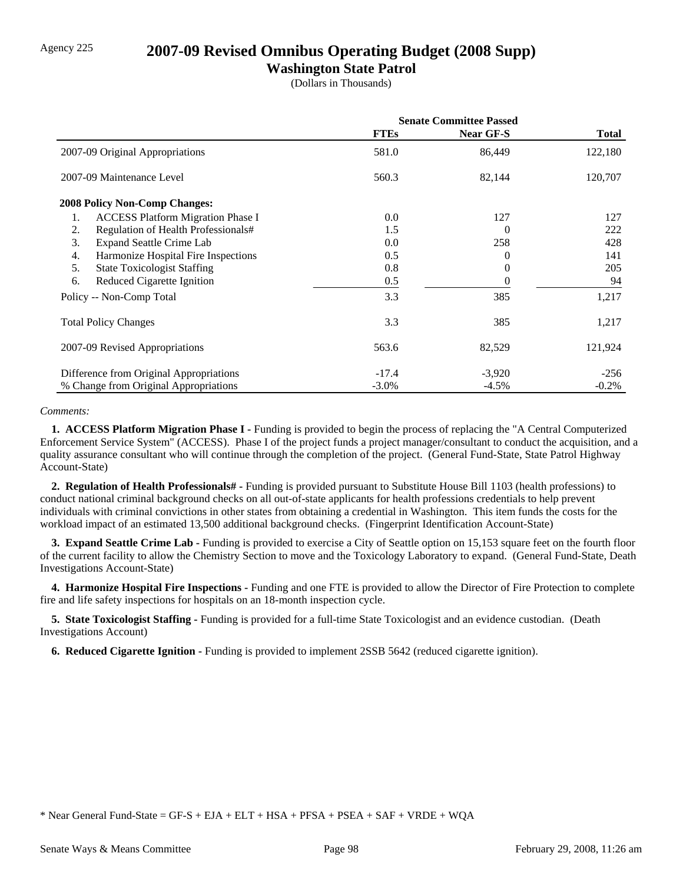# Agency 225 **2007-09 Revised Omnibus Operating Budget (2008 Supp)**

## **Washington State Patrol**

(Dollars in Thousands)

|                                                | <b>Senate Committee Passed</b> |                  |          |
|------------------------------------------------|--------------------------------|------------------|----------|
|                                                | <b>FTEs</b>                    | <b>Near GF-S</b> | Total    |
| 2007-09 Original Appropriations                | 581.0                          | 86,449           | 122,180  |
| 2007-09 Maintenance Level                      | 560.3                          | 82,144           | 120,707  |
| 2008 Policy Non-Comp Changes:                  |                                |                  |          |
| <b>ACCESS Platform Migration Phase I</b><br>1. | 0.0                            | 127              | 127      |
| Regulation of Health Professionals#<br>2.      | 1.5                            | $\Omega$         | 222      |
| 3.<br><b>Expand Seattle Crime Lab</b>          | 0.0                            | 258              | 428      |
| Harmonize Hospital Fire Inspections<br>4.      | 0.5                            | 0                | 141      |
| 5.<br><b>State Toxicologist Staffing</b>       | 0.8                            | $_{0}$           | 205      |
| Reduced Cigarette Ignition<br>6.               | 0.5                            | $\theta$         | 94       |
| Policy -- Non-Comp Total                       | 3.3                            | 385              | 1,217    |
| <b>Total Policy Changes</b>                    | 3.3                            | 385              | 1,217    |
| 2007-09 Revised Appropriations                 | 563.6                          | 82,529           | 121,924  |
| Difference from Original Appropriations        | $-17.4$                        | $-3,920$         | $-256$   |
| % Change from Original Appropriations          | $-3.0\%$                       | $-4.5\%$         | $-0.2\%$ |

#### *Comments:*

 **1. ACCESS Platform Migration Phase I -** Funding is provided to begin the process of replacing the "A Central Computerized Enforcement Service System" (ACCESS). Phase I of the project funds a project manager/consultant to conduct the acquisition, and a quality assurance consultant who will continue through the completion of the project. (General Fund-State, State Patrol Highway Account-State)

 **2. Regulation of Health Professionals# -** Funding is provided pursuant to Substitute House Bill 1103 (health professions) to conduct national criminal background checks on all out-of-state applicants for health professions credentials to help prevent individuals with criminal convictions in other states from obtaining a credential in Washington. This item funds the costs for the workload impact of an estimated 13,500 additional background checks. (Fingerprint Identification Account-State)

**3. Expand Seattle Crime Lab - Funding is provided to exercise a City of Seattle option on 15,153 square feet on the fourth floor** of the current facility to allow the Chemistry Section to move and the Toxicology Laboratory to expand. (General Fund-State, Death Investigations Account-State)

 **4. Harmonize Hospital Fire Inspections -** Funding and one FTE is provided to allow the Director of Fire Protection to complete fire and life safety inspections for hospitals on an 18-month inspection cycle.

 **5. State Toxicologist Staffing -** Funding is provided for a full-time State Toxicologist and an evidence custodian. (Death Investigations Account)

 **6. Reduced Cigarette Ignition -** Funding is provided to implement 2SSB 5642 (reduced cigarette ignition).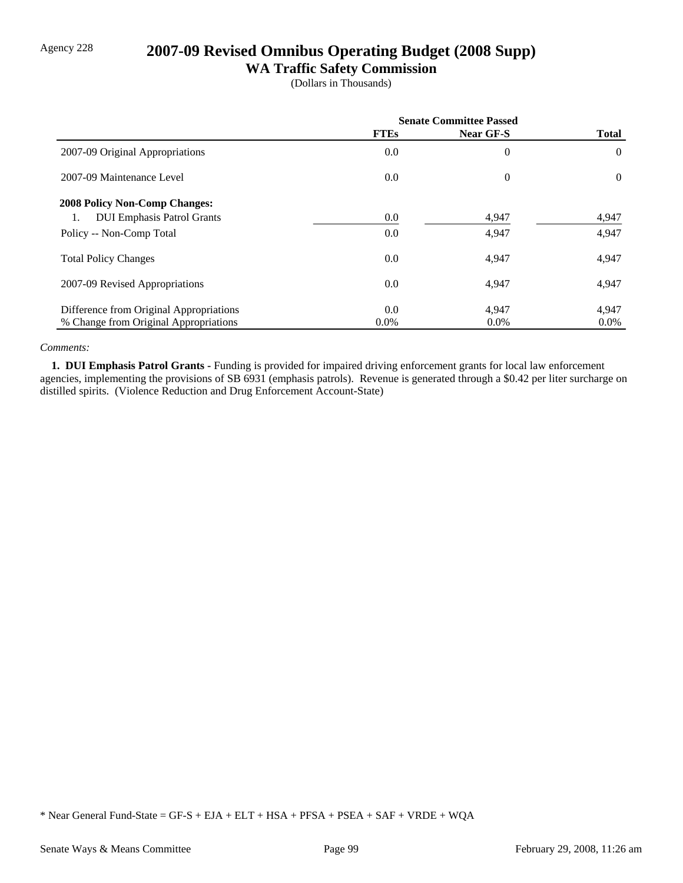# Agency 228 **2007-09 Revised Omnibus Operating Budget (2008 Supp)**

## **WA Traffic Safety Commission**

(Dollars in Thousands)

|                                         | <b>Senate Committee Passed</b> |           |                |
|-----------------------------------------|--------------------------------|-----------|----------------|
|                                         | <b>FTEs</b>                    | Near GF-S | <b>Total</b>   |
| 2007-09 Original Appropriations         | 0.0                            | $\theta$  | $\theta$       |
| 2007-09 Maintenance Level               | 0.0                            | $\theta$  | $\overline{0}$ |
| <b>2008 Policy Non-Comp Changes:</b>    |                                |           |                |
| <b>DUI Emphasis Patrol Grants</b><br>1. | 0.0                            | 4,947     | 4,947          |
| Policy -- Non-Comp Total                | 0.0                            | 4,947     | 4,947          |
| <b>Total Policy Changes</b>             | 0.0                            | 4,947     | 4,947          |
| 2007-09 Revised Appropriations          | 0.0                            | 4,947     | 4,947          |
| Difference from Original Appropriations | 0.0                            | 4,947     | 4,947          |
| % Change from Original Appropriations   | $0.0\%$                        | $0.0\%$   | $0.0\%$        |

#### *Comments:*

 **1. DUI Emphasis Patrol Grants -** Funding is provided for impaired driving enforcement grants for local law enforcement agencies, implementing the provisions of SB 6931 (emphasis patrols). Revenue is generated through a \$0.42 per liter surcharge on distilled spirits. (Violence Reduction and Drug Enforcement Account-State)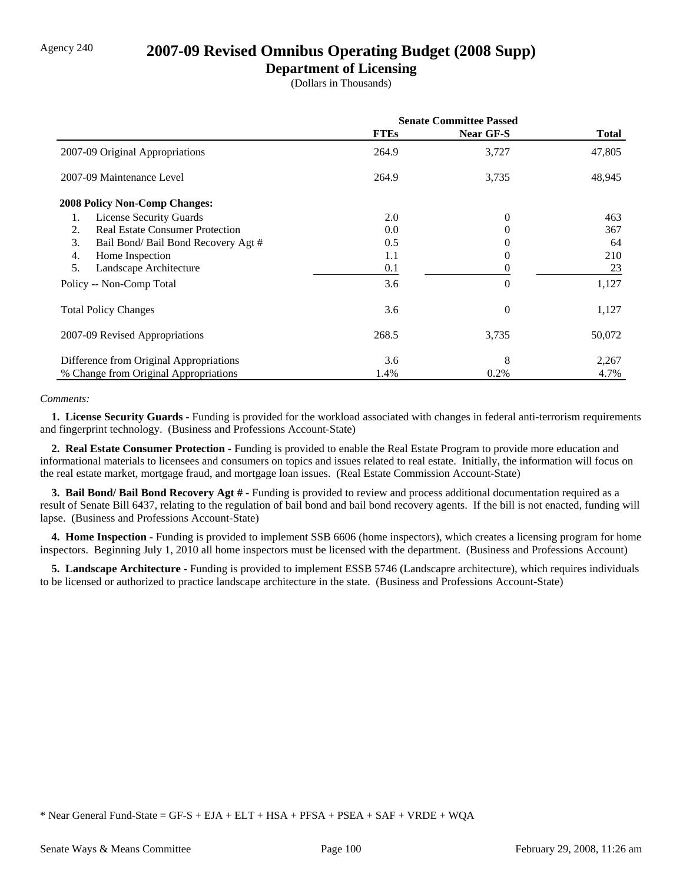## Agency 240 **2007-09 Revised Omnibus Operating Budget (2008 Supp)**

## **Department of Licensing**

(Dollars in Thousands)

|                                              | <b>Senate Committee Passed</b> |                  |        |
|----------------------------------------------|--------------------------------|------------------|--------|
|                                              | <b>FTEs</b>                    | <b>Near GF-S</b> | Total  |
| 2007-09 Original Appropriations              | 264.9                          | 3,727            | 47,805 |
| 2007-09 Maintenance Level                    | 264.9                          | 3,735            | 48,945 |
| <b>2008 Policy Non-Comp Changes:</b>         |                                |                  |        |
| <b>License Security Guards</b><br>1.         | 2.0                            | $\mathbf{0}$     | 463    |
| <b>Real Estate Consumer Protection</b><br>2. | 0.0                            | $\Omega$         | 367    |
| 3.<br>Bail Bond/ Bail Bond Recovery Agt #    | 0.5                            | 0                | 64     |
| 4.<br>Home Inspection                        | 1.1                            | $\Omega$         | 210    |
| 5.<br>Landscape Architecture                 | 0.1                            | 0                | 23     |
| Policy -- Non-Comp Total                     | 3.6                            | $\theta$         | 1,127  |
| <b>Total Policy Changes</b>                  | 3.6                            | $\Omega$         | 1,127  |
| 2007-09 Revised Appropriations               | 268.5                          | 3,735            | 50,072 |
| Difference from Original Appropriations      | 3.6                            | 8                | 2,267  |
| % Change from Original Appropriations        | 1.4%                           | 0.2%             | 4.7%   |

#### *Comments:*

 **1. License Security Guards -** Funding is provided for the workload associated with changes in federal anti-terrorism requirements and fingerprint technology. (Business and Professions Account-State)

 **2. Real Estate Consumer Protection -** Funding is provided to enable the Real Estate Program to provide more education and informational materials to licensees and consumers on topics and issues related to real estate. Initially, the information will focus on the real estate market, mortgage fraud, and mortgage loan issues. (Real Estate Commission Account-State)

 **3. Bail Bond/ Bail Bond Recovery Agt # -** Funding is provided to review and process additional documentation required as a result of Senate Bill 6437, relating to the regulation of bail bond and bail bond recovery agents. If the bill is not enacted, funding will lapse. (Business and Professions Account-State)

**4. Home Inspection -** Funding is provided to implement SSB 6606 (home inspectors), which creates a licensing program for home inspectors. Beginning July 1, 2010 all home inspectors must be licensed with the department. (Business and Professions Account)

 **5. Landscape Architecture -** Funding is provided to implement ESSB 5746 (Landscapre architecture), which requires individuals to be licensed or authorized to practice landscape architecture in the state. (Business and Professions Account-State)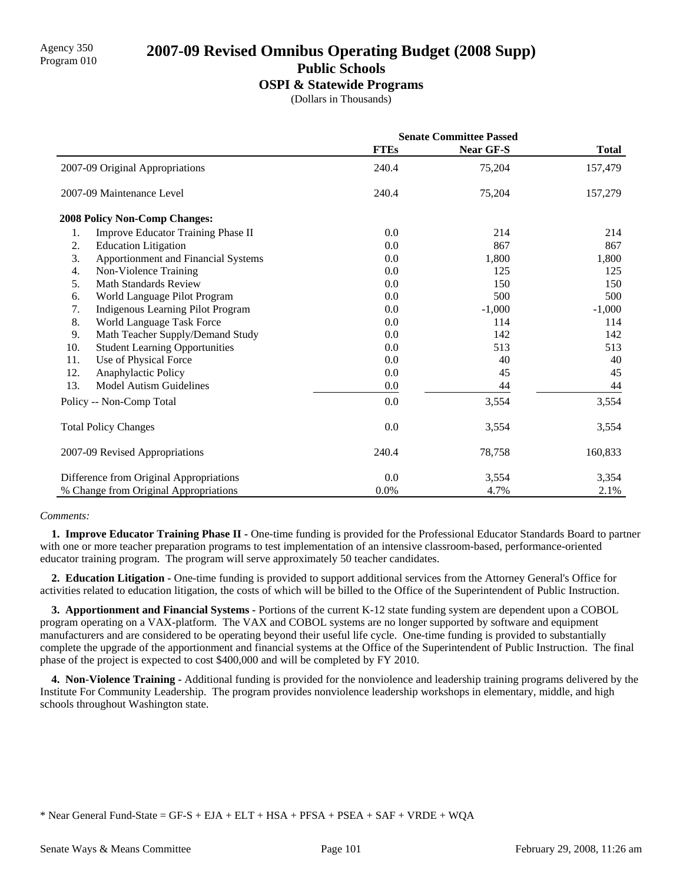## Agency 350 **2007-09 Revised Omnibus Operating Budget (2008 Supp)** Program 010 **Public Schools**

#### **OSPI & Statewide Programs**

(Dollars in Thousands)

|     |                                         | <b>Senate Committee Passed</b> |           |              |
|-----|-----------------------------------------|--------------------------------|-----------|--------------|
|     |                                         | <b>FTEs</b>                    | Near GF-S | <b>Total</b> |
|     | 2007-09 Original Appropriations         | 240.4                          | 75,204    | 157,479      |
|     | 2007-09 Maintenance Level               | 240.4                          | 75,204    | 157,279      |
|     | <b>2008 Policy Non-Comp Changes:</b>    |                                |           |              |
| 1.  | Improve Educator Training Phase II      | 0.0                            | 214       | 214          |
| 2.  | <b>Education Litigation</b>             | 0.0                            | 867       | 867          |
| 3.  | Apportionment and Financial Systems     | 0.0                            | 1,800     | 1,800        |
| 4.  | Non-Violence Training                   | 0.0                            | 125       | 125          |
| 5.  | <b>Math Standards Review</b>            | 0.0                            | 150       | 150          |
| 6.  | World Language Pilot Program            | 0.0                            | 500       | 500          |
| 7.  | Indigenous Learning Pilot Program       | 0.0                            | $-1,000$  | $-1,000$     |
| 8.  | World Language Task Force               | 0.0                            | 114       | 114          |
| 9.  | Math Teacher Supply/Demand Study        | 0.0                            | 142       | 142          |
| 10. | <b>Student Learning Opportunities</b>   | 0.0                            | 513       | 513          |
| 11. | Use of Physical Force                   | 0.0                            | 40        | 40           |
| 12. | Anaphylactic Policy                     | 0.0                            | 45        | 45           |
| 13. | <b>Model Autism Guidelines</b>          | 0.0                            | 44        | 44           |
|     | Policy -- Non-Comp Total                | 0.0                            | 3,554     | 3,554        |
|     | <b>Total Policy Changes</b>             | 0.0                            | 3,554     | 3,554        |
|     | 2007-09 Revised Appropriations          | 240.4                          | 78,758    | 160,833      |
|     | Difference from Original Appropriations | 0.0                            | 3,554     | 3,354        |
|     | % Change from Original Appropriations   | 0.0%                           | 4.7%      | 2.1%         |

#### *Comments:*

**1. Improve Educator Training Phase II -** One-time funding is provided for the Professional Educator Standards Board to partner with one or more teacher preparation programs to test implementation of an intensive classroom-based, performance-oriented educator training program. The program will serve approximately 50 teacher candidates.

 **2. Education Litigation -** One-time funding is provided to support additional services from the Attorney General's Office for activities related to education litigation, the costs of which will be billed to the Office of the Superintendent of Public Instruction.

 **3. Apportionment and Financial Systems -** Portions of the current K-12 state funding system are dependent upon a COBOL program operating on a VAX-platform. The VAX and COBOL systems are no longer supported by software and equipment manufacturers and are considered to be operating beyond their useful life cycle. One-time funding is provided to substantially complete the upgrade of the apportionment and financial systems at the Office of the Superintendent of Public Instruction. The final phase of the project is expected to cost \$400,000 and will be completed by FY 2010.

 **4. Non-Violence Training -** Additional funding is provided for the nonviolence and leadership training programs delivered by the Institute For Community Leadership. The program provides nonviolence leadership workshops in elementary, middle, and high schools throughout Washington state.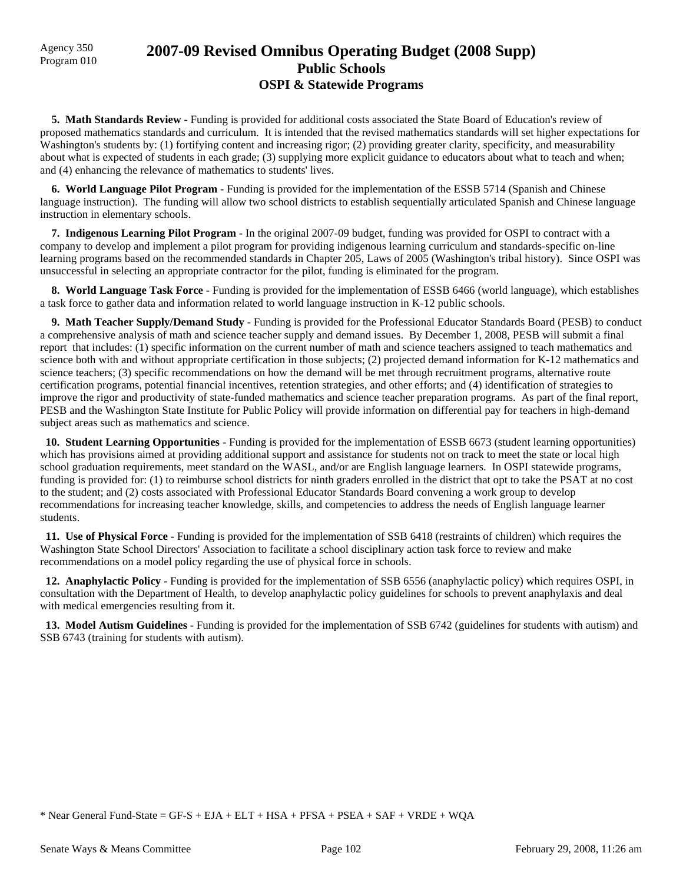# Agency 350 **2007-09 Revised Omnibus Operating Budget (2008 Supp)** Program 010 **Public Schools OSPI & Statewide Programs**

**5. Math Standards Review - Funding is provided for additional costs associated the State Board of Education's review of** proposed mathematics standards and curriculum. It is intended that the revised mathematics standards will set higher expectations for Washington's students by: (1) fortifying content and increasing rigor; (2) providing greater clarity, specificity, and measurability about what is expected of students in each grade; (3) supplying more explicit guidance to educators about what to teach and when; and (4) enhancing the relevance of mathematics to students' lives.

 **6. World Language Pilot Program -** Funding is provided for the implementation of the ESSB 5714 (Spanish and Chinese language instruction). The funding will allow two school districts to establish sequentially articulated Spanish and Chinese language instruction in elementary schools.

 **7. Indigenous Learning Pilot Program -** In the original 2007-09 budget, funding was provided for OSPI to contract with a company to develop and implement a pilot program for providing indigenous learning curriculum and standards-specific on-line learning programs based on the recommended standards in Chapter 205, Laws of 2005 (Washington's tribal history). Since OSPI was unsuccessful in selecting an appropriate contractor for the pilot, funding is eliminated for the program.

 **8. World Language Task Force -** Funding is provided for the implementation of ESSB 6466 (world language), which establishes a task force to gather data and information related to world language instruction in K-12 public schools.

 **9. Math Teacher Supply/Demand Study -** Funding is provided for the Professional Educator Standards Board (PESB) to conduct a comprehensive analysis of math and science teacher supply and demand issues. By December 1, 2008, PESB will submit a final report that includes: (1) specific information on the current number of math and science teachers assigned to teach mathematics and science both with and without appropriate certification in those subjects; (2) projected demand information for K-12 mathematics and science teachers; (3) specific recommendations on how the demand will be met through recruitment programs, alternative route certification programs, potential financial incentives, retention strategies, and other efforts; and (4) identification of strategies to improve the rigor and productivity of state-funded mathematics and science teacher preparation programs. As part of the final report, PESB and the Washington State Institute for Public Policy will provide information on differential pay for teachers in high-demand subject areas such as mathematics and science.

 **10. Student Learning Opportunities -** Funding is provided for the implementation of ESSB 6673 (student learning opportunities) which has provisions aimed at providing additional support and assistance for students not on track to meet the state or local high school graduation requirements, meet standard on the WASL, and/or are English language learners. In OSPI statewide programs, funding is provided for: (1) to reimburse school districts for ninth graders enrolled in the district that opt to take the PSAT at no cost to the student; and (2) costs associated with Professional Educator Standards Board convening a work group to develop recommendations for increasing teacher knowledge, skills, and competencies to address the needs of English language learner students.

 **11. Use of Physical Force -** Funding is provided for the implementation of SSB 6418 (restraints of children) which requires the Washington State School Directors' Association to facilitate a school disciplinary action task force to review and make recommendations on a model policy regarding the use of physical force in schools.

 **12. Anaphylactic Policy -** Funding is provided for the implementation of SSB 6556 (anaphylactic policy) which requires OSPI, in consultation with the Department of Health, to develop anaphylactic policy guidelines for schools to prevent anaphylaxis and deal with medical emergencies resulting from it.

 **13. Model Autism Guidelines -** Funding is provided for the implementation of SSB 6742 (guidelines for students with autism) and SSB 6743 (training for students with autism).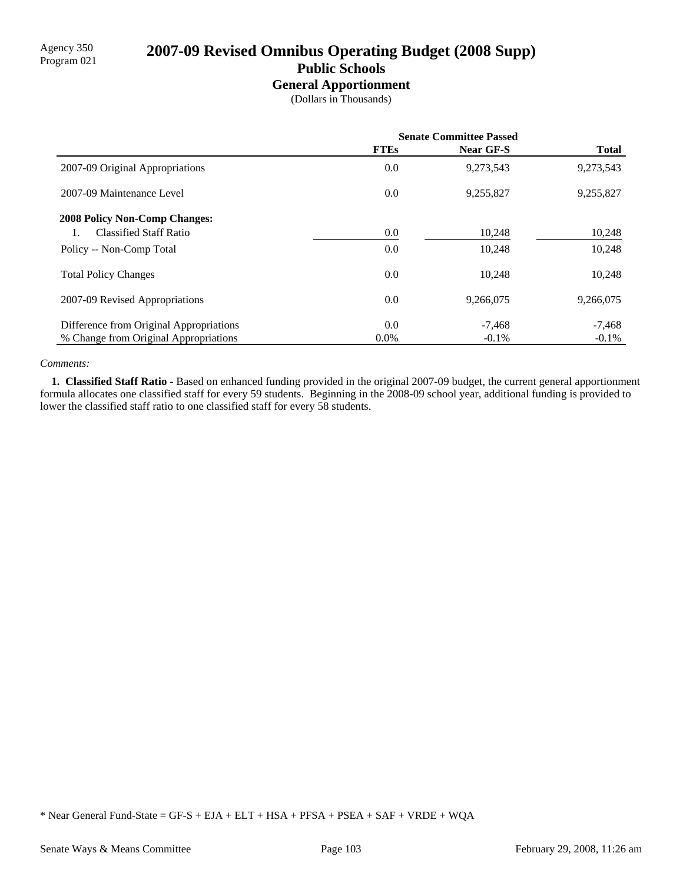# Agency 350<br>Program 021 **2007-09 Revised Omnibus Operating Budget (2008 Supp) Public Schools**

## **General Apportionment**

(Dollars in Thousands)

|                                         | <b>Senate Committee Passed</b> |                  |              |
|-----------------------------------------|--------------------------------|------------------|--------------|
|                                         | <b>FTEs</b>                    | <b>Near GF-S</b> | <b>Total</b> |
| 2007-09 Original Appropriations         | 0.0                            | 9,273,543        | 9,273,543    |
| 2007-09 Maintenance Level               | 0.0                            | 9,255,827        | 9,255,827    |
| <b>2008 Policy Non-Comp Changes:</b>    |                                |                  |              |
| <b>Classified Staff Ratio</b>           | 0.0                            | 10,248           | 10,248       |
| Policy -- Non-Comp Total                | 0.0                            | 10,248           | 10,248       |
| <b>Total Policy Changes</b>             | 0.0                            | 10.248           | 10,248       |
| 2007-09 Revised Appropriations          | 0.0                            | 9,266,075        | 9,266,075    |
| Difference from Original Appropriations | 0.0                            | $-7,468$         | $-7,468$     |
| % Change from Original Appropriations   | $0.0\%$                        | $-0.1\%$         | $-0.1\%$     |

#### *Comments:*

 **1. Classified Staff Ratio -** Based on enhanced funding provided in the original 2007-09 budget, the current general apportionment formula allocates one classified staff for every 59 students. Beginning in the 2008-09 school year, additional funding is provided to lower the classified staff ratio to one classified staff for every 58 students.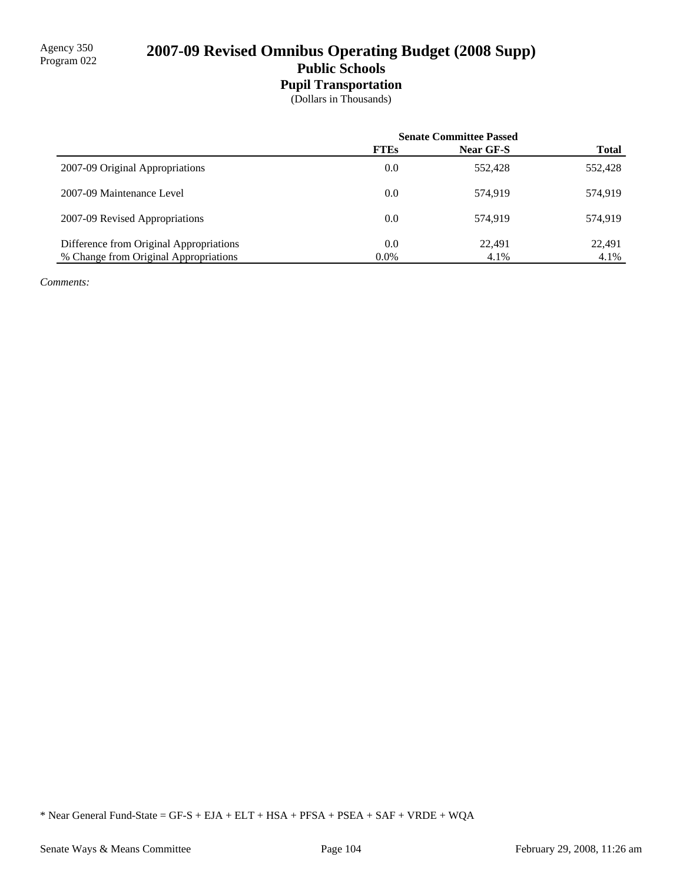# 2007-09 Revised Omnibus Operating Budget (2008 Supp) **Public Schools**

## **Pupil Transportation**

(Dollars in Thousands)

|                                         | <b>Senate Committee Passed</b> |                  |              |
|-----------------------------------------|--------------------------------|------------------|--------------|
|                                         | <b>FTEs</b>                    | <b>Near GF-S</b> | <b>Total</b> |
| 2007-09 Original Appropriations         | 0.0                            | 552,428          | 552,428      |
| 2007-09 Maintenance Level               | 0.0                            | 574.919          | 574,919      |
| 2007-09 Revised Appropriations          | 0.0                            | 574.919          | 574.919      |
| Difference from Original Appropriations | 0.0                            | 22.491           | 22,491       |
| % Change from Original Appropriations   | $0.0\%$                        | 4.1%             | 4.1%         |

*Comments:*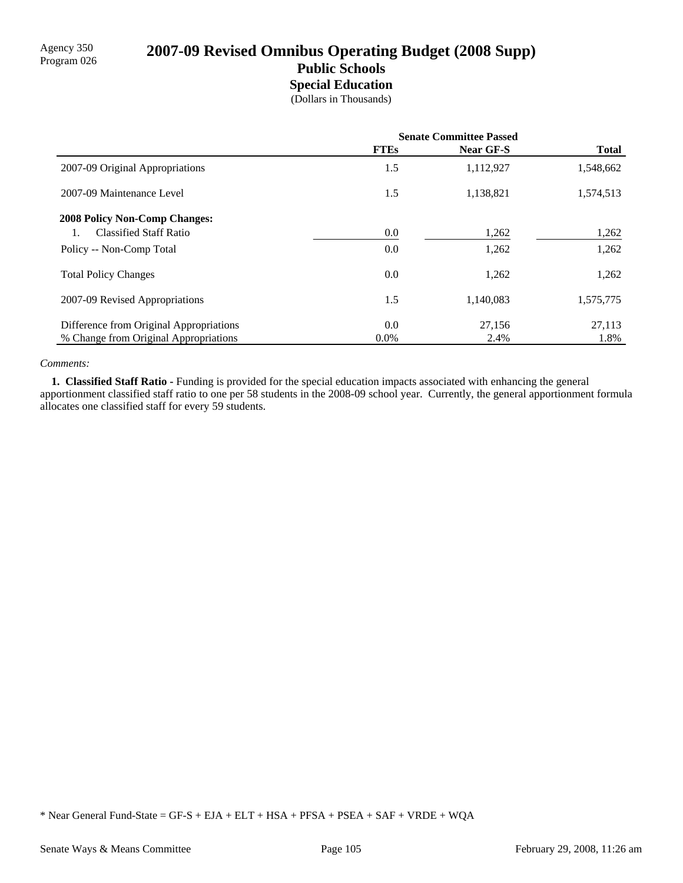# 2007-09 Revised Omnibus Operating Budget (2008 Supp) **Public Schools Special Education**

(Dollars in Thousands)

|                                         | <b>Senate Committee Passed</b> |                  |              |
|-----------------------------------------|--------------------------------|------------------|--------------|
|                                         | <b>FTEs</b>                    | <b>Near GF-S</b> | <b>Total</b> |
| 2007-09 Original Appropriations         | 1.5                            | 1,112,927        | 1,548,662    |
| 2007-09 Maintenance Level               | 1.5                            | 1,138,821        | 1,574,513    |
| <b>2008 Policy Non-Comp Changes:</b>    |                                |                  |              |
| <b>Classified Staff Ratio</b>           | 0.0                            | 1,262            | 1,262        |
| Policy -- Non-Comp Total                | 0.0                            | 1,262            | 1,262        |
| <b>Total Policy Changes</b>             | 0.0                            | 1,262            | 1,262        |
| 2007-09 Revised Appropriations          | 1.5                            | 1,140,083        | 1,575,775    |
| Difference from Original Appropriations | 0.0                            | 27,156           | 27,113       |
| % Change from Original Appropriations   | $0.0\%$                        | 2.4%             | 1.8%         |

#### *Comments:*

 **1. Classified Staff Ratio -** Funding is provided for the special education impacts associated with enhancing the general apportionment classified staff ratio to one per 58 students in the 2008-09 school year. Currently, the general apportionment formula allocates one classified staff for every 59 students.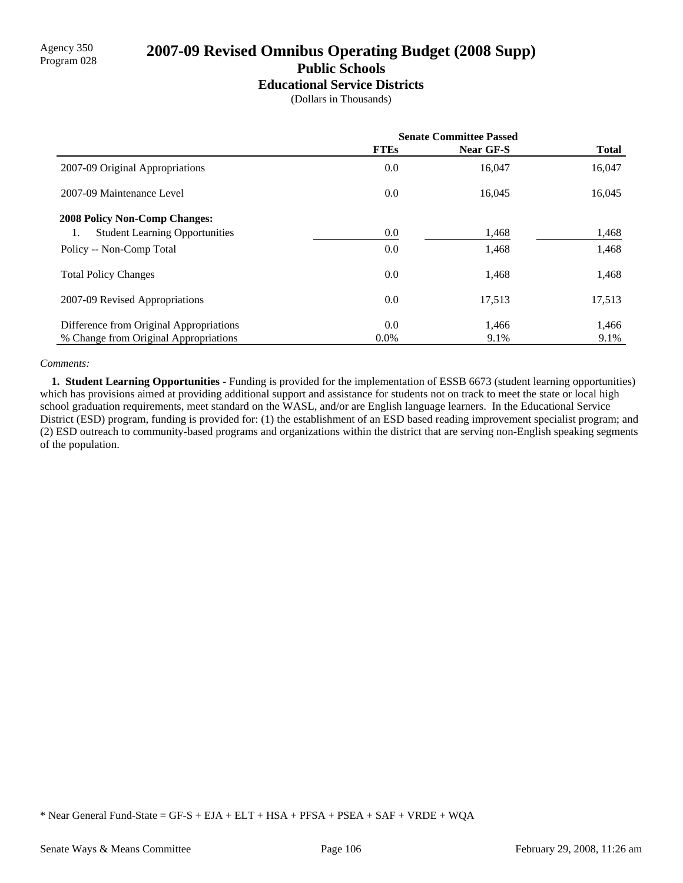# Agency 350<br>Program 028 **2007-09 Revised Omnibus Operating Budget (2008 Supp) Public Schools**

**Educational Service Districts**

(Dollars in Thousands)

|                                         | <b>Senate Committee Passed</b> |                  |              |
|-----------------------------------------|--------------------------------|------------------|--------------|
|                                         | <b>FTEs</b>                    | <b>Near GF-S</b> | <b>Total</b> |
| 2007-09 Original Appropriations         | 0.0                            | 16,047           | 16,047       |
| 2007-09 Maintenance Level               | 0.0                            | 16,045           | 16,045       |
| <b>2008 Policy Non-Comp Changes:</b>    |                                |                  |              |
| <b>Student Learning Opportunities</b>   | 0.0                            | 1,468            | 1,468        |
| Policy -- Non-Comp Total                | 0.0                            | 1,468            | 1,468        |
| <b>Total Policy Changes</b>             | 0.0                            | 1,468            | 1,468        |
| 2007-09 Revised Appropriations          | 0.0                            | 17,513           | 17,513       |
| Difference from Original Appropriations | 0.0                            | 1,466            | 1,466        |
| % Change from Original Appropriations   | $0.0\%$                        | 9.1%             | 9.1%         |

#### *Comments:*

 **1. Student Learning Opportunities -** Funding is provided for the implementation of ESSB 6673 (student learning opportunities) which has provisions aimed at providing additional support and assistance for students not on track to meet the state or local high school graduation requirements, meet standard on the WASL, and/or are English language learners. In the Educational Service District (ESD) program, funding is provided for: (1) the establishment of an ESD based reading improvement specialist program; and (2) ESD outreach to community-based programs and organizations within the district that are serving non-English speaking segments of the population.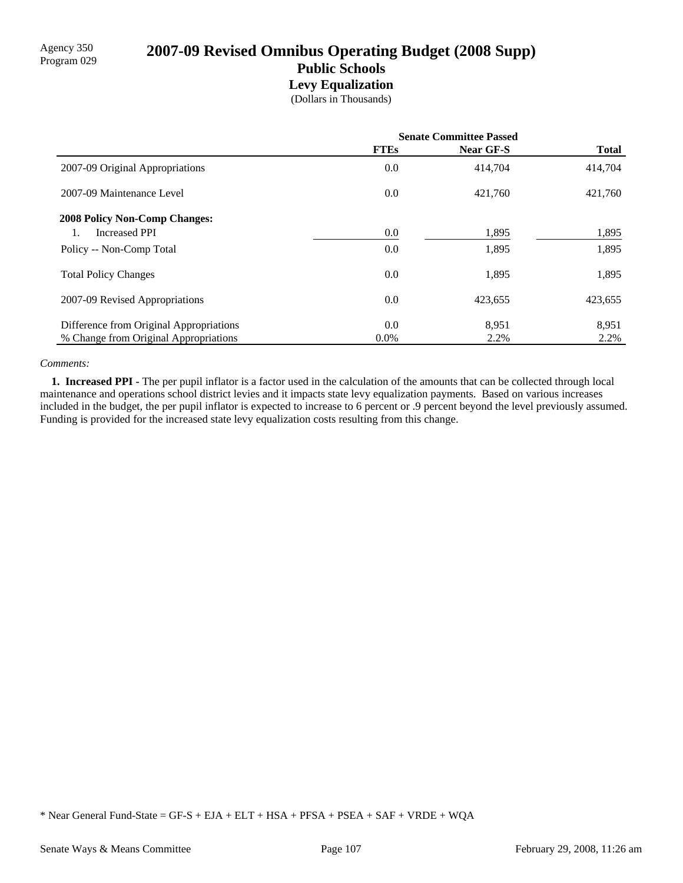# 2007-09 Revised Omnibus Operating Budget (2008 Supp) **Public Schools Levy Equalization**

(Dollars in Thousands)

|                                         | <b>Senate Committee Passed</b> |           |              |
|-----------------------------------------|--------------------------------|-----------|--------------|
|                                         | <b>FTEs</b>                    | Near GF-S | <b>Total</b> |
| 2007-09 Original Appropriations         | 0.0                            | 414.704   | 414,704      |
| 2007-09 Maintenance Level               | 0.0                            | 421,760   | 421,760      |
| <b>2008 Policy Non-Comp Changes:</b>    |                                |           |              |
| <b>Increased PPI</b>                    | 0.0                            | 1,895     | 1,895        |
| Policy -- Non-Comp Total                | 0.0                            | 1,895     | 1,895        |
| <b>Total Policy Changes</b>             | 0.0                            | 1,895     | 1,895        |
| 2007-09 Revised Appropriations          | 0.0                            | 423,655   | 423,655      |
| Difference from Original Appropriations | 0.0                            | 8,951     | 8,951        |
| % Change from Original Appropriations   | $0.0\%$                        | 2.2%      | 2.2%         |

#### *Comments:*

 **1. Increased PPI -** The per pupil inflator is a factor used in the calculation of the amounts that can be collected through local maintenance and operations school district levies and it impacts state levy equalization payments. Based on various increases included in the budget, the per pupil inflator is expected to increase to 6 percent or .9 percent beyond the level previously assumed. Funding is provided for the increased state levy equalization costs resulting from this change.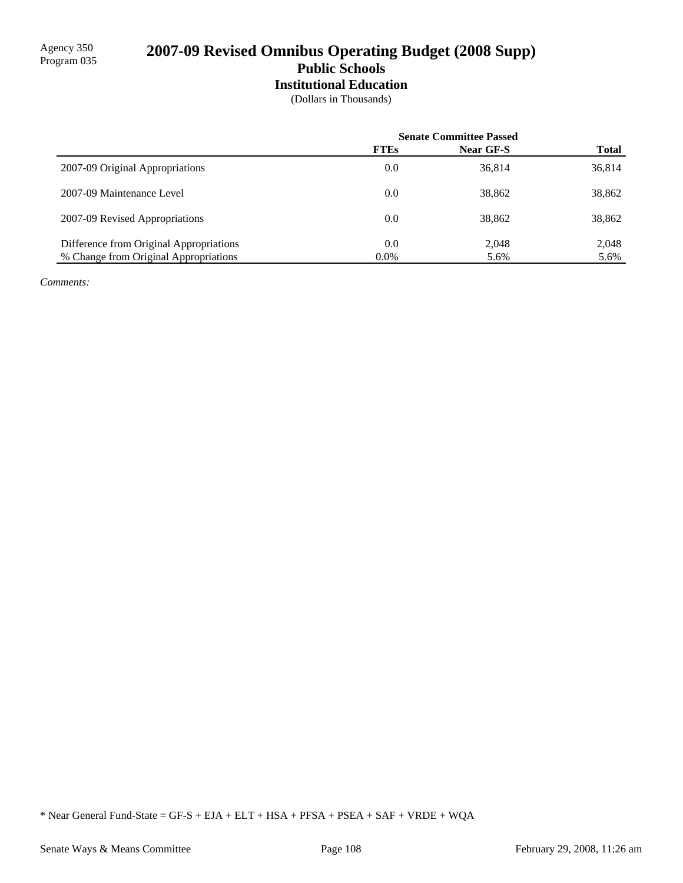# 2007-09 Revised Omnibus Operating Budget (2008 Supp) **Public Schools Institutional Education**

(Dollars in Thousands)

|                                         | <b>Senate Committee Passed</b> |                  |              |
|-----------------------------------------|--------------------------------|------------------|--------------|
|                                         | <b>FTEs</b>                    | <b>Near GF-S</b> | <b>Total</b> |
| 2007-09 Original Appropriations         | 0.0                            | 36,814           | 36,814       |
| 2007-09 Maintenance Level               | 0.0                            | 38,862           | 38,862       |
| 2007-09 Revised Appropriations          | 0.0                            | 38,862           | 38,862       |
| Difference from Original Appropriations | 0.0                            | 2,048            | 2,048        |
| % Change from Original Appropriations   | $0.0\%$                        | 5.6%             | 5.6%         |

*Comments:*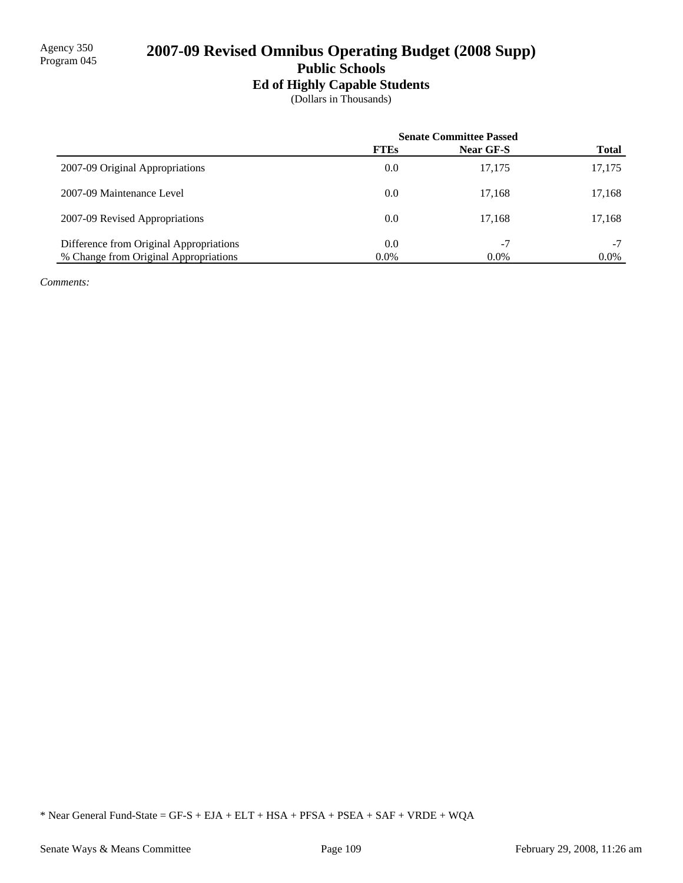# 2007-09 Revised Omnibus Operating Budget (2008 Supp) **Public Schools**

## **Ed of Highly Capable Students**

(Dollars in Thousands)

|                                         | <b>Senate Committee Passed</b> |           |              |
|-----------------------------------------|--------------------------------|-----------|--------------|
|                                         | <b>FTEs</b>                    | Near GF-S | <b>Total</b> |
| 2007-09 Original Appropriations         | 0.0                            | 17,175    | 17,175       |
| 2007-09 Maintenance Level               | 0.0                            | 17.168    | 17,168       |
| 2007-09 Revised Appropriations          | 0.0                            | 17.168    | 17,168       |
| Difference from Original Appropriations | 0.0                            | $-7$      | $-7$         |
| % Change from Original Appropriations   | $0.0\%$                        | $0.0\%$   | $0.0\%$      |

*Comments:*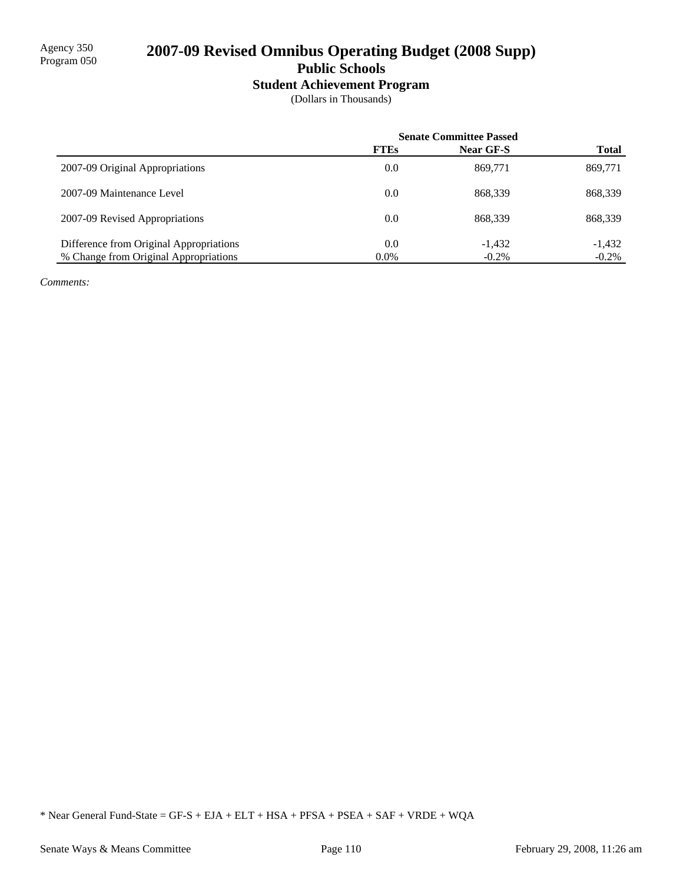# 2007-09 Revised Omnibus Operating Budget (2008 Supp) **Public Schools**

# **Student Achievement Program**

(Dollars in Thousands)

|                                         | <b>Senate Committee Passed</b> |           |              |
|-----------------------------------------|--------------------------------|-----------|--------------|
|                                         | <b>FTEs</b>                    | Near GF-S | <b>Total</b> |
| 2007-09 Original Appropriations         | 0.0                            | 869,771   | 869,771      |
| 2007-09 Maintenance Level               | 0.0                            | 868.339   | 868,339      |
| 2007-09 Revised Appropriations          | 0.0                            | 868.339   | 868,339      |
| Difference from Original Appropriations | 0.0                            | $-1.432$  | $-1,432$     |
| % Change from Original Appropriations   | $0.0\%$                        | $-0.2\%$  | $-0.2\%$     |

*Comments:*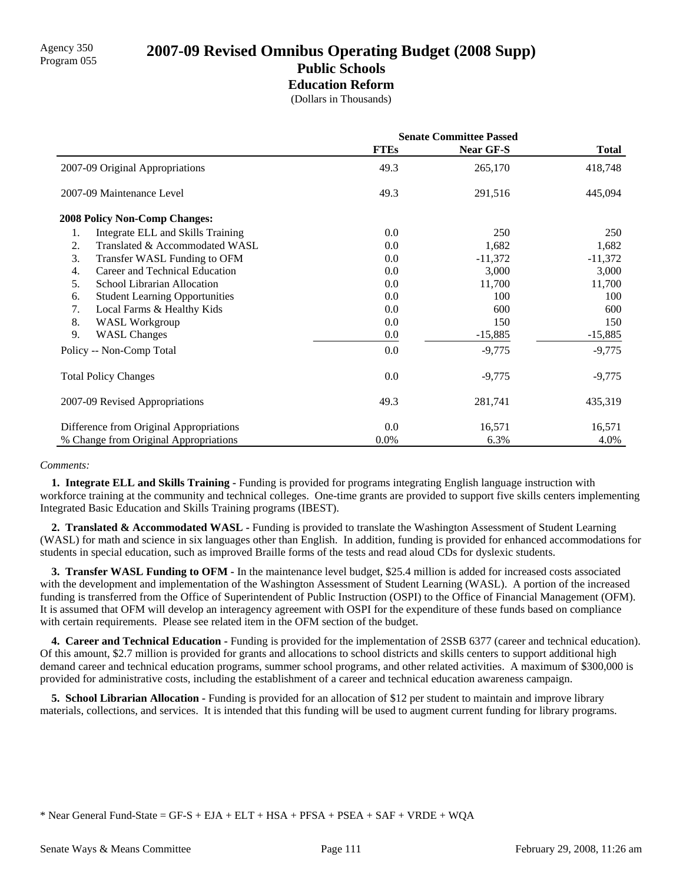# Agency 350 **2007-09 Revised Omnibus Operating Budget (2008 Supp)** Program 055 **Public Schools Education Reform**

(Dollars in Thousands)

|                                             | <b>Senate Committee Passed</b> |                  |              |
|---------------------------------------------|--------------------------------|------------------|--------------|
|                                             | <b>FTEs</b>                    | <b>Near GF-S</b> | <b>Total</b> |
| 2007-09 Original Appropriations             | 49.3                           | 265,170          | 418,748      |
| 2007-09 Maintenance Level                   | 49.3                           | 291,516          | 445,094      |
| <b>2008 Policy Non-Comp Changes:</b>        |                                |                  |              |
| Integrate ELL and Skills Training<br>1.     | 0.0                            | 250              | 250          |
| Translated & Accommodated WASL<br>2.        | 0.0                            | 1,682            | 1,682        |
| 3.<br>Transfer WASL Funding to OFM          | 0.0                            | $-11,372$        | $-11,372$    |
| Career and Technical Education<br>4.        | 0.0                            | 3,000            | 3,000        |
| School Librarian Allocation<br>5.           | 0.0                            | 11,700           | 11,700       |
| <b>Student Learning Opportunities</b><br>6. | 0.0                            | 100              | 100          |
| Local Farms & Healthy Kids<br>7.            | 0.0                            | 600              | 600          |
| 8.<br><b>WASL Workgroup</b>                 | 0.0                            | 150              | 150          |
| 9.<br><b>WASL Changes</b>                   | 0.0                            | $-15,885$        | $-15,885$    |
| Policy -- Non-Comp Total                    | 0.0                            | $-9,775$         | $-9,775$     |
| <b>Total Policy Changes</b>                 | 0.0                            | $-9,775$         | $-9,775$     |
| 2007-09 Revised Appropriations              | 49.3                           | 281,741          | 435,319      |
| Difference from Original Appropriations     | 0.0                            | 16,571           | 16,571       |
| % Change from Original Appropriations       | $0.0\%$                        | 6.3%             | 4.0%         |

#### *Comments:*

 **1. Integrate ELL and Skills Training -** Funding is provided for programs integrating English language instruction with workforce training at the community and technical colleges. One-time grants are provided to support five skills centers implementing Integrated Basic Education and Skills Training programs (IBEST).

 **2. Translated & Accommodated WASL -** Funding is provided to translate the Washington Assessment of Student Learning (WASL) for math and science in six languages other than English. In addition, funding is provided for enhanced accommodations for students in special education, such as improved Braille forms of the tests and read aloud CDs for dyslexic students.

**3. Transfer WASL Funding to OFM -** In the maintenance level budget, \$25.4 million is added for increased costs associated with the development and implementation of the Washington Assessment of Student Learning (WASL). A portion of the increased funding is transferred from the Office of Superintendent of Public Instruction (OSPI) to the Office of Financial Management (OFM). It is assumed that OFM will develop an interagency agreement with OSPI for the expenditure of these funds based on compliance with certain requirements. Please see related item in the OFM section of the budget.

 **4. Career and Technical Education -** Funding is provided for the implementation of 2SSB 6377 (career and technical education). Of this amount, \$2.7 million is provided for grants and allocations to school districts and skills centers to support additional high demand career and technical education programs, summer school programs, and other related activities. A maximum of \$300,000 is provided for administrative costs, including the establishment of a career and technical education awareness campaign.

**5. School Librarian Allocation -** Funding is provided for an allocation of \$12 per student to maintain and improve library materials, collections, and services. It is intended that this funding will be used to augment current funding for library programs.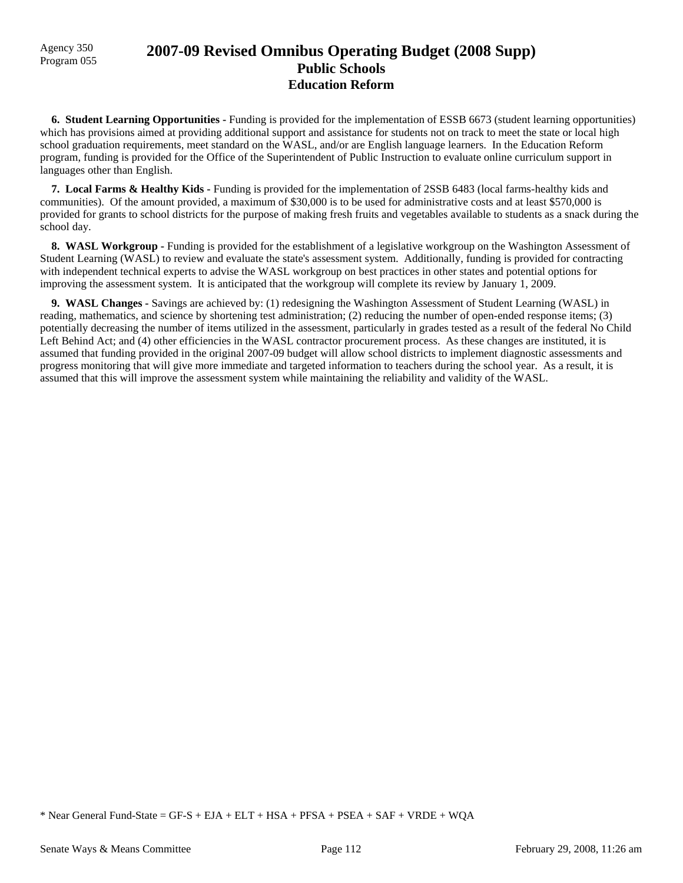# Agency 350 **2007-09 Revised Omnibus Operating Budget (2008 Supp)** Program 055 **Public Schools Education Reform**

 **6. Student Learning Opportunities -** Funding is provided for the implementation of ESSB 6673 (student learning opportunities) which has provisions aimed at providing additional support and assistance for students not on track to meet the state or local high school graduation requirements, meet standard on the WASL, and/or are English language learners. In the Education Reform program, funding is provided for the Office of the Superintendent of Public Instruction to evaluate online curriculum support in languages other than English.

 **7. Local Farms & Healthy Kids -** Funding is provided for the implementation of 2SSB 6483 (local farms-healthy kids and communities). Of the amount provided, a maximum of \$30,000 is to be used for administrative costs and at least \$570,000 is provided for grants to school districts for the purpose of making fresh fruits and vegetables available to students as a snack during the school day.

**8. WASL Workgroup - Funding is provided for the establishment of a legislative workgroup on the Washington Assessment of** Student Learning (WASL) to review and evaluate the state's assessment system. Additionally, funding is provided for contracting with independent technical experts to advise the WASL workgroup on best practices in other states and potential options for improving the assessment system. It is anticipated that the workgroup will complete its review by January 1, 2009.

 **9. WASL Changes -** Savings are achieved by: (1) redesigning the Washington Assessment of Student Learning (WASL) in reading, mathematics, and science by shortening test administration; (2) reducing the number of open-ended response items; (3) potentially decreasing the number of items utilized in the assessment, particularly in grades tested as a result of the federal No Child Left Behind Act; and (4) other efficiencies in the WASL contractor procurement process. As these changes are instituted, it is assumed that funding provided in the original 2007-09 budget will allow school districts to implement diagnostic assessments and progress monitoring that will give more immediate and targeted information to teachers during the school year. As a result, it is assumed that this will improve the assessment system while maintaining the reliability and validity of the WASL.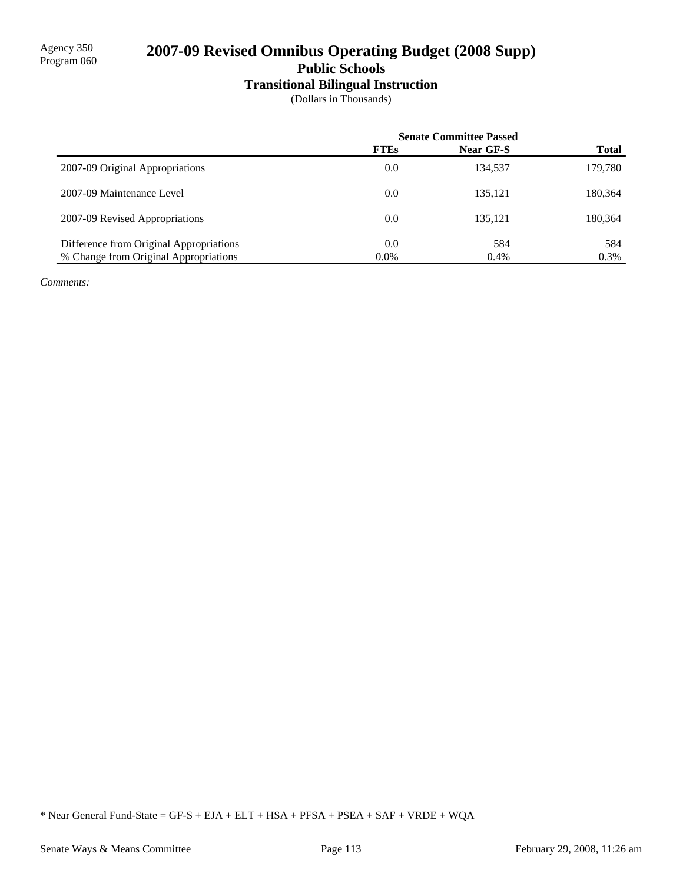# 2007-09 Revised Omnibus Operating Budget (2008 Supp)

**Public Schools**

# **Transitional Bilingual Instruction**

(Dollars in Thousands)

|                                         | <b>Senate Committee Passed</b> |                  |              |
|-----------------------------------------|--------------------------------|------------------|--------------|
|                                         | <b>FTEs</b>                    | <b>Near GF-S</b> | <b>Total</b> |
| 2007-09 Original Appropriations         | 0.0                            | 134,537          | 179,780      |
| 2007-09 Maintenance Level               | 0.0                            | 135.121          | 180,364      |
| 2007-09 Revised Appropriations          | 0.0                            | 135.121          | 180,364      |
| Difference from Original Appropriations | 0.0                            | 584              | 584          |
| % Change from Original Appropriations   | $0.0\%$                        | 0.4%             | 0.3%         |

*Comments:*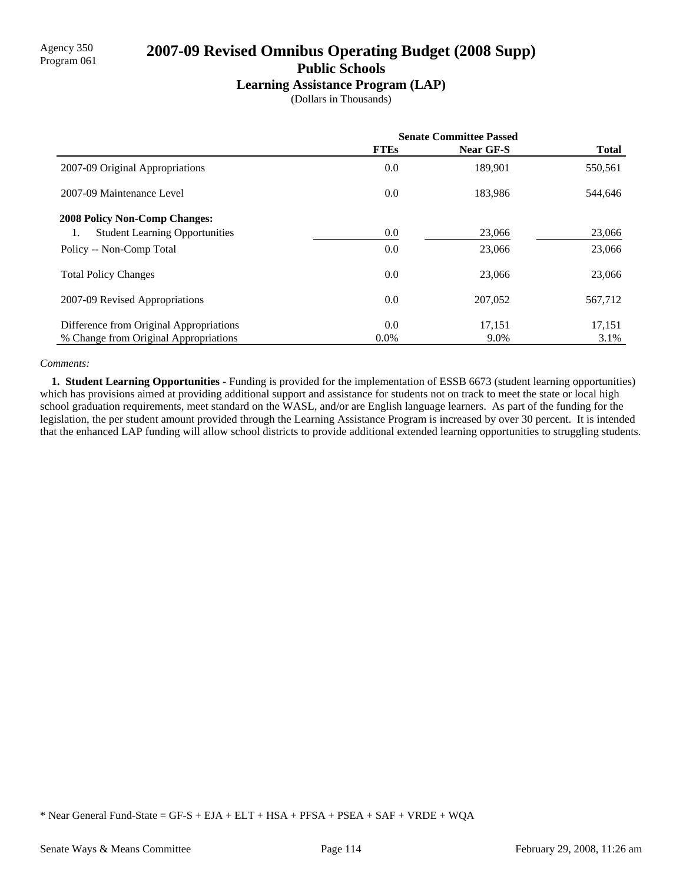# Agency 350 **2007-09 Revised Omnibus Operating Budget (2008 Supp)** Program 061 **Public Schools**

### **Learning Assistance Program (LAP)**

(Dollars in Thousands)

|                                             | <b>Senate Committee Passed</b> |           |              |
|---------------------------------------------|--------------------------------|-----------|--------------|
|                                             | <b>FTEs</b>                    | Near GF-S | <b>Total</b> |
| 2007-09 Original Appropriations             | 0.0                            | 189.901   | 550,561      |
| 2007-09 Maintenance Level                   | 0.0                            | 183,986   | 544,646      |
| <b>2008 Policy Non-Comp Changes:</b>        |                                |           |              |
| <b>Student Learning Opportunities</b><br>1. | 0.0                            | 23,066    | 23,066       |
| Policy -- Non-Comp Total                    | 0.0                            | 23,066    | 23,066       |
| <b>Total Policy Changes</b>                 | 0.0                            | 23,066    | 23,066       |
| 2007-09 Revised Appropriations              | 0.0                            | 207,052   | 567,712      |
| Difference from Original Appropriations     | 0.0                            | 17,151    | 17,151       |
| % Change from Original Appropriations       | $0.0\%$                        | 9.0%      | 3.1%         |

#### *Comments:*

 **1. Student Learning Opportunities -** Funding is provided for the implementation of ESSB 6673 (student learning opportunities) which has provisions aimed at providing additional support and assistance for students not on track to meet the state or local high school graduation requirements, meet standard on the WASL, and/or are English language learners. As part of the funding for the legislation, the per student amount provided through the Learning Assistance Program is increased by over 30 percent. It is intended that the enhanced LAP funding will allow school districts to provide additional extended learning opportunities to struggling students.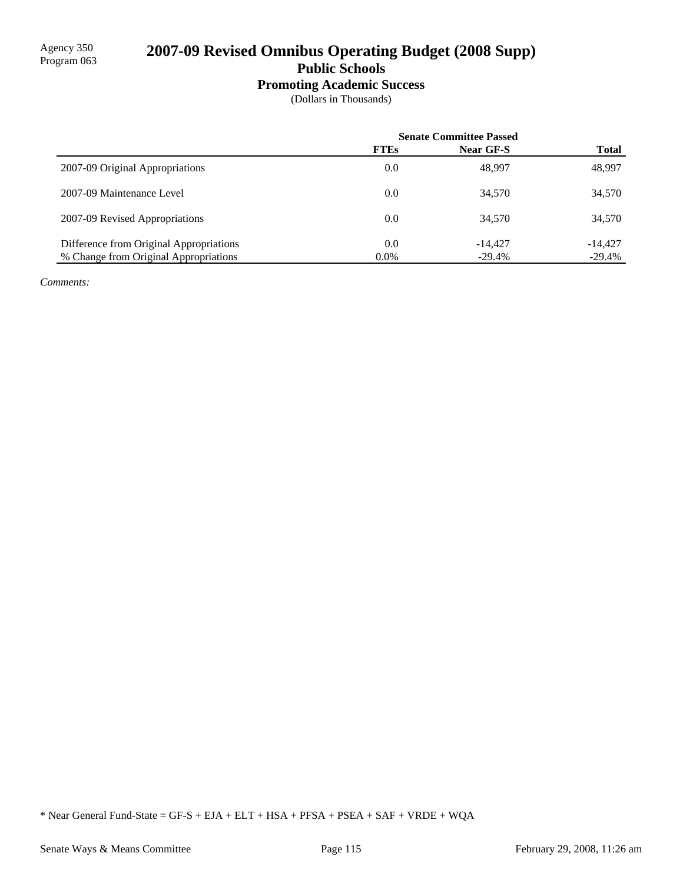# 2007-09 Revised Omnibus Operating Budget (2008 Supp)

**Public Schools**

## **Promoting Academic Success**

(Dollars in Thousands)

|                                         | <b>Senate Committee Passed</b> |                  |              |
|-----------------------------------------|--------------------------------|------------------|--------------|
|                                         | <b>FTEs</b>                    | <b>Near GF-S</b> | <b>Total</b> |
| 2007-09 Original Appropriations         | 0.0                            | 48.997           | 48,997       |
| 2007-09 Maintenance Level               | 0.0                            | 34,570           | 34,570       |
| 2007-09 Revised Appropriations          | 0.0                            | 34,570           | 34,570       |
| Difference from Original Appropriations | 0.0                            | $-14.427$        | $-14.427$    |
| % Change from Original Appropriations   | $0.0\%$                        | $-29.4%$         | $-29.4%$     |

*Comments:*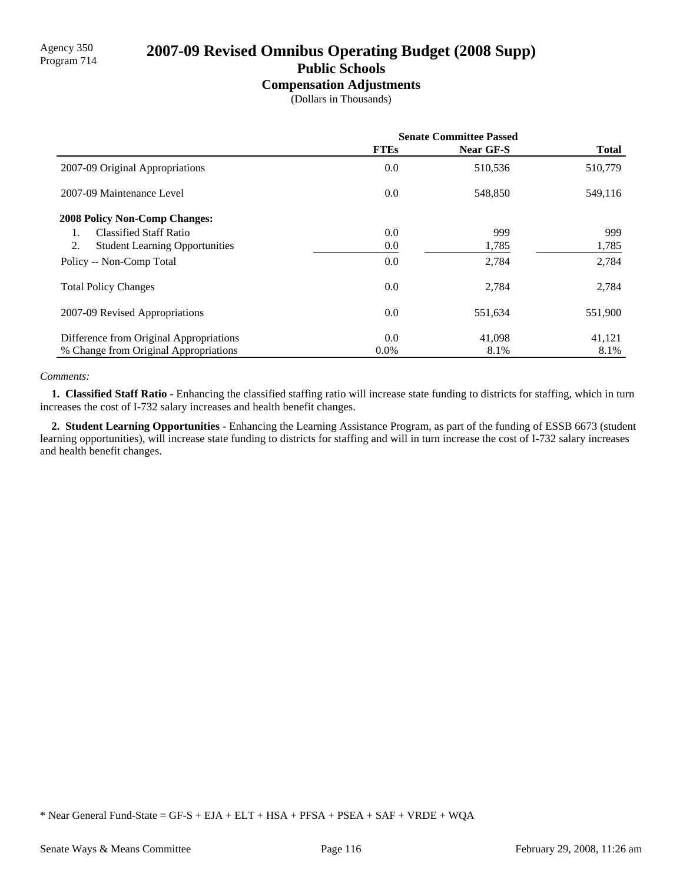# Agency 350<br>Program 714 **2007-09 Revised Omnibus Operating Budget (2008 Supp)**

# **Public Schools**

## **Compensation Adjustments**

(Dollars in Thousands)

|                                             | <b>Senate Committee Passed</b> |           |              |
|---------------------------------------------|--------------------------------|-----------|--------------|
|                                             | <b>FTEs</b>                    | Near GF-S | <b>Total</b> |
| 2007-09 Original Appropriations             | 0.0                            | 510,536   | 510,779      |
| 2007-09 Maintenance Level                   | 0.0                            | 548,850   | 549,116      |
| 2008 Policy Non-Comp Changes:               |                                |           |              |
| <b>Classified Staff Ratio</b><br>1.         | 0.0                            | 999       | 999          |
| 2.<br><b>Student Learning Opportunities</b> | 0.0                            | 1,785     | 1,785        |
| Policy -- Non-Comp Total                    | 0.0                            | 2,784     | 2,784        |
| <b>Total Policy Changes</b>                 | 0.0                            | 2,784     | 2,784        |
| 2007-09 Revised Appropriations              | 0.0                            | 551,634   | 551,900      |
| Difference from Original Appropriations     | 0.0                            | 41,098    | 41,121       |
| % Change from Original Appropriations       | $0.0\%$                        | 8.1%      | 8.1%         |

#### *Comments:*

 **1. Classified Staff Ratio -** Enhancing the classified staffing ratio will increase state funding to districts for staffing, which in turn increases the cost of I-732 salary increases and health benefit changes.

 **2. Student Learning Opportunities -** Enhancing the Learning Assistance Program, as part of the funding of ESSB 6673 (student learning opportunities), will increase state funding to districts for staffing and will in turn increase the cost of I-732 salary increases and health benefit changes.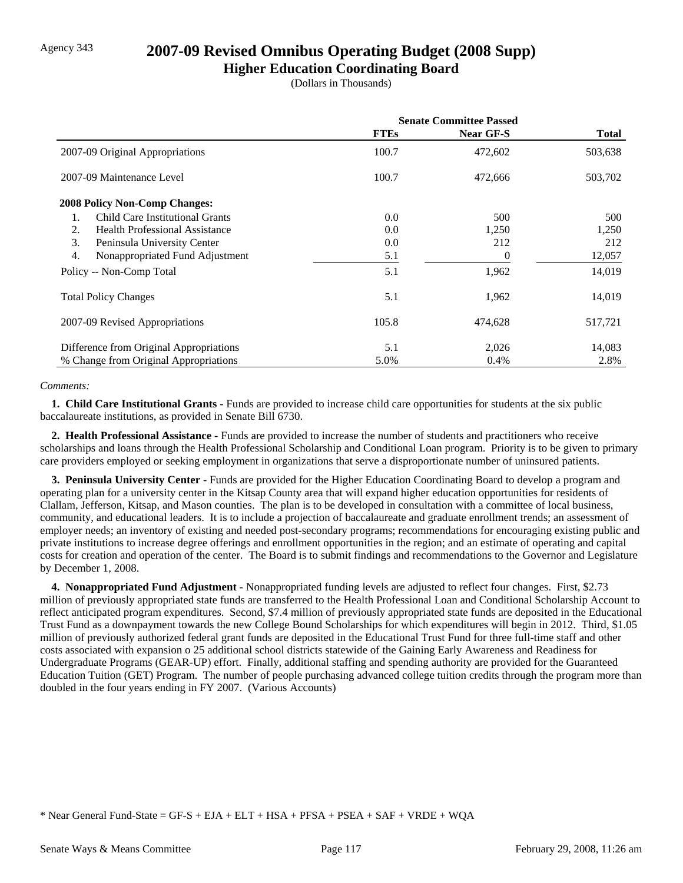# Agency 343 **2007-09 Revised Omnibus Operating Budget (2008 Supp)**

### **Higher Education Coordinating Board**

(Dollars in Thousands)

|                                              | <b>Senate Committee Passed</b> |                  |              |
|----------------------------------------------|--------------------------------|------------------|--------------|
|                                              | <b>FTEs</b>                    | <b>Near GF-S</b> | <b>Total</b> |
| 2007-09 Original Appropriations              | 100.7                          | 472,602          | 503,638      |
| 2007-09 Maintenance Level                    | 100.7                          | 472,666          | 503,702      |
| <b>2008 Policy Non-Comp Changes:</b>         |                                |                  |              |
| <b>Child Care Institutional Grants</b><br>1. | 0.0                            | 500              | 500          |
| <b>Health Professional Assistance</b><br>2.  | 0.0                            | 1,250            | 1,250        |
| 3.<br>Peninsula University Center            | 0.0                            | 212              | 212          |
| 4.<br>Nonappropriated Fund Adjustment        | 5.1                            | 0                | 12,057       |
| Policy -- Non-Comp Total                     | 5.1                            | 1,962            | 14,019       |
| <b>Total Policy Changes</b>                  | 5.1                            | 1,962            | 14,019       |
| 2007-09 Revised Appropriations               | 105.8                          | 474,628          | 517,721      |
| Difference from Original Appropriations      | 5.1                            | 2,026            | 14,083       |
| % Change from Original Appropriations        | 5.0%                           | $0.4\%$          | 2.8%         |

#### *Comments:*

**1. Child Care Institutional Grants - Funds are provided to increase child care opportunities for students at the six public** baccalaureate institutions, as provided in Senate Bill 6730.

 **2. Health Professional Assistance -** Funds are provided to increase the number of students and practitioners who receive scholarships and loans through the Health Professional Scholarship and Conditional Loan program. Priority is to be given to primary care providers employed or seeking employment in organizations that serve a disproportionate number of uninsured patients.

 **3. Peninsula University Center -** Funds are provided for the Higher Education Coordinating Board to develop a program and operating plan for a university center in the Kitsap County area that will expand higher education opportunities for residents of Clallam, Jefferson, Kitsap, and Mason counties. The plan is to be developed in consultation with a committee of local business, community, and educational leaders. It is to include a projection of baccalaureate and graduate enrollment trends; an assessment of employer needs; an inventory of existing and needed post-secondary programs; recommendations for encouraging existing public and private institutions to increase degree offerings and enrollment opportunities in the region; and an estimate of operating and capital costs for creation and operation of the center. The Board is to submit findings and recommendations to the Governor and Legislature by December 1, 2008.

 **4. Nonappropriated Fund Adjustment -** Nonappropriated funding levels are adjusted to reflect four changes. First, \$2.73 million of previously appropriated state funds are transferred to the Health Professional Loan and Conditional Scholarship Account to reflect anticipated program expenditures. Second, \$7.4 million of previously appropriated state funds are deposited in the Educational Trust Fund as a downpayment towards the new College Bound Scholarships for which expenditures will begin in 2012. Third, \$1.05 million of previously authorized federal grant funds are deposited in the Educational Trust Fund for three full-time staff and other costs associated with expansion o 25 additional school districts statewide of the Gaining Early Awareness and Readiness for Undergraduate Programs (GEAR-UP) effort. Finally, additional staffing and spending authority are provided for the Guaranteed Education Tuition (GET) Program. The number of people purchasing advanced college tuition credits through the program more than doubled in the four years ending in FY 2007. (Various Accounts)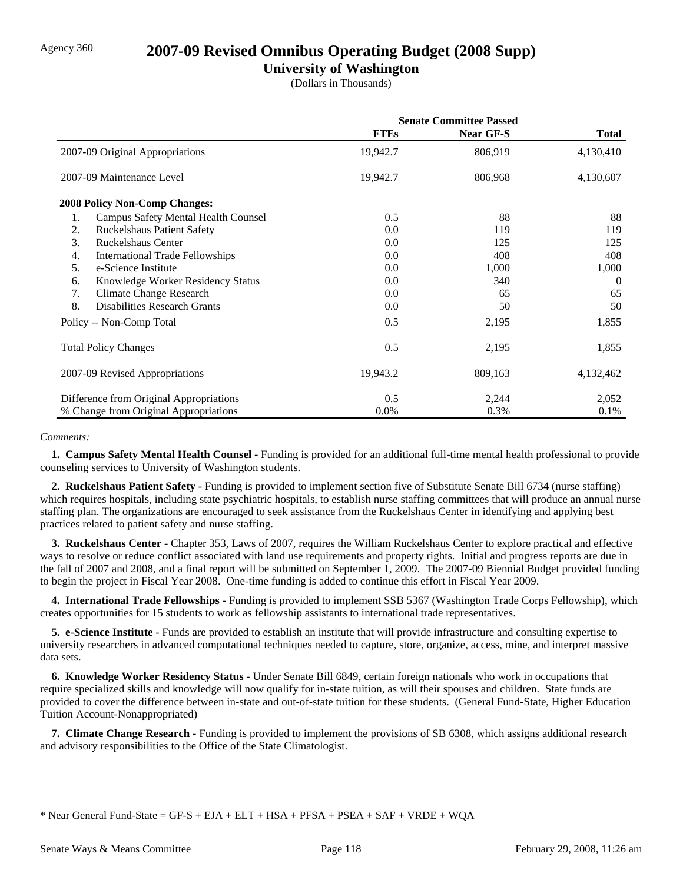# Agency 360 **2007-09 Revised Omnibus Operating Budget (2008 Supp)**

## **University of Washington**

(Dollars in Thousands)

|                                                  | <b>Senate Committee Passed</b> |                  |              |
|--------------------------------------------------|--------------------------------|------------------|--------------|
|                                                  | <b>FTEs</b>                    | <b>Near GF-S</b> | <b>Total</b> |
| 2007-09 Original Appropriations                  | 19,942.7                       | 806,919          | 4,130,410    |
| 2007-09 Maintenance Level                        | 19,942.7                       | 806,968          | 4,130,607    |
| <b>2008 Policy Non-Comp Changes:</b>             |                                |                  |              |
| 1.<br><b>Campus Safety Mental Health Counsel</b> | 0.5                            | 88               | 88           |
| <b>Ruckelshaus Patient Safety</b><br>2.          | 0.0                            | 119              | 119          |
| 3.<br><b>Ruckelshaus Center</b>                  | 0.0                            | 125              | 125          |
| International Trade Fellowships<br>4.            | 0.0                            | 408              | 408          |
| e-Science Institute<br>5.                        | 0.0                            | 1,000            | 1,000        |
| Knowledge Worker Residency Status<br>6.          | 0.0                            | 340              | $\Omega$     |
| 7.<br><b>Climate Change Research</b>             | $0.0\,$                        | 65               | 65           |
| 8.<br><b>Disabilities Research Grants</b>        | 0.0                            | 50               | 50           |
| Policy -- Non-Comp Total                         | 0.5                            | 2,195            | 1,855        |
| <b>Total Policy Changes</b>                      | 0.5                            | 2,195            | 1,855        |
| 2007-09 Revised Appropriations                   | 19,943.2                       | 809,163          | 4,132,462    |
| Difference from Original Appropriations          | 0.5                            | 2,244            | 2,052        |
| % Change from Original Appropriations            | 0.0%                           | 0.3%             | 0.1%         |

#### *Comments:*

 **1. Campus Safety Mental Health Counsel -** Funding is provided for an additional full-time mental health professional to provide counseling services to University of Washington students.

 **2. Ruckelshaus Patient Safety -** Funding is provided to implement section five of Substitute Senate Bill 6734 (nurse staffing) which requires hospitals, including state psychiatric hospitals, to establish nurse staffing committees that will produce an annual nurse staffing plan. The organizations are encouraged to seek assistance from the Ruckelshaus Center in identifying and applying best practices related to patient safety and nurse staffing.

 **3. Ruckelshaus Center -** Chapter 353, Laws of 2007, requires the William Ruckelshaus Center to explore practical and effective ways to resolve or reduce conflict associated with land use requirements and property rights. Initial and progress reports are due in the fall of 2007 and 2008, and a final report will be submitted on September 1, 2009. The 2007-09 Biennial Budget provided funding to begin the project in Fiscal Year 2008. One-time funding is added to continue this effort in Fiscal Year 2009.

 **4. International Trade Fellowships -** Funding is provided to implement SSB 5367 (Washington Trade Corps Fellowship), which creates opportunities for 15 students to work as fellowship assistants to international trade representatives.

 **5. e-Science Institute -** Funds are provided to establish an institute that will provide infrastructure and consulting expertise to university researchers in advanced computational techniques needed to capture, store, organize, access, mine, and interpret massive data sets.

 **6. Knowledge Worker Residency Status -** Under Senate Bill 6849, certain foreign nationals who work in occupations that require specialized skills and knowledge will now qualify for in-state tuition, as will their spouses and children. State funds are provided to cover the difference between in-state and out-of-state tuition for these students. (General Fund-State, Higher Education Tuition Account-Nonappropriated)

 **7. Climate Change Research -** Funding is provided to implement the provisions of SB 6308, which assigns additional research and advisory responsibilities to the Office of the State Climatologist.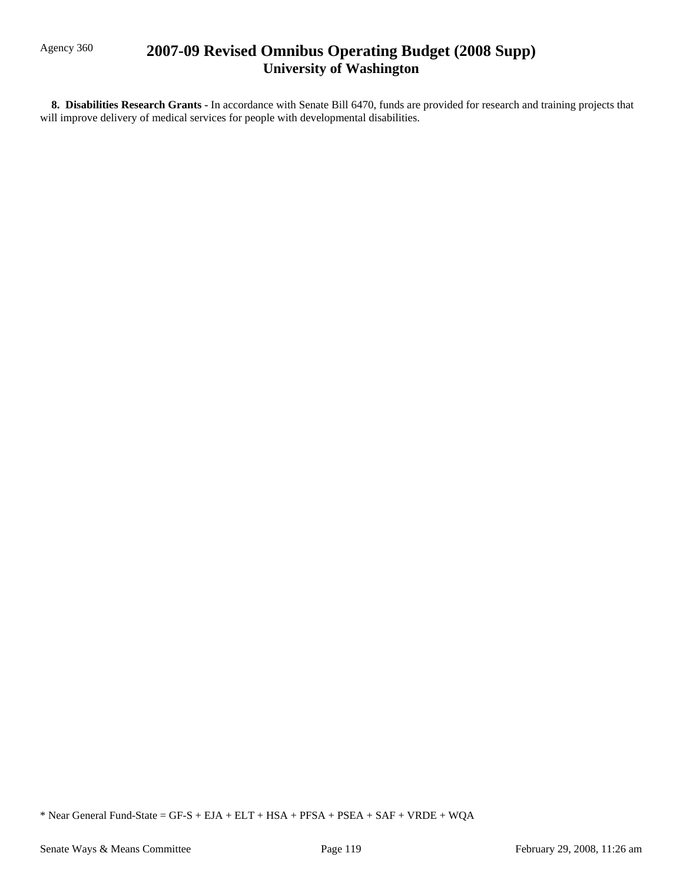# Agency 360 **2007-09 Revised Omnibus Operating Budget (2008 Supp) University of Washington**

 **8. Disabilities Research Grants -** In accordance with Senate Bill 6470, funds are provided for research and training projects that will improve delivery of medical services for people with developmental disabilities.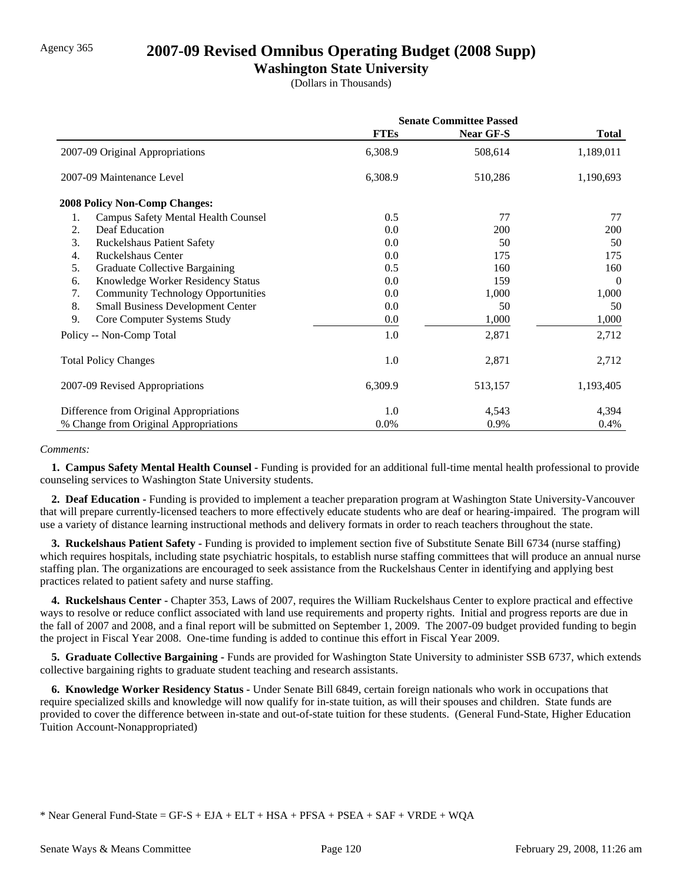# Agency 365 **2007-09 Revised Omnibus Operating Budget (2008 Supp)**

## **Washington State University**

(Dollars in Thousands)

|                                                  | <b>Senate Committee Passed</b> |                  |              |
|--------------------------------------------------|--------------------------------|------------------|--------------|
|                                                  | <b>FTEs</b>                    | <b>Near GF-S</b> | <b>Total</b> |
| 2007-09 Original Appropriations                  | 6,308.9                        | 508,614          | 1,189,011    |
| 2007-09 Maintenance Level                        | 6,308.9                        | 510,286          | 1,190,693    |
| <b>2008 Policy Non-Comp Changes:</b>             |                                |                  |              |
| 1.<br><b>Campus Safety Mental Health Counsel</b> | 0.5                            | 77               | 77           |
| Deaf Education<br>2.                             | 0.0                            | 200              | 200          |
| 3.<br><b>Ruckelshaus Patient Safety</b>          | 0.0                            | 50               | 50           |
| <b>Ruckelshaus Center</b><br>4.                  | 0.0                            | 175              | 175          |
| 5.<br><b>Graduate Collective Bargaining</b>      | 0.5                            | 160              | 160          |
| Knowledge Worker Residency Status<br>6.          | 0.0                            | 159              | $\theta$     |
| 7.<br><b>Community Technology Opportunities</b>  | 0.0                            | 1,000            | 1,000        |
| 8.<br><b>Small Business Development Center</b>   | 0.0                            | 50               | 50           |
| 9.<br>Core Computer Systems Study                | 0.0                            | 1,000            | 1,000        |
| Policy -- Non-Comp Total                         | 1.0                            | 2,871            | 2,712        |
| <b>Total Policy Changes</b>                      | 1.0                            | 2,871            | 2,712        |
| 2007-09 Revised Appropriations                   | 6,309.9                        | 513,157          | 1,193,405    |
| Difference from Original Appropriations          | 1.0                            | 4,543            | 4,394        |
| % Change from Original Appropriations            | $0.0\%$                        | 0.9%             | 0.4%         |

#### *Comments:*

 **1. Campus Safety Mental Health Counsel -** Funding is provided for an additional full-time mental health professional to provide counseling services to Washington State University students.

 **2. Deaf Education -** Funding is provided to implement a teacher preparation program at Washington State University-Vancouver that will prepare currently-licensed teachers to more effectively educate students who are deaf or hearing-impaired. The program will use a variety of distance learning instructional methods and delivery formats in order to reach teachers throughout the state.

 **3. Ruckelshaus Patient Safety -** Funding is provided to implement section five of Substitute Senate Bill 6734 (nurse staffing) which requires hospitals, including state psychiatric hospitals, to establish nurse staffing committees that will produce an annual nurse staffing plan. The organizations are encouraged to seek assistance from the Ruckelshaus Center in identifying and applying best practices related to patient safety and nurse staffing.

 **4. Ruckelshaus Center -** Chapter 353, Laws of 2007, requires the William Ruckelshaus Center to explore practical and effective ways to resolve or reduce conflict associated with land use requirements and property rights. Initial and progress reports are due in the fall of 2007 and 2008, and a final report will be submitted on September 1, 2009. The 2007-09 budget provided funding to begin the project in Fiscal Year 2008. One-time funding is added to continue this effort in Fiscal Year 2009.

 **5. Graduate Collective Bargaining -** Funds are provided for Washington State University to administer SSB 6737, which extends collective bargaining rights to graduate student teaching and research assistants.

 **6. Knowledge Worker Residency Status -** Under Senate Bill 6849, certain foreign nationals who work in occupations that require specialized skills and knowledge will now qualify for in-state tuition, as will their spouses and children. State funds are provided to cover the difference between in-state and out-of-state tuition for these students. (General Fund-State, Higher Education Tuition Account-Nonappropriated)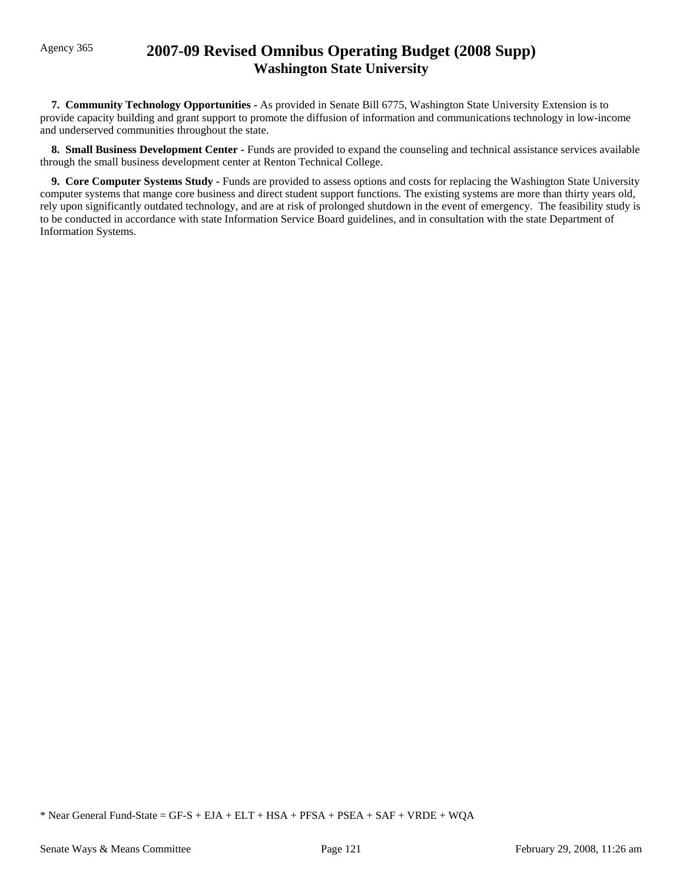# Agency 365 **2007-09 Revised Omnibus Operating Budget (2008 Supp) Washington State University**

 **7. Community Technology Opportunities -** As provided in Senate Bill 6775, Washington State University Extension is to provide capacity building and grant support to promote the diffusion of information and communications technology in low-income and underserved communities throughout the state.

**8. Small Business Development Center - Funds are provided to expand the counseling and technical assistance services available** through the small business development center at Renton Technical College.

 **9. Core Computer Systems Study -** Funds are provided to assess options and costs for replacing the Washington State University computer systems that mange core business and direct student support functions. The existing systems are more than thirty years old, rely upon significantly outdated technology, and are at risk of prolonged shutdown in the event of emergency. The feasibility study is to be conducted in accordance with state Information Service Board guidelines, and in consultation with the state Department of Information Systems.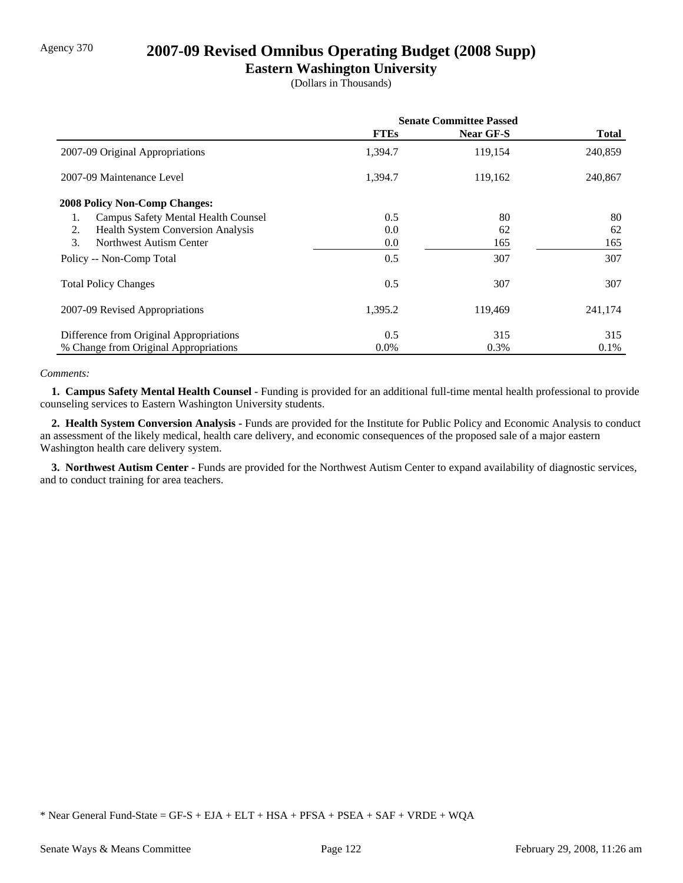# Agency 370 **2007-09 Revised Omnibus Operating Budget (2008 Supp)**

# **Eastern Washington University**

(Dollars in Thousands)

|                                                | <b>Senate Committee Passed</b> |                  |              |
|------------------------------------------------|--------------------------------|------------------|--------------|
|                                                | <b>FTEs</b>                    | <b>Near GF-S</b> | <b>Total</b> |
| 2007-09 Original Appropriations                | 1,394.7                        | 119,154          | 240,859      |
| 2007-09 Maintenance Level                      | 1,394.7                        | 119,162          | 240,867      |
| <b>2008 Policy Non-Comp Changes:</b>           |                                |                  |              |
| Campus Safety Mental Health Counsel<br>1.      | 0.5                            | 80               | 80           |
| <b>Health System Conversion Analysis</b><br>2. | 0.0                            | 62               | 62           |
| 3.<br>Northwest Autism Center                  | 0.0                            | 165              | 165          |
| Policy -- Non-Comp Total                       | 0.5                            | 307              | 307          |
| <b>Total Policy Changes</b>                    | 0.5                            | 307              | 307          |
| 2007-09 Revised Appropriations                 | 1,395.2                        | 119,469          | 241,174      |
| Difference from Original Appropriations        | 0.5                            | 315              | 315          |
| % Change from Original Appropriations          | $0.0\%$                        | 0.3%             | $0.1\%$      |

#### *Comments:*

 **1. Campus Safety Mental Health Counsel -** Funding is provided for an additional full-time mental health professional to provide counseling services to Eastern Washington University students.

 **2. Health System Conversion Analysis -** Funds are provided for the Institute for Public Policy and Economic Analysis to conduct an assessment of the likely medical, health care delivery, and economic consequences of the proposed sale of a major eastern Washington health care delivery system.

 **3. Northwest Autism Center -** Funds are provided for the Northwest Autism Center to expand availability of diagnostic services, and to conduct training for area teachers.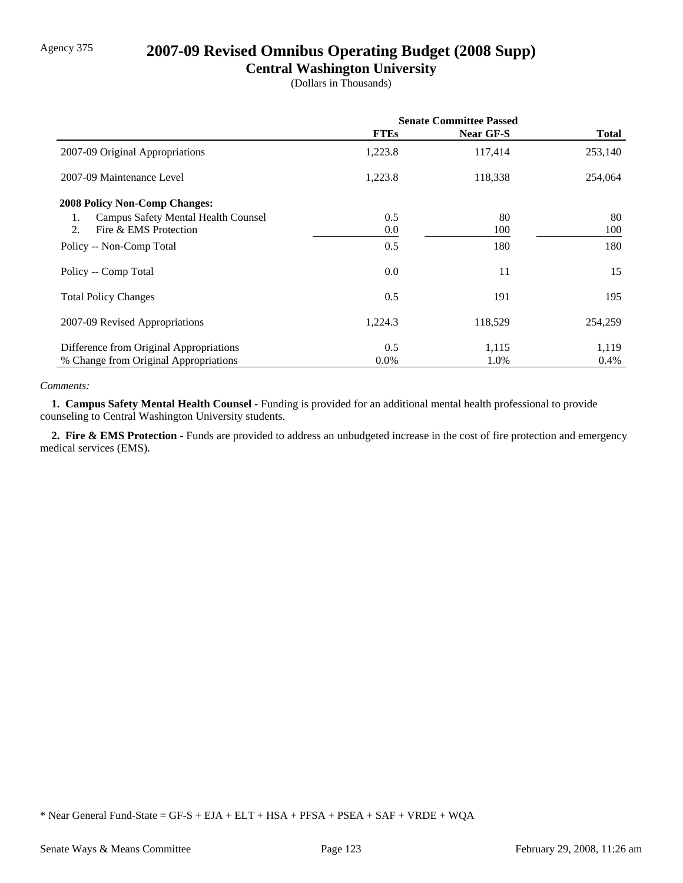# Agency 375 **2007-09 Revised Omnibus Operating Budget (2008 Supp)**

## **Central Washington University**

(Dollars in Thousands)

|                                           | <b>Senate Committee Passed</b> |           |              |
|-------------------------------------------|--------------------------------|-----------|--------------|
|                                           | <b>FTEs</b>                    | Near GF-S | <b>Total</b> |
| 2007-09 Original Appropriations           | 1,223.8                        | 117,414   | 253,140      |
| 2007-09 Maintenance Level                 | 1,223.8                        | 118,338   | 254,064      |
| <b>2008 Policy Non-Comp Changes:</b>      |                                |           |              |
| Campus Safety Mental Health Counsel<br>1. | 0.5                            | 80        | 80           |
| Fire & EMS Protection<br>2.               | 0.0                            | 100       | 100          |
| Policy -- Non-Comp Total                  | 0.5                            | 180       | 180          |
| Policy -- Comp Total                      | 0.0                            | 11        | 15           |
| <b>Total Policy Changes</b>               | 0.5                            | 191       | 195          |
| 2007-09 Revised Appropriations            | 1,224.3                        | 118,529   | 254,259      |
| Difference from Original Appropriations   | 0.5                            | 1,115     | 1,119        |
| % Change from Original Appropriations     | $0.0\%$                        | 1.0%      | 0.4%         |

#### *Comments:*

 **1. Campus Safety Mental Health Counsel -** Funding is provided for an additional mental health professional to provide counseling to Central Washington University students.

 **2. Fire & EMS Protection -** Funds are provided to address an unbudgeted increase in the cost of fire protection and emergency medical services (EMS).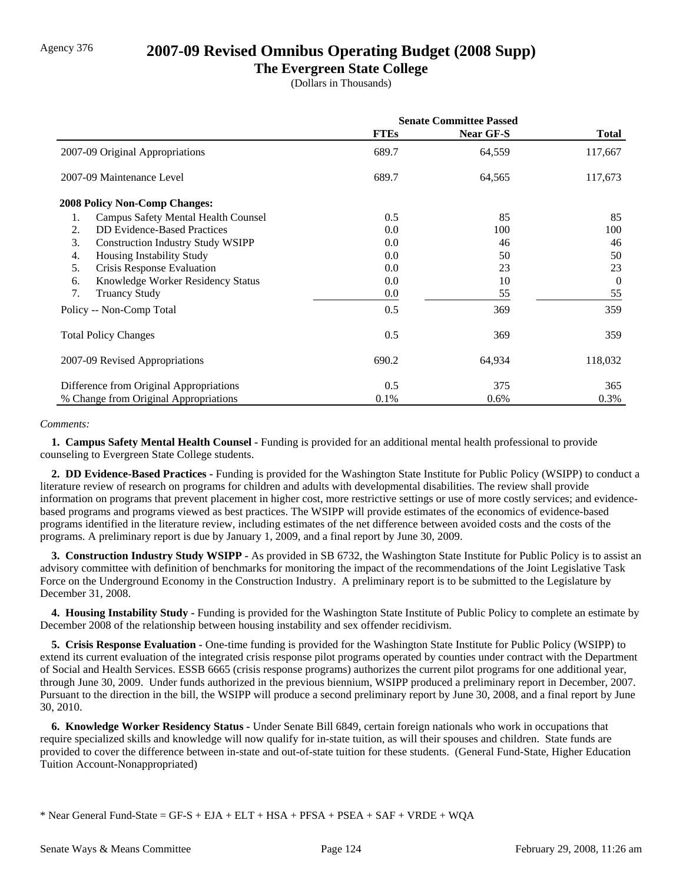# Agency 376 **2007-09 Revised Omnibus Operating Budget (2008 Supp)**

## **The Evergreen State College**

(Dollars in Thousands)

|                                                  | <b>Senate Committee Passed</b> |                  |              |
|--------------------------------------------------|--------------------------------|------------------|--------------|
|                                                  | <b>FTEs</b>                    | <b>Near GF-S</b> | <b>Total</b> |
| 2007-09 Original Appropriations                  | 689.7                          | 64,559           | 117,667      |
| 2007-09 Maintenance Level                        | 689.7                          | 64,565           | 117,673      |
| <b>2008 Policy Non-Comp Changes:</b>             |                                |                  |              |
| <b>Campus Safety Mental Health Counsel</b><br>1. | 0.5                            | 85               | 85           |
| <b>DD</b> Evidence-Based Practices<br>2.         | 0.0                            | 100              | 100          |
| 3.<br><b>Construction Industry Study WSIPP</b>   | 0.0                            | 46               | 46           |
| Housing Instability Study<br>4.                  | 0.0                            | 50               | 50           |
| 5.<br>Crisis Response Evaluation                 | 0.0                            | 23               | 23           |
| Knowledge Worker Residency Status<br>6.          | 0.0                            | 10               | $\Omega$     |
| 7.<br><b>Truancy Study</b>                       | 0.0                            | 55               | 55           |
| Policy -- Non-Comp Total                         | 0.5                            | 369              | 359          |
| <b>Total Policy Changes</b>                      | 0.5                            | 369              | 359          |
| 2007-09 Revised Appropriations                   | 690.2                          | 64,934           | 118,032      |
| Difference from Original Appropriations          | 0.5                            | 375              | 365          |
| % Change from Original Appropriations            | 0.1%                           | 0.6%             | 0.3%         |

#### *Comments:*

 **1. Campus Safety Mental Health Counsel -** Funding is provided for an additional mental health professional to provide counseling to Evergreen State College students.

 **2. DD Evidence-Based Practices -** Funding is provided for the Washington State Institute for Public Policy (WSIPP) to conduct a literature review of research on programs for children and adults with developmental disabilities. The review shall provide information on programs that prevent placement in higher cost, more restrictive settings or use of more costly services; and evidencebased programs and programs viewed as best practices. The WSIPP will provide estimates of the economics of evidence-based programs identified in the literature review, including estimates of the net difference between avoided costs and the costs of the programs. A preliminary report is due by January 1, 2009, and a final report by June 30, 2009.

 **3. Construction Industry Study WSIPP -** As provided in SB 6732, the Washington State Institute for Public Policy is to assist an advisory committee with definition of benchmarks for monitoring the impact of the recommendations of the Joint Legislative Task Force on the Underground Economy in the Construction Industry. A preliminary report is to be submitted to the Legislature by December 31, 2008.

 **4. Housing Instability Study -** Funding is provided for the Washington State Institute of Public Policy to complete an estimate by December 2008 of the relationship between housing instability and sex offender recidivism.

 **5. Crisis Response Evaluation -** One-time funding is provided for the Washington State Institute for Public Policy (WSIPP) to extend its current evaluation of the integrated crisis response pilot programs operated by counties under contract with the Department of Social and Health Services. ESSB 6665 (crisis response programs) authorizes the current pilot programs for one additional year, through June 30, 2009. Under funds authorized in the previous biennium, WSIPP produced a preliminary report in December, 2007. Pursuant to the direction in the bill, the WSIPP will produce a second preliminary report by June 30, 2008, and a final report by June 30, 2010.

 **6. Knowledge Worker Residency Status -** Under Senate Bill 6849, certain foreign nationals who work in occupations that require specialized skills and knowledge will now qualify for in-state tuition, as will their spouses and children. State funds are provided to cover the difference between in-state and out-of-state tuition for these students. (General Fund-State, Higher Education Tuition Account-Nonappropriated)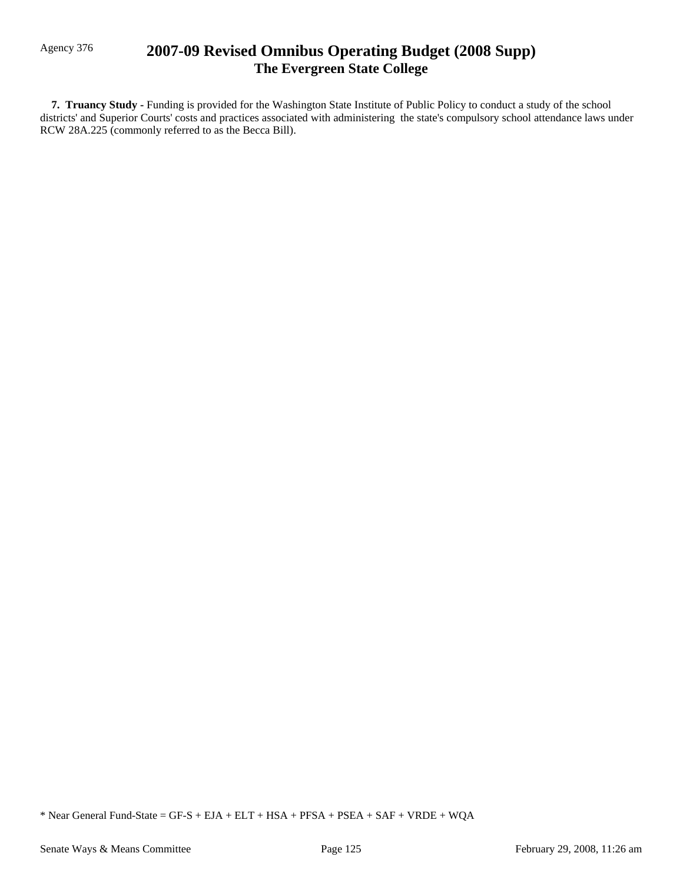# Agency 376 **2007-09 Revised Omnibus Operating Budget (2008 Supp) The Evergreen State College**

 **7. Truancy Study -** Funding is provided for the Washington State Institute of Public Policy to conduct a study of the school districts' and Superior Courts' costs and practices associated with administering the state's compulsory school attendance laws under RCW 28A.225 (commonly referred to as the Becca Bill).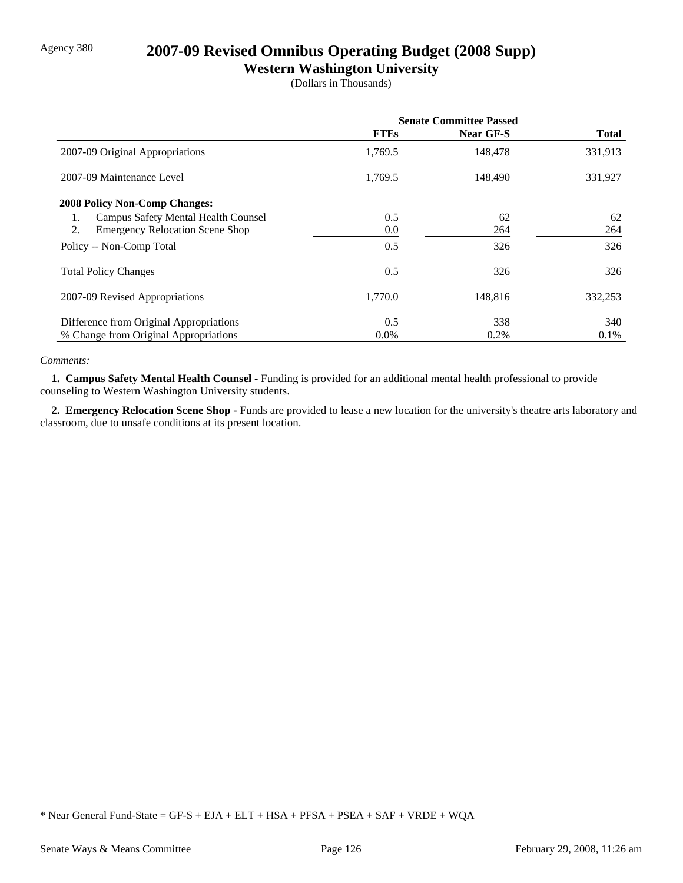# Agency 380 **2007-09 Revised Omnibus Operating Budget (2008 Supp)**

## **Western Washington University**

(Dollars in Thousands)

|                                                  | <b>Senate Committee Passed</b> |           |              |
|--------------------------------------------------|--------------------------------|-----------|--------------|
|                                                  | <b>FTEs</b>                    | Near GF-S | <b>Total</b> |
| 2007-09 Original Appropriations                  | 1,769.5                        | 148,478   | 331,913      |
| 2007-09 Maintenance Level                        | 1,769.5                        | 148,490   | 331,927      |
| <b>2008 Policy Non-Comp Changes:</b>             |                                |           |              |
| <b>Campus Safety Mental Health Counsel</b><br>1. | 0.5                            | 62        | 62           |
| 2.<br><b>Emergency Relocation Scene Shop</b>     | $0.0\,$                        | 264       | 264          |
| Policy -- Non-Comp Total                         | 0.5                            | 326       | 326          |
| <b>Total Policy Changes</b>                      | 0.5                            | 326       | 326          |
| 2007-09 Revised Appropriations                   | 1,770.0                        | 148,816   | 332,253      |
| Difference from Original Appropriations          | 0.5                            | 338       | 340          |
| % Change from Original Appropriations            | $0.0\%$                        | 0.2%      | 0.1%         |

#### *Comments:*

 **1. Campus Safety Mental Health Counsel -** Funding is provided for an additional mental health professional to provide counseling to Western Washington University students.

2. Emergency Relocation Scene Shop - Funds are provided to lease a new location for the university's theatre arts laboratory and classroom, due to unsafe conditions at its present location.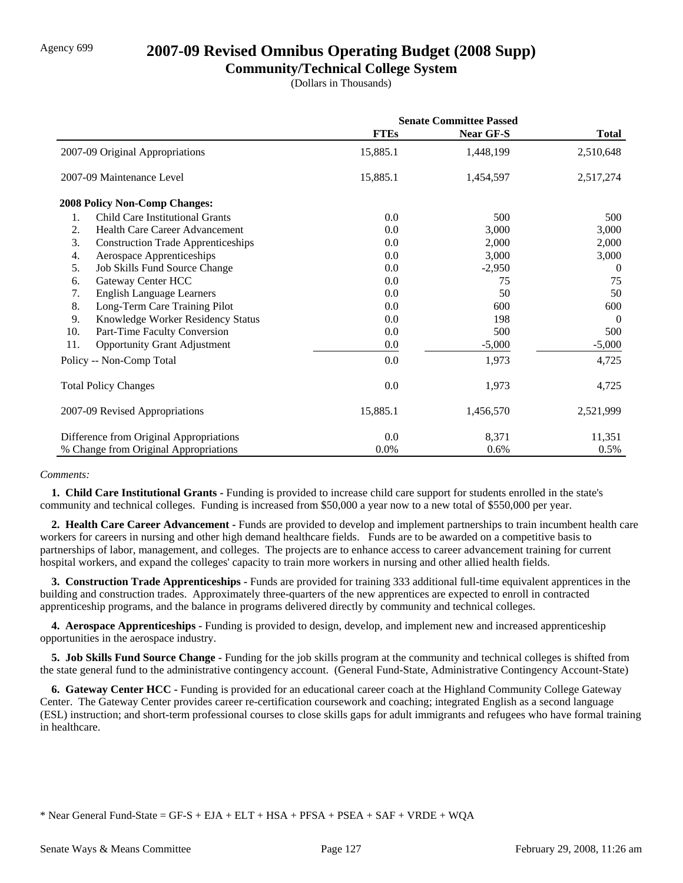# Agency 699 **2007-09 Revised Omnibus Operating Budget (2008 Supp)**

## **Community/Technical College System**

(Dollars in Thousands)

|     |                                           | <b>Senate Committee Passed</b> |                  |              |
|-----|-------------------------------------------|--------------------------------|------------------|--------------|
|     |                                           | <b>FTEs</b>                    | <b>Near GF-S</b> | <b>Total</b> |
|     | 2007-09 Original Appropriations           | 15,885.1                       | 1,448,199        | 2,510,648    |
|     | 2007-09 Maintenance Level                 | 15,885.1                       | 1,454,597        | 2,517,274    |
|     | <b>2008 Policy Non-Comp Changes:</b>      |                                |                  |              |
| 1.  | Child Care Institutional Grants           | 0.0                            | 500              | 500          |
| 2.  | Health Care Career Advancement            | 0.0                            | 3,000            | 3,000        |
| 3.  | <b>Construction Trade Apprenticeships</b> | 0.0                            | 2,000            | 2,000        |
| 4.  | Aerospace Apprenticeships                 | 0.0                            | 3,000            | 3,000        |
| 5.  | Job Skills Fund Source Change             | 0.0                            | $-2,950$         | $\theta$     |
| 6.  | Gateway Center HCC                        | 0.0                            | 75               | 75           |
| 7.  | <b>English Language Learners</b>          | 0.0                            | 50               | 50           |
| 8.  | Long-Term Care Training Pilot             | 0.0                            | 600              | 600          |
| 9.  | Knowledge Worker Residency Status         | 0.0                            | 198              | $\theta$     |
| 10. | Part-Time Faculty Conversion              | 0.0                            | 500              | 500          |
| 11. | <b>Opportunity Grant Adjustment</b>       | $0.0\,$                        | $-5,000$         | $-5,000$     |
|     | Policy -- Non-Comp Total                  | 0.0                            | 1,973            | 4,725        |
|     | <b>Total Policy Changes</b>               | 0.0                            | 1,973            | 4,725        |
|     | 2007-09 Revised Appropriations            | 15,885.1                       | 1,456,570        | 2,521,999    |
|     | Difference from Original Appropriations   | 0.0                            | 8,371            | 11,351       |
|     | % Change from Original Appropriations     | $0.0\%$                        | 0.6%             | $0.5\%$      |

#### *Comments:*

 **1. Child Care Institutional Grants -** Funding is provided to increase child care support for students enrolled in the state's community and technical colleges. Funding is increased from \$50,000 a year now to a new total of \$550,000 per year.

 **2. Health Care Career Advancement -** Funds are provided to develop and implement partnerships to train incumbent health care workers for careers in nursing and other high demand healthcare fields. Funds are to be awarded on a competitive basis to partnerships of labor, management, and colleges. The projects are to enhance access to career advancement training for current hospital workers, and expand the colleges' capacity to train more workers in nursing and other allied health fields.

**3. Construction Trade Apprenticeships - Funds are provided for training 333 additional full-time equivalent apprentices in the** building and construction trades. Approximately three-quarters of the new apprentices are expected to enroll in contracted apprenticeship programs, and the balance in programs delivered directly by community and technical colleges.

 **4. Aerospace Apprenticeships -** Funding is provided to design, develop, and implement new and increased apprenticeship opportunities in the aerospace industry.

 **5. Job Skills Fund Source Change -** Funding for the job skills program at the community and technical colleges is shifted from the state general fund to the administrative contingency account. (General Fund-State, Administrative Contingency Account-State)

 **6. Gateway Center HCC -** Funding is provided for an educational career coach at the Highland Community College Gateway Center. The Gateway Center provides career re-certification coursework and coaching; integrated English as a second language (ESL) instruction; and short-term professional courses to close skills gaps for adult immigrants and refugees who have formal training in healthcare.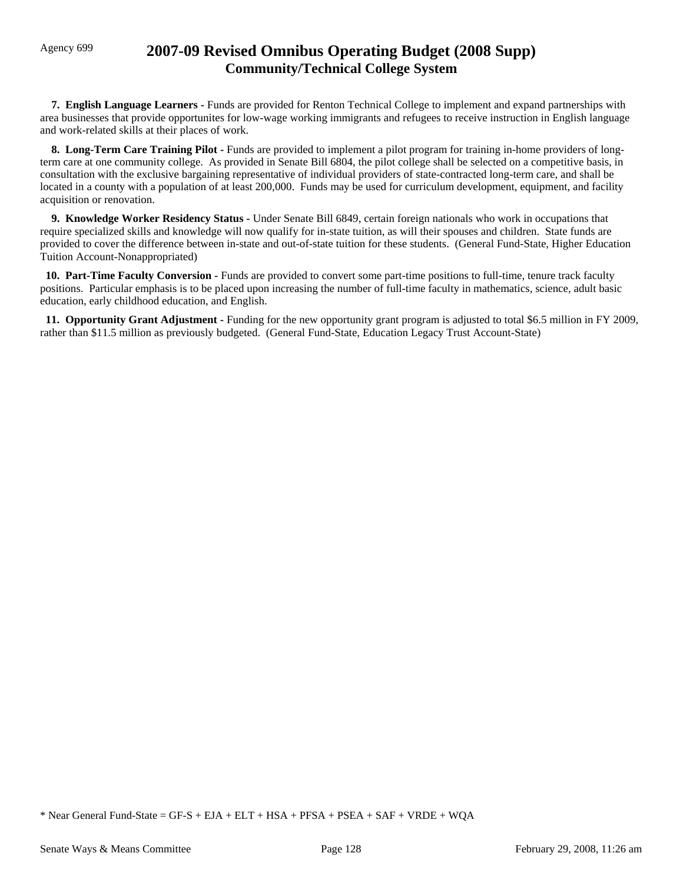# Agency 699 **2007-09 Revised Omnibus Operating Budget (2008 Supp) Community/Technical College System**

 **7. English Language Learners -** Funds are provided for Renton Technical College to implement and expand partnerships with area businesses that provide opportunites for low-wage working immigrants and refugees to receive instruction in English language and work-related skills at their places of work.

**8. Long-Term Care Training Pilot - Funds are provided to implement a pilot program for training in-home providers of long**term care at one community college. As provided in Senate Bill 6804, the pilot college shall be selected on a competitive basis, in consultation with the exclusive bargaining representative of individual providers of state-contracted long-term care, and shall be located in a county with a population of at least 200,000. Funds may be used for curriculum development, equipment, and facility acquisition or renovation.

 **9. Knowledge Worker Residency Status -** Under Senate Bill 6849, certain foreign nationals who work in occupations that require specialized skills and knowledge will now qualify for in-state tuition, as will their spouses and children. State funds are provided to cover the difference between in-state and out-of-state tuition for these students. (General Fund-State, Higher Education Tuition Account-Nonappropriated)

 **10. Part-Time Faculty Conversion -** Funds are provided to convert some part-time positions to full-time, tenure track faculty positions. Particular emphasis is to be placed upon increasing the number of full-time faculty in mathematics, science, adult basic education, early childhood education, and English.

 **11. Opportunity Grant Adjustment -** Funding for the new opportunity grant program is adjusted to total \$6.5 million in FY 2009, rather than \$11.5 million as previously budgeted. (General Fund-State, Education Legacy Trust Account-State)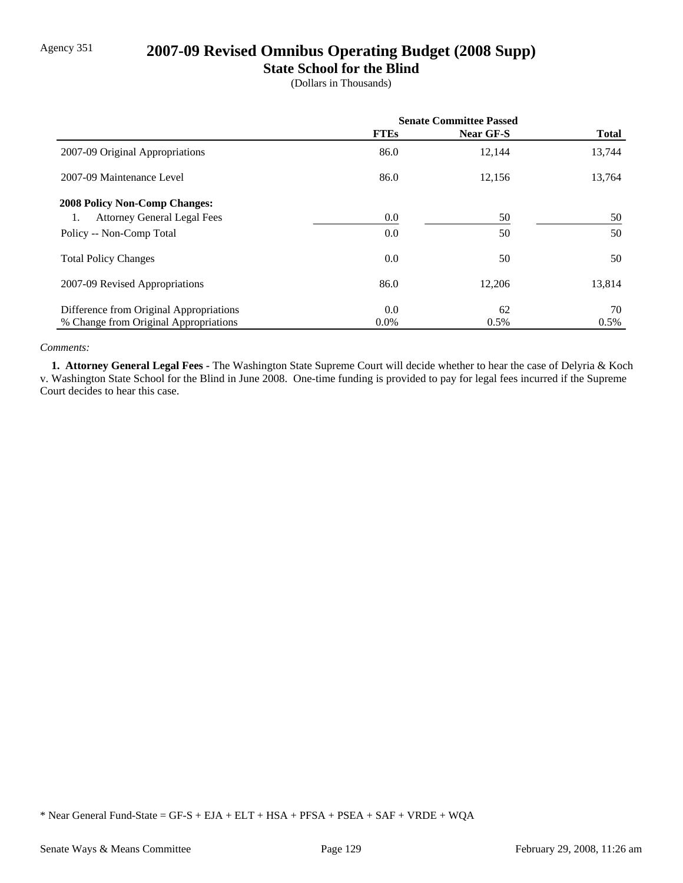# Agency 351 **2007-09 Revised Omnibus Operating Budget (2008 Supp)**

## **State School for the Blind**

(Dollars in Thousands)

|                                         | <b>Senate Committee Passed</b> |           |              |
|-----------------------------------------|--------------------------------|-----------|--------------|
|                                         | <b>FTEs</b>                    | Near GF-S | <b>Total</b> |
| 2007-09 Original Appropriations         | 86.0                           | 12,144    | 13,744       |
| 2007-09 Maintenance Level               | 86.0                           | 12,156    | 13,764       |
| <b>2008 Policy Non-Comp Changes:</b>    |                                |           |              |
| <b>Attorney General Legal Fees</b>      | 0.0                            | 50        | 50           |
| Policy -- Non-Comp Total                | 0.0                            | 50        | 50           |
| <b>Total Policy Changes</b>             | 0.0                            | 50        | 50           |
| 2007-09 Revised Appropriations          | 86.0                           | 12,206    | 13,814       |
| Difference from Original Appropriations | 0.0                            | 62        | 70           |
| % Change from Original Appropriations   | $0.0\%$                        | $0.5\%$   | 0.5%         |

#### *Comments:*

 **1. Attorney General Legal Fees -** The Washington State Supreme Court will decide whether to hear the case of Delyria & Koch v. Washington State School for the Blind in June 2008. One-time funding is provided to pay for legal fees incurred if the Supreme Court decides to hear this case.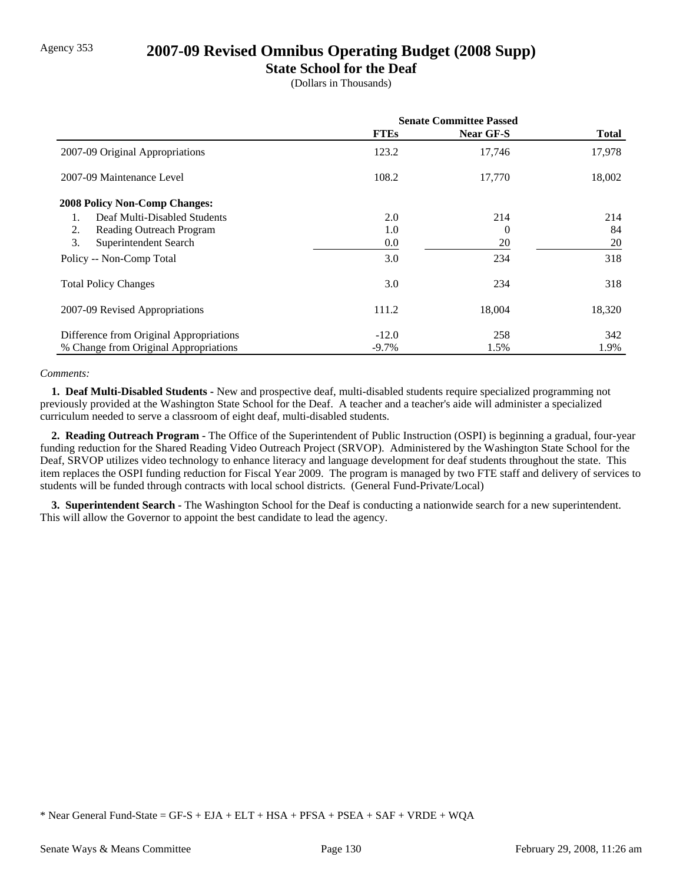## Agency 353 **2007-09 Revised Omnibus Operating Budget (2008 Supp)**

## **State School for the Deaf**

(Dollars in Thousands)

|                                         | <b>Senate Committee Passed</b> |                  |              |
|-----------------------------------------|--------------------------------|------------------|--------------|
|                                         | <b>FTEs</b>                    | <b>Near GF-S</b> | <b>Total</b> |
| 2007-09 Original Appropriations         | 123.2                          | 17,746           | 17,978       |
| 2007-09 Maintenance Level               | 108.2                          | 17,770           | 18,002       |
| <b>2008 Policy Non-Comp Changes:</b>    |                                |                  |              |
| Deaf Multi-Disabled Students            | 2.0                            | 214              | 214          |
| 2.<br>Reading Outreach Program          | 1.0                            | 0                | 84           |
| 3.<br>Superintendent Search             | 0.0                            | 20               | 20           |
| Policy -- Non-Comp Total                | 3.0                            | 234              | 318          |
| <b>Total Policy Changes</b>             | 3.0                            | 234              | 318          |
| 2007-09 Revised Appropriations          | 111.2                          | 18,004           | 18,320       |
| Difference from Original Appropriations | $-12.0$                        | 258              | 342          |
| % Change from Original Appropriations   | $-9.7\%$                       | 1.5%             | 1.9%         |

#### *Comments:*

 **1. Deaf Multi-Disabled Students -** New and prospective deaf, multi-disabled students require specialized programming not previously provided at the Washington State School for the Deaf. A teacher and a teacher's aide will administer a specialized curriculum needed to serve a classroom of eight deaf, multi-disabled students.

 **2. Reading Outreach Program -** The Office of the Superintendent of Public Instruction (OSPI) is beginning a gradual, four-year funding reduction for the Shared Reading Video Outreach Project (SRVOP). Administered by the Washington State School for the Deaf, SRVOP utilizes video technology to enhance literacy and language development for deaf students throughout the state. This item replaces the OSPI funding reduction for Fiscal Year 2009. The program is managed by two FTE staff and delivery of services to students will be funded through contracts with local school districts. (General Fund-Private/Local)

 **3. Superintendent Search -** The Washington School for the Deaf is conducting a nationwide search for a new superintendent. This will allow the Governor to appoint the best candidate to lead the agency.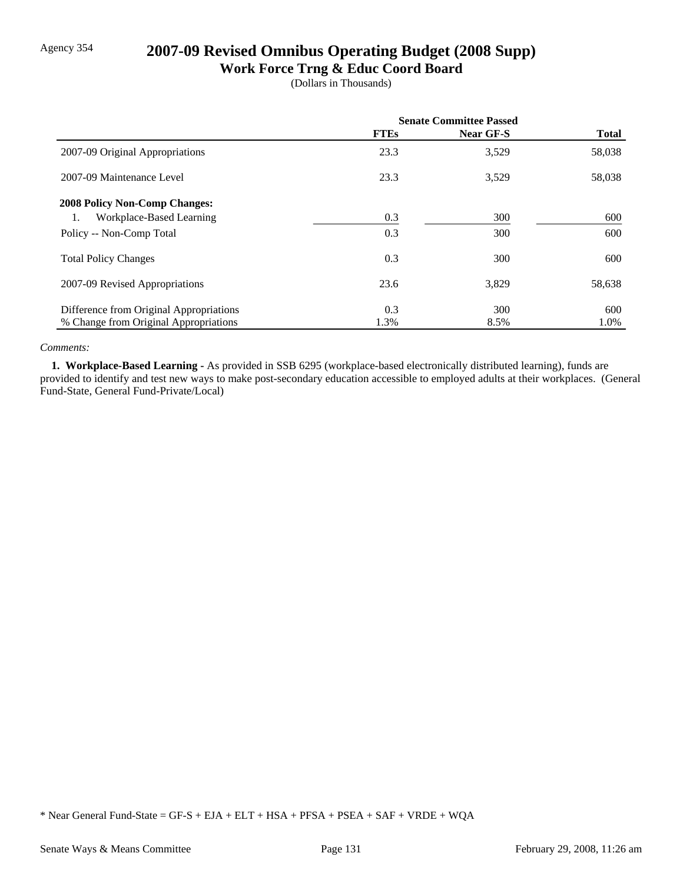# Agency 354 **2007-09 Revised Omnibus Operating Budget (2008 Supp)**

## **Work Force Trng & Educ Coord Board**

(Dollars in Thousands)

|                                         | <b>Senate Committee Passed</b> |           |              |
|-----------------------------------------|--------------------------------|-----------|--------------|
|                                         | <b>FTEs</b>                    | Near GF-S | <b>Total</b> |
| 2007-09 Original Appropriations         | 23.3                           | 3,529     | 58,038       |
| 2007-09 Maintenance Level               | 23.3                           | 3,529     | 58,038       |
| <b>2008 Policy Non-Comp Changes:</b>    |                                |           |              |
| Workplace-Based Learning<br>1.          | 0.3                            | 300       | 600          |
| Policy -- Non-Comp Total                | 0.3                            | 300       | 600          |
| <b>Total Policy Changes</b>             | 0.3                            | 300       | 600          |
| 2007-09 Revised Appropriations          | 23.6                           | 3,829     | 58,638       |
| Difference from Original Appropriations | 0.3                            | 300       | 600          |
| % Change from Original Appropriations   | 1.3%                           | 8.5%      | 1.0%         |

#### *Comments:*

 **1. Workplace-Based Learning -** As provided in SSB 6295 (workplace-based electronically distributed learning), funds are provided to identify and test new ways to make post-secondary education accessible to employed adults at their workplaces. (General Fund-State, General Fund-Private/Local)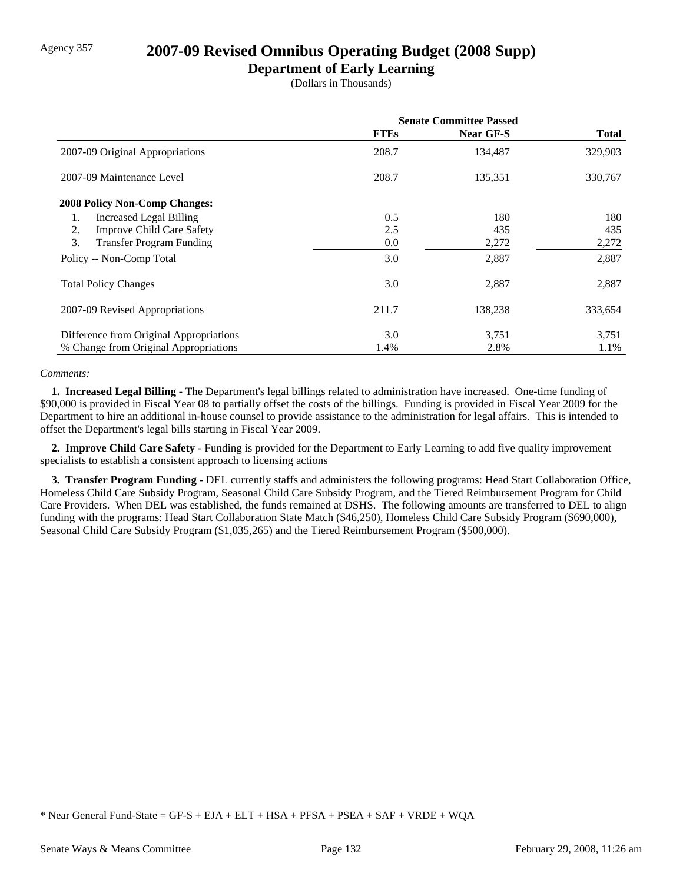## Agency 357 **2007-09 Revised Omnibus Operating Budget (2008 Supp)**

### **Department of Early Learning**

(Dollars in Thousands)

|                                         | <b>Senate Committee Passed</b> |                  |              |
|-----------------------------------------|--------------------------------|------------------|--------------|
|                                         | <b>FTEs</b>                    | <b>Near GF-S</b> | <b>Total</b> |
| 2007-09 Original Appropriations         | 208.7                          | 134,487          | 329,903      |
| 2007-09 Maintenance Level               | 208.7                          | 135,351          | 330,767      |
| <b>2008 Policy Non-Comp Changes:</b>    |                                |                  |              |
| <b>Increased Legal Billing</b><br>1.    | 0.5                            | 180              | 180          |
| <b>Improve Child Care Safety</b><br>2.  | 2.5                            | 435              | 435          |
| 3.<br><b>Transfer Program Funding</b>   | 0.0                            | 2,272            | 2,272        |
| Policy -- Non-Comp Total                | 3.0                            | 2,887            | 2,887        |
| <b>Total Policy Changes</b>             | 3.0                            | 2,887            | 2,887        |
| 2007-09 Revised Appropriations          | 211.7                          | 138,238          | 333,654      |
| Difference from Original Appropriations | 3.0                            | 3,751            | 3,751        |
| % Change from Original Appropriations   | 1.4%                           | 2.8%             | 1.1%         |

#### *Comments:*

 **1. Increased Legal Billing -** The Department's legal billings related to administration have increased. One-time funding of \$90,000 is provided in Fiscal Year 08 to partially offset the costs of the billings. Funding is provided in Fiscal Year 2009 for the Department to hire an additional in-house counsel to provide assistance to the administration for legal affairs. This is intended to offset the Department's legal bills starting in Fiscal Year 2009.

 **2. Improve Child Care Safety -** Funding is provided for the Department to Early Learning to add five quality improvement specialists to establish a consistent approach to licensing actions

 **3. Transfer Program Funding -** DEL currently staffs and administers the following programs: Head Start Collaboration Office, Homeless Child Care Subsidy Program, Seasonal Child Care Subsidy Program, and the Tiered Reimbursement Program for Child Care Providers. When DEL was established, the funds remained at DSHS. The following amounts are transferred to DEL to align funding with the programs: Head Start Collaboration State Match (\$46,250), Homeless Child Care Subsidy Program (\$690,000), Seasonal Child Care Subsidy Program (\$1,035,265) and the Tiered Reimbursement Program (\$500,000).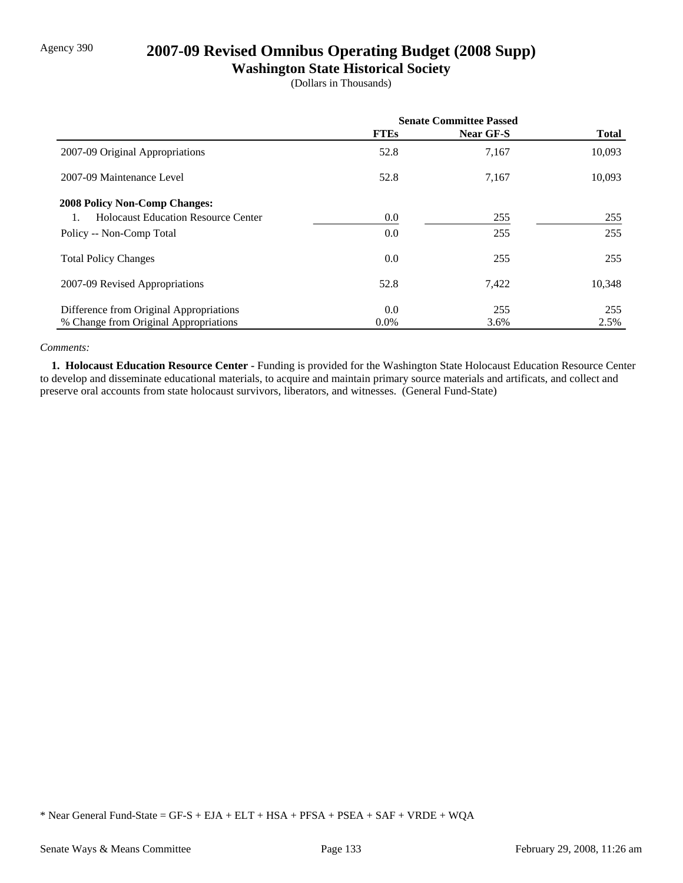## Agency 390 **2007-09 Revised Omnibus Operating Budget (2008 Supp)**

## **Washington State Historical Society**

(Dollars in Thousands)

|                                            | <b>Senate Committee Passed</b> |           |              |
|--------------------------------------------|--------------------------------|-----------|--------------|
|                                            | <b>FTEs</b>                    | Near GF-S | <b>Total</b> |
| 2007-09 Original Appropriations            | 52.8                           | 7,167     | 10,093       |
| 2007-09 Maintenance Level                  | 52.8                           | 7,167     | 10,093       |
| <b>2008 Policy Non-Comp Changes:</b>       |                                |           |              |
| <b>Holocaust Education Resource Center</b> | 0.0                            | 255       | 255          |
| Policy -- Non-Comp Total                   | 0.0                            | 255       | 255          |
| <b>Total Policy Changes</b>                | 0.0                            | 255       | 255          |
| 2007-09 Revised Appropriations             | 52.8                           | 7,422     | 10,348       |
| Difference from Original Appropriations    | 0.0                            | 255       | 255          |
| % Change from Original Appropriations      | $0.0\%$                        | 3.6%      | 2.5%         |

#### *Comments:*

 **1. Holocaust Education Resource Center -** Funding is provided for the Washington State Holocaust Education Resource Center to develop and disseminate educational materials, to acquire and maintain primary source materials and artificats, and collect and preserve oral accounts from state holocaust survivors, liberators, and witnesses. (General Fund-State)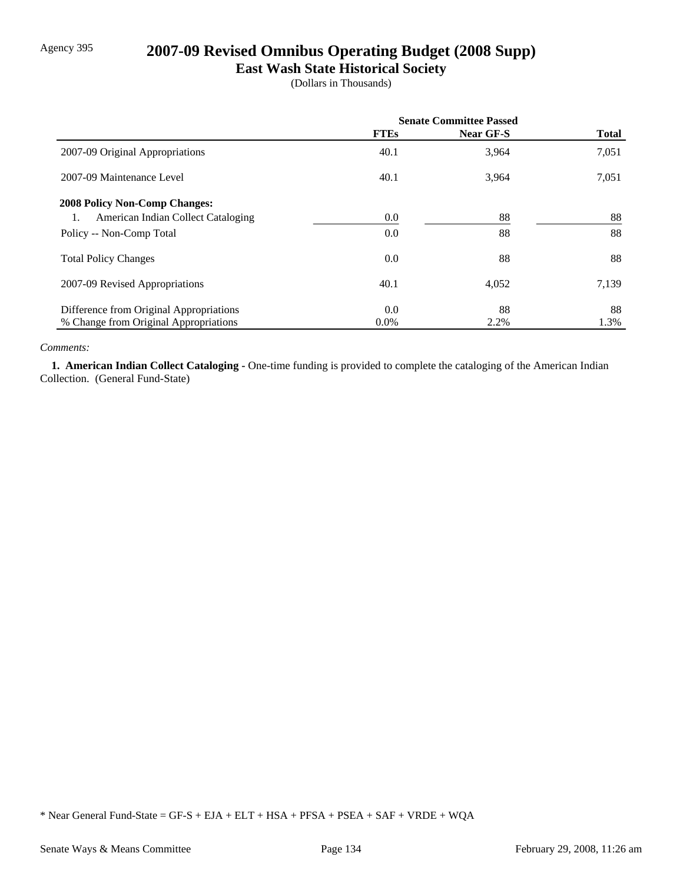## Agency 395 **2007-09 Revised Omnibus Operating Budget (2008 Supp)**

## **East Wash State Historical Society**

(Dollars in Thousands)

|                                          | <b>Senate Committee Passed</b> |           |              |
|------------------------------------------|--------------------------------|-----------|--------------|
|                                          | <b>FTEs</b>                    | Near GF-S | <b>Total</b> |
| 2007-09 Original Appropriations          | 40.1                           | 3,964     | 7,051        |
| 2007-09 Maintenance Level                | 40.1                           | 3,964     | 7,051        |
| <b>2008 Policy Non-Comp Changes:</b>     |                                |           |              |
| American Indian Collect Cataloging<br>1. | $0.0\,$                        | 88        | 88           |
| Policy -- Non-Comp Total                 | 0.0                            | 88        | 88           |
| <b>Total Policy Changes</b>              | 0.0                            | 88        | 88           |
| 2007-09 Revised Appropriations           | 40.1                           | 4,052     | 7,139        |
| Difference from Original Appropriations  | 0.0                            | 88        | 88           |
| % Change from Original Appropriations    | $0.0\%$                        | 2.2%      | 1.3%         |

#### *Comments:*

 **1. American Indian Collect Cataloging -** One-time funding is provided to complete the cataloging of the American Indian Collection. (General Fund-State)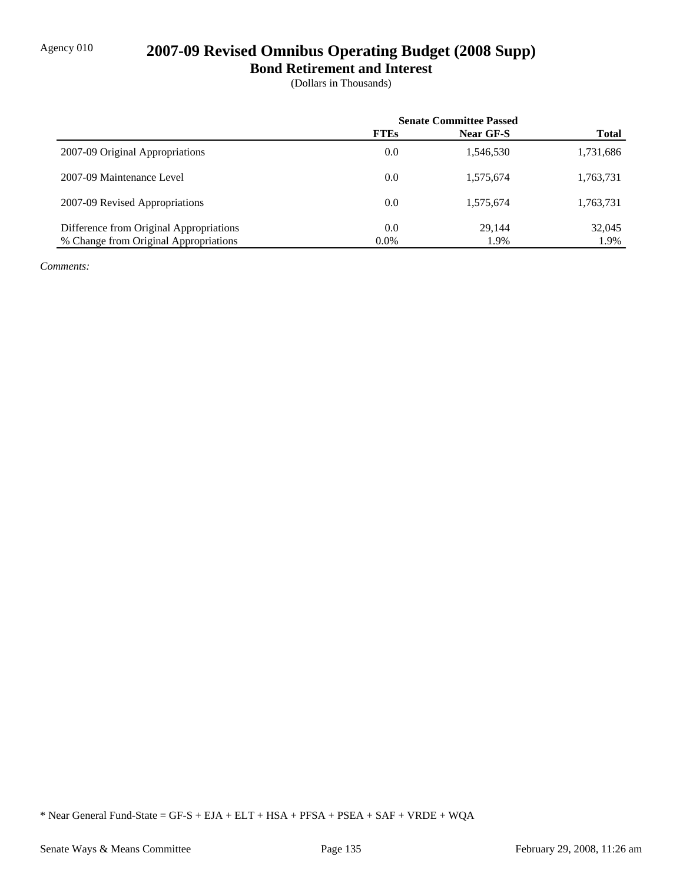## Agency 010 **2007-09 Revised Omnibus Operating Budget (2008 Supp)**

**Bond Retirement and Interest**

(Dollars in Thousands)

|                                         | <b>Senate Committee Passed</b> |           |              |
|-----------------------------------------|--------------------------------|-----------|--------------|
|                                         | <b>FTEs</b>                    | Near GF-S | <b>Total</b> |
| 2007-09 Original Appropriations         | 0.0                            | 1,546,530 | 1,731,686    |
| 2007-09 Maintenance Level               | 0.0                            | 1,575,674 | 1,763,731    |
| 2007-09 Revised Appropriations          | 0.0                            | 1,575,674 | 1,763,731    |
| Difference from Original Appropriations | 0.0                            | 29.144    | 32,045       |
| % Change from Original Appropriations   | $0.0\%$                        | 1.9%      | 1.9%         |

*Comments:*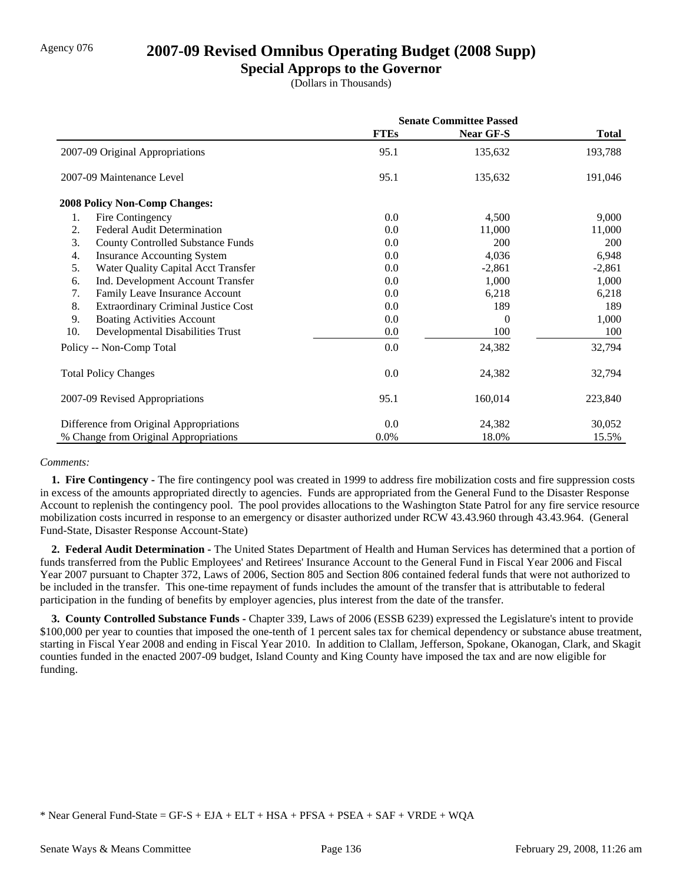## Agency 076 **2007-09 Revised Omnibus Operating Budget (2008 Supp)**

### **Special Approps to the Governor**

(Dollars in Thousands)

|                                                  | <b>Senate Committee Passed</b> |                  |              |
|--------------------------------------------------|--------------------------------|------------------|--------------|
|                                                  | <b>FTEs</b>                    | <b>Near GF-S</b> | <b>Total</b> |
| 2007-09 Original Appropriations                  | 95.1                           | 135,632          | 193,788      |
| 2007-09 Maintenance Level                        | 95.1                           | 135,632          | 191,046      |
| <b>2008 Policy Non-Comp Changes:</b>             |                                |                  |              |
| Fire Contingency<br>1.                           | 0.0                            | 4,500            | 9,000        |
| 2.<br><b>Federal Audit Determination</b>         | 0.0                            | 11,000           | 11,000       |
| 3.<br><b>County Controlled Substance Funds</b>   | 0.0                            | 200              | <b>200</b>   |
| 4.<br><b>Insurance Accounting System</b>         | 0.0                            | 4,036            | 6,948        |
| 5.<br>Water Quality Capital Acct Transfer        | 0.0                            | $-2,861$         | $-2,861$     |
| Ind. Development Account Transfer<br>6.          | 0.0                            | 1,000            | 1,000        |
| 7.<br>Family Leave Insurance Account             | 0.0                            | 6,218            | 6,218        |
| 8.<br><b>Extraordinary Criminal Justice Cost</b> | 0.0                            | 189              | 189          |
| 9.<br><b>Boating Activities Account</b>          | 0.0                            | 0                | 1,000        |
| 10.<br>Developmental Disabilities Trust          | 0.0                            | 100              | 100          |
| Policy -- Non-Comp Total                         | 0.0                            | 24,382           | 32,794       |
| <b>Total Policy Changes</b>                      | 0.0                            | 24,382           | 32,794       |
| 2007-09 Revised Appropriations                   | 95.1                           | 160,014          | 223,840      |
| Difference from Original Appropriations          | 0.0                            | 24,382           | 30,052       |
| % Change from Original Appropriations            | 0.0%                           | 18.0%            | 15.5%        |

#### *Comments:*

 **1. Fire Contingency -** The fire contingency pool was created in 1999 to address fire mobilization costs and fire suppression costs in excess of the amounts appropriated directly to agencies. Funds are appropriated from the General Fund to the Disaster Response Account to replenish the contingency pool. The pool provides allocations to the Washington State Patrol for any fire service resource mobilization costs incurred in response to an emergency or disaster authorized under RCW 43.43.960 through 43.43.964. (General Fund-State, Disaster Response Account-State)

 **2. Federal Audit Determination -** The United States Department of Health and Human Services has determined that a portion of funds transferred from the Public Employees' and Retirees' Insurance Account to the General Fund in Fiscal Year 2006 and Fiscal Year 2007 pursuant to Chapter 372, Laws of 2006, Section 805 and Section 806 contained federal funds that were not authorized to be included in the transfer. This one-time repayment of funds includes the amount of the transfer that is attributable to federal participation in the funding of benefits by employer agencies, plus interest from the date of the transfer.

**3. County Controlled Substance Funds - Chapter 339, Laws of 2006 (ESSB 6239) expressed the Legislature's intent to provide** \$100,000 per year to counties that imposed the one-tenth of 1 percent sales tax for chemical dependency or substance abuse treatment, starting in Fiscal Year 2008 and ending in Fiscal Year 2010. In addition to Clallam, Jefferson, Spokane, Okanogan, Clark, and Skagit counties funded in the enacted 2007-09 budget, Island County and King County have imposed the tax and are now eligible for funding.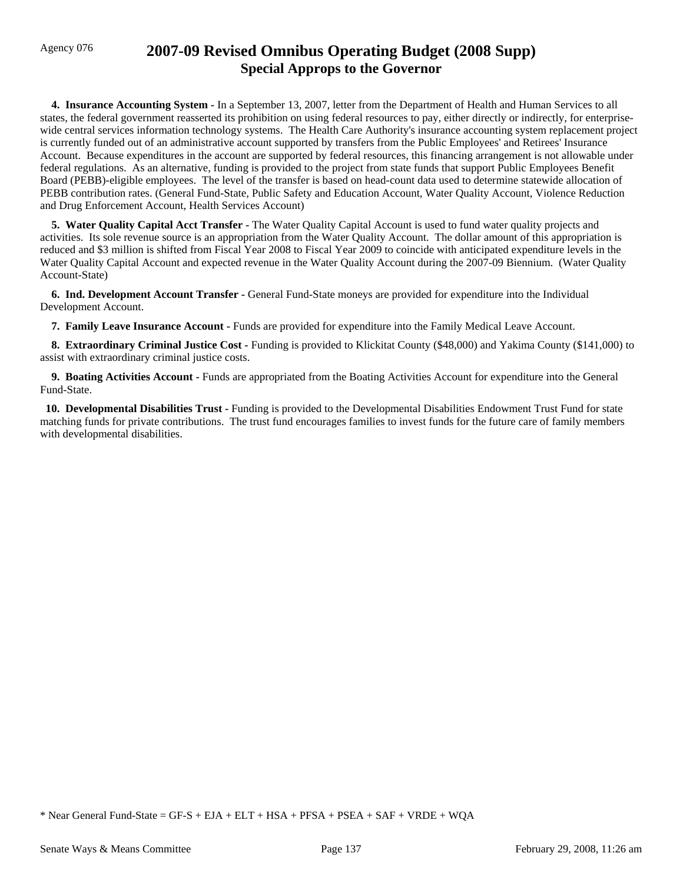## Agency 076 **2007-09 Revised Omnibus Operating Budget (2008 Supp) Special Approps to the Governor**

 **4. Insurance Accounting System -** In a September 13, 2007, letter from the Department of Health and Human Services to all states, the federal government reasserted its prohibition on using federal resources to pay, either directly or indirectly, for enterprisewide central services information technology systems. The Health Care Authority's insurance accounting system replacement project is currently funded out of an administrative account supported by transfers from the Public Employees' and Retirees' Insurance Account. Because expenditures in the account are supported by federal resources, this financing arrangement is not allowable under federal regulations. As an alternative, funding is provided to the project from state funds that support Public Employees Benefit Board (PEBB)-eligible employees. The level of the transfer is based on head-count data used to determine statewide allocation of PEBB contribution rates. (General Fund-State, Public Safety and Education Account, Water Quality Account, Violence Reduction and Drug Enforcement Account, Health Services Account)

 **5. Water Quality Capital Acct Transfer -** The Water Quality Capital Account is used to fund water quality projects and activities. Its sole revenue source is an appropriation from the Water Quality Account. The dollar amount of this appropriation is reduced and \$3 million is shifted from Fiscal Year 2008 to Fiscal Year 2009 to coincide with anticipated expenditure levels in the Water Quality Capital Account and expected revenue in the Water Quality Account during the 2007-09 Biennium. (Water Quality Account-State)

 **6. Ind. Development Account Transfer -** General Fund-State moneys are provided for expenditure into the Individual Development Account.

 **7. Family Leave Insurance Account -** Funds are provided for expenditure into the Family Medical Leave Account.

 **8. Extraordinary Criminal Justice Cost -** Funding is provided to Klickitat County (\$48,000) and Yakima County (\$141,000) to assist with extraordinary criminal justice costs.

 **9. Boating Activities Account -** Funds are appropriated from the Boating Activities Account for expenditure into the General Fund-State.

 **10. Developmental Disabilities Trust -** Funding is provided to the Developmental Disabilities Endowment Trust Fund for state matching funds for private contributions. The trust fund encourages families to invest funds for the future care of family members with developmental disabilities.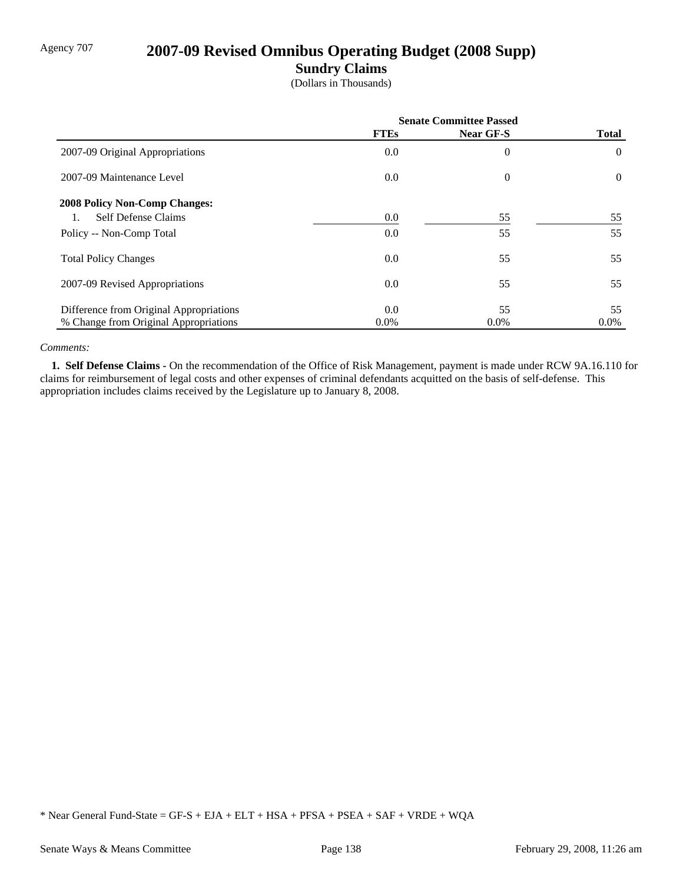## Agency 707 **2007-09 Revised Omnibus Operating Budget (2008 Supp)**

### **Sundry Claims**

(Dollars in Thousands)

|                                         | <b>Senate Committee Passed</b> |                |                |
|-----------------------------------------|--------------------------------|----------------|----------------|
|                                         | <b>FTEs</b>                    | Near GF-S      | <b>Total</b>   |
| 2007-09 Original Appropriations         | 0.0                            | $\overline{0}$ | $\theta$       |
| 2007-09 Maintenance Level               | 0.0                            | $\overline{0}$ | $\overline{0}$ |
| <b>2008 Policy Non-Comp Changes:</b>    |                                |                |                |
| <b>Self Defense Claims</b>              | 0.0                            | 55             | 55             |
| Policy -- Non-Comp Total                | 0.0                            | 55             | 55             |
| <b>Total Policy Changes</b>             | 0.0                            | 55             | 55             |
| 2007-09 Revised Appropriations          | 0.0                            | 55             | 55             |
| Difference from Original Appropriations | 0.0                            | 55             | 55             |
| % Change from Original Appropriations   | $0.0\%$                        | $0.0\%$        | $0.0\%$        |

#### *Comments:*

 **1. Self Defense Claims -** On the recommendation of the Office of Risk Management, payment is made under RCW 9A.16.110 for claims for reimbursement of legal costs and other expenses of criminal defendants acquitted on the basis of self-defense. This appropriation includes claims received by the Legislature up to January 8, 2008.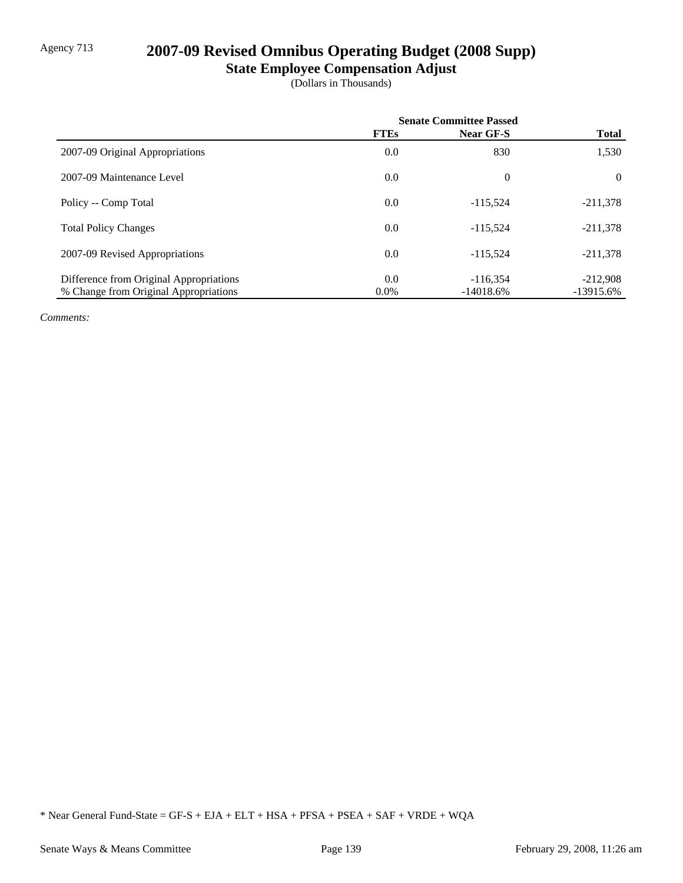## Agency 713 **2007-09 Revised Omnibus Operating Budget (2008 Supp)**

# **State Employee Compensation Adjust**

(Dollars in Thousands)

|                                         | <b>Senate Committee Passed</b> |                  |              |
|-----------------------------------------|--------------------------------|------------------|--------------|
|                                         | <b>FTEs</b>                    | <b>Near GF-S</b> | <b>Total</b> |
| 2007-09 Original Appropriations         | 0.0                            | 830              | 1,530        |
| 2007-09 Maintenance Level               | 0.0                            | $\theta$         | $\theta$     |
| Policy -- Comp Total                    | 0.0                            | $-115.524$       | $-211,378$   |
| <b>Total Policy Changes</b>             | 0.0                            | $-115.524$       | $-211,378$   |
| 2007-09 Revised Appropriations          | 0.0                            | $-115.524$       | $-211,378$   |
| Difference from Original Appropriations | 0.0                            | $-116.354$       | $-212,908$   |
| % Change from Original Appropriations   | $0.0\%$                        | $-14018.6%$      | $-13915.6%$  |

*Comments:*